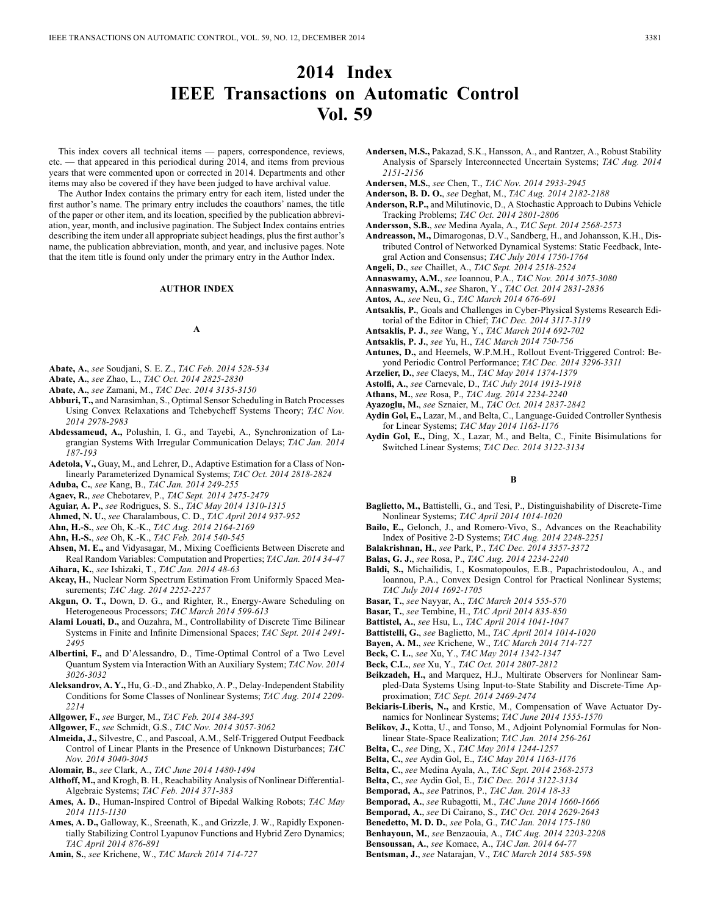# **2014 Index IEEE Transactions on Automatic Control Vol. 59**

This index covers all technical items — papers, correspondence, reviews, etc. — that appeared in this periodical during 2014, and items from previous years that were commented upon or corrected in 2014. Departments and other items may also be covered if they have been judged to have archival value.

The Author Index contains the primary entry for each item, listed under the first author's name. The primary entry includes the coauthors' names, the title of the paper or other item, and its location, specified by the publication abbreviation, year, month, and inclusive pagination. The Subject Index contains entries describing the item under all appropriate subject headings, plus the first author's name, the publication abbreviation, month, and year, and inclusive pages. Note that the item title is found only under the primary entry in the Author Index.

#### **AUTHOR INDEX**

### **A**

- **Abate, A.**, *see* Soudjani, S. E. Z., *TAC Feb. 2014 528-534*
- **Abate, A.**, *see* Zhao, L., *TAC Oct. 2014 2825-2830*
- **Abate, A.**, *see* Zamani, M., *TAC Dec. 2014 3135-3150*
- **Abburi, T.,** and Narasimhan, S., Optimal Sensor Scheduling in Batch Processes Using Convex Relaxations and Tchebycheff Systems Theory; *TAC Nov. 2014 2978-2983*
- **Abdessameud, A.,** Polushin, I. G., and Tayebi, A., Synchronization of Lagrangian Systems With Irregular Communication Delays; *TAC Jan. 2014 187-193*
- **Adetola, V.,** Guay, M., and Lehrer, D., Adaptive Estimation for a Class of Nonlinearly Parameterized Dynamical Systems; *TAC Oct. 2014 2818-2824*
- **Aduba, C.**, *see* Kang, B., *TAC Jan. 2014 249-255*
- **Agaev, R.**, *see* Chebotarev, P., *TAC Sept. 2014 2475-2479*
- **Aguiar, A. P.**, *see* Rodrigues, S. S., *TAC May 2014 1310-1315*
- **Ahmed, N. U.**, *see* Charalambous, C. D., *TAC April 2014 937-952*
- **Ahn, H.-S.**, *see* Oh, K.-K., *TAC Aug. 2014 2164-2169*
- **Ahn, H.-S.**, *see* Oh, K.-K., *TAC Feb. 2014 540-545*
- **Ahsen, M. E.,** and Vidyasagar, M., Mixing Coefficients Between Discrete and Real Random Variables: Computation and Properties; *TAC Jan. 2014 34-47*
- **Aihara, K.**, *see* Ishizaki, T., *TAC Jan. 2014 48-63*
- **Akcay, H.**, Nuclear Norm Spectrum Estimation From Uniformly Spaced Measurements; *TAC Aug. 2014 2252-2257*
- **Akgun, O. T.,** Down, D. G., and Righter, R., Energy-Aware Scheduling on Heterogeneous Processors; *TAC March 2014 599-613*
- **Alami Louati, D.,** and Ouzahra, M., Controllability of Discrete Time Bilinear Systems in Finite and Infinite Dimensional Spaces; *TAC Sept. 2014 2491- 2495*
- **Albertini, F.,** and D'Alessandro, D., Time-Optimal Control of a Two Level Quantum System via Interaction With an Auxiliary System; *TAC Nov. 2014 3026-3032*
- **Aleksandrov, A. Y.,** Hu, G.-D., and Zhabko, A. P., Delay-Independent Stability Conditions for Some Classes of Nonlinear Systems; *TAC Aug. 2014 2209- 2214*
- **Allgower, F.**, *see* Burger, M., *TAC Feb. 2014 384-395*
- **Allgower, F.**, *see* Schmidt, G.S., *TAC Nov. 2014 3057-3062*
- **Almeida, J.,** Silvestre, C., and Pascoal, A.M., Self-Triggered Output Feedback Control of Linear Plants in the Presence of Unknown Disturbances; *TAC Nov. 2014 3040-3045*
- **Alomair, B.**, *see* Clark, A., *TAC June 2014 1480-1494*
- **Althoff, M.,** and Krogh, B. H., Reachability Analysis of Nonlinear Differential-Algebraic Systems; *TAC Feb. 2014 371-383*
- **Ames, A. D.**, Human-Inspired Control of Bipedal Walking Robots; *TAC May 2014 1115-1130*
- **Ames, A. D.,** Galloway, K., Sreenath, K., and Grizzle, J. W., Rapidly Exponentially Stabilizing Control Lyapunov Functions and Hybrid Zero Dynamics; *TAC April 2014 876-891*
- **Amin, S.**, *see* Krichene, W., *TAC March 2014 714-727*
- **Andersen, M.S.,** Pakazad, S.K., Hansson, A., and Rantzer, A., Robust Stability Analysis of Sparsely Interconnected Uncertain Systems; *TAC Aug. 2014 2151-2156*
- **Andersen, M.S.**, *see* Chen, T., *TAC Nov. 2014 2933-2945*
- **Anderson, B. D. O.**, *see* Deghat, M., *TAC Aug. 2014 2182-2188*
- **Anderson, R.P.,** and Milutinovic, D., A Stochastic Approach to Dubins Vehicle Tracking Problems; *TAC Oct. 2014 2801-2806*
- **Andersson, S.B.**, *see* Medina Ayala, A., *TAC Sept. 2014 2568-2573*
- **Andreasson, M.,** Dimarogonas, D.V., Sandberg, H., and Johansson, K.H., Distributed Control of Networked Dynamical Systems: Static Feedback, Integral Action and Consensus; *TAC July 2014 1750-1764*
- **Angeli, D.**, *see* Chaillet, A., *TAC Sept. 2014 2518-2524*
- **Annaswamy, A.M.**, *see* Ioannou, P.A., *TAC Nov. 2014 3075-3080*
- **Annaswamy, A.M.**, *see* Sharon, Y., *TAC Oct. 2014 2831-2836*
- **Antos, A.**, *see* Neu, G., *TAC March 2014 676-691*
- **Antsaklis, P.**, Goals and Challenges in Cyber-Physical Systems Research Editorial of the Editor in Chief; *TAC Dec. 2014 3117-3119*
- **Antsaklis, P. J.**, *see* Wang, Y., *TAC March 2014 692-702*
- **Antsaklis, P. J.**, *see* Yu, H., *TAC March 2014 750-756*
- **Antunes, D.,** and Heemels, W.P.M.H., Rollout Event-Triggered Control: Beyond Periodic Control Performance; *TAC Dec. 2014 3296-3311*
- **Arzelier, D.**, *see* Claeys, M., *TAC May 2014 1374-1379*
- **Astolfi, A.**, *see* Carnevale, D., *TAC July 2014 1913-1918*
- **Athans, M.**, *see* Rosa, P., *TAC Aug. 2014 2234-2240*
- **Ayazoglu, M.**, *see* Sznaier, M., *TAC Oct. 2014 2837-2842*
- **Aydin Gol, E.,** Lazar, M., and Belta, C., Language-Guided Controller Synthesis for Linear Systems; *TAC May 2014 1163-1176*
- **Aydin Gol, E.,** Ding, X., Lazar, M., and Belta, C., Finite Bisimulations for Switched Linear Systems; *TAC Dec. 2014 3122-3134*

#### **B**

- **Baglietto, M.,** Battistelli, G., and Tesi, P., Distinguishability of Discrete-Time Nonlinear Systems; *TAC April 2014 1014-1020*
- **Bailo, E.,** Gelonch, J., and Romero-Vivo, S., Advances on the Reachability Index of Positive 2-D Systems; *TAC Aug. 2014 2248-2251*
- **Balakrishnan, H.**, *see* Park, P., *TAC Dec. 2014 3357-3372*
- **Balas, G. J.**, *see* Rosa, P., *TAC Aug. 2014 2234-2240*
- **Baldi, S.,** Michailidis, I., Kosmatopoulos, E.B., Papachristodoulou, A., and Ioannou, P.A., Convex Design Control for Practical Nonlinear Systems; *TAC July 2014 1692-1705*
- **Basar, T.**, *see* Nayyar, A., *TAC March 2014 555-570*
- **Basar, T.**, *see* Tembine, H., *TAC April 2014 835-850*
- **Battistel, A.**, *see* Hsu, L., *TAC April 2014 1041-1047*
- **Battistelli, G.**, *see* Baglietto, M., *TAC April 2014 1014-1020*
- **Bayen, A. M.**, *see* Krichene, W., *TAC March 2014 714-727*
- **Beck, C. L.**, *see* Xu, Y., *TAC May 2014 1342-1347*
- **Beck, C.L.**, *see* Xu, Y., *TAC Oct. 2014 2807-2812*
- **Beikzadeh, H.,** and Marquez, H.J., Multirate Observers for Nonlinear Sam-
- pled-Data Systems Using Input-to-State Stability and Discrete-Time Approximation; *TAC Sept. 2014 2469-2474*
- **Bekiaris-Liberis, N.,** and Krstic, M., Compensation of Wave Actuator Dynamics for Nonlinear Systems; *TAC June 2014 1555-1570*
- **Belikov, J.,** Kotta, U., and Tonso, M., Adjoint Polynomial Formulas for Nonlinear State-Space Realization; *TAC Jan. 2014 256-261*
- **Belta, C.**, *see* Ding, X., *TAC May 2014 1244-1257*
- **Belta, C.**, *see* Aydin Gol, E., *TAC May 2014 1163-1176*
- **Belta, C.**, *see* Medina Ayala, A., *TAC Sept. 2014 2568-2573*
- **Belta, C.**, *see* Aydin Gol, E., *TAC Dec. 2014 3122-3134*
- **Bemporad, A.**, *see* Patrinos, P., *TAC Jan. 2014 18-33*
- **Bemporad, A.**, *see* Rubagotti, M., *TAC June 2014 1660-1666*
- **Bemporad, A.**, *see* Di Cairano, S., *TAC Oct. 2014 2629-2643*
- **Benedetto, M. D. D.**, *see* Pola, G., *TAC Jan. 2014 175-180*
- **Benhayoun, M.**, *see* Benzaouia, A., *TAC Aug. 2014 2203-2208*
- **Bensoussan, A.**, *see* Komaee, A., *TAC Jan. 2014 64-77*
- **Bentsman, J.**, *see* Natarajan, V., *TAC March 2014 585-598*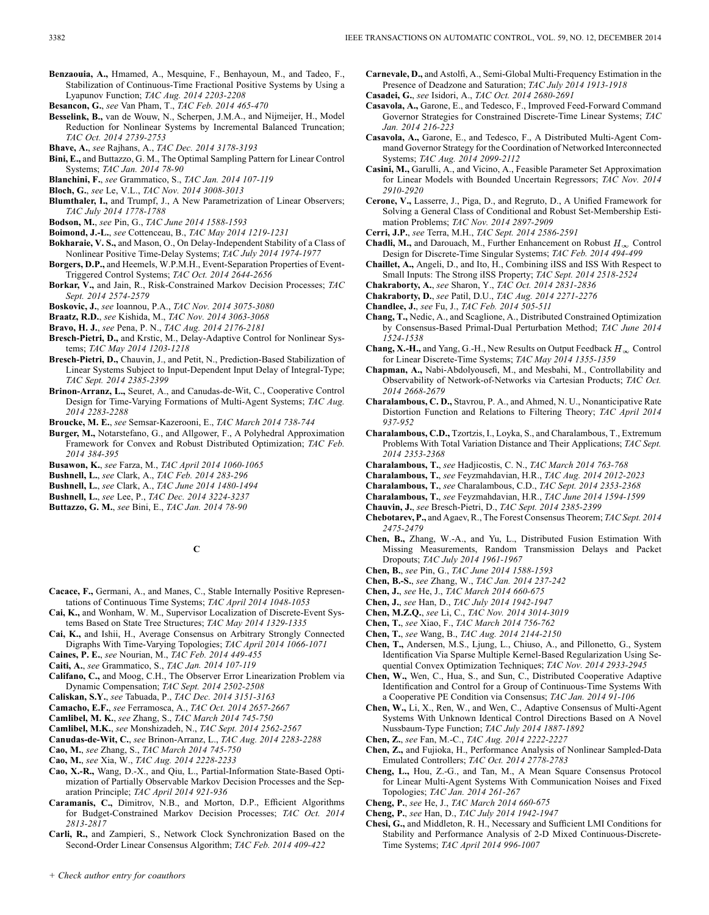**Benzaouia, A.,** Hmamed, A., Mesquine, F., Benhayoun, M., and Tadeo, F., Stabilization of Continuous-Time Fractional Positive Systems by Using a Lyapunov Function; *TAC Aug. 2014 2203-2208*

**Besancon, G.**, *see* Van Pham, T., *TAC Feb. 2014 465-470*

- **Besselink, B.,** van de Wouw, N., Scherpen, J.M.A., and Nijmeijer, H., Model Reduction for Nonlinear Systems by Incremental Balanced Truncation; *TAC Oct. 2014 2739-2753*
- **Bhave, A.**, *see* Rajhans, A., *TAC Dec. 2014 3178-3193*
- **Bini, E.,** and Buttazzo, G. M., The Optimal Sampling Pattern for Linear Control Systems; *TAC Jan. 2014 78-90*
- **Blanchini, F.**, *see* Grammatico, S., *TAC Jan. 2014 107-119*
- **Bloch, G.**, *see* Le, V.L., *TAC Nov. 2014 3008-3013*
- **Blumthaler, I.,** and Trumpf, J., A New Parametrization of Linear Observers; *TAC July 2014 1778-1788*
- **Bodson, M.**, *see* Pin, G., *TAC June 2014 1588-1593*
- **Boimond, J.-L.**, *see* Cottenceau, B., *TAC May 2014 1219-1231*
- **Bokharaie, V. S.,** and Mason, O., On Delay-Independent Stability of a Class of Nonlinear Positive Time-Delay Systems; *TAC July 2014 1974-1977*
- **Borgers, D.P.,** and Heemels, W.P.M.H., Event-Separation Properties of Event-Triggered Control Systems; *TAC Oct. 2014 2644-2656*
- **Borkar, V.,** and Jain, R., Risk-Constrained Markov Decision Processes; *TAC Sept. 2014 2574-2579*
- **Boskovic, J.**, *see* Ioannou, P.A., *TAC Nov. 2014 3075-3080*
- **Braatz, R.D.**, *see* Kishida, M., *TAC Nov. 2014 3063-3068*
- **Bravo, H. J.**, *see* Pena, P. N., *TAC Aug. 2014 2176-2181*
- **Bresch-Pietri, D.,** and Krstic, M., Delay-Adaptive Control for Nonlinear Systems; *TAC May 2014 1203-1218*
- **Bresch-Pietri, D.,** Chauvin, J., and Petit, N., Prediction-Based Stabilization of Linear Systems Subject to Input-Dependent Input Delay of Integral-Type; *TAC Sept. 2014 2385-2399*
- **Brinon-Arranz, L.,** Seuret, A., and Canudas-de-Wit, C., Cooperative Control Design for Time-Varying Formations of Multi-Agent Systems; *TAC Aug. 2014 2283-2288*
- **Broucke, M. E.**, *see* Semsar-Kazerooni, E., *TAC March 2014 738-744*
- **Burger, M.,** Notarstefano, G., and Allgower, F., A Polyhedral Approximation Framework for Convex and Robust Distributed Optimization; *TAC Feb. 2014 384-395*
- **Busawon, K.**, *see* Farza, M., *TAC April 2014 1060-1065*
- **Bushnell, L.**, *see* Clark, A., *TAC Feb. 2014 283-296*
- **Bushnell, L.**, *see* Clark, A., *TAC June 2014 1480-1494*
- **Bushnell, L.**, *see* Lee, P., *TAC Dec. 2014 3224-3237*
- **Buttazzo, G. M.**, *see* Bini, E., *TAC Jan. 2014 78-90*

**C**

- **Cacace, F.,** Germani, A., and Manes, C., Stable Internally Positive Representations of Continuous Time Systems; *TAC April 2014 1048-1053*
- **Cai, K.,** and Wonham, W. M., Supervisor Localization of Discrete-Event Systems Based on State Tree Structures; *TAC May 2014 1329-1335*
- **Cai, K.,** and Ishii, H., Average Consensus on Arbitrary Strongly Connected Digraphs With Time-Varying Topologies; *TAC April 2014 1066-1071*
- **Caines, P. E.**, *see* Nourian, M., *TAC Feb. 2014 449-455*
- **Caiti, A.**, *see* Grammatico, S., *TAC Jan. 2014 107-119*
- **Califano, C.,** and Moog, C.H., The Observer Error Linearization Problem via Dynamic Compensation; *TAC Sept. 2014 2502-2508*
- **Caliskan, S.Y.**, *see* Tabuada, P., *TAC Dec. 2014 3151-3163*
- **Camacho, E.F.**, *see* Ferramosca, A., *TAC Oct. 2014 2657-2667*
- **Camlibel, M. K.**, *see* Zhang, S., *TAC March 2014 745-750*
- **Camlibel, M.K.**, *see* Monshizadeh, N., *TAC Sept. 2014 2562-2567*
- **Canudas-de-Wit, C.**, *see* Brinon-Arranz, L., *TAC Aug. 2014 2283-2288*
- **Cao, M.**, *see* Zhang, S., *TAC March 2014 745-750*
- **Cao, M.**, *see* Xia, W., *TAC Aug. 2014 2228-2233*
- **Cao, X.-R.,** Wang, D.-X., and Qiu, L., Partial-Information State-Based Optimization of Partially Observable Markov Decision Processes and the Separation Principle; *TAC April 2014 921-936*
- **Caramanis, C.,** Dimitrov, N.B., and Morton, D.P., Efficient Algorithms for Budget-Constrained Markov Decision Processes; *TAC Oct. 2014 2813-2817*
- **Carli, R.,** and Zampieri, S., Network Clock Synchronization Based on the Second-Order Linear Consensus Algorithm; *TAC Feb. 2014 409-422*
- **Carnevale, D.,** and Astolfi, A., Semi-Global Multi-Frequency Estimation in the Presence of Deadzone and Saturation; *TAC July 2014 1913-1918*
- **Casadei, G.**, *see* Isidori, A., *TAC Oct. 2014 2680-2691*
- **Casavola, A.,** Garone, E., and Tedesco, F., Improved Feed-Forward Command Governor Strategies for Constrained Discrete-Time Linear Systems; *TAC Jan. 2014 216-223*
- **Casavola, A.,** Garone, E., and Tedesco, F., A Distributed Multi-Agent Command Governor Strategy for the Coordination of Networked Interconnected Systems; *TAC Aug. 2014 2099-2112*
- **Casini, M.,** Garulli, A., and Vicino, A., Feasible Parameter Set Approximation for Linear Models with Bounded Uncertain Regressors; *TAC Nov. 2014 2910-2920*
- **Cerone, V.,** Lasserre, J., Piga, D., and Regruto, D., A Unified Framework for Solving a General Class of Conditional and Robust Set-Membership Estimation Problems; *TAC Nov. 2014 2897-2909*
- **Cerri, J.P.**, *see* Terra, M.H., *TAC Sept. 2014 2586-2591*
- **Chadli, M., and Darouach, M., Further Enhancement on Robust**  $H_{\infty}$  **Control** Design for Discrete-Time Singular Systems; *TAC Feb. 2014 494-499*
- **Chaillet, A.,** Angeli, D., and Ito, H., Combining iISS and ISS With Respect to Small Inputs: The Strong iISS Property; *TAC Sept. 2014 2518-2524*
- **Chakraborty, A.**, *see* Sharon, Y., *TAC Oct. 2014 2831-2836*
- **Chakraborty, D.**, *see* Patil, D.U., *TAC Aug. 2014 2271-2276*
- **Chandlee, J.**, *see* Fu, J., *TAC Feb. 2014 505-511*
- **Chang, T.,** Nedic, A., and Scaglione, A., Distributed Constrained Optimization by Consensus-Based Primal-Dual Perturbation Method; *TAC June 2014 1524-1538*
- **Chang, X.-H.,** and Yang, G.-H., New Results on Output Feedback  $H_{\infty}$  Control for Linear Discrete-Time Systems; *TAC May 2014 1355-1359*
- **Chapman, A.,** Nabi-Abdolyousefi, M., and Mesbahi, M., Controllability and Observability of Network-of-Networks via Cartesian Products; *TAC Oct. 2014 2668-2679*
- **Charalambous, C. D.,** Stavrou, P. A., and Ahmed, N. U., Nonanticipative Rate Distortion Function and Relations to Filtering Theory; *TAC April 2014 937-952*
- **Charalambous, C.D.,** Tzortzis, I., Loyka, S., and Charalambous, T., Extremum Problems With Total Variation Distance and Their Applications; *TAC Sept. 2014 2353-2368*
- **Charalambous, T.**, *see* Hadjicostis, C. N., *TAC March 2014 763-768*
- **Charalambous, T.**, *see* Feyzmahdavian, H.R., *TAC Aug. 2014 2012-2023*
- **Charalambous, T.**, *see* Charalambous, C.D., *TAC Sept. 2014 2353-2368*
- **Charalambous, T.**, *see* Feyzmahdavian, H.R., *TAC June 2014 1594-1599*
- **Chauvin, J.**, *see* Bresch-Pietri, D., *TAC Sept. 2014 2385-2399*
- **Chebotarev, P.,** and Agaev, R., The Forest Consensus Theorem; *TAC Sept. 2014 2475-2479*
- **Chen, B.,** Zhang, W.-A., and Yu, L., Distributed Fusion Estimation With Missing Measurements, Random Transmission Delays and Packet Dropouts; *TAC July 2014 1961-1967*
- **Chen, B.**, *see* Pin, G., *TAC June 2014 1588-1593*
- **Chen, B.-S.**, *see* Zhang, W., *TAC Jan. 2014 237-242*
- **Chen, J.**, *see* He, J., *TAC March 2014 660-675*
- **Chen, J.**, *see* Han, D., *TAC July 2014 1942-1947*
- **Chen, M.Z.Q.**, *see* Li, C., *TAC Nov. 2014 3014-3019*
- **Chen, T.**, *see* Xiao, F., *TAC March 2014 756-762*
- **Chen, T.**, *see* Wang, B., *TAC Aug. 2014 2144-2150*
- **Chen, T.,** Andersen, M.S., Ljung, L., Chiuso, A., and Pillonetto, G., System Identification Via Sparse Multiple Kernel-Based Regularization Using Sequential Convex Optimization Techniques; *TAC Nov. 2014 2933-2945*
- **Chen, W.,** Wen, C., Hua, S., and Sun, C., Distributed Cooperative Adaptive Identification and Control for a Group of Continuous-Time Systems With a Cooperative PE Condition via Consensus; *TAC Jan. 2014 91-106*
- **Chen, W.,** Li, X., Ren, W., and Wen, C., Adaptive Consensus of Multi-Agent Systems With Unknown Identical Control Directions Based on A Novel Nussbaum-Type Function; *TAC July 2014 1887-1892*
- **Chen, Z.**, *see* Fan, M.-C., *TAC Aug. 2014 2222-2227*
- **Chen, Z.,** and Fujioka, H., Performance Analysis of Nonlinear Sampled-Data Emulated Controllers; *TAC Oct. 2014 2778-2783*
- **Cheng, L.,** Hou, Z.-G., and Tan, M., A Mean Square Consensus Protocol for Linear Multi-Agent Systems With Communication Noises and Fixed Topologies; *TAC Jan. 2014 261-267*
- **Cheng, P.**, *see* He, J., *TAC March 2014 660-675*
- **Cheng, P.**, *see* Han, D., *TAC July 2014 1942-1947*
- **Chesi, G.,** and Middleton, R. H., Necessary and Sufficient LMI Conditions for Stability and Performance Analysis of 2-D Mixed Continuous-Discrete-Time Systems; *TAC April 2014 996-1007*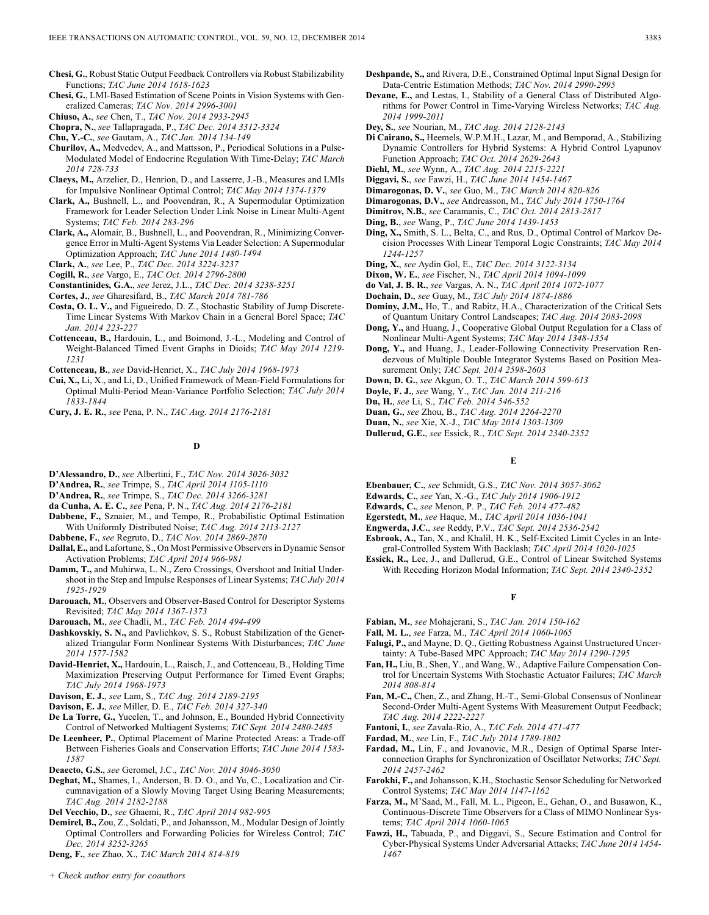**Chesi, G.**, Robust Static Output Feedback Controllers via Robust Stabilizability Functions; *TAC June 2014 1618-1623*

**Chesi, G.**, LMI-Based Estimation of Scene Points in Vision Systems with Generalized Cameras; *TAC Nov. 2014 2996-3001*

- **Chopra, N.**, *see* Tallapragada, P., *TAC Dec. 2014 3312-3324*
- **Chu, Y.-C.**, *see* Gautam, A., *TAC Jan. 2014 134-149*
- **Churilov, A.,** Medvedev, A., and Mattsson, P., Periodical Solutions in a Pulse-Modulated Model of Endocrine Regulation With Time-Delay; *TAC March 2014 728-733*
- **Claeys, M.,** Arzelier, D., Henrion, D., and Lasserre, J.-B., Measures and LMIs for Impulsive Nonlinear Optimal Control; *TAC May 2014 1374-1379*
- **Clark, A.,** Bushnell, L., and Poovendran, R., A Supermodular Optimization Framework for Leader Selection Under Link Noise in Linear Multi-Agent Systems; *TAC Feb. 2014 283-296*
- **Clark, A.,** Alomair, B., Bushnell, L., and Poovendran, R., Minimizing Convergence Error in Multi-Agent Systems Via Leader Selection: A Supermodular Optimization Approach; *TAC June 2014 1480-1494*
- **Clark, A.**, *see* Lee, P., *TAC Dec. 2014 3224-3237*
- **Cogill, R.**, *see* Vargo, E., *TAC Oct. 2014 2796-2800*
- **Constantinides, G.A.**, *see* Jerez, J.L., *TAC Dec. 2014 3238-3251*
- **Cortes, J.**, *see* Gharesifard, B., *TAC March 2014 781-786*
- **Costa, O. L. V.,** and Figueiredo, D. Z., Stochastic Stability of Jump Discrete-Time Linear Systems With Markov Chain in a General Borel Space; *TAC Jan. 2014 223-227*
- **Cottenceau, B.,** Hardouin, L., and Boimond, J.-L., Modeling and Control of Weight-Balanced Timed Event Graphs in Dioids; *TAC May 2014 1219- 1231*
- **Cottenceau, B.**, *see* David-Henriet, X., *TAC July 2014 1968-1973*
- **Cui, X.,** Li, X., and Li, D., Unified Framework of Mean-Field Formulations for Optimal Multi-Period Mean-Variance Portfolio Selection; *TAC July 2014 1833-1844*
- **Cury, J. E. R.**, *see* Pena, P. N., *TAC Aug. 2014 2176-2181*

## **D**

- **D'Alessandro, D.**, *see* Albertini, F., *TAC Nov. 2014 3026-3032*
- **D'Andrea, R.**, *see* Trimpe, S., *TAC April 2014 1105-1110*
- **D'Andrea, R.**, *see* Trimpe, S., *TAC Dec. 2014 3266-3281*
- **da Cunha, A. E. C.**, *see* Pena, P. N., *TAC Aug. 2014 2176-2181*
- **Dabbene, F.,** Sznaier, M., and Tempo, R., Probabilistic Optimal Estimation With Uniformly Distributed Noise; *TAC Aug. 2014 2113-2127*
- **Dabbene, F.**, *see* Regruto, D., *TAC Nov. 2014 2869-2870*
- **Dallal, E.,** and Lafortune, S., On Most Permissive Observers in Dynamic Sensor Activation Problems; *TAC April 2014 966-981*
- **Damm, T.,** and Muhirwa, L. N., Zero Crossings, Overshoot and Initial Undershoot in the Step and Impulse Responses of Linear Systems; *TAC July 2014 1925-1929*
- **Darouach, M.**, Observers and Observer-Based Control for Descriptor Systems Revisited; *TAC May 2014 1367-1373*
- **Darouach, M.**, *see* Chadli, M., *TAC Feb. 2014 494-499*
- **Dashkovskiy, S. N.,** and Pavlichkov, S. S., Robust Stabilization of the Generalized Triangular Form Nonlinear Systems With Disturbances; *TAC June 2014 1577-1582*
- **David-Henriet, X.,** Hardouin, L., Raisch, J., and Cottenceau, B., Holding Time Maximization Preserving Output Performance for Timed Event Graphs; *TAC July 2014 1968-1973*
- **Davison, E. J.**, *see* Lam, S., *TAC Aug. 2014 2189-2195*
- **Davison, E. J.**, *see* Miller, D. E., *TAC Feb. 2014 327-340*
- **De La Torre, G.,** Yucelen, T., and Johnson, E., Bounded Hybrid Connectivity Control of Networked Multiagent Systems; *TAC Sept. 2014 2480-2485*
- **De Leenheer, P.**, Optimal Placement of Marine Protected Areas: a Trade-off Between Fisheries Goals and Conservation Efforts; *TAC June 2014 1583- 1587*
- **Deaecto, G.S.**, *see* Geromel, J.C., *TAC Nov. 2014 3046-3050*
- **Deghat, M.,** Shames, I., Anderson, B. D. O., and Yu, C., Localization and Circumnavigation of a Slowly Moving Target Using Bearing Measurements; *TAC Aug. 2014 2182-2188*
- **Del Vecchio, D.**, *see* Ghaemi, R., *TAC April 2014 982-995*
- **Demirel, B.,** Zou, Z., Soldati, P., and Johansson, M., Modular Design of Jointly Optimal Controllers and Forwarding Policies for Wireless Control; *TAC Dec. 2014 3252-3265*
- **Deng, F.**, *see* Zhao, X., *TAC March 2014 814-819*
- **Deshpande, S.,** and Rivera, D.E., Constrained Optimal Input Signal Design for Data-Centric Estimation Methods; *TAC Nov. 2014 2990-2995*
- **Devane, E.,** and Lestas, I., Stability of a General Class of Distributed Algorithms for Power Control in Time-Varying Wireless Networks; *TAC Aug. 2014 1999-2011*
- **Dey, S.**, *see* Nourian, M., *TAC Aug. 2014 2128-2143*
- **Di Cairano, S.,** Heemels, W.P.M.H., Lazar, M., and Bemporad, A., Stabilizing Dynamic Controllers for Hybrid Systems: A Hybrid Control Lyapunov Function Approach; *TAC Oct. 2014 2629-2643*
- **Diehl, M.**, *see* Wynn, A., *TAC Aug. 2014 2215-2221*
- **Diggavi, S.**, *see* Fawzi, H., *TAC June 2014 1454-1467*
- **Dimarogonas, D. V.**, *see* Guo, M., *TAC March 2014 820-826*
- **Dimarogonas, D.V.**, *see* Andreasson, M., *TAC July 2014 1750-1764*
- **Dimitrov, N.B.**, *see* Caramanis, C., *TAC Oct. 2014 2813-2817*
- **Ding, B.**, *see* Wang, P., *TAC June 2014 1439-1453*
- **Ding, X.,** Smith, S. L., Belta, C., and Rus, D., Optimal Control of Markov Decision Processes With Linear Temporal Logic Constraints; *TAC May 2014 1244-1257*
- **Ding, X.**, *see* Aydin Gol, E., *TAC Dec. 2014 3122-3134*
- **Dixon, W. E.**, *see* Fischer, N., *TAC April 2014 1094-1099*
- **do Val, J. B. R.**, *see* Vargas, A. N., *TAC April 2014 1072-1077*
- **Dochain, D.**, *see* Guay, M., *TAC July 2014 1874-1886*
- **Dominy, J.M.,** Ho, T., and Rabitz, H.A., Characterization of the Critical Sets of Quantum Unitary Control Landscapes; *TAC Aug. 2014 2083-2098*
- **Dong, Y.,** and Huang, J., Cooperative Global Output Regulation for a Class of Nonlinear Multi-Agent Systems; *TAC May 2014 1348-1354*
- **Dong, Y.,** and Huang, J., Leader-Following Connectivity Preservation Rendezvous of Multiple Double Integrator Systems Based on Position Measurement Only; *TAC Sept. 2014 2598-2603*
- **Down, D. G.**, *see* Akgun, O. T., *TAC March 2014 599-613*
- **Doyle, F. J.**, *see* Wang, Y., *TAC Jan. 2014 211-216*
- **Du, H.**, *see* Li, S., *TAC Feb. 2014 546-552*
- **Duan, G.**, *see* Zhou, B., *TAC Aug. 2014 2264-2270*
- **Duan, N.**, *see* Xie, X.-J., *TAC May 2014 1303-1309*
- **Dullerud, G.E.**, *see* Essick, R., *TAC Sept. 2014 2340-2352*

**E**

- **Ebenbauer, C.**, *see* Schmidt, G.S., *TAC Nov. 2014 3057-3062*
- **Edwards, C.**, *see* Yan, X.-G., *TAC July 2014 1906-1912*
- **Edwards, C.**, *see* Menon, P. P., *TAC Feb. 2014 477-482*
- **Egerstedt, M.**, *see* Haque, M., *TAC April 2014 1036-1041*
- **Engwerda, J.C.**, *see* Reddy, P.V., *TAC Sept. 2014 2536-2542*
- **Esbrook, A.,** Tan, X., and Khalil, H. K., Self-Excited Limit Cycles in an Integral-Controlled System With Backlash; *TAC April 2014 1020-1025*
- **Essick, R.,** Lee, J., and Dullerud, G.E., Control of Linear Switched Systems With Receding Horizon Modal Information; *TAC Sept. 2014 2340-2352*

#### **F**

- **Fabian, M.**, *see* Mohajerani, S., *TAC Jan. 2014 150-162*
- **Fall, M. L.**, *see* Farza, M., *TAC April 2014 1060-1065*
- **Falugi, P.,** and Mayne, D. Q., Getting Robustness Against Unstructured Uncertainty: A Tube-Based MPC Approach; *TAC May 2014 1290-1295*
- **Fan, H.,** Liu, B., Shen, Y., and Wang, W., Adaptive Failure Compensation Control for Uncertain Systems With Stochastic Actuator Failures; *TAC March 2014 808-814*
- **Fan, M.-C.,** Chen, Z., and Zhang, H.-T., Semi-Global Consensus of Nonlinear Second-Order Multi-Agent Systems With Measurement Output Feedback; *TAC Aug. 2014 2222-2227*
- **Fantoni, I.**, *see* Zavala-Rio, A., *TAC Feb. 2014 471-477*
- **Fardad, M.**, *see* Lin, F., *TAC July 2014 1789-1802*
- **Fardad, M.,** Lin, F., and Jovanovic, M.R., Design of Optimal Sparse Interconnection Graphs for Synchronization of Oscillator Networks; *TAC Sept. 2014 2457-2462*
- **Farokhi, F.,** and Johansson, K.H., Stochastic Sensor Scheduling for Networked Control Systems; *TAC May 2014 1147-1162*
- **Farza, M.,** M'Saad, M., Fall, M. L., Pigeon, E., Gehan, O., and Busawon, K., Continuous-Discrete Time Observers for a Class of MIMO Nonlinear Systems; *TAC April 2014 1060-1065*
- **Fawzi, H.,** Tabuada, P., and Diggavi, S., Secure Estimation and Control for Cyber-Physical Systems Under Adversarial Attacks; *TAC June 2014 1454- 1467*

**Chiuso, A.**, *see* Chen, T., *TAC Nov. 2014 2933-2945*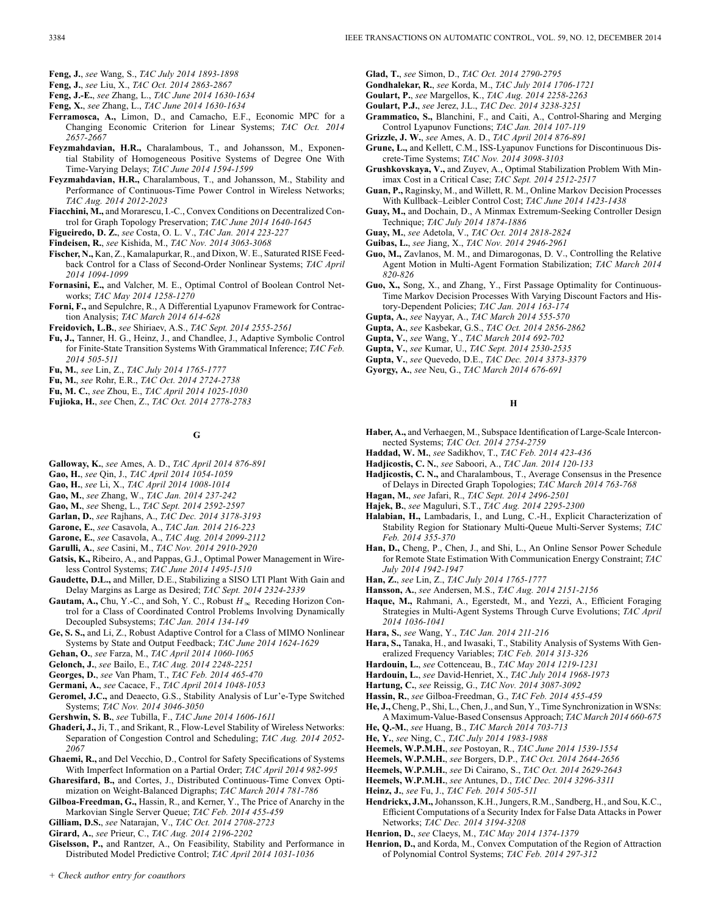- **Feng, J.**, *see* Wang, S., *TAC July 2014 1893-1898*
- **Feng, J.**, *see* Liu, X., *TAC Oct. 2014 2863-2867*
- **Feng, J.-E.**, *see* Zhang, L., *TAC June 2014 1630-1634*
- **Feng, X.**, *see* Zhang, L., *TAC June 2014 1630-1634*
- **Ferramosca, A.,** Limon, D., and Camacho, E.F., Economic MPC for a Changing Economic Criterion for Linear Systems; *TAC Oct. 2014 2657-2667*
- **Feyzmahdavian, H.R.,** Charalambous, T., and Johansson, M., Exponential Stability of Homogeneous Positive Systems of Degree One With Time-Varying Delays; *TAC June 2014 1594-1599*
- **Feyzmahdavian, H.R.,** Charalambous, T., and Johansson, M., Stability and Performance of Continuous-Time Power Control in Wireless Networks; *TAC Aug. 2014 2012-2023*
- **Fiacchini, M.,** and Morarescu, I.-C., Convex Conditions on Decentralized Control for Graph Topology Preservation; *TAC June 2014 1640-1645*
- **Figueiredo, D. Z.**, *see* Costa, O. L. V., *TAC Jan. 2014 223-227*
- **Findeisen, R.**, *see* Kishida, M., *TAC Nov. 2014 3063-3068*
- **Fischer, N.,** Kan, Z., Kamalapurkar, R., and Dixon, W. E., Saturated RISE Feedback Control for a Class of Second-Order Nonlinear Systems; *TAC April 2014 1094-1099*
- **Fornasini, E.,** and Valcher, M. E., Optimal Control of Boolean Control Networks; *TAC May 2014 1258-1270*
- **Forni, F.,** and Sepulchre, R., A Differential Lyapunov Framework for Contraction Analysis; *TAC March 2014 614-628*
- **Freidovich, L.B.**, *see* Shiriaev, A.S., *TAC Sept. 2014 2555-2561*
- **Fu, J.,** Tanner, H. G., Heinz, J., and Chandlee, J., Adaptive Symbolic Control for Finite-State Transition Systems With Grammatical Inference; *TAC Feb. 2014 505-511*
- **Fu, M.**, *see* Lin, Z., *TAC July 2014 1765-1777*
- **Fu, M.**, *see* Rohr, E.R., *TAC Oct. 2014 2724-2738*
- **Fu, M. C.**, *see* Zhou, E., *TAC April 2014 1025-1030*
- **Fujioka, H.**, *see* Chen, Z., *TAC Oct. 2014 2778-2783*

## **G**

- **Galloway, K.**, *see* Ames, A. D., *TAC April 2014 876-891*
- **Gao, H.**, *see* Qin, J., *TAC April 2014 1054-1059*
- **Gao, H.**, *see* Li, X., *TAC April 2014 1008-1014*
- **Gao, M.**, *see* Zhang, W., *TAC Jan. 2014 237-242*
- **Gao, M.**, *see* Sheng, L., *TAC Sept. 2014 2592-2597*
- **Garlan, D.**, *see* Rajhans, A., *TAC Dec. 2014 3178-3193*
- **Garone, E.**, *see* Casavola, A., *TAC Jan. 2014 216-223*
- **Garone, E.**, *see* Casavola, A., *TAC Aug. 2014 2099-2112*
- **Garulli, A.**, *see* Casini, M., *TAC Nov. 2014 2910-2920*
- **Gatsis, K.,** Ribeiro, A., and Pappas, G.J., Optimal Power Management in Wireless Control Systems; *TAC June 2014 1495-1510*
- **Gaudette, D.L.,** and Miller, D.E., Stabilizing a SISO LTI Plant With Gain and Delay Margins as Large as Desired; *TAC Sept. 2014 2324-2339*
- **Gautam, A.,** Chu, Y.-C., and Soh, Y. C., Robust  $H_{\infty}$  Receding Horizon Control for a Class of Coordinated Control Problems Involving Dynamically Decoupled Subsystems; *TAC Jan. 2014 134-149*
- **Ge, S. S.,** and Li, Z., Robust Adaptive Control for a Class of MIMO Nonlinear Systems by State and Output Feedback; *TAC June 2014 1624-1629*
- **Gehan, O.**, *see* Farza, M., *TAC April 2014 1060-1065*
- **Gelonch, J.**, *see* Bailo, E., *TAC Aug. 2014 2248-2251*
- **Georges, D.**, *see* Van Pham, T., *TAC Feb. 2014 465-470*
- **Germani, A.**, *see* Cacace, F., *TAC April 2014 1048-1053*
- **Geromel, J.C.,** and Deaecto, G.S., Stability Analysis of Lur'e-Type Switched Systems; *TAC Nov. 2014 3046-3050*
- **Gershwin, S. B.**, *see* Tubilla, F., *TAC June 2014 1606-1611*
- **Ghaderi, J.,** Ji, T., and Srikant, R., Flow-Level Stability of Wireless Networks: Separation of Congestion Control and Scheduling; *TAC Aug. 2014 2052- 2067*
- **Ghaemi, R.,** and Del Vecchio, D., Control for Safety Specifications of Systems With Imperfect Information on a Partial Order; *TAC April 2014 982-995*
- **Gharesifard, B.,** and Cortes, J., Distributed Continuous-Time Convex Optimization on Weight-Balanced Digraphs; *TAC March 2014 781-786*
- **Gilboa-Freedman, G.,** Hassin, R., and Kerner, Y., The Price of Anarchy in the Markovian Single Server Queue; *TAC Feb. 2014 455-459*
- **Gilliam, D.S.**, *see* Natarajan, V., *TAC Oct. 2014 2708-2723*
- **Girard, A.**, *see* Prieur, C., *TAC Aug. 2014 2196-2202*
- **Giselsson, P.,** and Rantzer, A., On Feasibility, Stability and Performance in Distributed Model Predictive Control; *TAC April 2014 1031-1036*
- **Glad, T.**, *see* Simon, D., *TAC Oct. 2014 2790-2795*
- **Gondhalekar, R.**, *see* Korda, M., *TAC July 2014 1706-1721*
- **Goulart, P.**, *see* Margellos, K., *TAC Aug. 2014 2258-2263*
- **Goulart, P.J.**, *see* Jerez, J.L., *TAC Dec. 2014 3238-3251*
- **Grammatico, S.,** Blanchini, F., and Caiti, A., Control-Sharing and Merging Control Lyapunov Functions; *TAC Jan. 2014 107-119*
- **Grizzle, J. W.**, *see* Ames, A. D., *TAC April 2014 876-891*
- **Grune, L.,** and Kellett, C.M., ISS-Lyapunov Functions for Discontinuous Discrete-Time Systems; *TAC Nov. 2014 3098-3103*
- **Grushkovskaya, V.,** and Zuyev, A., Optimal Stabilization Problem With Minimax Cost in a Critical Case; *TAC Sept. 2014 2512-2517*
- **Guan, P.,** Raginsky, M., and Willett, R. M., Online Markov Decision Processes With Kullback–Leibler Control Cost; *TAC June 2014 1423-1438*
- **Guay, M.,** and Dochain, D., A Minmax Extremum-Seeking Controller Design Technique; *TAC July 2014 1874-1886*
- **Guay, M.**, *see* Adetola, V., *TAC Oct. 2014 2818-2824*
- **Guibas, L.**, *see* Jiang, X., *TAC Nov. 2014 2946-2961*
- **Guo, M.,** Zavlanos, M. M., and Dimarogonas, D. V., Controlling the Relative Agent Motion in Multi-Agent Formation Stabilization; *TAC March 2014 820-826*
- **Guo, X.,** Song, X., and Zhang, Y., First Passage Optimality for Continuous-Time Markov Decision Processes With Varying Discount Factors and History-Dependent Policies; *TAC Jan. 2014 163-174*
- **Gupta, A.**, *see* Nayyar, A., *TAC March 2014 555-570*
- **Gupta, A.**, *see* Kasbekar, G.S., *TAC Oct. 2014 2856-2862*
- **Gupta, V.**, *see* Wang, Y., *TAC March 2014 692-702*
- **Gupta, V.**, *see* Kumar, U., *TAC Sept. 2014 2530-2535*
- **Gupta, V.**, *see* Quevedo, D.E., *TAC Dec. 2014 3373-3379*
- **Gyorgy, A.**, *see* Neu, G., *TAC March 2014 676-691*

#### **H**

- **Haber, A.,** and Verhaegen, M., Subspace Identification of Large-Scale Interconnected Systems; *TAC Oct. 2014 2754-2759*
- **Haddad, W. M.**, *see* Sadikhov, T., *TAC Feb. 2014 423-436*
- **Hadjicostis, C. N.**, *see* Saboori, A., *TAC Jan. 2014 120-133*
- **Hadjicostis, C. N.,** and Charalambous, T., Average Consensus in the Presence of Delays in Directed Graph Topologies; *TAC March 2014 763-768*
- **Hagan, M.**, *see* Jafari, R., *TAC Sept. 2014 2496-2501*
- **Hajek, B.**, *see* Maguluri, S.T., *TAC Aug. 2014 2295-2300*
- **Halabian, H.,** Lambadaris, I., and Lung, C.-H., Explicit Characterization of Stability Region for Stationary Multi-Queue Multi-Server Systems; *TAC Feb. 2014 355-370*
- **Han, D.,** Cheng, P., Chen, J., and Shi, L., An Online Sensor Power Schedule for Remote State Estimation With Communication Energy Constraint; *TAC July 2014 1942-1947*
- **Han, Z.**, *see* Lin, Z., *TAC July 2014 1765-1777*
- **Hansson, A.**, *see* Andersen, M.S., *TAC Aug. 2014 2151-2156*
- **Haque, M.,** Rahmani, A., Egerstedt, M., and Yezzi, A., Efficient Foraging Strategies in Multi-Agent Systems Through Curve Evolutions; *TAC April 2014 1036-1041*
- **Hara, S.**, *see* Wang, Y., *TAC Jan. 2014 211-216*
- **Hara, S.,** Tanaka, H., and Iwasaki, T., Stability Analysis of Systems With Generalized Frequency Variables; *TAC Feb. 2014 313-326*
- **Hardouin, L.**, *see* Cottenceau, B., *TAC May 2014 1219-1231*
- **Hardouin, L.**, *see* David-Henriet, X., *TAC July 2014 1968-1973*
- **Hartung, C.**, *see* Reissig, G., *TAC Nov. 2014 3087-3092*
- **Hassin, R.**, *see* Gilboa-Freedman, G., *TAC Feb. 2014 455-459*
- **He, J.,** Cheng, P., Shi, L., Chen, J., and Sun, Y., Time Synchronization in WSNs: A Maximum-Value-Based Consensus Approach; *TAC March 2014 660-675*
- **He, Q.-M.**, *see* Huang, B., *TAC March 2014 703-713*
- **He, Y.**, *see* Ning, C., *TAC July 2014 1983-1988*
- **Heemels, W.P.M.H.**, *see* Postoyan, R., *TAC June 2014 1539-1554*
- **Heemels, W.P.M.H.**, *see* Borgers, D.P., *TAC Oct. 2014 2644-2656*
- **Heemels, W.P.M.H.**, *see* Di Cairano, S., *TAC Oct. 2014 2629-2643*
- **Heemels, W.P.M.H.**, *see* Antunes, D., *TAC Dec. 2014 3296-3311*
- **Heinz, J.**, *see* Fu, J., *TAC Feb. 2014 505-511*
- **Hendrickx, J.M.,**Johansson, K.H., Jungers, R.M., Sandberg, H., and Sou, K.C., Efficient Computations of a Security Index for False Data Attacks in Power Networks; *TAC Dec. 2014 3194-3208*
- **Henrion, D.**, *see* Claeys, M., *TAC May 2014 1374-1379*
- **Henrion, D.,** and Korda, M., Convex Computation of the Region of Attraction of Polynomial Control Systems; *TAC Feb. 2014 297-312*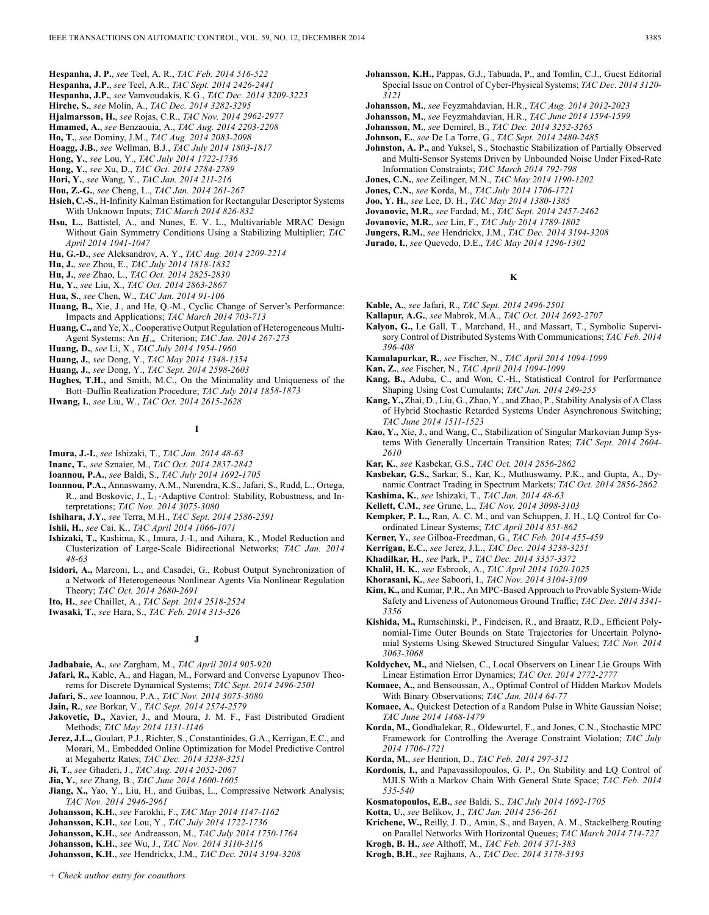- **Hespanha, J. P.**, *see* Teel, A. R., *TAC Feb. 2014 516-522*
- **Hespanha, J.P.**, *see* Teel, A.R., *TAC Sept. 2014 2426-2441*
- **Hespanha, J.P.**, *see* Vamvoudakis, K.G., *TAC Dec. 2014 3209-3223*
- **Hirche, S.**, *see* Molin, A., *TAC Dec. 2014 3282-3295*
- **Hjalmarsson, H.**, *see* Rojas, C.R., *TAC Nov. 2014 2962-2977*
- **Hmamed, A.**, *see* Benzaouia, A., *TAC Aug. 2014 2203-2208*
- **Ho, T.**, *see* Dominy, J.M., *TAC Aug. 2014 2083-2098*
- **Hoagg, J.B.**, *see* Wellman, B.J., *TAC July 2014 1803-1817*
- **Hong, Y.**, *see* Lou, Y., *TAC July 2014 1722-1736*
- **Hong, Y.**, *see* Xu, D., *TAC Oct. 2014 2784-2789*
- **Hori, Y.**, *see* Wang, Y., *TAC Jan. 2014 211-216*
- **Hou, Z.-G.**, *see* Cheng, L., *TAC Jan. 2014 261-267*
- **Hsieh, C.-S.**, H-Infinity Kalman Estimation for Rectangular Descriptor Systems With Unknown Inputs; *TAC March 2014 826-832*
- **Hsu, L.,** Battistel, A., and Nunes, E. V. L., Multivariable MRAC Design Without Gain Symmetry Conditions Using a Stabilizing Multiplier; *TAC April 2014 1041-1047*
- **Hu, G.-D.**, *see* Aleksandrov, A. Y., *TAC Aug. 2014 2209-2214*
- **Hu, J.**, *see* Zhou, E., *TAC July 2014 1818-1832*
- **Hu, J.**, *see* Zhao, L., *TAC Oct. 2014 2825-2830*
- **Hu, Y.**, *see* Liu, X., *TAC Oct. 2014 2863-2867*
- **Hua, S.**, *see* Chen, W., *TAC Jan. 2014 91-106*
- **Huang, B.,** Xie, J., and He, Q.-M., Cyclic Change of Server's Performance: Impacts and Applications; *TAC March 2014 703-713*
- **Huang, C.,** and Ye, X., Cooperative Output Regulation of Heterogeneous Multi-Agent Systems: An  $H_{\infty}$  Criterion; *TAC Jan. 2014 267-273*
- **Huang, D.**, *see* Li, X., *TAC July 2014 1954-1960*

**Huang, J.**, *see* Dong, Y., *TAC May 2014 1348-1354*

- **Huang, J.**, *see* Dong, Y., *TAC Sept. 2014 2598-2603*
- **Hughes, T.H.,** and Smith, M.C., On the Minimality and Uniqueness of the Bott–Duffin Realization Procedure; *TAC July 2014 1858-1873*
- **Hwang, I.**, *see* Liu, W., *TAC Oct. 2014 2615-2628*

## **I**

- **Imura, J.-I.**, *see* Ishizaki, T., *TAC Jan. 2014 48-63*
- **Inanc, T.**, *see* Sznaier, M., *TAC Oct. 2014 2837-2842*
- **Ioannou, P.A.**, *see* Baldi, S., *TAC July 2014 1692-1705*
- **Ioannou, P.A.,** Annaswamy, A.M., Narendra, K.S., Jafari, S., Rudd, L., Ortega, R., and Boskovic, J., L<sub>1</sub>-Adaptive Control: Stability, Robustness, and Interpretations; *TAC Nov. 2014 3075-3080*
- **Ishihara, J.Y.**, *see* Terra, M.H., *TAC Sept. 2014 2586-2591*
- **Ishii, H.**, *see* Cai, K., *TAC April 2014 1066-1071*
- **Ishizaki, T.,** Kashima, K., Imura, J.-I., and Aihara, K., Model Reduction and Clusterization of Large-Scale Bidirectional Networks; *TAC Jan. 2014 48-63*
- **Isidori, A.,** Marconi, L., and Casadei, G., Robust Output Synchronization of a Network of Heterogeneous Nonlinear Agents Via Nonlinear Regulation Theory; *TAC Oct. 2014 2680-2691*

**Ito, H.**, *see* Chaillet, A., *TAC Sept. 2014 2518-2524*

**Iwasaki, T.**, *see* Hara, S., *TAC Feb. 2014 313-326*

## **J**

- **Jadbabaie, A.**, *see* Zargham, M., *TAC April 2014 905-920*
- **Jafari, R., Kable, A., and Hagan, M., Forward and Converse Lyapunov Theo**rems for Discrete Dynamical Systems; *TAC Sept. 2014 2496-2501*
- **Jafari, S.**, *see* Ioannou, P.A., *TAC Nov. 2014 3075-3080*
- **Jain, R.**, *see* Borkar, V., *TAC Sept. 2014 2574-2579*
- **Jakovetic, D.,** Xavier, J., and Moura, J. M. F., Fast Distributed Gradient Methods; *TAC May 2014 1131-1146*
- **Jerez, J.L.,** Goulart, P.J., Richter, S., Constantinides, G.A., Kerrigan, E.C., and Morari, M., Embedded Online Optimization for Model Predictive Control at Megahertz Rates; *TAC Dec. 2014 3238-3251*
- **Ji, T.**, *see* Ghaderi, J., *TAC Aug. 2014 2052-2067*
- **Jia, Y.**, *see* Zhang, B., *TAC June 2014 1600-1605*
- **Jiang, X.,** Yao, Y., Liu, H., and Guibas, L., Compressive Network Analysis; *TAC Nov. 2014 2946-2961*
- **Johansson, K.H.**, *see* Farokhi, F., *TAC May 2014 1147-1162*
- **Johansson, K.H.**, *see* Lou, Y., *TAC July 2014 1722-1736*
- **Johansson, K.H.**, *see* Andreasson, M., *TAC July 2014 1750-1764*
- **Johansson, K.H.**, *see* Wu, J., *TAC Nov. 2014 3110-3116*
- **Johansson, K.H.**, *see* Hendrickx, J.M., *TAC Dec. 2014 3194-3208*
- **Johansson, K.H.,** Pappas, G.J., Tabuada, P., and Tomlin, C.J., Guest Editorial Special Issue on Control of Cyber-Physical Systems; *TAC Dec. 2014 3120- 3121*
- **Johansson, M.**, *see* Feyzmahdavian, H.R., *TAC Aug. 2014 2012-2023*
- **Johansson, M.**, *see* Feyzmahdavian, H.R., *TAC June 2014 1594-1599*
- **Johansson, M.**, *see* Demirel, B., *TAC Dec. 2014 3252-3265*
- **Johnson, E.**, *see* De La Torre, G., *TAC Sept. 2014 2480-2485*
- **Johnston, A. P.,** and Yuksel, S., Stochastic Stabilization of Partially Observed and Multi-Sensor Systems Driven by Unbounded Noise Under Fixed-Rate Information Constraints; *TAC March 2014 792-798*
- **Jones, C.N.**, *see* Zeilinger, M.N., *TAC May 2014 1190-1202*
- **Jones, C.N.**, *see* Korda, M., *TAC July 2014 1706-1721*
- **Joo, Y. H.**, *see* Lee, D. H., *TAC May 2014 1380-1385*
- **Jovanovic, M.R.**, *see* Fardad, M., *TAC Sept. 2014 2457-2462*
- **Jovanovic, M.R.**, *see* Lin, F., *TAC July 2014 1789-1802*
- **Jungers, R.M.**, *see* Hendrickx, J.M., *TAC Dec. 2014 3194-3208*
- **Jurado, I.**, *see* Quevedo, D.E., *TAC May 2014 1296-1302*

## **K**

- **Kable, A.**, *see* Jafari, R., *TAC Sept. 2014 2496-2501*
- **Kallapur, A.G.**, *see* Mabrok, M.A., *TAC Oct. 2014 2692-2707*
- **Kalyon, G.,** Le Gall, T., Marchand, H., and Massart, T., Symbolic Supervisory Control of Distributed Systems With Communications; *TAC Feb. 2014 396-408*
- **Kamalapurkar, R.**, *see* Fischer, N., *TAC April 2014 1094-1099*
- **Kan, Z.**, *see* Fischer, N., *TAC April 2014 1094-1099*
- **Kang, B.,** Aduba, C., and Won, C.-H., Statistical Control for Performance Shaping Using Cost Cumulants; *TAC Jan. 2014 249-255*
- **Kang, Y.,** Zhai, D., Liu, G., Zhao, Y., and Zhao, P., Stability Analysis of A Class of Hybrid Stochastic Retarded Systems Under Asynchronous Switching; *TAC June 2014 1511-1523*
- **Kao, Y.,** Xie, J., and Wang, C., Stabilization of Singular Markovian Jump Systems With Generally Uncertain Transition Rates; *TAC Sept. 2014 2604- 2610*
- **Kar, K.**, *see* Kasbekar, G.S., *TAC Oct. 2014 2856-2862*
- **Kasbekar, G.S.,** Sarkar, S., Kar, K., Muthuswamy, P.K., and Gupta, A., Dynamic Contract Trading in Spectrum Markets; *TAC Oct. 2014 2856-2862*
- **Kashima, K.**, *see* Ishizaki, T., *TAC Jan. 2014 48-63*
- **Kellett, C.M.**, *see* Grune, L., *TAC Nov. 2014 3098-3103*
- **Kempker, P. L.,** Ran, A. C. M., and van Schuppen, J. H., LQ Control for Coordinated Linear Systems; *TAC April 2014 851-862*
- **Kerner, Y.**, *see* Gilboa-Freedman, G., *TAC Feb. 2014 455-459*
- **Kerrigan, E.C.**, *see* Jerez, J.L., *TAC Dec. 2014 3238-3251*
- **Khadilkar, H.**, *see* Park, P., *TAC Dec. 2014 3357-3372*
- **Khalil, H. K.**, *see* Esbrook, A., *TAC April 2014 1020-1025*
- **Khorasani, K.**, *see* Saboori, I., *TAC Nov. 2014 3104-3109*
- **Kim, K.,** and Kumar, P.R., An MPC-Based Approach to Provable System-Wide Safety and Liveness of Autonomous Ground Traffic; *TAC Dec. 2014 3341- 3356*
- **Kishida, M.,** Rumschinski, P., Findeisen, R., and Braatz, R.D., Efficient Polynomial-Time Outer Bounds on State Trajectories for Uncertain Polynomial Systems Using Skewed Structured Singular Values; *TAC Nov. 2014 3063-3068*
- **Koldychev, M.,** and Nielsen, C., Local Observers on Linear Lie Groups With Linear Estimation Error Dynamics; *TAC Oct. 2014 2772-2777*
- **Komaee, A.,** and Bensoussan, A., Optimal Control of Hidden Markov Models With Binary Observations; *TAC Jan. 2014 64-77*
- **Komaee, A.**, Quickest Detection of a Random Pulse in White Gaussian Noise; *TAC June 2014 1468-1479*
- **Korda, M.,** Gondhalekar, R., Oldewurtel, F., and Jones, C.N., Stochastic MPC Framework for Controlling the Average Constraint Violation; *TAC July 2014 1706-1721*
- **Korda, M.**, *see* Henrion, D., *TAC Feb. 2014 297-312*
- **Kordonis, I.,** and Papavassilopoulos, G. P., On Stability and LQ Control of MJLS With a Markov Chain With General State Space; *TAC Feb. 2014 535-540*
- **Kosmatopoulos, E.B.**, *see* Baldi, S., *TAC July 2014 1692-1705*
- **Kotta, U.**, *see* Belikov, J., *TAC Jan. 2014 256-261*
- **Krichene, W.,** Reilly, J. D., Amin, S., and Bayen, A. M., Stackelberg Routing on Parallel Networks With Horizontal Queues; *TAC March 2014 714-727* **Krogh, B. H.**, *see* Althoff, M., *TAC Feb. 2014 371-383*
- **Krogh, B.H.**, *see* Rajhans, A., *TAC Dec. 2014 3178-3193*
-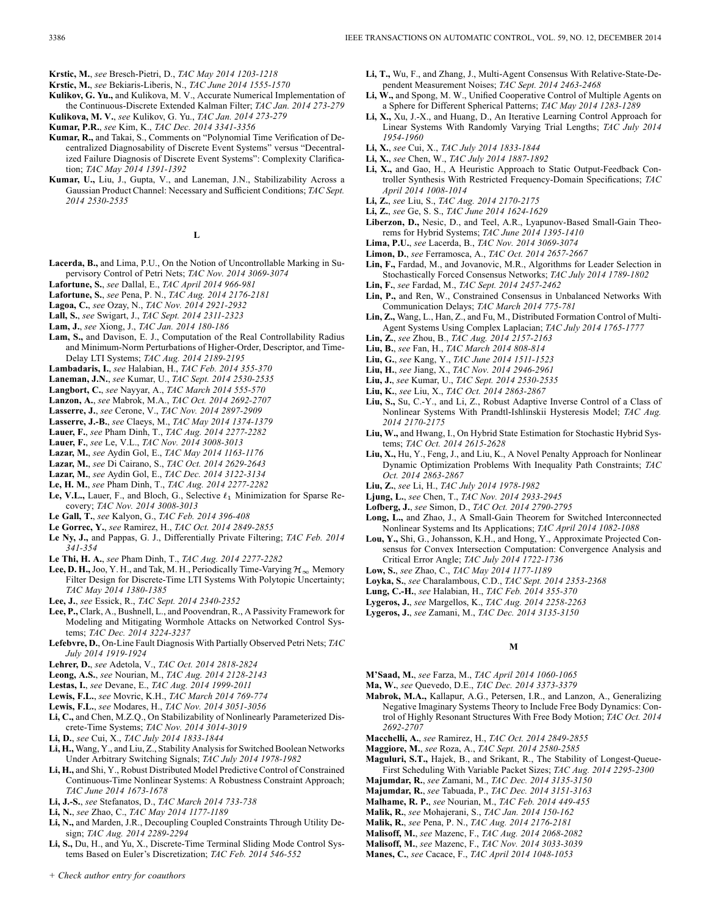**Krstic, M.**, *see* Bresch-Pietri, D., *TAC May 2014 1203-1218*

- **Krstic, M.**, *see* Bekiaris-Liberis, N., *TAC June 2014 1555-1570*
- **Kulikov, G. Yu.,** and Kulikova, M. V., Accurate Numerical Implementation of the Continuous-Discrete Extended Kalman Filter; *TAC Jan. 2014 273-279*
- **Kulikova, M. V.**, *see* Kulikov, G. Yu., *TAC Jan. 2014 273-279*
- **Kumar, P.R.**, *see* Kim, K., *TAC Dec. 2014 3341-3356*
- **Kumar, R.,** and Takai, S., Comments on "Polynomial Time Verification of Decentralized Diagnosability of Discrete Event Systems" versus "Decentralized Failure Diagnosis of Discrete Event Systems": Complexity Clarification; *TAC May 2014 1391-1392*
- **Kumar, U.,** Liu, J., Gupta, V., and Laneman, J.N., Stabilizability Across a Gaussian Product Channel: Necessary and Sufficient Conditions; *TAC Sept. 2014 2530-2535*

- **Lacerda, B.,** and Lima, P.U., On the Notion of Uncontrollable Marking in Supervisory Control of Petri Nets; *TAC Nov. 2014 3069-3074*
- **Lafortune, S.**, *see* Dallal, E., *TAC April 2014 966-981*
- **Lafortune, S.**, *see* Pena, P. N., *TAC Aug. 2014 2176-2181*
- **Lagoa, C.**, *see* Ozay, N., *TAC Nov. 2014 2921-2932*
- **Lall, S.**, *see* Swigart, J., *TAC Sept. 2014 2311-2323*
- **Lam, J.**, *see* Xiong, J., *TAC Jan. 2014 180-186*
- **Lam, S.,** and Davison, E. J., Computation of the Real Controllability Radius and Minimum-Norm Perturbations of Higher-Order, Descriptor, and Time-Delay LTI Systems; *TAC Aug. 2014 2189-2195*
- **Lambadaris, I.**, *see* Halabian, H., *TAC Feb. 2014 355-370*
- **Laneman, J.N.**, *see* Kumar, U., *TAC Sept. 2014 2530-2535*
- **Langbort, C.**, *see* Nayyar, A., *TAC March 2014 555-570*
- **Lanzon, A.**, *see* Mabrok, M.A., *TAC Oct. 2014 2692-2707*
- **Lasserre, J.**, *see* Cerone, V., *TAC Nov. 2014 2897-2909*
- **Lasserre, J.-B.**, *see* Claeys, M., *TAC May 2014 1374-1379*
- **Lauer, F.**, *see* Pham Dinh, T., *TAC Aug. 2014 2277-2282*
- **Lauer, F.**, *see* Le, V.L., *TAC Nov. 2014 3008-3013*
- **Lazar, M.**, *see* Aydin Gol, E., *TAC May 2014 1163-1176*
- **Lazar, M.**, *see* Di Cairano, S., *TAC Oct. 2014 2629-2643*
- **Lazar, M.**, *see* Aydin Gol, E., *TAC Dec. 2014 3122-3134*
- **Le, H. M.**, *see* Pham Dinh, T., *TAC Aug. 2014 2277-2282*
- Le, V.L., Lauer, F., and Bloch, G., Selective  $\ell_1$  Minimization for Sparse Recovery; *TAC Nov. 2014 3008-3013*
- **Le Gall, T.**, *see* Kalyon, G., *TAC Feb. 2014 396-408*
- **Le Gorrec, Y.**, *see* Ramirez, H., *TAC Oct. 2014 2849-2855*
- **Le Ny, J.,** and Pappas, G. J., Differentially Private Filtering; *TAC Feb. 2014 341-354*
- **Le Thi, H. A.**, *see* Pham Dinh, T., *TAC Aug. 2014 2277-2282*
- **Lee, D. H.,** Joo, Y. H., and Tak, M. H., Periodically Time-Varying  $\mathcal{H}_{\infty}$  Memory Filter Design for Discrete-Time LTI Systems With Polytopic Uncertainty; *TAC May 2014 1380-1385*
- **Lee, J.**, *see* Essick, R., *TAC Sept. 2014 2340-2352*
- **Lee, P.,** Clark, A., Bushnell, L., and Poovendran, R., A Passivity Framework for Modeling and Mitigating Wormhole Attacks on Networked Control Systems; *TAC Dec. 2014 3224-3237*
- **Lefebvre, D.**, On-Line Fault Diagnosis With Partially Observed Petri Nets; *TAC July 2014 1919-1924*
- **Lehrer, D.**, *see* Adetola, V., *TAC Oct. 2014 2818-2824*
- **Leong, A.S.**, *see* Nourian, M., *TAC Aug. 2014 2128-2143*
- **Lestas, I.**, *see* Devane, E., *TAC Aug. 2014 1999-2011*
- **Lewis, F.L.**, *see* Movric, K.H., *TAC March 2014 769-774*
- **Lewis, F.L.**, *see* Modares, H., *TAC Nov. 2014 3051-3056*
- **Li, C.,** and Chen, M.Z.Q., On Stabilizability of Nonlinearly Parameterized Discrete-Time Systems; *TAC Nov. 2014 3014-3019*
- **Li, D.**, *see* Cui, X., *TAC July 2014 1833-1844*
- **Li, H.,** Wang, Y., and Liu, Z., Stability Analysis for Switched Boolean Networks Under Arbitrary Switching Signals; *TAC July 2014 1978-1982*
- **Li, H.,** and Shi, Y., Robust Distributed Model Predictive Control of Constrained Continuous-Time Nonlinear Systems: A Robustness Constraint Approach; *TAC June 2014 1673-1678*
- **Li, J.-S.**, *see* Stefanatos, D., *TAC March 2014 733-738*
- **Li, N.**, *see* Zhao, C., *TAC May 2014 1177-1189*
- **Li, N.,** and Marden, J.R., Decoupling Coupled Constraints Through Utility Design; *TAC Aug. 2014 2289-2294*
- **Li, S.,** Du, H., and Yu, X., Discrete-Time Terminal Sliding Mode Control Systems Based on Euler's Discretization; *TAC Feb. 2014 546-552*
- **Li, T.,** Wu, F., and Zhang, J., Multi-Agent Consensus With Relative-State-Dependent Measurement Noises; *TAC Sept. 2014 2463-2468*
- **Li, W.,** and Spong, M. W., Unified Cooperative Control of Multiple Agents on a Sphere for Different Spherical Patterns; *TAC May 2014 1283-1289*
- **Li, X.,** Xu, J.-X., and Huang, D., An Iterative Learning Control Approach for Linear Systems With Randomly Varying Trial Lengths; *TAC July 2014 1954-1960*
- **Li, X.**, *see* Cui, X., *TAC July 2014 1833-1844*
- **Li, X.**, *see* Chen, W., *TAC July 2014 1887-1892*
- **Li, X.,** and Gao, H., A Heuristic Approach to Static Output-Feedback Controller Synthesis With Restricted Frequency-Domain Specifications; *TAC April 2014 1008-1014*
- **Li, Z.**, *see* Liu, S., *TAC Aug. 2014 2170-2175*
- **Li, Z.**, *see* Ge, S. S., *TAC June 2014 1624-1629*
- **Liberzon, D.,** Nesic, D., and Teel, A.R., Lyapunov-Based Small-Gain Theorems for Hybrid Systems; *TAC June 2014 1395-1410*
- **Lima, P.U.**, *see* Lacerda, B., *TAC Nov. 2014 3069-3074*
- **Limon, D.**, *see* Ferramosca, A., *TAC Oct. 2014 2657-2667*
- **Lin, F.,** Fardad, M., and Jovanovic, M.R., Algorithms for Leader Selection in Stochastically Forced Consensus Networks; *TAC July 2014 1789-1802*
- **Lin, F.**, *see* Fardad, M., *TAC Sept. 2014 2457-2462*
- **Lin, P.,** and Ren, W., Constrained Consensus in Unbalanced Networks With Communication Delays; *TAC March 2014 775-781*
- **Lin, Z.,** Wang, L., Han, Z., and Fu, M., Distributed Formation Control of Multi-Agent Systems Using Complex Laplacian; *TAC July 2014 1765-1777*
- **Lin, Z.**, *see* Zhou, B., *TAC Aug. 2014 2157-2163*
- **Liu, B.**, *see* Fan, H., *TAC March 2014 808-814*
- **Liu, G.**, *see* Kang, Y., *TAC June 2014 1511-1523*
- **Liu, H.**, *see* Jiang, X., *TAC Nov. 2014 2946-2961*
- **Liu, J.**, *see* Kumar, U., *TAC Sept. 2014 2530-2535*
- **Liu, K.**, *see* Liu, X., *TAC Oct. 2014 2863-2867*
- **Liu, S.,** Su, C.-Y., and Li, Z., Robust Adaptive Inverse Control of a Class of Nonlinear Systems With Prandtl-Ishlinskii Hysteresis Model; *TAC Aug. 2014 2170-2175*
- **Liu, W.,** and Hwang, I., On Hybrid State Estimation for Stochastic Hybrid Systems; *TAC Oct. 2014 2615-2628*
- **Liu, X.,** Hu, Y., Feng, J., and Liu, K., A Novel Penalty Approach for Nonlinear Dynamic Optimization Problems With Inequality Path Constraints; *TAC Oct. 2014 2863-2867*
- **Liu, Z.**, *see* Li, H., *TAC July 2014 1978-1982*
- **Ljung, L.**, *see* Chen, T., *TAC Nov. 2014 2933-2945*
- **Lofberg, J.**, *see* Simon, D., *TAC Oct. 2014 2790-2795*
- **Long, L.,** and Zhao, J., A Small-Gain Theorem for Switched Interconnected Nonlinear Systems and Its Applications; *TAC April 2014 1082-1088*
- **Lou, Y.,** Shi, G., Johansson, K.H., and Hong, Y., Approximate Projected Consensus for Convex Intersection Computation: Convergence Analysis and Critical Error Angle; *TAC July 2014 1722-1736*
- **Low, S.**, *see* Zhao, C., *TAC May 2014 1177-1189*
- **Loyka, S.**, *see* Charalambous, C.D., *TAC Sept. 2014 2353-2368*
- **Lung, C.-H.**, *see* Halabian, H., *TAC Feb. 2014 355-370*
- **Lygeros, J.**, *see* Margellos, K., *TAC Aug. 2014 2258-2263*
- **Lygeros, J.**, *see* Zamani, M., *TAC Dec. 2014 3135-3150*

## **M**

- **M'Saad, M.**, *see* Farza, M., *TAC April 2014 1060-1065*
- **Ma, W.**, *see* Quevedo, D.E., *TAC Dec. 2014 3373-3379*
- **Mabrok, M.A.,** Kallapur, A.G., Petersen, I.R., and Lanzon, A., Generalizing Negative Imaginary Systems Theory to Include Free Body Dynamics: Control of Highly Resonant Structures With Free Body Motion; *TAC Oct. 2014 2692-2707*
- **Macchelli, A.**, *see* Ramirez, H., *TAC Oct. 2014 2849-2855*
- **Maggiore, M.**, *see* Roza, A., *TAC Sept. 2014 2580-2585*
- **Maguluri, S.T.,** Hajek, B., and Srikant, R., The Stability of Longest-Queue-First Scheduling With Variable Packet Sizes; *TAC Aug. 2014 2295-2300*
- **Majumdar, R.**, *see* Zamani, M., *TAC Dec. 2014 3135-3150*
- **Majumdar, R.**, *see* Tabuada, P., *TAC Dec. 2014 3151-3163*
- **Malhame, R. P.**, *see* Nourian, M., *TAC Feb. 2014 449-455*
- **Malik, R.**, *see* Mohajerani, S., *TAC Jan. 2014 150-162*
- **Malik, R.**, *see* Pena, P. N., *TAC Aug. 2014 2176-2181*
- 
- **Malisoff, M.**, *see* Mazenc, F., *TAC Aug. 2014 2068-2082*
- **Malisoff, M.**, *see* Mazenc, F., *TAC Nov. 2014 3033-3039* **Manes, C.**, *see* Cacace, F., *TAC April 2014 1048-1053*

**L**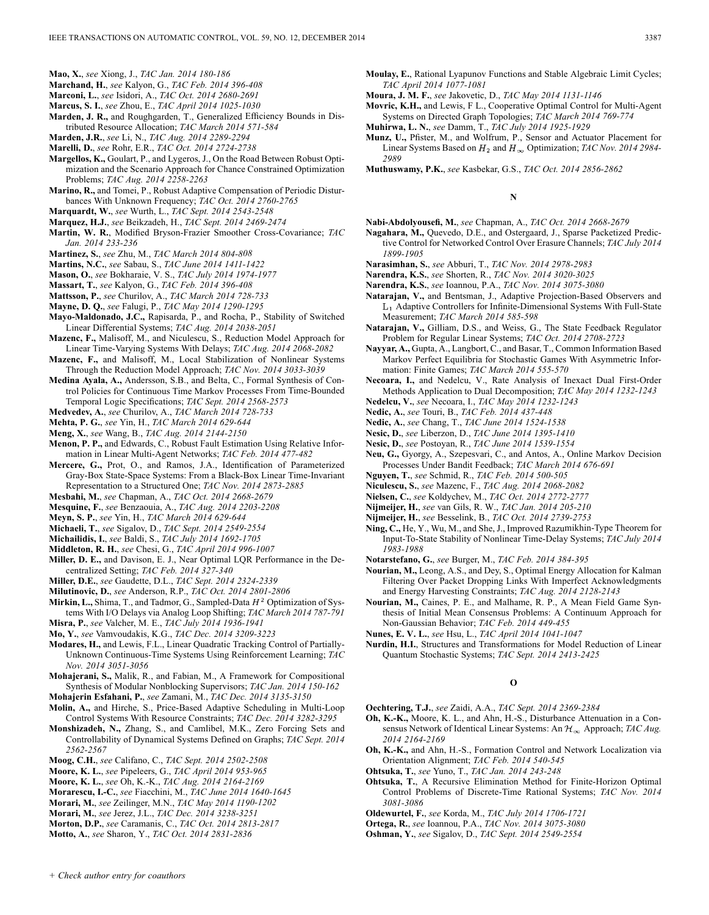- **Mao, X.**, *see* Xiong, J., *TAC Jan. 2014 180-186*
- **Marchand, H.**, *see* Kalyon, G., *TAC Feb. 2014 396-408*
- **Marconi, L.**, *see* Isidori, A., *TAC Oct. 2014 2680-2691*
- **Marcus, S. I.**, *see* Zhou, E., *TAC April 2014 1025-1030*
- **Marden, J. R.,** and Roughgarden, T., Generalized Efficiency Bounds in Distributed Resource Allocation; *TAC March 2014 571-584*
- **Marden, J.R.**, *see* Li, N., *TAC Aug. 2014 2289-2294*
- **Marelli, D.**, *see* Rohr, E.R., *TAC Oct. 2014 2724-2738*
- **Margellos, K.,** Goulart, P., and Lygeros, J., On the Road Between Robust Optimization and the Scenario Approach for Chance Constrained Optimization Problems; *TAC Aug. 2014 2258-2263*
- **Marino, R.,** and Tomei, P., Robust Adaptive Compensation of Periodic Disturbances With Unknown Frequency; *TAC Oct. 2014 2760-2765*
- **Marquardt, W.**, *see* Wurth, L., *TAC Sept. 2014 2543-2548*
- **Marquez, H.J.**, *see* Beikzadeh, H., *TAC Sept. 2014 2469-2474*
- **Martin, W. R.**, Modified Bryson-Frazier Smoother Cross-Covariance; *TAC Jan. 2014 233-236*
- **Martinez, S.**, *see* Zhu, M., *TAC March 2014 804-808*
- **Martins, N.C.**, *see* Sabau, S., *TAC June 2014 1411-1422*
- **Mason, O.**, *see* Bokharaie, V. S., *TAC July 2014 1974-1977*
- **Massart, T.**, *see* Kalyon, G., *TAC Feb. 2014 396-408*
- **Mattsson, P.**, *see* Churilov, A., *TAC March 2014 728-733*
- **Mayne, D. Q.**, *see* Falugi, P., *TAC May 2014 1290-1295*
- **Mayo-Maldonado, J.C.,** Rapisarda, P., and Rocha, P., Stability of Switched Linear Differential Systems; *TAC Aug. 2014 2038-2051*
- **Mazenc, F.,** Malisoff, M., and Niculescu, S., Reduction Model Approach for Linear Time-Varying Systems With Delays; *TAC Aug. 2014 2068-2082*
- **Mazenc, F.,** and Malisoff, M., Local Stabilization of Nonlinear Systems Through the Reduction Model Approach; *TAC Nov. 2014 3033-3039*
- **Medina Ayala, A.,** Andersson, S.B., and Belta, C., Formal Synthesis of Control Policies for Continuous Time Markov Processes From Time-Bounded Temporal Logic Specifications; *TAC Sept. 2014 2568-2573*
- **Medvedev, A.**, *see* Churilov, A., *TAC March 2014 728-733*
- **Mehta, P. G.**, *see* Yin, H., *TAC March 2014 629-644*
- **Meng, X.**, *see* Wang, B., *TAC Aug. 2014 2144-2150*
- **Menon, P. P.,** and Edwards, C., Robust Fault Estimation Using Relative Information in Linear Multi-Agent Networks; *TAC Feb. 2014 477-482*
- **Mercere, G.,** Prot, O., and Ramos, J.A., Identification of Parameterized Gray-Box State-Space Systems: From a Black-Box Linear Time-Invariant Representation to a Structured One; *TAC Nov. 2014 2873-2885*
- **Mesbahi, M.**, *see* Chapman, A., *TAC Oct. 2014 2668-2679*
- **Mesquine, F.**, *see* Benzaouia, A., *TAC Aug. 2014 2203-2208*
- **Meyn, S. P.**, *see* Yin, H., *TAC March 2014 629-644*
- **Michaeli, T.**, *see* Sigalov, D., *TAC Sept. 2014 2549-2554*
- **Michailidis, I.**, *see* Baldi, S., *TAC July 2014 1692-1705*
- **Middleton, R. H.**, *see* Chesi, G., *TAC April 2014 996-1007*
- **Miller, D. E.,** and Davison, E. J., Near Optimal LQR Performance in the Decentralized Setting; *TAC Feb. 2014 327-340*
- **Miller, D.E.**, *see* Gaudette, D.L., *TAC Sept. 2014 2324-2339*
- **Milutinovic, D.**, *see* Anderson, R.P., *TAC Oct. 2014 2801-2806*
- Mirkin, L., Shima, T., and Tadmor, G., Sampled-Data  $H^2$  Optimization of Systems With I/O Delays via Analog Loop Shifting; *TAC March 2014 787-791*
- **Misra, P.**, *see* Valcher, M. E., *TAC July 2014 1936-1941*
- **Mo, Y.**, *see* Vamvoudakis, K.G., *TAC Dec. 2014 3209-3223*
- **Modares, H.,** and Lewis, F.L., Linear Quadratic Tracking Control of Partially-Unknown Continuous-Time Systems Using Reinforcement Learning; *TAC Nov. 2014 3051-3056*
- **Mohajerani, S.,** Malik, R., and Fabian, M., A Framework for Compositional Synthesis of Modular Nonblocking Supervisors; *TAC Jan. 2014 150-162*
- **Mohajerin Esfahani, P.**, *see* Zamani, M., *TAC Dec. 2014 3135-3150*
- **Molin, A.,** and Hirche, S., Price-Based Adaptive Scheduling in Multi-Loop Control Systems With Resource Constraints; *TAC Dec. 2014 3282-3295*
- **Monshizadeh, N.,** Zhang, S., and Camlibel, M.K., Zero Forcing Sets and Controllability of Dynamical Systems Defined on Graphs; *TAC Sept. 2014 2562-2567*
- **Moog, C.H.**, *see* Califano, C., *TAC Sept. 2014 2502-2508*
- **Moore, K. L.**, *see* Pipeleers, G., *TAC April 2014 953-965*
- **Moore, K. L.**, *see* Oh, K.-K., *TAC Aug. 2014 2164-2169*
- **Morarescu, I.-C.**, *see* Fiacchini, M., *TAC June 2014 1640-1645*
- **Morari, M.**, *see* Zeilinger, M.N., *TAC May 2014 1190-1202*
- **Morari, M.**, *see* Jerez, J.L., *TAC Dec. 2014 3238-3251*
- **Morton, D.P.**, *see* Caramanis, C., *TAC Oct. 2014 2813-2817*
- **Motto, A.**, *see* Sharon, Y., *TAC Oct. 2014 2831-2836*
- **Moulay, E.**, Rational Lyapunov Functions and Stable Algebraic Limit Cycles; *TAC April 2014 1077-1081*
- **Moura, J. M. F.**, *see* Jakovetic, D., *TAC May 2014 1131-1146*
- **Movric, K.H.,** and Lewis, F L., Cooperative Optimal Control for Multi-Agent Systems on Directed Graph Topologies; *TAC March 2014 769-774*
- **Muhirwa, L. N.**, *see* Damm, T., *TAC July 2014 1925-1929*
- **Munz, U.,** Pfister, M., and Wolfrum, P., Sensor and Actuator Placement for Linear Systems Based on  $H_2$  and  $H_\infty$  Optimization; *TAC Nov. 2014 2984*-*2989*
- **Muthuswamy, P.K.**, *see* Kasbekar, G.S., *TAC Oct. 2014 2856-2862*

**N**

- **Nabi-Abdolyousefi, M.**, *see* Chapman, A., *TAC Oct. 2014 2668-2679*
- **Nagahara, M.,** Quevedo, D.E., and Ostergaard, J., Sparse Packetized Predictive Control for Networked Control Over Erasure Channels; *TAC July 2014 1899-1905*
- **Narasimhan, S.**, *see* Abburi, T., *TAC Nov. 2014 2978-2983*
- **Narendra, K.S.**, *see* Shorten, R., *TAC Nov. 2014 3020-3025*
- **Narendra, K.S.**, *see* Ioannou, P.A., *TAC Nov. 2014 3075-3080*
- **Natarajan, V.,** and Bentsman, J., Adaptive Projection-Based Observers and Adaptive Controllers for Infinite-Dimensional Systems With Full-State Measurement; *TAC March 2014 585-598*
- **Natarajan, V.,** Gilliam, D.S., and Weiss, G., The State Feedback Regulator Problem for Regular Linear Systems; *TAC Oct. 2014 2708-2723*
- **Nayyar, A.,** Gupta, A., Langbort, C., and Basar, T., Common Information Based Markov Perfect Equilibria for Stochastic Games With Asymmetric Information: Finite Games; *TAC March 2014 555-570*
- **Necoara, I.,** and Nedelcu, V., Rate Analysis of Inexact Dual First-Order Methods Application to Dual Decomposition; *TAC May 2014 1232-1243*
- **Nedelcu, V.**, *see* Necoara, I., *TAC May 2014 1232-1243*
- **Nedic, A.**, *see* Touri, B., *TAC Feb. 2014 437-448*
- **Nedic, A.**, *see* Chang, T., *TAC June 2014 1524-1538*
- **Nesic, D.**, *see* Liberzon, D., *TAC June 2014 1395-1410*
- **Nesic, D.**, *see* Postoyan, R., *TAC June 2014 1539-1554*
- **Neu, G.,** Gyorgy, A., Szepesvari, C., and Antos, A., Online Markov Decision Processes Under Bandit Feedback; *TAC March 2014 676-691*
- **Nguyen, T.**, *see* Schmid, R., *TAC Feb. 2014 500-505*
- **Niculescu, S.**, *see* Mazenc, F., *TAC Aug. 2014 2068-2082*
- **Nielsen, C.**, *see* Koldychev, M., *TAC Oct. 2014 2772-2777*
- **Nijmeijer, H.**, *see* van Gils, R. W., *TAC Jan. 2014 205-210*
- **Nijmeijer, H.**, *see* Besselink, B., *TAC Oct. 2014 2739-2753*
- **Ning, C.,** He, Y., Wu, M., and She, J., Improved Razumikhin-Type Theorem for Input-To-State Stability of Nonlinear Time-Delay Systems; *TAC July 2014 1983-1988*
- **Notarstefano, G.**, *see* Burger, M., *TAC Feb. 2014 384-395*
- **Nourian, M.,** Leong, A.S., and Dey, S., Optimal Energy Allocation for Kalman Filtering Over Packet Dropping Links With Imperfect Acknowledgments and Energy Harvesting Constraints; *TAC Aug. 2014 2128-2143*
- **Nourian, M.,** Caines, P. E., and Malhame, R. P., A Mean Field Game Synthesis of Initial Mean Consensus Problems: A Continuum Approach for Non-Gaussian Behavior; *TAC Feb. 2014 449-455*
- **Nunes, E. V. L.**, *see* Hsu, L., *TAC April 2014 1041-1047*
- **Nurdin, H.I.**, Structures and Transformations for Model Reduction of Linear Quantum Stochastic Systems; *TAC Sept. 2014 2413-2425*

**O**

- **Oechtering, T.J.**, *see* Zaidi, A.A., *TAC Sept. 2014 2369-2384*
- **Oh, K.-K.,** Moore, K. L., and Ahn, H.-S., Disturbance Attenuation in a Consensus Network of Identical Linear Systems: An  $\mathcal{H}_{\infty}$  Approach; *TAC Aug. 2014 2164-2169*
- **Oh, K.-K.,** and Ahn, H.-S., Formation Control and Network Localization via Orientation Alignment; *TAC Feb. 2014 540-545*
- **Ohtsuka, T.**, *see* Yuno, T., *TAC Jan. 2014 243-248*
- **Ohtsuka, T.**, A Recursive Elimination Method for Finite-Horizon Optimal Control Problems of Discrete-Time Rational Systems; *TAC Nov. 2014 3081-3086*
- **Oldewurtel, F.**, *see* Korda, M., *TAC July 2014 1706-1721*
- **Ortega, R.**, *see* Ioannou, P.A., *TAC Nov. 2014 3075-3080*
- **Oshman, Y.**, *see* Sigalov, D., *TAC Sept. 2014 2549-2554*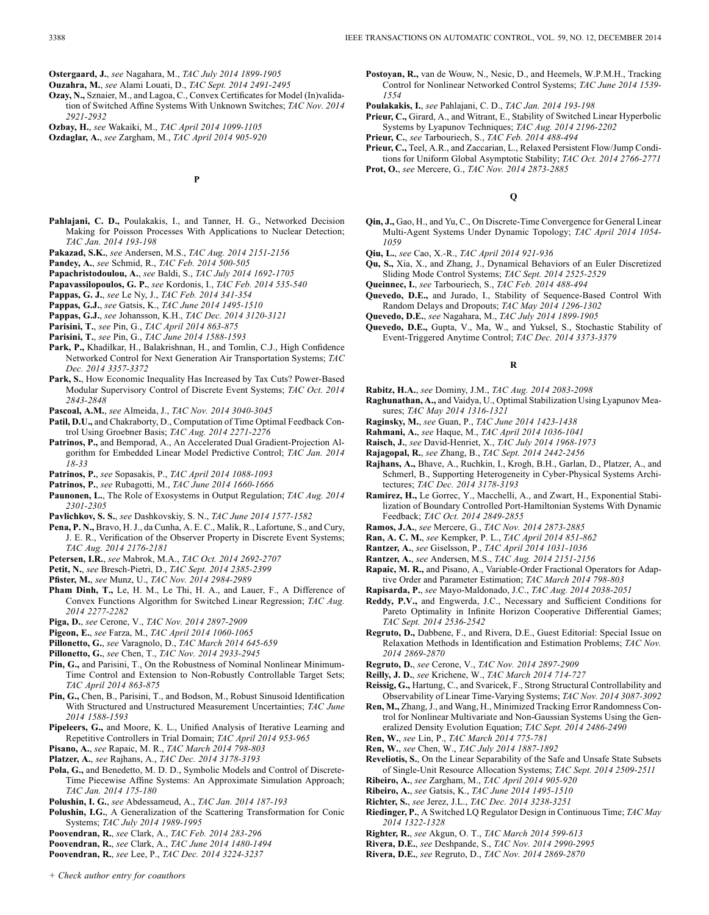- **Ostergaard, J.**, *see* Nagahara, M., *TAC July 2014 1899-1905*
- **Ouzahra, M.**, *see* Alami Louati, D., *TAC Sept. 2014 2491-2495*
- **Ozay, N.,** Sznaier, M., and Lagoa, C., Convex Certificates for Model (In)validation of Switched Affine Systems With Unknown Switches; *TAC Nov. 2014 2921-2932*
- **Ozbay, H.**, *see* Wakaiki, M., *TAC April 2014 1099-1105*
- **Ozdaglar, A.**, *see* Zargham, M., *TAC April 2014 905-920*
- **Pahlajani, C. D.,** Poulakakis, I., and Tanner, H. G., Networked Decision Making for Poisson Processes With Applications to Nuclear Detection;

**P**

- *TAC Jan. 2014 193-198* **Pakazad, S.K.**, *see* Andersen, M.S., *TAC Aug. 2014 2151-2156*
- **Pandey, A.**, *see* Schmid, R., *TAC Feb. 2014 500-505*
- **Papachristodoulou, A.**, *see* Baldi, S., *TAC July 2014 1692-1705*
- **Papavassilopoulos, G. P.**, *see* Kordonis, I., *TAC Feb. 2014 535-540*
- **Pappas, G. J.**, *see* Le Ny, J., *TAC Feb. 2014 341-354*
- **Pappas, G.J.**, *see* Gatsis, K., *TAC June 2014 1495-1510*
- **Pappas, G.J.**, *see* Johansson, K.H., *TAC Dec. 2014 3120-3121*
- **Parisini, T.**, *see* Pin, G., *TAC April 2014 863-875*
- **Parisini, T.**, *see* Pin, G., *TAC June 2014 1588-1593*
- **Park, P.,** Khadilkar, H., Balakrishnan, H., and Tomlin, C.J., High Confidence Networked Control for Next Generation Air Transportation Systems; *TAC Dec. 2014 3357-3372*
- **Park, S.**, How Economic Inequality Has Increased by Tax Cuts? Power-Based Modular Supervisory Control of Discrete Event Systems; *TAC Oct. 2014 2843-2848*
- **Pascoal, A.M.**, *see* Almeida, J., *TAC Nov. 2014 3040-3045*
- **Patil, D.U.,** and Chakraborty, D., Computation of Time Optimal Feedback Control Using Groebner Basis; *TAC Aug. 2014 2271-2276*
- **Patrinos, P.,** and Bemporad, A., An Accelerated Dual Gradient-Projection Algorithm for Embedded Linear Model Predictive Control; *TAC Jan. 2014 18-33*
- **Patrinos, P.**, *see* Sopasakis, P., *TAC April 2014 1088-1093*
- **Patrinos, P.**, *see* Rubagotti, M., *TAC June 2014 1660-1666*
- **Paunonen, L.**, The Role of Exosystems in Output Regulation; *TAC Aug. 2014 2301-2305*
- **Pavlichkov, S. S.**, *see* Dashkovskiy, S. N., *TAC June 2014 1577-1582*
- **Pena, P. N.,** Bravo, H. J., da Cunha, A. E. C., Malik, R., Lafortune, S., and Cury, J. E. R., Verification of the Observer Property in Discrete Event Systems; *TAC Aug. 2014 2176-2181*
- **Petersen, I.R.**, *see* Mabrok, M.A., *TAC Oct. 2014 2692-2707*
- **Petit, N.**, *see* Bresch-Pietri, D., *TAC Sept. 2014 2385-2399*
- **Pfister, M.**, *see* Munz, U., *TAC Nov. 2014 2984-2989*
- **Pham Dinh, T.,** Le, H. M., Le Thi, H. A., and Lauer, F., A Difference of Convex Functions Algorithm for Switched Linear Regression; *TAC Aug. 2014 2277-2282*
- **Piga, D.**, *see* Cerone, V., *TAC Nov. 2014 2897-2909*
- **Pigeon, E.**, *see* Farza, M., *TAC April 2014 1060-1065*
- **Pillonetto, G.**, *see* Varagnolo, D., *TAC March 2014 645-659*
- **Pillonetto, G.**, *see* Chen, T., *TAC Nov. 2014 2933-2945*
- **Pin, G.,** and Parisini, T., On the Robustness of Nominal Nonlinear Minimum-Time Control and Extension to Non-Robustly Controllable Target Sets; *TAC April 2014 863-875*
- **Pin, G.,** Chen, B., Parisini, T., and Bodson, M., Robust Sinusoid Identification With Structured and Unstructured Measurement Uncertainties; *TAC June 2014 1588-1593*
- **Pipeleers, G.,** and Moore, K. L., Unified Analysis of Iterative Learning and Repetitive Controllers in Trial Domain; *TAC April 2014 953-965*
- **Pisano, A.**, *see* Rapaic, M. R., *TAC March 2014 798-803*
- **Platzer, A.**, *see* Rajhans, A., *TAC Dec. 2014 3178-3193*
- **Pola, G.,** and Benedetto, M. D. D., Symbolic Models and Control of Discrete-Time Piecewise Affine Systems: An Approximate Simulation Approach; *TAC Jan. 2014 175-180*
- **Polushin, I. G.**, *see* Abdessameud, A., *TAC Jan. 2014 187-193*
- **Polushin, I.G.**, A Generalization of the Scattering Transformation for Conic Systems; *TAC July 2014 1989-1995*
- **Poovendran, R.**, *see* Clark, A., *TAC Feb. 2014 283-296*
- **Poovendran, R.**, *see* Clark, A., *TAC June 2014 1480-1494*
- **Poovendran, R.**, *see* Lee, P., *TAC Dec. 2014 3224-3237*
- **Postoyan, R.,** van de Wouw, N., Nesic, D., and Heemels, W.P.M.H., Tracking Control for Nonlinear Networked Control Systems; *TAC June 2014 1539- 1554*
- **Poulakakis, I.**, *see* Pahlajani, C. D., *TAC Jan. 2014 193-198*
- **Prieur, C.,** Girard, A., and Witrant, E., Stability of Switched Linear Hyperbolic Systems by Lyapunov Techniques; *TAC Aug. 2014 2196-2202*
- **Prieur, C.**, *see* Tarbouriech, S., *TAC Feb. 2014 488-494*
- **Prieur, C.,** Teel, A.R., and Zaccarian, L., Relaxed Persistent Flow/Jump Conditions for Uniform Global Asymptotic Stability; *TAC Oct. 2014 2766-2771* **Prot, O.**, *see* Mercere, G., *TAC Nov. 2014 2873-2885*

**Q**

- **Qin, J.,** Gao, H., and Yu, C., On Discrete-Time Convergence for General Linear Multi-Agent Systems Under Dynamic Topology; *TAC April 2014 1054- 1059*
- **Qiu, L.**, *see* Cao, X.-R., *TAC April 2014 921-936*
- **Qu, S.,** Xia, X., and Zhang, J., Dynamical Behaviors of an Euler Discretized Sliding Mode Control Systems; *TAC Sept. 2014 2525-2529*
- **Queinnec, I.**, *see* Tarbouriech, S., *TAC Feb. 2014 488-494*
- **Quevedo, D.E.,** and Jurado, I., Stability of Sequence-Based Control With Random Delays and Dropouts; *TAC May 2014 1296-1302*
- **Quevedo, D.E.**, *see* Nagahara, M., *TAC July 2014 1899-1905*
- **Quevedo, D.E.,** Gupta, V., Ma, W., and Yuksel, S., Stochastic Stability of Event-Triggered Anytime Control; *TAC Dec. 2014 3373-3379*

**R**

- **Rabitz, H.A.**, *see* Dominy, J.M., *TAC Aug. 2014 2083-2098*
- **Raghunathan, A.,** and Vaidya, U., Optimal Stabilization Using Lyapunov Measures; *TAC May 2014 1316-1321*
- **Raginsky, M.**, *see* Guan, P., *TAC June 2014 1423-1438*
- **Rahmani, A.**, *see* Haque, M., *TAC April 2014 1036-1041*
- **Raisch, J.**, *see* David-Henriet, X., *TAC July 2014 1968-1973*
- **Rajagopal, R.**, *see* Zhang, B., *TAC Sept. 2014 2442-2456*
- **Rajhans, A.,** Bhave, A., Ruchkin, I., Krogh, B.H., Garlan, D., Platzer, A., and Schmerl, B., Supporting Heterogeneity in Cyber-Physical Systems Architectures; *TAC Dec. 2014 3178-3193*
- **Ramirez, H.,** Le Gorrec, Y., Macchelli, A., and Zwart, H., Exponential Stabilization of Boundary Controlled Port-Hamiltonian Systems With Dynamic Feedback; *TAC Oct. 2014 2849-2855*
- **Ramos, J.A.**, *see* Mercere, G., *TAC Nov. 2014 2873-2885*
- **Ran, A. C. M.**, *see* Kempker, P. L., *TAC April 2014 851-862*
- **Rantzer, A.**, *see* Giselsson, P., *TAC April 2014 1031-1036*
- **Rantzer, A.**, *see* Andersen, M.S., *TAC Aug. 2014 2151-2156*
- **Rapaic, M. R.,** and Pisano, A., Variable-Order Fractional Operators for Adap-
- tive Order and Parameter Estimation; *TAC March 2014 798-803* **Rapisarda, P.**, *see* Mayo-Maldonado, J.C., *TAC Aug. 2014 2038-2051*
- **Reddy, P.V.,** and Engwerda, J.C., Necessary and Sufficient Conditions for Pareto Optimality in Infinite Horizon Cooperative Differential Games; *TAC Sept. 2014 2536-2542*
- **Regruto, D.,** Dabbene, F., and Rivera, D.E., Guest Editorial: Special Issue on Relaxation Methods in Identification and Estimation Problems; *TAC Nov. 2014 2869-2870*
- **Regruto, D.**, *see* Cerone, V., *TAC Nov. 2014 2897-2909*
- **Reilly, J. D.**, *see* Krichene, W., *TAC March 2014 714-727*
- **Reissig, G.,** Hartung, C., and Svaricek, F., Strong Structural Controllability and Observability of Linear Time-Varying Systems; *TAC Nov. 2014 3087-3092*
- **Ren, M.,** Zhang, J., and Wang, H., Minimized Tracking Error Randomness Control for Nonlinear Multivariate and Non-Gaussian Systems Using the Generalized Density Evolution Equation; *TAC Sept. 2014 2486-2490*
- **Ren, W.**, *see* Lin, P., *TAC March 2014 775-781*
- **Ren, W.**, *see* Chen, W., *TAC July 2014 1887-1892*
- **Reveliotis, S.**, On the Linear Separability of the Safe and Unsafe State Subsets of Single-Unit Resource Allocation Systems; *TAC Sept. 2014 2509-2511*
- **Ribeiro, A.**, *see* Zargham, M., *TAC April 2014 905-920*
- **Ribeiro, A.**, *see* Gatsis, K., *TAC June 2014 1495-1510*
- **Richter, S.**, *see* Jerez, J.L., *TAC Dec. 2014 3238-3251*
- **Riedinger, P.**, A Switched LQ Regulator Design in Continuous Time; *TAC May 2014 1322-1328*
- **Righter, R.**, *see* Akgun, O. T., *TAC March 2014 599-613*
- **Rivera, D.E.**, *see* Deshpande, S., *TAC Nov. 2014 2990-2995*
- **Rivera, D.E.**, *see* Regruto, D., *TAC Nov. 2014 2869-2870*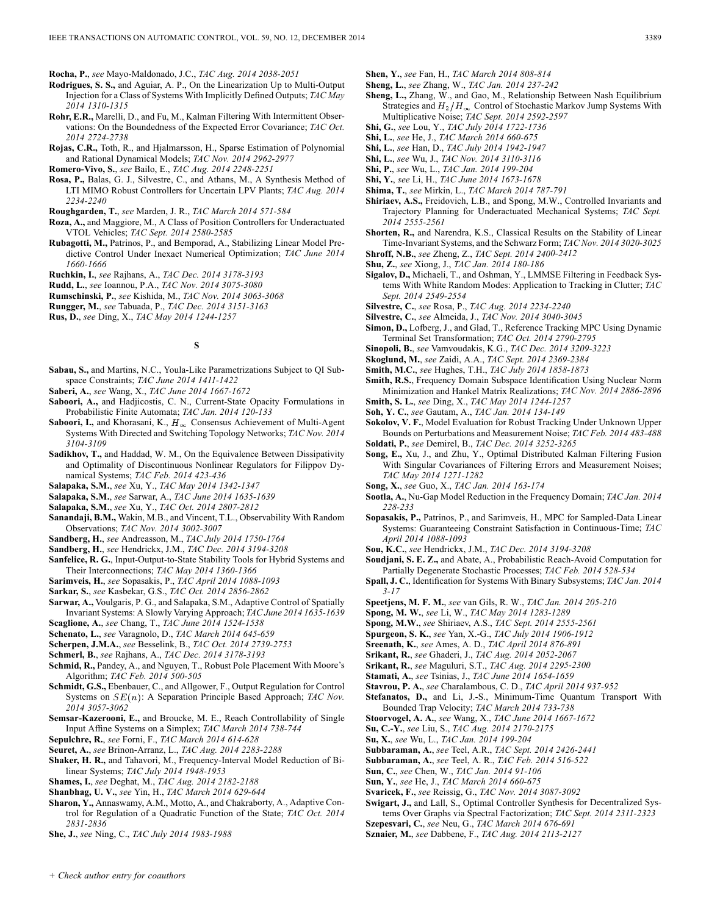**Rocha, P.**, *see* Mayo-Maldonado, J.C., *TAC Aug. 2014 2038-2051*

- **Rodrigues, S. S.,** and Aguiar, A. P., On the Linearization Up to Multi-Output Injection for a Class of Systems With Implicitly Defined Outputs; *TAC May 2014 1310-1315*
- **Rohr, E.R.,** Marelli, D., and Fu, M., Kalman Filtering With Intermittent Observations: On the Boundedness of the Expected Error Covariance; *TAC Oct. 2014 2724-2738*
- **Rojas, C.R.,** Toth, R., and Hjalmarsson, H., Sparse Estimation of Polynomial and Rational Dynamical Models; *TAC Nov. 2014 2962-2977*
- **Romero-Vivo, S.**, *see* Bailo, E., *TAC Aug. 2014 2248-2251*
- **Rosa, P.,** Balas, G. J., Silvestre, C., and Athans, M., A Synthesis Method of LTI MIMO Robust Controllers for Uncertain LPV Plants; *TAC Aug. 2014 2234-2240*
- **Roughgarden, T.**, *see* Marden, J. R., *TAC March 2014 571-584*
- **Roza, A.,** and Maggiore, M., A Class of Position Controllers for Underactuated VTOL Vehicles; *TAC Sept. 2014 2580-2585*
- **Rubagotti, M.,** Patrinos, P., and Bemporad, A., Stabilizing Linear Model Predictive Control Under Inexact Numerical Optimization; *TAC June 2014 1660-1666*
- **Ruchkin, I.**, *see* Rajhans, A., *TAC Dec. 2014 3178-3193*
- **Rudd, L.**, *see* Ioannou, P.A., *TAC Nov. 2014 3075-3080*
- **Rumschinski, P.**, *see* Kishida, M., *TAC Nov. 2014 3063-3068*
- **Rungger, M.**, *see* Tabuada, P., *TAC Dec. 2014 3151-3163*
- **Rus, D.**, *see* Ding, X., *TAC May 2014 1244-1257*

## **S**

- **Sabau, S.,** and Martins, N.C., Youla-Like Parametrizations Subject to QI Subspace Constraints; *TAC June 2014 1411-1422*
- **Saberi, A.**, *see* Wang, X., *TAC June 2014 1667-1672*
- **Saboori, A.,** and Hadjicostis, C. N., Current-State Opacity Formulations in Probabilistic Finite Automata; *TAC Jan. 2014 120-133*
- Saboori, I., and Khorasani, K.,  $H_{\infty}$  Consensus Achievement of Multi-Agent Systems With Directed and Switching Topology Networks; *TAC Nov. 2014 3104-3109*
- **Sadikhov, T.,** and Haddad, W. M., On the Equivalence Between Dissipativity and Optimality of Discontinuous Nonlinear Regulators for Filippov Dynamical Systems; *TAC Feb. 2014 423-436*

**Salapaka, S.M.**, *see* Xu, Y., *TAC May 2014 1342-1347*

- **Salapaka, S.M.**, *see* Sarwar, A., *TAC June 2014 1635-1639*
- **Salapaka, S.M.**, *see* Xu, Y., *TAC Oct. 2014 2807-2812*
- **Sanandaji, B.M.,** Wakin, M.B., and Vincent, T.L., Observability With Random Observations; *TAC Nov. 2014 3002-3007*
- **Sandberg, H.**, *see* Andreasson, M., *TAC July 2014 1750-1764*
- **Sandberg, H.**, *see* Hendrickx, J.M., *TAC Dec. 2014 3194-3208*
- **Sanfelice, R. G.**, Input-Output-to-State Stability Tools for Hybrid Systems and Their Interconnections; *TAC May 2014 1360-1366*
- **Sarimveis, H.**, *see* Sopasakis, P., *TAC April 2014 1088-1093*
- **Sarkar, S.**, *see* Kasbekar, G.S., *TAC Oct. 2014 2856-2862*
- **Sarwar, A.,** Voulgaris, P. G., and Salapaka, S.M., Adaptive Control of Spatially Invariant Systems: A Slowly Varying Approach; *TAC June 2014 1635-1639*
- **Scaglione, A.**, *see* Chang, T., *TAC June 2014 1524-1538* **Schenato, L.**, *see* Varagnolo, D., *TAC March 2014 645-659*
- **Scherpen, J.M.A.**, *see* Besselink, B., *TAC Oct. 2014 2739-2753*
- 
- **Schmerl, B.**, *see* Rajhans, A., *TAC Dec. 2014 3178-3193*
- **Schmid, R.,** Pandey, A., and Nguyen, T., Robust Pole Placement With Moore's Algorithm; *TAC Feb. 2014 500-505*
- **Schmidt, G.S.,** Ebenbauer, C., and Allgower, F., Output Regulation for Control Systems on  $SE(n)$ : A Separation Principle Based Approach; *TAC Nov. 2014 3057-3062*
- **Semsar-Kazerooni, E.,** and Broucke, M. E., Reach Controllability of Single Input Affine Systems on a Simplex; *TAC March 2014 738-744*
- **Sepulchre, R.**, *see* Forni, F., *TAC March 2014 614-628*
- **Seuret, A.**, *see* Brinon-Arranz, L., *TAC Aug. 2014 2283-2288*
- **Shaker, H. R.,** and Tahavori, M., Frequency-Interval Model Reduction of Bilinear Systems; *TAC July 2014 1948-1953*
- **Shames, I.**, *see* Deghat, M., *TAC Aug. 2014 2182-2188*
- **Shanbhag, U. V.**, *see* Yin, H., *TAC March 2014 629-644*
- **Sharon, Y.,** Annaswamy, A.M., Motto, A., and Chakraborty, A., Adaptive Control for Regulation of a Quadratic Function of the State; *TAC Oct. 2014 2831-2836*
- **She, J.**, *see* Ning, C., *TAC July 2014 1983-1988*
- **Shen, Y.**, *see* Fan, H., *TAC March 2014 808-814*
- **Sheng, L.**, *see* Zhang, W., *TAC Jan. 2014 237-242*
- **Sheng, L.,** Zhang, W., and Gao, M., Relationship Between Nash Equilibrium Strategies and  $H_2/H_{\infty}$  Control of Stochastic Markov Jump Systems With Multiplicative Noise; *TAC Sept. 2014 2592-2597*
- **Shi, G.**, *see* Lou, Y., *TAC July 2014 1722-1736*
- **Shi, L.**, *see* He, J., *TAC March 2014 660-675*
- **Shi, L.**, *see* Han, D., *TAC July 2014 1942-1947*
- **Shi, L.**, *see* Wu, J., *TAC Nov. 2014 3110-3116*
- **Shi, P.**, *see* Wu, L., *TAC Jan. 2014 199-204*
- **Shi, Y.**, *see* Li, H., *TAC June 2014 1673-1678*
- **Shima, T.**, *see* Mirkin, L., *TAC March 2014 787-791*
- **Shiriaev, A.S.,** Freidovich, L.B., and Spong, M.W., Controlled Invariants and Trajectory Planning for Underactuated Mechanical Systems; *TAC Sept. 2014 2555-2561*
- **Shorten, R.,** and Narendra, K.S., Classical Results on the Stability of Linear Time-Invariant Systems, and the Schwarz Form; *TAC Nov. 2014 3020-3025*
- **Shroff, N.B.**, *see* Zheng, Z., *TAC Sept. 2014 2400-2412*
- **Shu, Z.**, *see* Xiong, J., *TAC Jan. 2014 180-186*
- **Sigalov, D.,** Michaeli, T., and Oshman, Y., LMMSE Filtering in Feedback Systems With White Random Modes: Application to Tracking in Clutter; *TAC Sept. 2014 2549-2554*
- **Silvestre, C.**, *see* Rosa, P., *TAC Aug. 2014 2234-2240*
- **Silvestre, C.**, *see* Almeida, J., *TAC Nov. 2014 3040-3045*
- **Simon, D.,** Lofberg, J., and Glad, T., Reference Tracking MPC Using Dynamic Terminal Set Transformation; *TAC Oct. 2014 2790-2795*
- **Sinopoli, B.**, *see* Vamvoudakis, K.G., *TAC Dec. 2014 3209-3223*
- **Skoglund, M.**, *see* Zaidi, A.A., *TAC Sept. 2014 2369-2384*
- **Smith, M.C.**, *see* Hughes, T.H., *TAC July 2014 1858-1873*
- **Smith, R.S.**, Frequency Domain Subspace Identification Using Nuclear Norm Minimization and Hankel Matrix Realizations; *TAC Nov. 2014 2886-2896*
- **Smith, S. L.**, *see* Ding, X., *TAC May 2014 1244-1257*
- **Soh, Y. C.**, *see* Gautam, A., *TAC Jan. 2014 134-149*
- **Sokolov, V. F.**, Model Evaluation for Robust Tracking Under Unknown Upper Bounds on Perturbations and Measurement Noise; *TAC Feb. 2014 483-488* **Soldati, P.**, *see* Demirel, B., *TAC Dec. 2014 3252-3265*
- **Song, E.,** Xu, J., and Zhu, Y., Optimal Distributed Kalman Filtering Fusion With Singular Covariances of Filtering Errors and Measurement Noises; *TAC May 2014 1271-1282*
- **Song, X.**, *see* Guo, X., *TAC Jan. 2014 163-174*
- **Sootla, A.**, Nu-Gap Model Reduction in the Frequency Domain; *TAC Jan. 2014 228-233*
- **Sopasakis, P.,** Patrinos, P., and Sarimveis, H., MPC for Sampled-Data Linear Systems: Guaranteeing Constraint Satisfaction in Continuous-Time; *TAC April 2014 1088-1093*
- **Sou, K.C.**, *see* Hendrickx, J.M., *TAC Dec. 2014 3194-3208*
- **Soudjani, S. E. Z.,** and Abate, A., Probabilistic Reach-Avoid Computation for Partially Degenerate Stochastic Processes; *TAC Feb. 2014 528-534*
- **Spall, J. C.**, Identification for Systems With Binary Subsystems; *TAC Jan. 2014 3-17*
- **Speetjens, M. F. M.**, *see* van Gils, R. W., *TAC Jan. 2014 205-210*
- **Spong, M. W.**, *see* Li, W., *TAC May 2014 1283-1289*
- **Spong, M.W.**, *see* Shiriaev, A.S., *TAC Sept. 2014 2555-2561*
- **Spurgeon, S. K.**, *see* Yan, X.-G., *TAC July 2014 1906-1912*
- **Sreenath, K.**, *see* Ames, A. D., *TAC April 2014 876-891*
- **Srikant, R.**, *see* Ghaderi, J., *TAC Aug. 2014 2052-2067*
- **Srikant, R.**, *see* Maguluri, S.T., *TAC Aug. 2014 2295-2300*
- **Stamati, A.**, *see* Tsinias, J., *TAC June 2014 1654-1659*
- **Stavrou, P. A.**, *see* Charalambous, C. D., *TAC April 2014 937-952*
- **Stefanatos, D.,** and Li, J.-S., Minimum-Time Quantum Transport With Bounded Trap Velocity; *TAC March 2014 733-738*
- **Stoorvogel, A. A.**, *see* Wang, X., *TAC June 2014 1667-1672*
- **Su, C.-Y.**, *see* Liu, S., *TAC Aug. 2014 2170-2175*
- **Su, X.**, *see* Wu, L., *TAC Jan. 2014 199-204*
- **Subbaraman, A.**, *see* Teel, A.R., *TAC Sept. 2014 2426-2441*
- **Subbaraman, A.**, *see* Teel, A. R., *TAC Feb. 2014 516-522*
- **Sun, C.**, *see* Chen, W., *TAC Jan. 2014 91-106*
- **Sun, Y.**, *see* He, J., *TAC March 2014 660-675*
- **Svaricek, F.**, *see* Reissig, G., *TAC Nov. 2014 3087-3092*
- 
- **Swigart, J.,** and Lall, S., Optimal Controller Synthesis for Decentralized Systems Over Graphs via Spectral Factorization; *TAC Sept. 2014 2311-2323*
- **Szepesvari, C.**, *see* Neu, G., *TAC March 2014 676-691* **Sznaier, M.**, *see* Dabbene, F., *TAC Aug. 2014 2113-2127*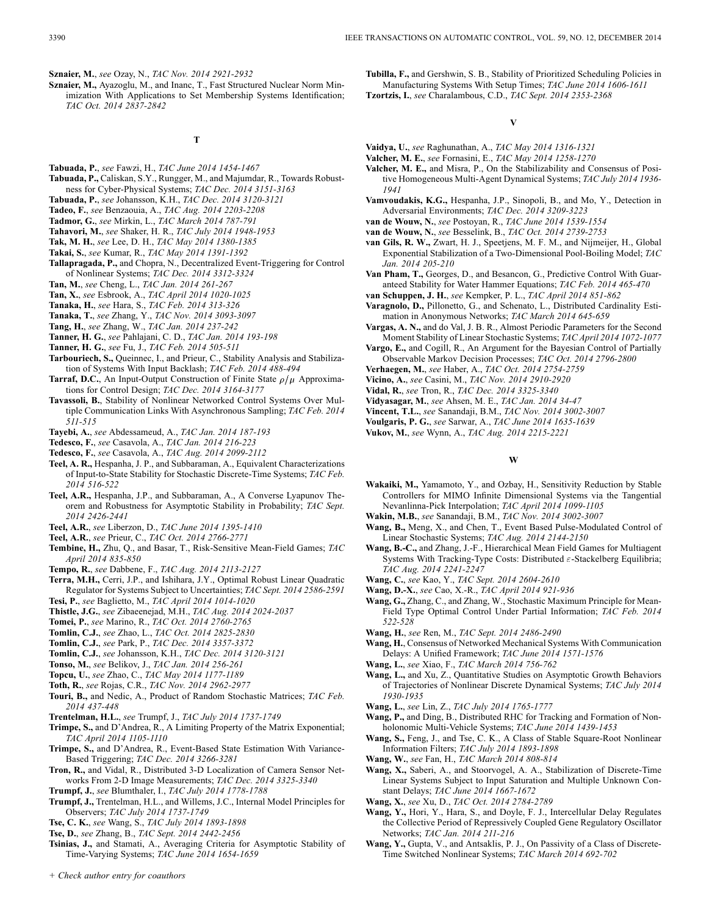**Sznaier, M.**, *see* Ozay, N., *TAC Nov. 2014 2921-2932*

**Sznaier, M.,** Ayazoglu, M., and Inanc, T., Fast Structured Nuclear Norm Minimization With Applications to Set Membership Systems Identification; *TAC Oct. 2014 2837-2842*

#### **T**

- **Tabuada, P.**, *see* Fawzi, H., *TAC June 2014 1454-1467*
- **Tabuada, P.,** Caliskan, S.Y., Rungger, M., and Majumdar, R., Towards Robustness for Cyber-Physical Systems; *TAC Dec. 2014 3151-3163*
- **Tabuada, P.**, *see* Johansson, K.H., *TAC Dec. 2014 3120-3121*
- **Tadeo, F.**, *see* Benzaouia, A., *TAC Aug. 2014 2203-2208*
- **Tadmor, G.**, *see* Mirkin, L., *TAC March 2014 787-791*
- **Tahavori, M.**, *see* Shaker, H. R., *TAC July 2014 1948-1953*
- **Tak, M. H.**, *see* Lee, D. H., *TAC May 2014 1380-1385*
- **Takai, S.**, *see* Kumar, R., *TAC May 2014 1391-1392*
- **Tallapragada, P.,** and Chopra, N., Decentralized Event-Triggering for Control of Nonlinear Systems; *TAC Dec. 2014 3312-3324*
- **Tan, M.**, *see* Cheng, L., *TAC Jan. 2014 261-267*
- **Tan, X.**, *see* Esbrook, A., *TAC April 2014 1020-1025*
- **Tanaka, H.**, *see* Hara, S., *TAC Feb. 2014 313-326*
- **Tanaka, T.**, *see* Zhang, Y., *TAC Nov. 2014 3093-3097*
- **Tang, H.**, *see* Zhang, W., *TAC Jan. 2014 237-242*
- **Tanner, H. G.**, *see* Pahlajani, C. D., *TAC Jan. 2014 193-198*
- **Tanner, H. G.**, *see* Fu, J., *TAC Feb. 2014 505-511*
- **Tarbouriech, S.,** Queinnec, I., and Prieur, C., Stability Analysis and Stabilization of Systems With Input Backlash; *TAC Feb. 2014 488-494*
- **Tarraf, D.C.**, An Input-Output Construction of Finite State  $\rho/\mu$  Approximations for Control Design; *TAC Dec. 2014 3164-3177*
- **Tavassoli, B.**, Stability of Nonlinear Networked Control Systems Over Multiple Communication Links With Asynchronous Sampling; *TAC Feb. 2014 511-515*
- **Tayebi, A.**, *see* Abdessameud, A., *TAC Jan. 2014 187-193*
- **Tedesco, F.**, *see* Casavola, A., *TAC Jan. 2014 216-223*
- **Tedesco, F.**, *see* Casavola, A., *TAC Aug. 2014 2099-2112*
- **Teel, A. R.,** Hespanha, J. P., and Subbaraman, A., Equivalent Characterizations of Input-to-State Stability for Stochastic Discrete-Time Systems; *TAC Feb. 2014 516-522*
- **Teel, A.R.,** Hespanha, J.P., and Subbaraman, A., A Converse Lyapunov Theorem and Robustness for Asymptotic Stability in Probability; *TAC Sept. 2014 2426-2441*
- **Teel, A.R.**, *see* Liberzon, D., *TAC June 2014 1395-1410*
- **Teel, A.R.**, *see* Prieur, C., *TAC Oct. 2014 2766-2771*
- **Tembine, H.,** Zhu, Q., and Basar, T., Risk-Sensitive Mean-Field Games; *TAC April 2014 835-850*
- **Tempo, R.**, *see* Dabbene, F., *TAC Aug. 2014 2113-2127*
- **Terra, M.H.,** Cerri, J.P., and Ishihara, J.Y., Optimal Robust Linear Quadratic Regulator for Systems Subject to Uncertainties; *TAC Sept. 2014 2586-2591* **Tesi, P.**, *see* Baglietto, M., *TAC April 2014 1014-1020*
- **Thistle, J.G.**, *see* Zibaeenejad, M.H., *TAC Aug. 2014 2024-2037*
- **Tomei, P.**, *see* Marino, R., *TAC Oct. 2014 2760-2765*
- **Tomlin, C.J.**, *see* Zhao, L., *TAC Oct. 2014 2825-2830*
- **Tomlin, C.J.**, *see* Park, P., *TAC Dec. 2014 3357-3372*
- **Tomlin, C.J.**, *see* Johansson, K.H., *TAC Dec. 2014 3120-3121*
- **Tonso, M.**, *see* Belikov, J., *TAC Jan. 2014 256-261*
- **Topcu, U.**, *see* Zhao, C., *TAC May 2014 1177-1189*
- **Toth, R.**, *see* Rojas, C.R., *TAC Nov. 2014 2962-2977*
- **Touri, B.,** and Nedic, A., Product of Random Stochastic Matrices; *TAC Feb. 2014 437-448*
- **Trentelman, H.L.**, *see* Trumpf, J., *TAC July 2014 1737-1749*
- **Trimpe, S.,** and D'Andrea, R., A Limiting Property of the Matrix Exponential; *TAC April 2014 1105-1110*
- **Trimpe, S.,** and D'Andrea, R., Event-Based State Estimation With Variance-Based Triggering; *TAC Dec. 2014 3266-3281*
- **Tron, R.,** and Vidal, R., Distributed 3-D Localization of Camera Sensor Networks From 2-D Image Measurements; *TAC Dec. 2014 3325-3340*
- **Trumpf, J.**, *see* Blumthaler, I., *TAC July 2014 1778-1788*
- **Trumpf, J.,** Trentelman, H.L., and Willems, J.C., Internal Model Principles for Observers; *TAC July 2014 1737-1749*
- **Tse, C. K.**, *see* Wang, S., *TAC July 2014 1893-1898*
- **Tse, D.**, *see* Zhang, B., *TAC Sept. 2014 2442-2456*
- **Tsinias, J.,** and Stamati, A., Averaging Criteria for Asymptotic Stability of Time-Varying Systems; *TAC June 2014 1654-1659*
- **Tubilla, F.,** and Gershwin, S. B., Stability of Prioritized Scheduling Policies in Manufacturing Systems With Setup Times; *TAC June 2014 1606-1611*
- **Tzortzis, I.**, *see* Charalambous, C.D., *TAC Sept. 2014 2353-2368*

## **V**

- **Vaidya, U.**, *see* Raghunathan, A., *TAC May 2014 1316-1321*
- **Valcher, M. E.**, *see* Fornasini, E., *TAC May 2014 1258-1270*
- **Valcher, M. E.,** and Misra, P., On the Stabilizability and Consensus of Positive Homogeneous Multi-Agent Dynamical Systems; *TAC July 2014 1936- 1941*
- **Vamvoudakis, K.G.,** Hespanha, J.P., Sinopoli, B., and Mo, Y., Detection in Adversarial Environments; *TAC Dec. 2014 3209-3223*
- **van de Wouw, N.**, *see* Postoyan, R., *TAC June 2014 1539-1554*
- **van de Wouw, N.**, *see* Besselink, B., *TAC Oct. 2014 2739-2753*
- **van Gils, R. W.,** Zwart, H. J., Speetjens, M. F. M., and Nijmeijer, H., Global Exponential Stabilization of a Two-Dimensional Pool-Boiling Model; *TAC Jan. 2014 205-210*
- **Van Pham, T.,** Georges, D., and Besancon, G., Predictive Control With Guaranteed Stability for Water Hammer Equations; *TAC Feb. 2014 465-470*
- **van Schuppen, J. H.**, *see* Kempker, P. L., *TAC April 2014 851-862*
- **Varagnolo, D.,** Pillonetto, G., and Schenato, L., Distributed Cardinality Estimation in Anonymous Networks; *TAC March 2014 645-659*
- **Vargas, A. N.,** and do Val, J. B. R., Almost Periodic Parameters for the Second Moment Stability of Linear Stochastic Systems; *TAC April 2014 1072-1077*
- **Vargo, E.,** and Cogill, R., An Argument for the Bayesian Control of Partially Observable Markov Decision Processes; *TAC Oct. 2014 2796-2800*
- **Verhaegen, M.**, *see* Haber, A., *TAC Oct. 2014 2754-2759*
- **Vicino, A.**, *see* Casini, M., *TAC Nov. 2014 2910-2920*
- **Vidal, R.**, *see* Tron, R., *TAC Dec. 2014 3325-3340*
- **Vidyasagar, M.**, *see* Ahsen, M. E., *TAC Jan. 2014 34-47*
- **Vincent, T.L.**, *see* Sanandaji, B.M., *TAC Nov. 2014 3002-3007*
- **Voulgaris, P. G.**, *see* Sarwar, A., *TAC June 2014 1635-1639*
- **Vukov, M.**, *see* Wynn, A., *TAC Aug. 2014 2215-2221*

#### **W**

- **Wakaiki, M.,** Yamamoto, Y., and Ozbay, H., Sensitivity Reduction by Stable Controllers for MIMO Infinite Dimensional Systems via the Tangential Nevanlinna-Pick Interpolation; *TAC April 2014 1099-1105*
- **Wakin, M.B.**, *see* Sanandaji, B.M., *TAC Nov. 2014 3002-3007*
- **Wang, B.,** Meng, X., and Chen, T., Event Based Pulse-Modulated Control of Linear Stochastic Systems; *TAC Aug. 2014 2144-2150*
- **Wang, B.-C.,** and Zhang, J.-F., Hierarchical Mean Field Games for Multiagent Systems With Tracking-Type Costs: Distributed  $\varepsilon$ -Stackelberg Equilibria; *TAC Aug. 2014 2241-2247*
- **Wang, C.**, *see* Kao, Y., *TAC Sept. 2014 2604-2610*
- **Wang, D.-X.**, *see* Cao, X.-R., *TAC April 2014 921-936*
- **Wang, G.,** Zhang, C., and Zhang, W., Stochastic Maximum Principle for Mean-Field Type Optimal Control Under Partial Information; *TAC Feb. 2014 522-528*
- **Wang, H.**, *see* Ren, M., *TAC Sept. 2014 2486-2490*
- **Wang, H.**, Consensus of Networked Mechanical Systems With Communication Delays: A Unified Framework; *TAC June 2014 1571-1576*
- **Wang, L.**, *see* Xiao, F., *TAC March 2014 756-762*
- **Wang, L.,** and Xu, Z., Quantitative Studies on Asymptotic Growth Behaviors of Trajectories of Nonlinear Discrete Dynamical Systems; *TAC July 2014 1930-1935*
- **Wang, L.**, *see* Lin, Z., *TAC July 2014 1765-1777*
- **Wang, P.,** and Ding, B., Distributed RHC for Tracking and Formation of Nonholonomic Multi-Vehicle Systems; *TAC June 2014 1439-1453*
- **Wang, S.,** Feng, J., and Tse, C. K., A Class of Stable Square-Root Nonlinear Information Filters; *TAC July 2014 1893-1898*
- **Wang, W.**, *see* Fan, H., *TAC March 2014 808-814*
- **Wang, X.,** Saberi, A., and Stoorvogel, A. A., Stabilization of Discrete-Time Linear Systems Subject to Input Saturation and Multiple Unknown Constant Delays; *TAC June 2014 1667-1672*
- **Wang, X.**, *see* Xu, D., *TAC Oct. 2014 2784-2789*
- **Wang, Y.,** Hori, Y., Hara, S., and Doyle, F. J., Intercellular Delay Regulates the Collective Period of Repressively Coupled Gene Regulatory Oscillator Networks; *TAC Jan. 2014 211-216*
- **Wang, Y.,** Gupta, V., and Antsaklis, P. J., On Passivity of a Class of Discrete-Time Switched Nonlinear Systems; *TAC March 2014 692-702*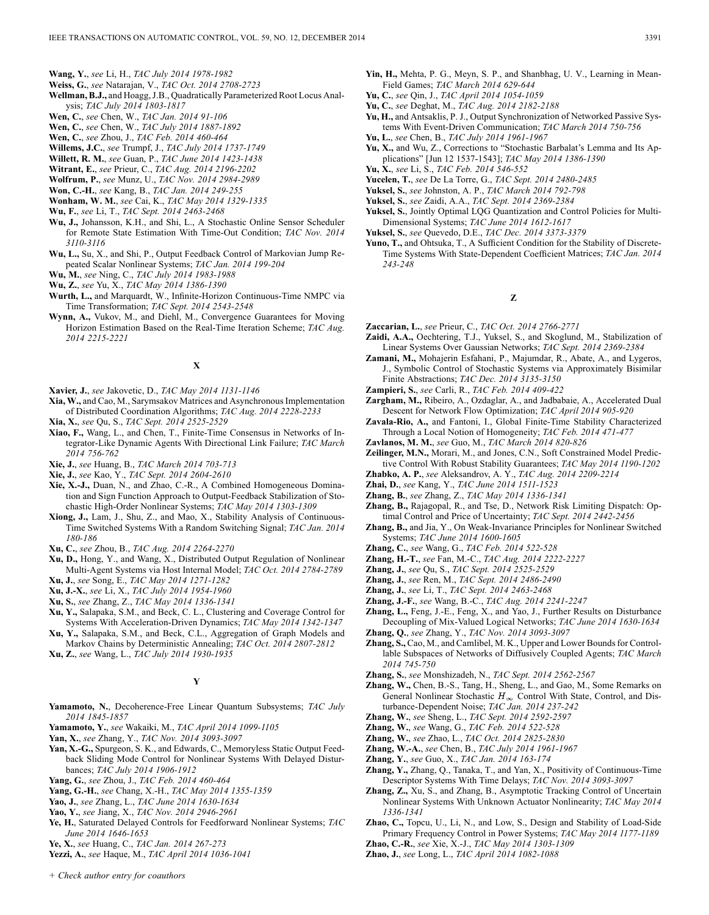- **Wang, Y.**, *see* Li, H., *TAC July 2014 1978-1982*
- **Weiss, G.**, *see* Natarajan, V., *TAC Oct. 2014 2708-2723*
- **Wellman, B.J.,** and Hoagg, J.B., Quadratically Parameterized Root Locus Analysis; *TAC July 2014 1803-1817*
- **Wen, C.**, *see* Chen, W., *TAC Jan. 2014 91-106*
- **Wen, C.**, *see* Chen, W., *TAC July 2014 1887-1892*
- **Wen, C.**, *see* Zhou, J., *TAC Feb. 2014 460-464*
- **Willems, J.C.**, *see* Trumpf, J., *TAC July 2014 1737-1749*
- **Willett, R. M.**, *see* Guan, P., *TAC June 2014 1423-1438*
- **Witrant, E.**, *see* Prieur, C., *TAC Aug. 2014 2196-2202*
- **Wolfrum, P.**, *see* Munz, U., *TAC Nov. 2014 2984-2989*
- **Won, C.-H.**, *see* Kang, B., *TAC Jan. 2014 249-255*
- **Wonham, W. M.**, *see* Cai, K., *TAC May 2014 1329-1335*
- **Wu, F.**, *see* Li, T., *TAC Sept. 2014 2463-2468*
- **Wu, J.,** Johansson, K.H., and Shi, L., A Stochastic Online Sensor Scheduler for Remote State Estimation With Time-Out Condition; *TAC Nov. 2014 3110-3116*
- **Wu, L.,** Su, X., and Shi, P., Output Feedback Control of Markovian Jump Repeated Scalar Nonlinear Systems; *TAC Jan. 2014 199-204*
- **Wu, M.**, *see* Ning, C., *TAC July 2014 1983-1988*
- **Wu, Z.**, *see* Yu, X., *TAC May 2014 1386-1390*
- **Wurth, L.,** and Marquardt, W., Infinite-Horizon Continuous-Time NMPC via Time Transformation; *TAC Sept. 2014 2543-2548*
- **Wynn, A.,** Vukov, M., and Diehl, M., Convergence Guarantees for Moving Horizon Estimation Based on the Real-Time Iteration Scheme; *TAC Aug. 2014 2215-2221*

## **X**

- **Xavier, J.**, *see* Jakovetic, D., *TAC May 2014 1131-1146*
- **Xia, W.,** and Cao, M., Sarymsakov Matrices and Asynchronous Implementation of Distributed Coordination Algorithms; *TAC Aug. 2014 2228-2233*
- **Xia, X.**, *see* Qu, S., *TAC Sept. 2014 2525-2529*
- **Xiao, F.,** Wang, L., and Chen, T., Finite-Time Consensus in Networks of Integrator-Like Dynamic Agents With Directional Link Failure; *TAC March 2014 756-762*
- **Xie, J.**, *see* Huang, B., *TAC March 2014 703-713*
- **Xie, J.**, *see* Kao, Y., *TAC Sept. 2014 2604-2610*
- **Xie, X.-J.,** Duan, N., and Zhao, C.-R., A Combined Homogeneous Domination and Sign Function Approach to Output-Feedback Stabilization of Stochastic High-Order Nonlinear Systems; *TAC May 2014 1303-1309*
- **Xiong, J.,** Lam, J., Shu, Z., and Mao, X., Stability Analysis of Continuous-Time Switched Systems With a Random Switching Signal; *TAC Jan. 2014 180-186*
- **Xu, C.**, *see* Zhou, B., *TAC Aug. 2014 2264-2270*
- **Xu, D.,** Hong, Y., and Wang, X., Distributed Output Regulation of Nonlinear Multi-Agent Systems via Host Internal Model; *TAC Oct. 2014 2784-2789*
- **Xu, J.**, *see* Song, E., *TAC May 2014 1271-1282*
- **Xu, J.-X.**, *see* Li, X., *TAC July 2014 1954-1960*
- **Xu, S.**, *see* Zhang, Z., *TAC May 2014 1336-1341*
- **Xu, Y.,** Salapaka, S.M., and Beck, C. L., Clustering and Coverage Control for Systems With Acceleration-Driven Dynamics; *TAC May 2014 1342-1347*
- **Xu, Y.,** Salapaka, S.M., and Beck, C.L., Aggregation of Graph Models and Markov Chains by Deterministic Annealing; *TAC Oct. 2014 2807-2812*
- **Xu, Z.**, *see* Wang, L., *TAC July 2014 1930-1935*

## **Y**

- **Yamamoto, N.**, Decoherence-Free Linear Quantum Subsystems; *TAC July 2014 1845-1857*
- **Yamamoto, Y.**, *see* Wakaiki, M., *TAC April 2014 1099-1105*
- **Yan, X.**, *see* Zhang, Y., *TAC Nov. 2014 3093-3097*
- **Yan, X.-G.,** Spurgeon, S. K., and Edwards, C., Memoryless Static Output Feedback Sliding Mode Control for Nonlinear Systems With Delayed Disturbances; *TAC July 2014 1906-1912*
- **Yang, G.**, *see* Zhou, J., *TAC Feb. 2014 460-464*
- **Yang, G.-H.**, *see* Chang, X.-H., *TAC May 2014 1355-1359*
- **Yao, J.**, *see* Zhang, L., *TAC June 2014 1630-1634*
- **Yao, Y.**, *see* Jiang, X., *TAC Nov. 2014 2946-2961*
- **Ye, H.**, Saturated Delayed Controls for Feedforward Nonlinear Systems; *TAC June 2014 1646-1653*
- **Ye, X.**, *see* Huang, C., *TAC Jan. 2014 267-273*
- **Yezzi, A.**, *see* Haque, M., *TAC April 2014 1036-1041*
- **Yin, H.,** Mehta, P. G., Meyn, S. P., and Shanbhag, U. V., Learning in Mean-Field Games; *TAC March 2014 629-644*
- **Yu, C.**, *see* Qin, J., *TAC April 2014 1054-1059*
- **Yu, C.**, *see* Deghat, M., *TAC Aug. 2014 2182-2188*
- **Yu, H.,** and Antsaklis, P. J., Output Synchronization of Networked Passive Systems With Event-Driven Communication; *TAC March 2014 750-756*
- **Yu, L.**, *see* Chen, B., *TAC July 2014 1961-1967*
- **Yu, X.,** and Wu, Z., Corrections to "Stochastic Barbalat's Lemma and Its Applications" [Jun 12 1537-1543]; *TAC May 2014 1386-1390*
- **Yu, X.**, *see* Li, S., *TAC Feb. 2014 546-552*
- **Yucelen, T.**, *see* De La Torre, G., *TAC Sept. 2014 2480-2485*
- **Yuksel, S.**, *see* Johnston, A. P., *TAC March 2014 792-798*
- **Yuksel, S.**, *see* Zaidi, A.A., *TAC Sept. 2014 2369-2384*
- **Yuksel, S.**, Jointly Optimal LQG Quantization and Control Policies for Multi-Dimensional Systems; *TAC June 2014 1612-1617*
- **Yuksel, S.**, *see* Quevedo, D.E., *TAC Dec. 2014 3373-3379*
- **Yuno, T.,** and Ohtsuka, T., A Sufficient Condition for the Stability of Discrete-Time Systems With State-Dependent Coefficient Matrices; *TAC Jan. 2014 243-248*

## **Z**

- **Zaccarian, L.**, *see* Prieur, C., *TAC Oct. 2014 2766-2771*
- **Zaidi, A.A.,** Oechtering, T.J., Yuksel, S., and Skoglund, M., Stabilization of Linear Systems Over Gaussian Networks; *TAC Sept. 2014 2369-2384*
- **Zamani, M.,** Mohajerin Esfahani, P., Majumdar, R., Abate, A., and Lygeros, J., Symbolic Control of Stochastic Systems via Approximately Bisimilar Finite Abstractions; *TAC Dec. 2014 3135-3150*
- **Zampieri, S.**, *see* Carli, R., *TAC Feb. 2014 409-422*
- **Zargham, M.,** Ribeiro, A., Ozdaglar, A., and Jadbabaie, A., Accelerated Dual Descent for Network Flow Optimization; *TAC April 2014 905-920*
- **Zavala-Rio, A.,** and Fantoni, I., Global Finite-Time Stability Characterized Through a Local Notion of Homogeneity; *TAC Feb. 2014 471-477*
- **Zavlanos, M. M.**, *see* Guo, M., *TAC March 2014 820-826*
- **Zeilinger, M.N.,** Morari, M., and Jones, C.N., Soft Constrained Model Predictive Control With Robust Stability Guarantees; *TAC May 2014 1190-1202*
- **Zhabko, A. P.**, *see* Aleksandrov, A. Y., *TAC Aug. 2014 2209-2214*
- **Zhai, D.**, *see* Kang, Y., *TAC June 2014 1511-1523*
- **Zhang, B.**, *see* Zhang, Z., *TAC May 2014 1336-1341*
- **Zhang, B.,** Rajagopal, R., and Tse, D., Network Risk Limiting Dispatch: Optimal Control and Price of Uncertainty; *TAC Sept. 2014 2442-2456*
- **Zhang, B.,** and Jia, Y., On Weak-Invariance Principles for Nonlinear Switched Systems; *TAC June 2014 1600-1605*
- **Zhang, C.**, *see* Wang, G., *TAC Feb. 2014 522-528*
- **Zhang, H.-T.**, *see* Fan, M.-C., *TAC Aug. 2014 2222-2227*
- **Zhang, J.**, *see* Qu, S., *TAC Sept. 2014 2525-2529*
- **Zhang, J.**, *see* Ren, M., *TAC Sept. 2014 2486-2490*
- **Zhang, J.**, *see* Li, T., *TAC Sept. 2014 2463-2468*
- **Zhang, J.-F.**, *see* Wang, B.-C., *TAC Aug. 2014 2241-2247*
- **Zhang, L.,** Feng, J.-E., Feng, X., and Yao, J., Further Results on Disturbance Decoupling of Mix-Valued Logical Networks; *TAC June 2014 1630-1634* **Zhang, Q.**, *see* Zhang, Y., *TAC Nov. 2014 3093-3097*
- 
- **Zhang, S.,** Cao, M., and Camlibel, M. K., Upper and Lower Bounds for Controllable Subspaces of Networks of Diffusively Coupled Agents; *TAC March 2014 745-750*
- **Zhang, S.**, *see* Monshizadeh, N., *TAC Sept. 2014 2562-2567*
- **Zhang, W.,** Chen, B.-S., Tang, H., Sheng, L., and Gao, M., Some Remarks on General Nonlinear Stochastic  $H_{\infty}$  Control With State, Control, and Disturbance-Dependent Noise; *TAC Jan. 2014 237-242*
- **Zhang, W.**, *see* Sheng, L., *TAC Sept. 2014 2592-2597*
- **Zhang, W.**, *see* Wang, G., *TAC Feb. 2014 522-528*
- **Zhang, W.**, *see* Zhao, L., *TAC Oct. 2014 2825-2830*
- **Zhang, W.-A.**, *see* Chen, B., *TAC July 2014 1961-1967*
- **Zhang, Y.**, *see* Guo, X., *TAC Jan. 2014 163-174*
- **Zhang, Y.,** Zhang, Q., Tanaka, T., and Yan, X., Positivity of Continuous-Time Descriptor Systems With Time Delays; *TAC Nov. 2014 3093-3097*
- **Zhang, Z.,** Xu, S., and Zhang, B., Asymptotic Tracking Control of Uncertain Nonlinear Systems With Unknown Actuator Nonlinearity; *TAC May 2014 1336-1341*
- **Zhao, C.,** Topcu, U., Li, N., and Low, S., Design and Stability of Load-Side Primary Frequency Control in Power Systems; *TAC May 2014 1177-1189*
- **Zhao, C.-R.**, *see* Xie, X.-J., *TAC May 2014 1303-1309*
- **Zhao, J.**, *see* Long, L., *TAC April 2014 1082-1088*

*+ Check author entry for coauthors*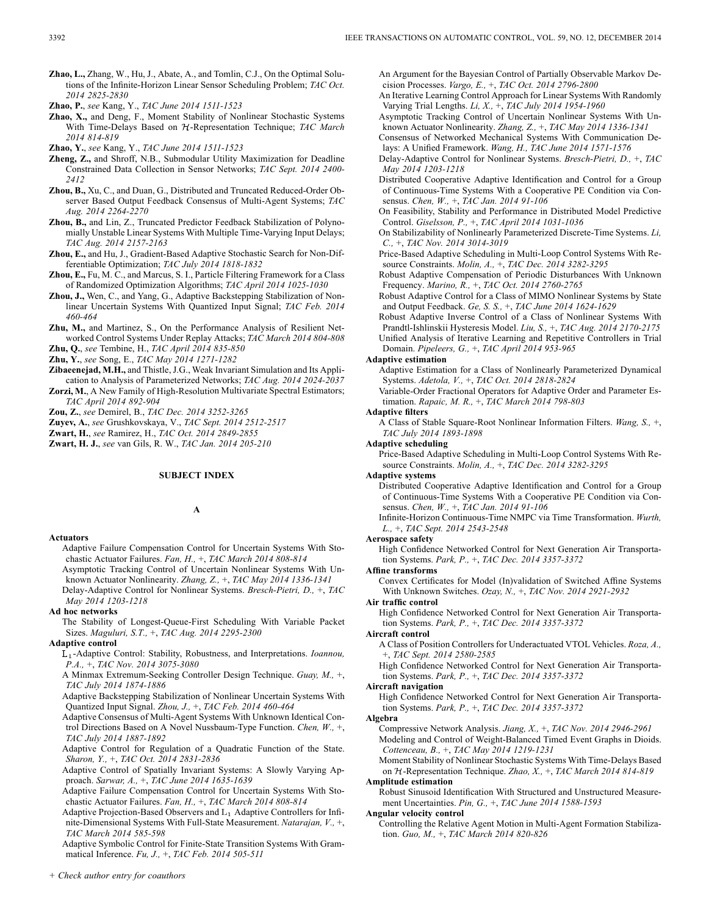**Zhao, L.,** Zhang, W., Hu, J., Abate, A., and Tomlin, C.J., On the Optimal Solutions of the Infinite-Horizon Linear Sensor Scheduling Problem; *TAC Oct. 2014 2825-2830*

- **Zhao, X.,** and Deng, F., Moment Stability of Nonlinear Stochastic Systems With Time-Delays Based on  $H$ -Representation Technique; *TAC March 2014 814-819*
- **Zhao, Y.**, *see* Kang, Y., *TAC June 2014 1511-1523*
- **Zheng, Z.,** and Shroff, N.B., Submodular Utility Maximization for Deadline Constrained Data Collection in Sensor Networks; *TAC Sept. 2014 2400- 2412*
- **Zhou, B.,** Xu, C., and Duan, G., Distributed and Truncated Reduced-Order Observer Based Output Feedback Consensus of Multi-Agent Systems; *TAC Aug. 2014 2264-2270*
- **Zhou, B.,** and Lin, Z., Truncated Predictor Feedback Stabilization of Polynomially Unstable Linear Systems With Multiple Time-Varying Input Delays; *TAC Aug. 2014 2157-2163*
- **Zhou, E.,** and Hu, J., Gradient-Based Adaptive Stochastic Search for Non-Differentiable Optimization; *TAC July 2014 1818-1832*
- **Zhou, E.,** Fu, M. C., and Marcus, S. I., Particle Filtering Framework for a Class of Randomized Optimization Algorithms; *TAC April 2014 1025-1030*
- **Zhou, J.,** Wen, C., and Yang, G., Adaptive Backstepping Stabilization of Nonlinear Uncertain Systems With Quantized Input Signal; *TAC Feb. 2014 460-464*
- **Zhu, M.,** and Martinez, S., On the Performance Analysis of Resilient Networked Control Systems Under Replay Attacks; *TAC March 2014 804-808*

**Zhu, Q.**, *see* Tembine, H., *TAC April 2014 835-850*

**Zhu, Y.**, *see* Song, E., *TAC May 2014 1271-1282*

- **Zibaeenejad, M.H.,** and Thistle, J.G., Weak Invariant Simulation and Its Application to Analysis of Parameterized Networks; *TAC Aug. 2014 2024-2037*
- **Zorzi, M.**, A New Family of High-Resolution Multivariate Spectral Estimators; *TAC April 2014 892-904*

**Zou, Z.**, *see* Demirel, B., *TAC Dec. 2014 3252-3265*

**Zuyev, A.**, *see* Grushkovskaya, V., *TAC Sept. 2014 2512-2517*

**Zwart, H.**, *see* Ramirez, H., *TAC Oct. 2014 2849-2855*

**Zwart, H. J.**, *see* van Gils, R. W., *TAC Jan. 2014 205-210*

## **SUBJECT INDEX**

## **A**

#### **Actuators**

- Adaptive Failure Compensation Control for Uncertain Systems With Stochastic Actuator Failures. *Fan, H.,* +, *TAC March 2014 808-814*
- Asymptotic Tracking Control of Uncertain Nonlinear Systems With Unknown Actuator Nonlinearity. *Zhang, Z.,* +, *TAC May 2014 1336-1341* Delay-Adaptive Control for Nonlinear Systems. *Bresch-Pietri, D.,* +, *TAC May 2014 1203-1218*

## **Ad hoc networks**

The Stability of Longest-Queue-First Scheduling With Variable Packet Sizes. *Maguluri, S.T.,* +, *TAC Aug. 2014 2295-2300*

## **Adaptive control**

- -Adaptive Control: Stability, Robustness, and Interpretations. *Ioannou, P.A.,* +, *TAC Nov. 2014 3075-3080*
- A Minmax Extremum-Seeking Controller Design Technique. *Guay, M.,* +, *TAC July 2014 1874-1886*

Adaptive Backstepping Stabilization of Nonlinear Uncertain Systems With Quantized Input Signal. *Zhou, J.,* +, *TAC Feb. 2014 460-464*

Adaptive Consensus of Multi-Agent Systems With Unknown Identical Control Directions Based on A Novel Nussbaum-Type Function. *Chen, W.,* +, *TAC July 2014 1887-1892*

Adaptive Control for Regulation of a Quadratic Function of the State. *Sharon, Y.,* +, *TAC Oct. 2014 2831-2836*

Adaptive Control of Spatially Invariant Systems: A Slowly Varying Approach. *Sarwar, A.,* +, *TAC June 2014 1635-1639*

Adaptive Failure Compensation Control for Uncertain Systems With Stochastic Actuator Failures. *Fan, H.,* +, *TAC March 2014 808-814*

Adaptive Projection-Based Observers and  $L_1$  Adaptive Controllers for Infinite-Dimensional Systems With Full-State Measurement. *Natarajan, V.,* +, *TAC March 2014 585-598*

Adaptive Symbolic Control for Finite-State Transition Systems With Grammatical Inference. *Fu, J.,* +, *TAC Feb. 2014 505-511*

*+ Check author entry for coauthors*

An Argument for the Bayesian Control of Partially Observable Markov Decision Processes. *Vargo, E.,* +, *TAC Oct. 2014 2796-2800*

- An Iterative Learning Control Approach for Linear Systems With Randomly Varying Trial Lengths. *Li, X.,* +, *TAC July 2014 1954-1960*
- Asymptotic Tracking Control of Uncertain Nonlinear Systems With Unknown Actuator Nonlinearity. *Zhang, Z.,* +, *TAC May 2014 1336-1341*

Consensus of Networked Mechanical Systems With Communication Delays: A Unified Framework. *Wang, H., TAC June 2014 1571-1576*

Delay-Adaptive Control for Nonlinear Systems. *Bresch-Pietri, D.,* +, *TAC May 2014 1203-1218*

Distributed Cooperative Adaptive Identification and Control for a Group of Continuous-Time Systems With a Cooperative PE Condition via Consensus. *Chen, W.,* +, *TAC Jan. 2014 91-106*

On Feasibility, Stability and Performance in Distributed Model Predictive Control. *Giselsson, P.,* +, *TAC April 2014 1031-1036*

On Stabilizability of Nonlinearly Parameterized Discrete-Time Systems. *Li, C.,* +, *TAC Nov. 2014 3014-3019*

Price-Based Adaptive Scheduling in Multi-Loop Control Systems With Resource Constraints. *Molin, A.,* +, *TAC Dec. 2014 3282-3295*

Robust Adaptive Compensation of Periodic Disturbances With Unknown Frequency. *Marino, R.,* +, *TAC Oct. 2014 2760-2765*

Robust Adaptive Control for a Class of MIMO Nonlinear Systems by State and Output Feedback. *Ge, S. S.,* +, *TAC June 2014 1624-1629*

Robust Adaptive Inverse Control of a Class of Nonlinear Systems With Prandtl-Ishlinskii Hysteresis Model. *Liu, S.,* +, *TAC Aug. 2014 2170-2175* Unified Analysis of Iterative Learning and Repetitive Controllers in Trial

Domain. *Pipeleers, G.,* +, *TAC April 2014 953-965*

## **Adaptive estimation**

Adaptive Estimation for a Class of Nonlinearly Parameterized Dynamical Systems. *Adetola, V.,* +, *TAC Oct. 2014 2818-2824*

Variable-Order Fractional Operators for Adaptive Order and Parameter Estimation. *Rapaic, M. R.,* +, *TAC March 2014 798-803*

#### **Adaptive filters**

A Class of Stable Square-Root Nonlinear Information Filters. *Wang, S.,* +, *TAC July 2014 1893-1898*

#### **Adaptive scheduling**

Price-Based Adaptive Scheduling in Multi-Loop Control Systems With Resource Constraints. *Molin, A.,* +, *TAC Dec. 2014 3282-3295*

#### **Adaptive systems**

Distributed Cooperative Adaptive Identification and Control for a Group of Continuous-Time Systems With a Cooperative PE Condition via Consensus. *Chen, W.,* +, *TAC Jan. 2014 91-106*

Infinite-Horizon Continuous-Time NMPC via Time Transformation. *Wurth, L.,* +, *TAC Sept. 2014 2543-2548*

#### **Aerospace safety**

High Confidence Networked Control for Next Generation Air Transportation Systems. *Park, P.,* +, *TAC Dec. 2014 3357-3372*

#### **Affine transforms**

Convex Certificates for Model (In)validation of Switched Affine Systems With Unknown Switches. *Ozay, N.,* +, *TAC Nov. 2014 2921-2932*

#### **Air traffic control**

High Confidence Networked Control for Next Generation Air Transportation Systems. *Park, P.,* +, *TAC Dec. 2014 3357-3372*

## **Aircraft control**

A Class of Position Controllers for Underactuated VTOL Vehicles. *Roza, A.,* +, *TAC Sept. 2014 2580-2585*

High Confidence Networked Control for Next Generation Air Transportation Systems. *Park, P.,* +, *TAC Dec. 2014 3357-3372*

#### **Aircraft navigation**

High Confidence Networked Control for Next Generation Air Transportation Systems. *Park, P.,* +, *TAC Dec. 2014 3357-3372*

#### **Algebra**

Compressive Network Analysis. *Jiang, X.,* +, *TAC Nov. 2014 2946-2961* Modeling and Control of Weight-Balanced Timed Event Graphs in Dioids. *Cottenceau, B.,* +, *TAC May 2014 1219-1231*

Moment Stability of Nonlinear Stochastic Systems With Time-Delays Based on  $H$ -Representation Technique. *Zhao, X.*, +, *TAC March 2014 814-819* 

## **Amplitude estimation**

Robust Sinusoid Identification With Structured and Unstructured Measurement Uncertainties. *Pin, G.,* +, *TAC June 2014 1588-1593*

## **Angular velocity control**

Controlling the Relative Agent Motion in Multi-Agent Formation Stabilization. *Guo, M.,* +, *TAC March 2014 820-826*

**Zhao, P.**, *see* Kang, Y., *TAC June 2014 1511-1523*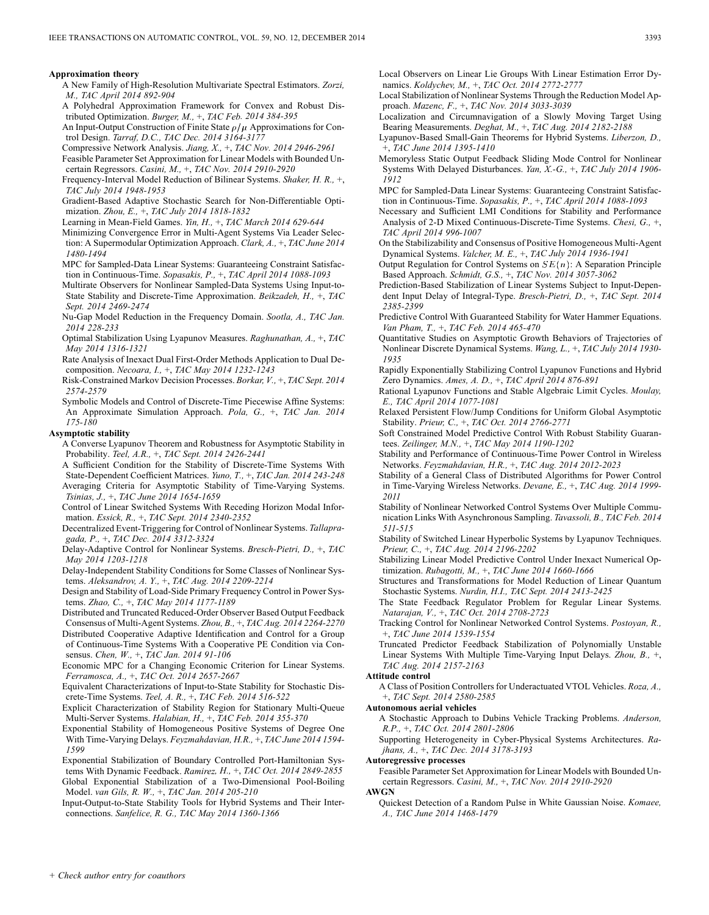#### **Approximation theory**

- A New Family of High-Resolution Multivariate Spectral Estimators. *Zorzi, M., TAC April 2014 892-904*
- A Polyhedral Approximation Framework for Convex and Robust Distributed Optimization. *Burger, M.,* +, *TAC Feb. 2014 384-395*
- An Input-Output Construction of Finite State  $\rho/\mu$  Approximations for Control Design. *Tarraf, D.C., TAC Dec. 2014 3164-3177*
- Compressive Network Analysis. *Jiang, X.,* +, *TAC Nov. 2014 2946-2961* Feasible Parameter Set Approximation for Linear Models with Bounded Un-
- certain Regressors. *Casini, M.,* +, *TAC Nov. 2014 2910-2920* Frequency-Interval Model Reduction of Bilinear Systems. *Shaker, H. R.,* +, *TAC July 2014 1948-1953*
- Gradient-Based Adaptive Stochastic Search for Non-Differentiable Optimization. *Zhou, E.,* +, *TAC July 2014 1818-1832*
- Learning in Mean-Field Games. *Yin, H.,* +, *TAC March 2014 629-644*
- Minimizing Convergence Error in Multi-Agent Systems Via Leader Selection: A Supermodular Optimization Approach. *Clark, A.,* +, *TAC June 2014 1480-1494*
- MPC for Sampled-Data Linear Systems: Guaranteeing Constraint Satisfaction in Continuous-Time. *Sopasakis, P.,* +, *TAC April 2014 1088-1093*
- Multirate Observers for Nonlinear Sampled-Data Systems Using Input-to-State Stability and Discrete-Time Approximation. *Beikzadeh, H.,* +, *TAC Sept. 2014 2469-2474*
- Nu-Gap Model Reduction in the Frequency Domain. *Sootla, A., TAC Jan. 2014 228-233*
- Optimal Stabilization Using Lyapunov Measures. *Raghunathan, A.,* +, *TAC May 2014 1316-1321*
- Rate Analysis of Inexact Dual First-Order Methods Application to Dual Decomposition. *Necoara, I.,* +, *TAC May 2014 1232-1243*
- Risk-Constrained Markov Decision Processes. *Borkar, V.,* +, *TAC Sept. 2014 2574-2579*
- Symbolic Models and Control of Discrete-Time Piecewise Affine Systems: An Approximate Simulation Approach. *Pola, G.,* +, *TAC Jan. 2014 175-180*

#### **Asymptotic stability**

A Converse Lyapunov Theorem and Robustness for Asymptotic Stability in Probability. *Teel, A.R.,* +, *TAC Sept. 2014 2426-2441*

A Sufficient Condition for the Stability of Discrete-Time Systems With State-Dependent Coefficient Matrices. *Yuno, T.,* +, *TAC Jan. 2014 243-248* Averaging Criteria for Asymptotic Stability of Time-Varying Systems. *Tsinias, J.,* +, *TAC June 2014 1654-1659*

Control of Linear Switched Systems With Receding Horizon Modal Information. *Essick, R.,* +, *TAC Sept. 2014 2340-2352*

Decentralized Event-Triggering for Control of Nonlinear Systems. *Tallapragada, P.,* +, *TAC Dec. 2014 3312-3324*

Delay-Adaptive Control for Nonlinear Systems. *Bresch-Pietri, D.,* +, *TAC May 2014 1203-1218*

Delay-Independent Stability Conditions for Some Classes of Nonlinear Systems. *Aleksandrov, A. Y.,* +, *TAC Aug. 2014 2209-2214*

Design and Stability of Load-Side Primary Frequency Control in Power Systems. *Zhao, C.,* +, *TAC May 2014 1177-1189*

Distributed and Truncated Reduced-Order Observer Based Output Feedback Consensus of Multi-Agent Systems. *Zhou, B.,* +, *TAC Aug. 2014 2264-2270*

Distributed Cooperative Adaptive Identification and Control for a Group of Continuous-Time Systems With a Cooperative PE Condition via Consensus. *Chen, W.,* +, *TAC Jan. 2014 91-106*

Economic MPC for a Changing Economic Criterion for Linear Systems. *Ferramosca, A.,* +, *TAC Oct. 2014 2657-2667*

Equivalent Characterizations of Input-to-State Stability for Stochastic Discrete-Time Systems. *Teel, A. R.,* +, *TAC Feb. 2014 516-522*

Explicit Characterization of Stability Region for Stationary Multi-Queue Multi-Server Systems. *Halabian, H.,* +, *TAC Feb. 2014 355-370*

Exponential Stability of Homogeneous Positive Systems of Degree One With Time-Varying Delays. *Feyzmahdavian, H.R.,* +, *TAC June 2014 1594- 1599*

Exponential Stabilization of Boundary Controlled Port-Hamiltonian Systems With Dynamic Feedback. *Ramirez, H.,* +, *TAC Oct. 2014 2849-2855* Global Exponential Stabilization of a Two-Dimensional Pool-Boiling Model. *van Gils, R. W.,* +, *TAC Jan. 2014 205-210*

Input-Output-to-State Stability Tools for Hybrid Systems and Their Interconnections. *Sanfelice, R. G., TAC May 2014 1360-1366*

Local Observers on Linear Lie Groups With Linear Estimation Error Dynamics. *Koldychev, M.,* +, *TAC Oct. 2014 2772-2777*

Local Stabilization of Nonlinear Systems Through the Reduction Model Approach. *Mazenc, F.,* +, *TAC Nov. 2014 3033-3039*

- Localization and Circumnavigation of a Slowly Moving Target Using Bearing Measurements. *Deghat, M.,* +, *TAC Aug. 2014 2182-2188*
- Lyapunov-Based Small-Gain Theorems for Hybrid Systems. *Liberzon, D.,* +, *TAC June 2014 1395-1410*
- Memoryless Static Output Feedback Sliding Mode Control for Nonlinear Systems With Delayed Disturbances. *Yan, X.-G.,* +, *TAC July 2014 1906- 1912*
- MPC for Sampled-Data Linear Systems: Guaranteeing Constraint Satisfaction in Continuous-Time. *Sopasakis, P.,* +, *TAC April 2014 1088-1093*
- Necessary and Sufficient LMI Conditions for Stability and Performance Analysis of 2-D Mixed Continuous-Discrete-Time Systems. *Chesi, G.,* +, *TAC April 2014 996-1007*
- On the Stabilizability and Consensus of Positive Homogeneous Multi-Agent Dynamical Systems. *Valcher, M. E.,* +, *TAC July 2014 1936-1941*
- Output Regulation for Control Systems on  $SE(n)$ : A Separation Principle Based Approach. *Schmidt, G.S.,* +, *TAC Nov. 2014 3057-3062*
- Prediction-Based Stabilization of Linear Systems Subject to Input-Dependent Input Delay of Integral-Type. *Bresch-Pietri, D.,* +, *TAC Sept. 2014 2385-2399*
- Predictive Control With Guaranteed Stability for Water Hammer Equations. *Van Pham, T.,* +, *TAC Feb. 2014 465-470*
- Quantitative Studies on Asymptotic Growth Behaviors of Trajectories of Nonlinear Discrete Dynamical Systems. *Wang, L.,* +, *TAC July 2014 1930- 1935*
- Rapidly Exponentially Stabilizing Control Lyapunov Functions and Hybrid Zero Dynamics. *Ames, A. D.,* +, *TAC April 2014 876-891*
- Rational Lyapunov Functions and Stable Algebraic Limit Cycles. *Moulay, E., TAC April 2014 1077-1081*
- Relaxed Persistent Flow/Jump Conditions for Uniform Global Asymptotic Stability. *Prieur, C.,* +, *TAC Oct. 2014 2766-2771*
- Soft Constrained Model Predictive Control With Robust Stability Guarantees. *Zeilinger, M.N.,* +, *TAC May 2014 1190-1202*
- Stability and Performance of Continuous-Time Power Control in Wireless Networks. *Feyzmahdavian, H.R.,* +, *TAC Aug. 2014 2012-2023*
- Stability of a General Class of Distributed Algorithms for Power Control in Time-Varying Wireless Networks. *Devane, E.,* +, *TAC Aug. 2014 1999- 2011*
- Stability of Nonlinear Networked Control Systems Over Multiple Communication Links With Asynchronous Sampling. *Tavassoli, B., TAC Feb. 2014 511-515*
- Stability of Switched Linear Hyperbolic Systems by Lyapunov Techniques. *Prieur, C.,* +, *TAC Aug. 2014 2196-2202*
- Stabilizing Linear Model Predictive Control Under Inexact Numerical Optimization. *Rubagotti, M.,* +, *TAC June 2014 1660-1666*
- Structures and Transformations for Model Reduction of Linear Quantum Stochastic Systems. *Nurdin, H.I., TAC Sept. 2014 2413-2425*
- The State Feedback Regulator Problem for Regular Linear Systems. *Natarajan, V.,* +, *TAC Oct. 2014 2708-2723*

Tracking Control for Nonlinear Networked Control Systems. *Postoyan, R.,* +, *TAC June 2014 1539-1554*

Truncated Predictor Feedback Stabilization of Polynomially Unstable Linear Systems With Multiple Time-Varying Input Delays. *Zhou, B.,* +, *TAC Aug. 2014 2157-2163*

#### **Attitude control**

A Class of Position Controllers for Underactuated VTOL Vehicles. *Roza, A.,* +, *TAC Sept. 2014 2580-2585*

## **Autonomous aerial vehicles**

A Stochastic Approach to Dubins Vehicle Tracking Problems. *Anderson, R.P.,* +, *TAC Oct. 2014 2801-2806*

Supporting Heterogeneity in Cyber-Physical Systems Architectures. *Rajhans, A.,* +, *TAC Dec. 2014 3178-3193*

## **Autoregressive processes**

Feasible Parameter Set Approximation for Linear Models with Bounded Uncertain Regressors. *Casini, M.,* +, *TAC Nov. 2014 2910-2920*

## **AWGN**

Quickest Detection of a Random Pulse in White Gaussian Noise. *Komaee, A., TAC June 2014 1468-1479*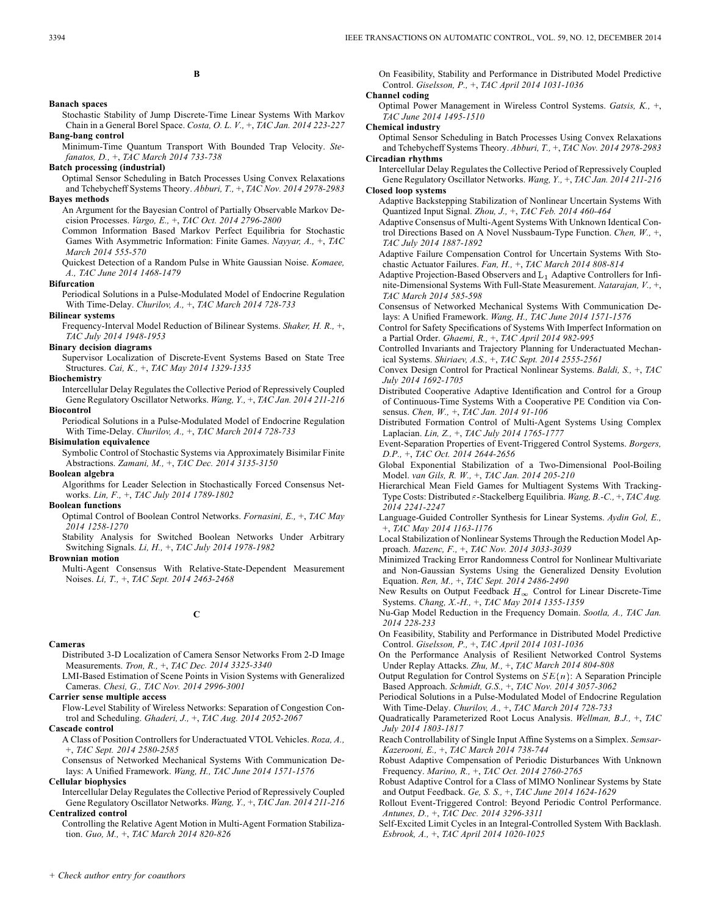#### **Banach spaces**

Stochastic Stability of Jump Discrete-Time Linear Systems With Markov Chain in a General Borel Space. *Costa, O. L. V.,* +, *TAC Jan. 2014 223-227* **Bang-bang control**

Minimum-Time Quantum Transport With Bounded Trap Velocity. *Stefanatos, D.,* +, *TAC March 2014 733-738*

#### **Batch processing (industrial)**

Optimal Sensor Scheduling in Batch Processes Using Convex Relaxations and Tchebycheff Systems Theory. *Abburi, T.,* +, *TAC Nov. 2014 2978-2983* **Bayes methods**

An Argument for the Bayesian Control of Partially Observable Markov Decision Processes. *Vargo, E.,* +, *TAC Oct. 2014 2796-2800*

Common Information Based Markov Perfect Equilibria for Stochastic Games With Asymmetric Information: Finite Games. *Nayyar, A.,* +, *TAC March 2014 555-570*

Quickest Detection of a Random Pulse in White Gaussian Noise. *Komaee, A., TAC June 2014 1468-1479*

#### **Bifurcation**

Periodical Solutions in a Pulse-Modulated Model of Endocrine Regulation With Time-Delay. *Churilov, A.,* +, *TAC March 2014 728-733*

#### **Bilinear systems**

Frequency-Interval Model Reduction of Bilinear Systems. *Shaker, H. R.,* +, *TAC July 2014 1948-1953*

## **Binary decision diagrams**

Supervisor Localization of Discrete-Event Systems Based on State Tree Structures. *Cai, K.,* +, *TAC May 2014 1329-1335*

**Biochemistry**

Intercellular Delay Regulates the Collective Period of Repressively Coupled Gene Regulatory Oscillator Networks. *Wang, Y.,* +, *TAC Jan. 2014 211-216* **Biocontrol**

Periodical Solutions in a Pulse-Modulated Model of Endocrine Regulation With Time-Delay. *Churilov, A.,* +, *TAC March 2014 728-733*

#### **Bisimulation equivalence**

Symbolic Control of Stochastic Systems via Approximately Bisimilar Finite Abstractions. *Zamani, M.,* +, *TAC Dec. 2014 3135-3150*

**Boolean algebra**

Algorithms for Leader Selection in Stochastically Forced Consensus Networks. *Lin, F.,* +, *TAC July 2014 1789-1802*

#### **Boolean functions**

Optimal Control of Boolean Control Networks. *Fornasini, E.,* +, *TAC May 2014 1258-1270*

Stability Analysis for Switched Boolean Networks Under Arbitrary Switching Signals. *Li, H.,* +, *TAC July 2014 1978-1982*

## **Brownian motion**

Multi-Agent Consensus With Relative-State-Dependent Measurement Noises. *Li, T.,* +, *TAC Sept. 2014 2463-2468*

## **C**

#### **Cameras**

Distributed 3-D Localization of Camera Sensor Networks From 2-D Image Measurements. *Tron, R.,* +, *TAC Dec. 2014 3325-3340*

LMI-Based Estimation of Scene Points in Vision Systems with Generalized Cameras. *Chesi, G., TAC Nov. 2014 2996-3001*

## **Carrier sense multiple access**

Flow-Level Stability of Wireless Networks: Separation of Congestion Control and Scheduling. *Ghaderi, J.,* +, *TAC Aug. 2014 2052-2067*

## **Cascade control**

A Class of Position Controllers for Underactuated VTOL Vehicles. *Roza, A.,* +, *TAC Sept. 2014 2580-2585*

Consensus of Networked Mechanical Systems With Communication Delays: A Unified Framework. *Wang, H., TAC June 2014 1571-1576*

#### **Cellular biophysics**

Intercellular Delay Regulates the Collective Period of Repressively Coupled Gene Regulatory Oscillator Networks. *Wang, Y.,* +, *TAC Jan. 2014 211-216* **Centralized control**

Controlling the Relative Agent Motion in Multi-Agent Formation Stabilization. *Guo, M.,* +, *TAC March 2014 820-826*

On Feasibility, Stability and Performance in Distributed Model Predictive Control. *Giselsson, P.,* +, *TAC April 2014 1031-1036*

#### **Channel coding**

Optimal Power Management in Wireless Control Systems. *Gatsis, K.,* +, *TAC June 2014 1495-1510*

#### **Chemical industry**

Optimal Sensor Scheduling in Batch Processes Using Convex Relaxations and Tchebycheff Systems Theory. *Abburi, T.,* +, *TAC Nov. 2014 2978-2983* **Circadian rhythms**

Intercellular Delay Regulates the Collective Period of Repressively Coupled Gene Regulatory Oscillator Networks. *Wang, Y.,* +, *TAC Jan. 2014 211-216*

#### **Closed loop systems**

Adaptive Backstepping Stabilization of Nonlinear Uncertain Systems With Quantized Input Signal. *Zhou, J.,* +, *TAC Feb. 2014 460-464*

Adaptive Consensus of Multi-Agent Systems With Unknown Identical Control Directions Based on A Novel Nussbaum-Type Function. *Chen, W.,* +, *TAC July 2014 1887-1892*

Adaptive Failure Compensation Control for Uncertain Systems With Stochastic Actuator Failures. *Fan, H.,* +, *TAC March 2014 808-814*

Adaptive Projection-Based Observers and  $L_1$  Adaptive Controllers for Infinite-Dimensional Systems With Full-State Measurement. *Natarajan, V.,* +, *TAC March 2014 585-598*

Consensus of Networked Mechanical Systems With Communication Delays: A Unified Framework. *Wang, H., TAC June 2014 1571-1576*

Control for Safety Specifications of Systems With Imperfect Information on a Partial Order. *Ghaemi, R.,* +, *TAC April 2014 982-995*

Controlled Invariants and Trajectory Planning for Underactuated Mechanical Systems. *Shiriaev, A.S.,* +, *TAC Sept. 2014 2555-2561*

Convex Design Control for Practical Nonlinear Systems. *Baldi, S.,* +, *TAC July 2014 1692-1705*

Distributed Cooperative Adaptive Identification and Control for a Group of Continuous-Time Systems With a Cooperative PE Condition via Consensus. *Chen, W.,* +, *TAC Jan. 2014 91-106*

Distributed Formation Control of Multi-Agent Systems Using Complex Laplacian. *Lin, Z.,* +, *TAC July 2014 1765-1777*

Event-Separation Properties of Event-Triggered Control Systems. *Borgers, D.P.,* +, *TAC Oct. 2014 2644-2656*

Global Exponential Stabilization of a Two-Dimensional Pool-Boiling Model. *van Gils, R. W.,* +, *TAC Jan. 2014 205-210*

Hierarchical Mean Field Games for Multiagent Systems With Tracking-Type Costs: Distributed  $\varepsilon$ -Stackelberg Equilibria. *Wang, B.-C., +, TAC Aug. 2014 2241-2247*

Language-Guided Controller Synthesis for Linear Systems. *Aydin Gol, E.,* +, *TAC May 2014 1163-1176*

Local Stabilization of Nonlinear Systems Through the Reduction Model Approach. *Mazenc, F.,* +, *TAC Nov. 2014 3033-3039*

Minimized Tracking Error Randomness Control for Nonlinear Multivariate and Non-Gaussian Systems Using the Generalized Density Evolution Equation. *Ren, M.,* +, *TAC Sept. 2014 2486-2490*

New Results on Output Feedback  $H_{\infty}$  Control for Linear Discrete-Time Systems. *Chang, X.-H.,* +, *TAC May 2014 1355-1359*

Nu-Gap Model Reduction in the Frequency Domain. *Sootla, A., TAC Jan. 2014 228-233*

On Feasibility, Stability and Performance in Distributed Model Predictive Control. *Giselsson, P.,* +, *TAC April 2014 1031-1036*

On the Performance Analysis of Resilient Networked Control Systems Under Replay Attacks. *Zhu, M.,* +, *TAC March 2014 804-808*

Output Regulation for Control Systems on  $SE(n)$ : A Separation Principle Based Approach. *Schmidt, G.S.,* +, *TAC Nov. 2014 3057-3062*

Periodical Solutions in a Pulse-Modulated Model of Endocrine Regulation With Time-Delay. *Churilov, A.,* +, *TAC March 2014 728-733*

Quadratically Parameterized Root Locus Analysis. *Wellman, B.J.,* +, *TAC July 2014 1803-1817*

Reach Controllability of Single Input Affine Systems on a Simplex. *Semsar-Kazerooni, E.,* +, *TAC March 2014 738-744*

Robust Adaptive Compensation of Periodic Disturbances With Unknown Frequency. *Marino, R.,* +, *TAC Oct. 2014 2760-2765*

Robust Adaptive Control for a Class of MIMO Nonlinear Systems by State and Output Feedback. *Ge, S. S.,* +, *TAC June 2014 1624-1629*

Rollout Event-Triggered Control: Beyond Periodic Control Performance. *Antunes, D.,* +, *TAC Dec. 2014 3296-3311*

Self-Excited Limit Cycles in an Integral-Controlled System With Backlash. *Esbrook, A.,* +, *TAC April 2014 1020-1025*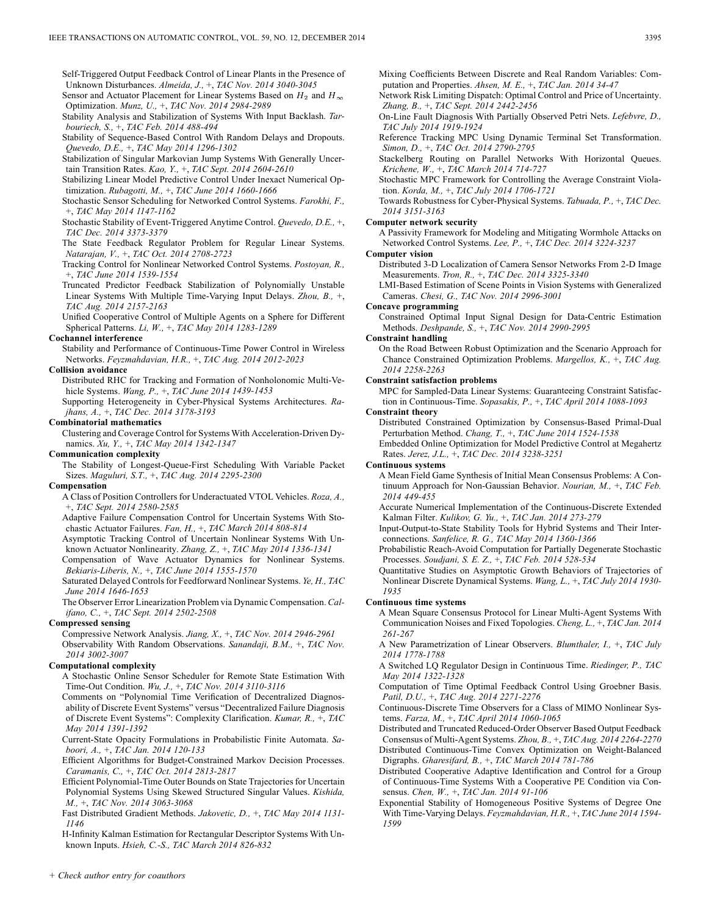Self-Triggered Output Feedback Control of Linear Plants in the Presence of Unknown Disturbances. *Almeida, J.,* +, *TAC Nov. 2014 3040-3045*

Sensor and Actuator Placement for Linear Systems Based on  $H_2$  and  $H_{\infty}$ Optimization. *Munz, U.,* +, *TAC Nov. 2014 2984-2989*

Stability Analysis and Stabilization of Systems With Input Backlash. *Tarbouriech, S.,* +, *TAC Feb. 2014 488-494*

Stability of Sequence-Based Control With Random Delays and Dropouts. *Quevedo, D.E.,* +, *TAC May 2014 1296-1302*

Stabilization of Singular Markovian Jump Systems With Generally Uncertain Transition Rates. *Kao, Y.,* +, *TAC Sept. 2014 2604-2610*

Stabilizing Linear Model Predictive Control Under Inexact Numerical Optimization. *Rubagotti, M.,* +, *TAC June 2014 1660-1666*

Stochastic Sensor Scheduling for Networked Control Systems. *Farokhi, F.,* +, *TAC May 2014 1147-1162*

Stochastic Stability of Event-Triggered Anytime Control. *Quevedo, D.E.,* +, *TAC Dec. 2014 3373-3379*

The State Feedback Regulator Problem for Regular Linear Systems. *Natarajan, V.,* +, *TAC Oct. 2014 2708-2723*

Tracking Control for Nonlinear Networked Control Systems. *Postoyan, R.,* +, *TAC June 2014 1539-1554*

Truncated Predictor Feedback Stabilization of Polynomially Unstable Linear Systems With Multiple Time-Varying Input Delays. *Zhou, B.,* +, *TAC Aug. 2014 2157-2163*

Unified Cooperative Control of Multiple Agents on a Sphere for Different Spherical Patterns. *Li, W.,* +, *TAC May 2014 1283-1289*

#### **Cochannel interference**

Stability and Performance of Continuous-Time Power Control in Wireless Networks. *Feyzmahdavian, H.R.,* +, *TAC Aug. 2014 2012-2023*

## **Collision avoidance**

Distributed RHC for Tracking and Formation of Nonholonomic Multi-Vehicle Systems. *Wang, P.,* +, *TAC June 2014 1439-1453*

Supporting Heterogeneity in Cyber-Physical Systems Architectures. *Rajhans, A.,* +, *TAC Dec. 2014 3178-3193*

### **Combinatorial mathematics**

Clustering and Coverage Control for Systems With Acceleration-Driven Dynamics. *Xu, Y.,* +, *TAC May 2014 1342-1347*

## **Communication complexity**

The Stability of Longest-Queue-First Scheduling With Variable Packet Sizes. *Maguluri, S.T.,* +, *TAC Aug. 2014 2295-2300*

#### **Compensation**

A Class of Position Controllers for Underactuated VTOL Vehicles. *Roza, A.,* +, *TAC Sept. 2014 2580-2585*

Adaptive Failure Compensation Control for Uncertain Systems With Stochastic Actuator Failures. *Fan, H.,* +, *TAC March 2014 808-814*

Asymptotic Tracking Control of Uncertain Nonlinear Systems With Unknown Actuator Nonlinearity. *Zhang, Z.,* +, *TAC May 2014 1336-1341*

Compensation of Wave Actuator Dynamics for Nonlinear Systems. *Bekiaris-Liberis, N.,* +, *TAC June 2014 1555-1570*

Saturated Delayed Controls for Feedforward Nonlinear Systems. *Ye, H., TAC June 2014 1646-1653*

The Observer Error Linearization Problem via Dynamic Compensation. *Califano, C.,* +, *TAC Sept. 2014 2502-2508*

#### **Compressed sensing**

Compressive Network Analysis. *Jiang, X.,* +, *TAC Nov. 2014 2946-2961* Observability With Random Observations. *Sanandaji, B.M.,* +, *TAC Nov. 2014 3002-3007*

#### **Computational complexity**

A Stochastic Online Sensor Scheduler for Remote State Estimation With Time-Out Condition. *Wu, J.,* +, *TAC Nov. 2014 3110-3116*

Comments on "Polynomial Time Verification of Decentralized Diagnosability of Discrete Event Systems" versus "Decentralized Failure Diagnosis of Discrete Event Systems": Complexity Clarification. *Kumar, R.,* +, *TAC May 2014 1391-1392*

Current-State Opacity Formulations in Probabilistic Finite Automata. *Saboori, A.,* +, *TAC Jan. 2014 120-133*

Efficient Algorithms for Budget-Constrained Markov Decision Processes. *Caramanis, C.,* +, *TAC Oct. 2014 2813-2817*

Efficient Polynomial-Time Outer Bounds on State Trajectories for Uncertain Polynomial Systems Using Skewed Structured Singular Values. *Kishida, M.,* +, *TAC Nov. 2014 3063-3068*

Fast Distributed Gradient Methods. *Jakovetic, D.,* +, *TAC May 2014 1131- 1146*

H-Infinity Kalman Estimation for Rectangular Descriptor Systems With Unknown Inputs. *Hsieh, C.-S., TAC March 2014 826-832*

Mixing Coefficients Between Discrete and Real Random Variables: Computation and Properties. *Ahsen, M. E.,* +, *TAC Jan. 2014 34-47*

Network Risk Limiting Dispatch: Optimal Control and Price of Uncertainty. *Zhang, B.,* +, *TAC Sept. 2014 2442-2456*

On-Line Fault Diagnosis With Partially Observed Petri Nets. *Lefebvre, D., TAC July 2014 1919-1924*

Reference Tracking MPC Using Dynamic Terminal Set Transformation. *Simon, D.,* +, *TAC Oct. 2014 2790-2795*

Stackelberg Routing on Parallel Networks With Horizontal Queues. *Krichene, W.,* +, *TAC March 2014 714-727*

Stochastic MPC Framework for Controlling the Average Constraint Violation. *Korda, M.,* +, *TAC July 2014 1706-1721*

Towards Robustness for Cyber-Physical Systems. *Tabuada, P.,* +, *TAC Dec. 2014 3151-3163*

#### **Computer network security**

A Passivity Framework for Modeling and Mitigating Wormhole Attacks on Networked Control Systems. *Lee, P.,* +, *TAC Dec. 2014 3224-3237*

## **Computer vision**

Distributed 3-D Localization of Camera Sensor Networks From 2-D Image Measurements. *Tron, R.,* +, *TAC Dec. 2014 3325-3340*

LMI-Based Estimation of Scene Points in Vision Systems with Generalized Cameras. *Chesi, G., TAC Nov. 2014 2996-3001*

#### **Concave programming**

Constrained Optimal Input Signal Design for Data-Centric Estimation Methods. *Deshpande, S.,* +, *TAC Nov. 2014 2990-2995*

#### **Constraint handling**

On the Road Between Robust Optimization and the Scenario Approach for Chance Constrained Optimization Problems. *Margellos, K.,* +, *TAC Aug. 2014 2258-2263*

#### **Constraint satisfaction problems**

MPC for Sampled-Data Linear Systems: Guaranteeing Constraint Satisfaction in Continuous-Time. *Sopasakis, P.,* +, *TAC April 2014 1088-1093*

**Constraint theory**

Distributed Constrained Optimization by Consensus-Based Primal-Dual Perturbation Method. *Chang, T.,* +, *TAC June 2014 1524-1538*

Embedded Online Optimization for Model Predictive Control at Megahertz Rates. *Jerez, J.L.,* +, *TAC Dec. 2014 3238-3251*

#### **Continuous systems**

A Mean Field Game Synthesis of Initial Mean Consensus Problems: A Continuum Approach for Non-Gaussian Behavior. *Nourian, M.,* +, *TAC Feb. 2014 449-455*

Accurate Numerical Implementation of the Continuous-Discrete Extended Kalman Filter. *Kulikov, G. Yu.,* +, *TAC Jan. 2014 273-279*

Input-Output-to-State Stability Tools for Hybrid Systems and Their Interconnections. *Sanfelice, R. G., TAC May 2014 1360-1366*

Probabilistic Reach-Avoid Computation for Partially Degenerate Stochastic Processes. *Soudjani, S. E. Z.,* +, *TAC Feb. 2014 528-534*

Quantitative Studies on Asymptotic Growth Behaviors of Trajectories of Nonlinear Discrete Dynamical Systems. *Wang, L.,* +, *TAC July 2014 1930- 1935*

#### **Continuous time systems**

A Mean Square Consensus Protocol for Linear Multi-Agent Systems With Communication Noises and Fixed Topologies. *Cheng, L.,* +, *TAC Jan. 2014 261-267*

A New Parametrization of Linear Observers. *Blumthaler, I.,* +, *TAC July 2014 1778-1788*

A Switched LQ Regulator Design in Continuous Time. *Riedinger, P., TAC May 2014 1322-1328*

Computation of Time Optimal Feedback Control Using Groebner Basis. *Patil, D.U.,* +, *TAC Aug. 2014 2271-2276*

Continuous-Discrete Time Observers for a Class of MIMO Nonlinear Systems. *Farza, M.,* +, *TAC April 2014 1060-1065*

Distributed and Truncated Reduced-Order Observer Based Output Feedback Consensus of Multi-Agent Systems. *Zhou, B.,* +, *TAC Aug. 2014 2264-2270* Distributed Continuous-Time Convex Optimization on Weight-Balanced Digraphs. *Gharesifard, B.,* +, *TAC March 2014 781-786*

Distributed Cooperative Adaptive Identification and Control for a Group of Continuous-Time Systems With a Cooperative PE Condition via Consensus. *Chen, W.,* +, *TAC Jan. 2014 91-106*

Exponential Stability of Homogeneous Positive Systems of Degree One With Time-Varying Delays. *Feyzmahdavian, H.R.,* +, *TAC June 2014 1594- 1599*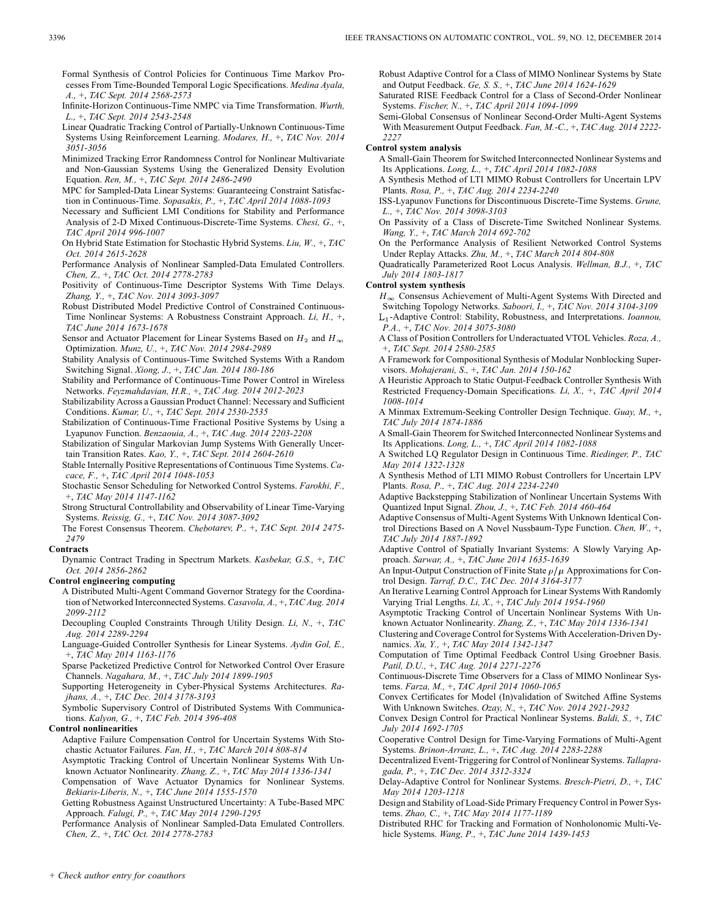- Formal Synthesis of Control Policies for Continuous Time Markov Processes From Time-Bounded Temporal Logic Specifications. *Medina Ayala, A.,* +, *TAC Sept. 2014 2568-2573*
- Infinite-Horizon Continuous-Time NMPC via Time Transformation. *Wurth, L.,* +, *TAC Sept. 2014 2543-2548*
- Linear Quadratic Tracking Control of Partially-Unknown Continuous-Time Systems Using Reinforcement Learning. *Modares, H.,* +, *TAC Nov. 2014 3051-3056*
- Minimized Tracking Error Randomness Control for Nonlinear Multivariate and Non-Gaussian Systems Using the Generalized Density Evolution Equation. *Ren, M.,* +, *TAC Sept. 2014 2486-2490*
- MPC for Sampled-Data Linear Systems: Guaranteeing Constraint Satisfaction in Continuous-Time. *Sopasakis, P.,* +, *TAC April 2014 1088-1093*
- Necessary and Sufficient LMI Conditions for Stability and Performance Analysis of 2-D Mixed Continuous-Discrete-Time Systems. *Chesi, G.,* +, *TAC April 2014 996-1007*
- On Hybrid State Estimation for Stochastic Hybrid Systems. *Liu, W.,* +, *TAC Oct. 2014 2615-2628*
- Performance Analysis of Nonlinear Sampled-Data Emulated Controllers. *Chen, Z.,* +, *TAC Oct. 2014 2778-2783*
- Positivity of Continuous-Time Descriptor Systems With Time Delays. *Zhang, Y.,* +, *TAC Nov. 2014 3093-3097*
- Robust Distributed Model Predictive Control of Constrained Continuous-Time Nonlinear Systems: A Robustness Constraint Approach. *Li, H.,* +, *TAC June 2014 1673-1678*
- Sensor and Actuator Placement for Linear Systems Based on  $H_2$  and  $H_{\infty}$ Optimization. *Munz, U.,* +, *TAC Nov. 2014 2984-2989*
- Stability Analysis of Continuous-Time Switched Systems With a Random Switching Signal. *Xiong, J.,* +, *TAC Jan. 2014 180-186*
- Stability and Performance of Continuous-Time Power Control in Wireless Networks. *Feyzmahdavian, H.R.,* +, *TAC Aug. 2014 2012-2023*
- Stabilizability Across a Gaussian Product Channel: Necessary and Sufficient Conditions. *Kumar, U.,* +, *TAC Sept. 2014 2530-2535*
- Stabilization of Continuous-Time Fractional Positive Systems by Using a Lyapunov Function. *Benzaouia, A.,* +, *TAC Aug. 2014 2203-2208*
- Stabilization of Singular Markovian Jump Systems With Generally Uncertain Transition Rates. *Kao, Y.,* +, *TAC Sept. 2014 2604-2610*
- Stable Internally Positive Representations of Continuous Time Systems. *Cacace, F.,* +, *TAC April 2014 1048-1053*
- Stochastic Sensor Scheduling for Networked Control Systems. *Farokhi, F.,* +, *TAC May 2014 1147-1162*
- Strong Structural Controllability and Observability of Linear Time-Varying Systems. *Reissig, G.,* +, *TAC Nov. 2014 3087-3092*
- The Forest Consensus Theorem. *Chebotarev, P.,* +, *TAC Sept. 2014 2475- 2479*

## **Contracts**

Dynamic Contract Trading in Spectrum Markets. *Kasbekar, G.S.,* +, *TAC Oct. 2014 2856-2862*

## **Control engineering computing**

- A Distributed Multi-Agent Command Governor Strategy for the Coordination of Networked Interconnected Systems. *Casavola, A.,* +, *TAC Aug. 2014 2099-2112*
- Decoupling Coupled Constraints Through Utility Design. *Li, N.,* +, *TAC Aug. 2014 2289-2294*
- Language-Guided Controller Synthesis for Linear Systems. *Aydin Gol, E.,* +, *TAC May 2014 1163-1176*

Sparse Packetized Predictive Control for Networked Control Over Erasure Channels. *Nagahara, M.,* +, *TAC July 2014 1899-1905*

- Supporting Heterogeneity in Cyber-Physical Systems Architectures. *Rajhans, A.,* +, *TAC Dec. 2014 3178-3193*
- Symbolic Supervisory Control of Distributed Systems With Communications. *Kalyon, G.,* +, *TAC Feb. 2014 396-408*

#### **Control nonlinearities**

- Adaptive Failure Compensation Control for Uncertain Systems With Stochastic Actuator Failures. *Fan, H.,* +, *TAC March 2014 808-814*
- Asymptotic Tracking Control of Uncertain Nonlinear Systems With Unknown Actuator Nonlinearity. *Zhang, Z.,* +, *TAC May 2014 1336-1341*
- Compensation of Wave Actuator Dynamics for Nonlinear Systems. *Bekiaris-Liberis, N.,* +, *TAC June 2014 1555-1570*
- Getting Robustness Against Unstructured Uncertainty: A Tube-Based MPC Approach. *Falugi, P.,* +, *TAC May 2014 1290-1295*

Performance Analysis of Nonlinear Sampled-Data Emulated Controllers. *Chen, Z.,* +, *TAC Oct. 2014 2778-2783*

Robust Adaptive Control for a Class of MIMO Nonlinear Systems by State and Output Feedback. *Ge, S. S.,* +, *TAC June 2014 1624-1629*

- Saturated RISE Feedback Control for a Class of Second-Order Nonlinear Systems. *Fischer, N.,* +, *TAC April 2014 1094-1099*
- Semi-Global Consensus of Nonlinear Second-Order Multi-Agent Systems With Measurement Output Feedback. *Fan, M.-C.,* +, *TAC Aug. 2014 2222- 2227*

#### **Control system analysis**

A Small-Gain Theorem for Switched Interconnected Nonlinear Systems and Its Applications. *Long, L.,* +, *TAC April 2014 1082-1088*

- A Synthesis Method of LTI MIMO Robust Controllers for Uncertain LPV Plants. *Rosa, P.,* +, *TAC Aug. 2014 2234-2240*
- ISS-Lyapunov Functions for Discontinuous Discrete-Time Systems. *Grune, L.,* +, *TAC Nov. 2014 3098-3103*
- On Passivity of a Class of Discrete-Time Switched Nonlinear Systems. *Wang, Y.,* +, *TAC March 2014 692-702*
- On the Performance Analysis of Resilient Networked Control Systems Under Replay Attacks. *Zhu, M.,* +, *TAC March 2014 804-808*
- Quadratically Parameterized Root Locus Analysis. *Wellman, B.J.,* +, *TAC July 2014 1803-1817*

## **Control system synthesis**

- $H_{\infty}$  Consensus Achievement of Multi-Agent Systems With Directed and Switching Topology Networks. *Saboori, I.,* +, *TAC Nov. 2014 3104-3109* -Adaptive Control: Stability, Robustness, and Interpretations. *Ioannou, P.A.,* +, *TAC Nov. 2014 3075-3080*
- A Class of Position Controllers for Underactuated VTOL Vehicles. *Roza, A.,* +, *TAC Sept. 2014 2580-2585*
- A Framework for Compositional Synthesis of Modular Nonblocking Supervisors. *Mohajerani, S.,* +, *TAC Jan. 2014 150-162*
- A Heuristic Approach to Static Output-Feedback Controller Synthesis With Restricted Frequency-Domain Specifications. *Li, X.,* +, *TAC April 2014 1008-1014*
- A Minmax Extremum-Seeking Controller Design Technique. *Guay, M.,* +, *TAC July 2014 1874-1886*
- A Small-Gain Theorem for Switched Interconnected Nonlinear Systems and Its Applications. *Long, L.,* +, *TAC April 2014 1082-1088*
- A Switched LQ Regulator Design in Continuous Time. *Riedinger, P., TAC May 2014 1322-1328*
- A Synthesis Method of LTI MIMO Robust Controllers for Uncertain LPV Plants. *Rosa, P.,* +, *TAC Aug. 2014 2234-2240*
- Adaptive Backstepping Stabilization of Nonlinear Uncertain Systems With Quantized Input Signal. *Zhou, J.,* +, *TAC Feb. 2014 460-464*
- Adaptive Consensus of Multi-Agent Systems With Unknown Identical Control Directions Based on A Novel Nussbaum-Type Function. *Chen, W.,* +, *TAC July 2014 1887-1892*

Adaptive Control of Spatially Invariant Systems: A Slowly Varying Approach. *Sarwar, A.,* +, *TAC June 2014 1635-1639*

- An Input-Output Construction of Finite State  $\rho/\mu$  Approximations for Control Design. *Tarraf, D.C., TAC Dec. 2014 3164-3177*
- An Iterative Learning Control Approach for Linear Systems With Randomly Varying Trial Lengths. *Li, X.,* +, *TAC July 2014 1954-1960*
- Asymptotic Tracking Control of Uncertain Nonlinear Systems With Unknown Actuator Nonlinearity. *Zhang, Z.,* +, *TAC May 2014 1336-1341*
- Clustering and Coverage Control for Systems With Acceleration-Driven Dynamics. *Xu, Y.,* +, *TAC May 2014 1342-1347*

Computation of Time Optimal Feedback Control Using Groebner Basis. *Patil, D.U.,* +, *TAC Aug. 2014 2271-2276*

Continuous-Discrete Time Observers for a Class of MIMO Nonlinear Systems. *Farza, M.,* +, *TAC April 2014 1060-1065*

Convex Certificates for Model (In)validation of Switched Affine Systems With Unknown Switches. *Ozay, N.,* +, *TAC Nov. 2014 2921-2932*

Convex Design Control for Practical Nonlinear Systems. *Baldi, S.,* +, *TAC July 2014 1692-1705*

Cooperative Control Design for Time-Varying Formations of Multi-Agent Systems. *Brinon-Arranz, L.,* +, *TAC Aug. 2014 2283-2288*

- Decentralized Event-Triggering for Control of Nonlinear Systems. *Tallapragada, P.,* +, *TAC Dec. 2014 3312-3324*
- Delay-Adaptive Control for Nonlinear Systems. *Bresch-Pietri, D.,* +, *TAC May 2014 1203-1218*
- Design and Stability of Load-Side Primary Frequency Control in Power Systems. *Zhao, C.,* +, *TAC May 2014 1177-1189*

Distributed RHC for Tracking and Formation of Nonholonomic Multi-Vehicle Systems. *Wang, P.,* +, *TAC June 2014 1439-1453*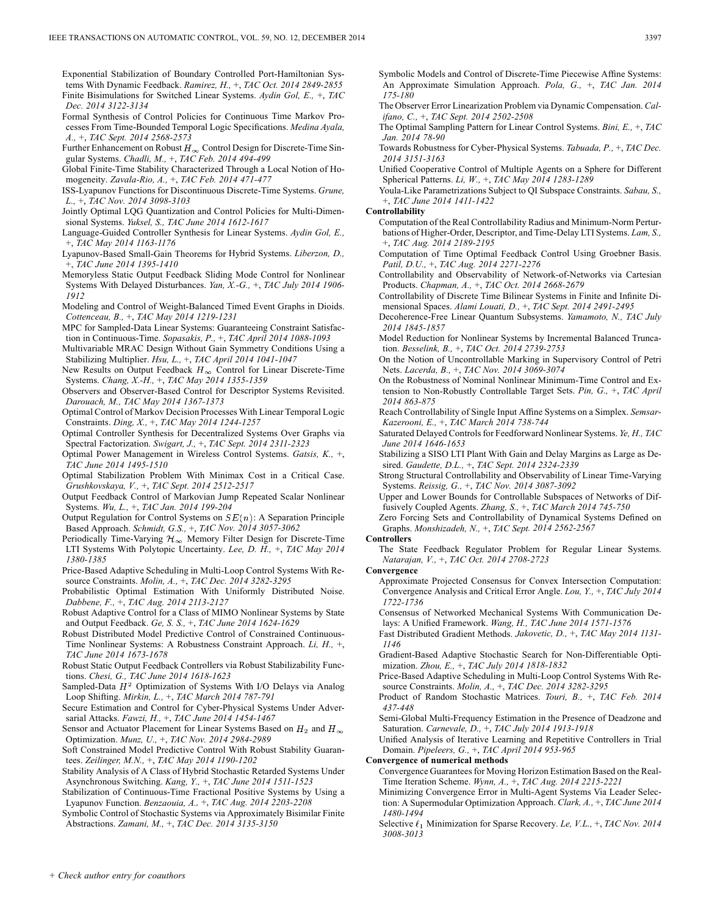Exponential Stabilization of Boundary Controlled Port-Hamiltonian Systems With Dynamic Feedback. *Ramirez, H.,* +, *TAC Oct. 2014 2849-2855* Finite Bisimulations for Switched Linear Systems. *Aydin Gol, E.,* +, *TAC Dec. 2014 3122-3134*

Formal Synthesis of Control Policies for Continuous Time Markov Processes From Time-Bounded Temporal Logic Specifications. *Medina Ayala, A.,* +, *TAC Sept. 2014 2568-2573*

Further Enhancement on Robust  $H_{\infty}$  Control Design for Discrete-Time Singular Systems. *Chadli, M.,* +, *TAC Feb. 2014 494-499*

Global Finite-Time Stability Characterized Through a Local Notion of Homogeneity. *Zavala-Rio, A.,* +, *TAC Feb. 2014 471-477*

ISS-Lyapunov Functions for Discontinuous Discrete-Time Systems. *Grune, L.,* +, *TAC Nov. 2014 3098-3103*

Jointly Optimal LQG Quantization and Control Policies for Multi-Dimensional Systems. *Yuksel, S., TAC June 2014 1612-1617*

Language-Guided Controller Synthesis for Linear Systems. *Aydin Gol, E.,* +, *TAC May 2014 1163-1176*

Lyapunov-Based Small-Gain Theorems for Hybrid Systems. *Liberzon, D.,* +, *TAC June 2014 1395-1410*

Memoryless Static Output Feedback Sliding Mode Control for Nonlinear Systems With Delayed Disturbances. *Yan, X.-G.,* +, *TAC July 2014 1906- 1912*

Modeling and Control of Weight-Balanced Timed Event Graphs in Dioids. *Cottenceau, B.,* +, *TAC May 2014 1219-1231*

MPC for Sampled-Data Linear Systems: Guaranteeing Constraint Satisfaction in Continuous-Time. *Sopasakis, P.,* +, *TAC April 2014 1088-1093*

Multivariable MRAC Design Without Gain Symmetry Conditions Using a Stabilizing Multiplier. *Hsu, L.,* +, *TAC April 2014 1041-1047*

New Results on Output Feedback  $H_{\infty}$  Control for Linear Discrete-Time Systems. *Chang, X.-H.,* +, *TAC May 2014 1355-1359*

Observers and Observer-Based Control for Descriptor Systems Revisited. *Darouach, M., TAC May 2014 1367-1373*

Optimal Control of Markov Decision Processes With Linear Temporal Logic Constraints. *Ding, X.,* +, *TAC May 2014 1244-1257*

Optimal Controller Synthesis for Decentralized Systems Over Graphs via Spectral Factorization. *Swigart, J.,* +, *TAC Sept. 2014 2311-2323*

Optimal Power Management in Wireless Control Systems. *Gatsis, K.,* +, *TAC June 2014 1495-1510*

Optimal Stabilization Problem With Minimax Cost in a Critical Case. *Grushkovskaya, V.,* +, *TAC Sept. 2014 2512-2517*

Output Feedback Control of Markovian Jump Repeated Scalar Nonlinear Systems. *Wu, L.,* +, *TAC Jan. 2014 199-204*

Output Regulation for Control Systems on  $SE(n)$ : A Separation Principle Based Approach. *Schmidt, G.S.,* +, *TAC Nov. 2014 3057-3062*

Periodically Time-Varying  $\mathcal{H}_{\infty}$  Memory Filter Design for Discrete-Time LTI Systems With Polytopic Uncertainty. *Lee, D. H.,* +, *TAC May 2014 1380-1385*

Price-Based Adaptive Scheduling in Multi-Loop Control Systems With Resource Constraints. *Molin, A.,* +, *TAC Dec. 2014 3282-3295*

Probabilistic Optimal Estimation With Uniformly Distributed Noise. *Dabbene, F.,* +, *TAC Aug. 2014 2113-2127*

Robust Adaptive Control for a Class of MIMO Nonlinear Systems by State and Output Feedback. *Ge, S. S.,* +, *TAC June 2014 1624-1629*

Robust Distributed Model Predictive Control of Constrained Continuous-Time Nonlinear Systems: A Robustness Constraint Approach. *Li, H.,* +, *TAC June 2014 1673-1678*

Robust Static Output Feedback Controllers via Robust Stabilizability Functions. *Chesi, G., TAC June 2014 1618-1623*

Sampled-Data  $H^2$  Optimization of Systems With I/O Delays via Analog Loop Shifting. *Mirkin, L.,* +, *TAC March 2014 787-791*

Secure Estimation and Control for Cyber-Physical Systems Under Adversarial Attacks. *Fawzi, H.,* +, *TAC June 2014 1454-1467*

Sensor and Actuator Placement for Linear Systems Based on  $H_2$  and  $H_{\infty}$ Optimization. *Munz, U.,* +, *TAC Nov. 2014 2984-2989*

Soft Constrained Model Predictive Control With Robust Stability Guarantees. *Zeilinger, M.N.,* +, *TAC May 2014 1190-1202*

Stability Analysis of A Class of Hybrid Stochastic Retarded Systems Under Asynchronous Switching. *Kang, Y.,* +, *TAC June 2014 1511-1523*

Stabilization of Continuous-Time Fractional Positive Systems by Using a Lyapunov Function. *Benzaouia, A.,* +, *TAC Aug. 2014 2203-2208*

Symbolic Control of Stochastic Systems via Approximately Bisimilar Finite Abstractions. *Zamani, M.,* +, *TAC Dec. 2014 3135-3150*

Symbolic Models and Control of Discrete-Time Piecewise Affine Systems: An Approximate Simulation Approach. *Pola, G.,* +, *TAC Jan. 2014 175-180*

The Observer Error Linearization Problem via Dynamic Compensation. *Califano, C.,* +, *TAC Sept. 2014 2502-2508*

The Optimal Sampling Pattern for Linear Control Systems. *Bini, E.,* +, *TAC Jan. 2014 78-90*

Towards Robustness for Cyber-Physical Systems. *Tabuada, P.,* +, *TAC Dec. 2014 3151-3163*

Unified Cooperative Control of Multiple Agents on a Sphere for Different Spherical Patterns. *Li, W.,* +, *TAC May 2014 1283-1289*

Youla-Like Parametrizations Subject to QI Subspace Constraints. *Sabau, S.,* +, *TAC June 2014 1411-1422*

### **Controllability**

Computation of the Real Controllability Radius and Minimum-Norm Perturbations of Higher-Order, Descriptor, and Time-Delay LTI Systems. *Lam, S.,* +, *TAC Aug. 2014 2189-2195*

Computation of Time Optimal Feedback Control Using Groebner Basis. *Patil, D.U.,* +, *TAC Aug. 2014 2271-2276*

Controllability and Observability of Network-of-Networks via Cartesian Products. *Chapman, A.,* +, *TAC Oct. 2014 2668-2679*

Controllability of Discrete Time Bilinear Systems in Finite and Infinite Dimensional Spaces. *Alami Louati, D.,* +, *TAC Sept. 2014 2491-2495*

Decoherence-Free Linear Quantum Subsystems. *Yamamoto, N., TAC July 2014 1845-1857*

Model Reduction for Nonlinear Systems by Incremental Balanced Truncation. *Besselink, B.,* +, *TAC Oct. 2014 2739-2753*

On the Notion of Uncontrollable Marking in Supervisory Control of Petri Nets. *Lacerda, B.,* +, *TAC Nov. 2014 3069-3074*

On the Robustness of Nominal Nonlinear Minimum-Time Control and Extension to Non-Robustly Controllable Target Sets. *Pin, G.,* +, *TAC April 2014 863-875*

Reach Controllability of Single Input Affine Systems on a Simplex. *Semsar-Kazerooni, E.,* +, *TAC March 2014 738-744*

Saturated Delayed Controls for Feedforward Nonlinear Systems. *Ye, H., TAC June 2014 1646-1653*

Stabilizing a SISO LTI Plant With Gain and Delay Margins as Large as Desired. *Gaudette, D.L.,* +, *TAC Sept. 2014 2324-2339*

Strong Structural Controllability and Observability of Linear Time-Varying Systems. *Reissig, G.,* +, *TAC Nov. 2014 3087-3092*

Upper and Lower Bounds for Controllable Subspaces of Networks of Diffusively Coupled Agents. *Zhang, S.,* +, *TAC March 2014 745-750*

Zero Forcing Sets and Controllability of Dynamical Systems Defined on Graphs. *Monshizadeh, N.,* +, *TAC Sept. 2014 2562-2567*

**Controllers**

The State Feedback Regulator Problem for Regular Linear Systems. *Natarajan, V.,* +, *TAC Oct. 2014 2708-2723*

**Convergence**

Approximate Projected Consensus for Convex Intersection Computation: Convergence Analysis and Critical Error Angle. *Lou, Y.,* +, *TAC July 2014 1722-1736*

Consensus of Networked Mechanical Systems With Communication Delays: A Unified Framework. *Wang, H., TAC June 2014 1571-1576*

Fast Distributed Gradient Methods. *Jakovetic, D.,* +, *TAC May 2014 1131- 1146*

Gradient-Based Adaptive Stochastic Search for Non-Differentiable Optimization. *Zhou, E.,* +, *TAC July 2014 1818-1832*

Price-Based Adaptive Scheduling in Multi-Loop Control Systems With Resource Constraints. *Molin, A.,* +, *TAC Dec. 2014 3282-3295*

Product of Random Stochastic Matrices. *Touri, B.,* +, *TAC Feb. 2014 437-448*

Semi-Global Multi-Frequency Estimation in the Presence of Deadzone and Saturation. *Carnevale, D.,* +, *TAC July 2014 1913-1918*

Unified Analysis of Iterative Learning and Repetitive Controllers in Trial Domain. *Pipeleers, G.,* +, *TAC April 2014 953-965*

**Convergence of numerical methods**

Convergence Guarantees for Moving Horizon Estimation Based on the Real-Time Iteration Scheme. *Wynn, A.,* +, *TAC Aug. 2014 2215-2221*

Minimizing Convergence Error in Multi-Agent Systems Via Leader Selection: A Supermodular Optimization Approach. *Clark, A.,* +, *TAC June 2014 1480-1494*

Selective  $\ell_1$  Minimization for Sparse Recovery. *Le, V.L.,* +, *TAC Nov.* 2014 *3008-3013*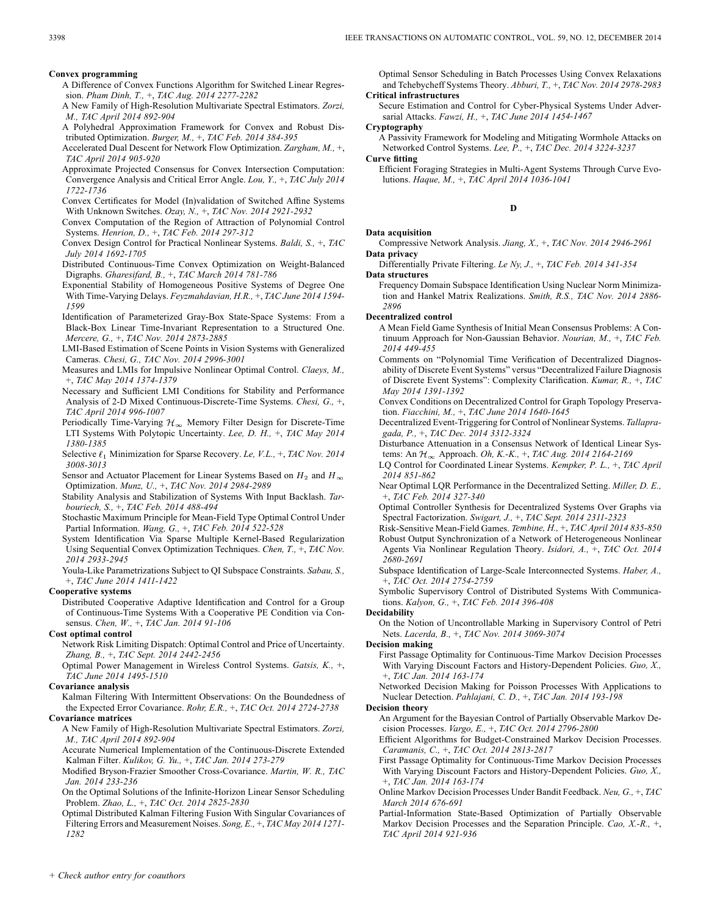#### **Convex programming**

- A Difference of Convex Functions Algorithm for Switched Linear Regression. *Pham Dinh, T.,* +, *TAC Aug. 2014 2277-2282*
- A New Family of High-Resolution Multivariate Spectral Estimators. *Zorzi, M., TAC April 2014 892-904*
- A Polyhedral Approximation Framework for Convex and Robust Distributed Optimization. *Burger, M.,* +, *TAC Feb. 2014 384-395*
- Accelerated Dual Descent for Network Flow Optimization. *Zargham, M.,* +, *TAC April 2014 905-920*
- Approximate Projected Consensus for Convex Intersection Computation: Convergence Analysis and Critical Error Angle. *Lou, Y.,* +, *TAC July 2014 1722-1736*
- Convex Certificates for Model (In)validation of Switched Affine Systems With Unknown Switches. *Ozay, N.,* +, *TAC Nov. 2014 2921-2932*
- Convex Computation of the Region of Attraction of Polynomial Control Systems. *Henrion, D.,* +, *TAC Feb. 2014 297-312*
- Convex Design Control for Practical Nonlinear Systems. *Baldi, S.,* +, *TAC July 2014 1692-1705*
- Distributed Continuous-Time Convex Optimization on Weight-Balanced Digraphs. *Gharesifard, B.,* +, *TAC March 2014 781-786*
- Exponential Stability of Homogeneous Positive Systems of Degree One With Time-Varying Delays. *Feyzmahdavian, H.R.,* +, *TAC June 2014 1594- 1599*
- Identification of Parameterized Gray-Box State-Space Systems: From a Black-Box Linear Time-Invariant Representation to a Structured One. *Mercere, G.,* +, *TAC Nov. 2014 2873-2885*
- LMI-Based Estimation of Scene Points in Vision Systems with Generalized Cameras. *Chesi, G., TAC Nov. 2014 2996-3001*
- Measures and LMIs for Impulsive Nonlinear Optimal Control. *Claeys, M.,* +, *TAC May 2014 1374-1379*
- Necessary and Sufficient LMI Conditions for Stability and Performance Analysis of 2-D Mixed Continuous-Discrete-Time Systems. *Chesi, G.,* +, *TAC April 2014 996-1007*
- Periodically Time-Varying  $\mathcal{H}_{\infty}$  Memory Filter Design for Discrete-Time LTI Systems With Polytopic Uncertainty. *Lee, D. H.,* +, *TAC May 2014 1380-1385*
- Selective  $\ell_1$  Minimization for Sparse Recovery. *Le, V.L.*, +, *TAC Nov.* 2014 *3008-3013*
- Sensor and Actuator Placement for Linear Systems Based on  $H_2$  and  $H_{\infty}$ Optimization. *Munz, U.,* +, *TAC Nov. 2014 2984-2989*
- Stability Analysis and Stabilization of Systems With Input Backlash. *Tarbouriech, S.,* +, *TAC Feb. 2014 488-494*
- Stochastic Maximum Principle for Mean-Field Type Optimal Control Under Partial Information. *Wang, G.,* +, *TAC Feb. 2014 522-528*
- System Identification Via Sparse Multiple Kernel-Based Regularization Using Sequential Convex Optimization Techniques. *Chen, T.,* +, *TAC Nov. 2014 2933-2945*
- Youla-Like Parametrizations Subject to QI Subspace Constraints. *Sabau, S.,* +, *TAC June 2014 1411-1422*

#### **Cooperative systems**

Distributed Cooperative Adaptive Identification and Control for a Group of Continuous-Time Systems With a Cooperative PE Condition via Consensus. *Chen, W.,* +, *TAC Jan. 2014 91-106*

## **Cost optimal control**

Network Risk Limiting Dispatch: Optimal Control and Price of Uncertainty. *Zhang, B.,* +, *TAC Sept. 2014 2442-2456*

Optimal Power Management in Wireless Control Systems. *Gatsis, K.,* +, *TAC June 2014 1495-1510*

#### **Covariance analysis**

Kalman Filtering With Intermittent Observations: On the Boundedness of the Expected Error Covariance. *Rohr, E.R.,* +, *TAC Oct. 2014 2724-2738* **Covariance matrices**

A New Family of High-Resolution Multivariate Spectral Estimators. *Zorzi, M., TAC April 2014 892-904*

Accurate Numerical Implementation of the Continuous-Discrete Extended Kalman Filter. *Kulikov, G. Yu.,* +, *TAC Jan. 2014 273-279*

Modified Bryson-Frazier Smoother Cross-Covariance. *Martin, W. R., TAC Jan. 2014 233-236*

On the Optimal Solutions of the Infinite-Horizon Linear Sensor Scheduling Problem. *Zhao, L.,* +, *TAC Oct. 2014 2825-2830*

Optimal Distributed Kalman Filtering Fusion With Singular Covariances of Filtering Errors and Measurement Noises. *Song, E.,* +, *TAC May 2014 1271- 1282*

Optimal Sensor Scheduling in Batch Processes Using Convex Relaxations and Tchebycheff Systems Theory. *Abburi, T.,* +, *TAC Nov. 2014 2978-2983* **Critical infrastructures**

Secure Estimation and Control for Cyber-Physical Systems Under Adversarial Attacks. *Fawzi, H.,* +, *TAC June 2014 1454-1467*

**Cryptography**

A Passivity Framework for Modeling and Mitigating Wormhole Attacks on Networked Control Systems. *Lee, P.,* +, *TAC Dec. 2014 3224-3237*

**Curve fitting**

Efficient Foraging Strategies in Multi-Agent Systems Through Curve Evolutions. *Haque, M.,* +, *TAC April 2014 1036-1041*

**D**

## **Data acquisition**

- Compressive Network Analysis. *Jiang, X.,* +, *TAC Nov. 2014 2946-2961* **Data privacy**
- Differentially Private Filtering. *Le Ny, J.,* +, *TAC Feb. 2014 341-354* **Data structures**
	- Frequency Domain Subspace Identification Using Nuclear Norm Minimization and Hankel Matrix Realizations. *Smith, R.S., TAC Nov. 2014 2886- 2896*

#### **Decentralized control**

- A Mean Field Game Synthesis of Initial Mean Consensus Problems: A Continuum Approach for Non-Gaussian Behavior. *Nourian, M.,* +, *TAC Feb. 2014 449-455*
- Comments on "Polynomial Time Verification of Decentralized Diagnosability of Discrete Event Systems" versus "Decentralized Failure Diagnosis of Discrete Event Systems": Complexity Clarification. *Kumar, R.,* +, *TAC May 2014 1391-1392*
- Convex Conditions on Decentralized Control for Graph Topology Preservation. *Fiacchini, M.,* +, *TAC June 2014 1640-1645*
- Decentralized Event-Triggering for Control of Nonlinear Systems. *Tallapragada, P.,* +, *TAC Dec. 2014 3312-3324*
- Disturbance Attenuation in a Consensus Network of Identical Linear Systems: An Approach. *Oh, K.-K.,* +, *TAC Aug. 2014 2164-2169*
- LQ Control for Coordinated Linear Systems. *Kempker, P. L.,* +, *TAC April 2014 851-862*
- Near Optimal LQR Performance in the Decentralized Setting. *Miller, D. E.,* +, *TAC Feb. 2014 327-340*
- Optimal Controller Synthesis for Decentralized Systems Over Graphs via Spectral Factorization. *Swigart, J.,* +, *TAC Sept. 2014 2311-2323*
- Risk-Sensitive Mean-Field Games. *Tembine, H.,* +, *TAC April 2014 835-850* Robust Output Synchronization of a Network of Heterogeneous Nonlinear Agents Via Nonlinear Regulation Theory. *Isidori, A.,* +, *TAC Oct. 2014 2680-2691*
- Subspace Identification of Large-Scale Interconnected Systems. *Haber, A.,* +, *TAC Oct. 2014 2754-2759*
- Symbolic Supervisory Control of Distributed Systems With Communications. *Kalyon, G.,* +, *TAC Feb. 2014 396-408*

## **Decidability**

On the Notion of Uncontrollable Marking in Supervisory Control of Petri Nets. *Lacerda, B.,* +, *TAC Nov. 2014 3069-3074*

**Decision making**

First Passage Optimality for Continuous-Time Markov Decision Processes With Varying Discount Factors and History-Dependent Policies. *Guo, X.,* +, *TAC Jan. 2014 163-174*

Networked Decision Making for Poisson Processes With Applications to Nuclear Detection. *Pahlajani, C. D.,* +, *TAC Jan. 2014 193-198*

## **Decision theory**

An Argument for the Bayesian Control of Partially Observable Markov Decision Processes. *Vargo, E.,* +, *TAC Oct. 2014 2796-2800*

Efficient Algorithms for Budget-Constrained Markov Decision Processes. *Caramanis, C.,* +, *TAC Oct. 2014 2813-2817*

- First Passage Optimality for Continuous-Time Markov Decision Processes With Varying Discount Factors and History-Dependent Policies. *Guo, X.,* +, *TAC Jan. 2014 163-174*
- Online Markov Decision Processes Under Bandit Feedback. *Neu, G.,* +, *TAC March 2014 676-691*
- Partial-Information State-Based Optimization of Partially Observable Markov Decision Processes and the Separation Principle. *Cao, X.-R.,* +, *TAC April 2014 921-936*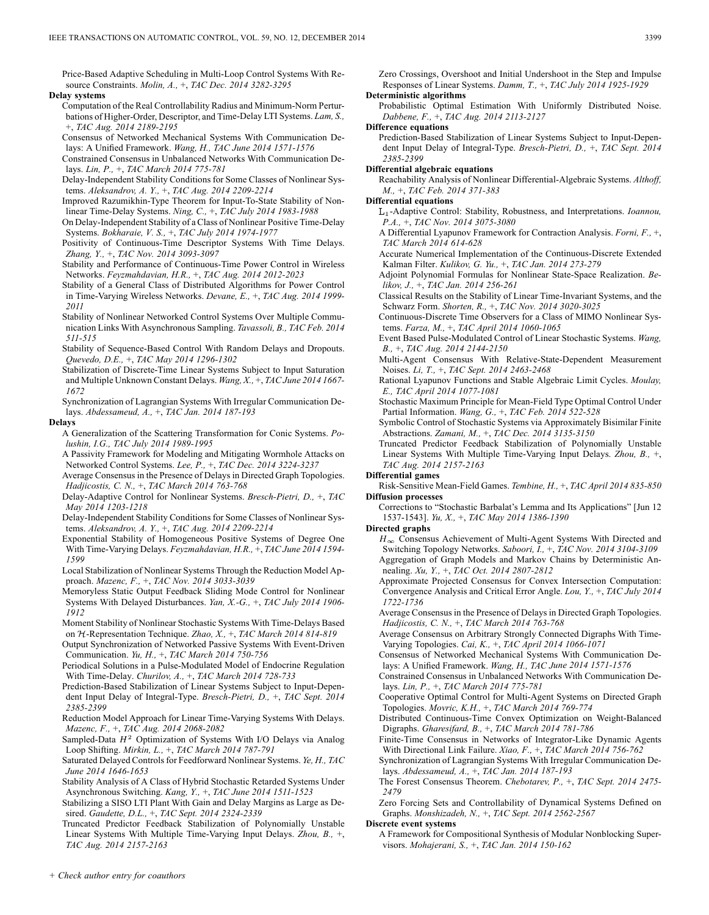Price-Based Adaptive Scheduling in Multi-Loop Control Systems With Resource Constraints. *Molin, A.,* +, *TAC Dec. 2014 3282-3295*

**Delay systems**

Computation of the Real Controllability Radius and Minimum-Norm Perturbations of Higher-Order, Descriptor, and Time-Delay LTI Systems. *Lam, S.,* +, *TAC Aug. 2014 2189-2195*

Consensus of Networked Mechanical Systems With Communication Delays: A Unified Framework. *Wang, H., TAC June 2014 1571-1576*

Constrained Consensus in Unbalanced Networks With Communication Delays. *Lin, P.,* +, *TAC March 2014 775-781*

Delay-Independent Stability Conditions for Some Classes of Nonlinear Systems. *Aleksandrov, A. Y.,* +, *TAC Aug. 2014 2209-2214*

Improved Razumikhin-Type Theorem for Input-To-State Stability of Nonlinear Time-Delay Systems. *Ning, C.,* +, *TAC July 2014 1983-1988*

On Delay-Independent Stability of a Class of Nonlinear Positive Time-Delay Systems. *Bokharaie, V. S.,* +, *TAC July 2014 1974-1977*

Positivity of Continuous-Time Descriptor Systems With Time Delays. *Zhang, Y.,* +, *TAC Nov. 2014 3093-3097*

Stability and Performance of Continuous-Time Power Control in Wireless Networks. *Feyzmahdavian, H.R.,* +, *TAC Aug. 2014 2012-2023*

Stability of a General Class of Distributed Algorithms for Power Control in Time-Varying Wireless Networks. *Devane, E.,* +, *TAC Aug. 2014 1999- 2011*

Stability of Nonlinear Networked Control Systems Over Multiple Communication Links With Asynchronous Sampling. *Tavassoli, B., TAC Feb. 2014 511-515*

Stability of Sequence-Based Control With Random Delays and Dropouts. *Quevedo, D.E.,* +, *TAC May 2014 1296-1302*

Stabilization of Discrete-Time Linear Systems Subject to Input Saturation and Multiple Unknown Constant Delays. *Wang, X.,* +, *TAC June 2014 1667- 1672*

Synchronization of Lagrangian Systems With Irregular Communication Delays. *Abdessameud, A.,* +, *TAC Jan. 2014 187-193*

## **Delays**

A Generalization of the Scattering Transformation for Conic Systems. *Polushin, I.G., TAC July 2014 1989-1995*

A Passivity Framework for Modeling and Mitigating Wormhole Attacks on Networked Control Systems. *Lee, P.,* +, *TAC Dec. 2014 3224-3237*

Average Consensus in the Presence of Delays in Directed Graph Topologies. *Hadjicostis, C. N.,* +, *TAC March 2014 763-768*

Delay-Adaptive Control for Nonlinear Systems. *Bresch-Pietri, D.,* +, *TAC May 2014 1203-1218*

Delay-Independent Stability Conditions for Some Classes of Nonlinear Systems. *Aleksandrov, A. Y.,* +, *TAC Aug. 2014 2209-2214*

Exponential Stability of Homogeneous Positive Systems of Degree One With Time-Varying Delays. *Feyzmahdavian, H.R.,* +, *TAC June 2014 1594- 1599*

Local Stabilization of Nonlinear Systems Through the Reduction Model Approach. *Mazenc, F.,* +, *TAC Nov. 2014 3033-3039*

Memoryless Static Output Feedback Sliding Mode Control for Nonlinear Systems With Delayed Disturbances. *Yan, X.-G.,* +, *TAC July 2014 1906- 1912*

Moment Stability of Nonlinear Stochastic Systems With Time-Delays Based on  $H$ -Representation Technique. *Zhao, X.*, +, *TAC March 2014 814-819* 

Output Synchronization of Networked Passive Systems With Event-Driven Communication. *Yu, H.,* +, *TAC March 2014 750-756*

Periodical Solutions in a Pulse-Modulated Model of Endocrine Regulation With Time-Delay. *Churilov, A.,* +, *TAC March 2014 728-733*

Prediction-Based Stabilization of Linear Systems Subject to Input-Dependent Input Delay of Integral-Type. *Bresch-Pietri, D.,* +, *TAC Sept. 2014 2385-2399*

Reduction Model Approach for Linear Time-Varying Systems With Delays. *Mazenc, F.,* +, *TAC Aug. 2014 2068-2082*

Sampled-Data  $H^2$  Optimization of Systems With I/O Delays via Analog Loop Shifting. *Mirkin, L.,* +, *TAC March 2014 787-791*

Saturated Delayed Controls for Feedforward Nonlinear Systems. *Ye, H., TAC June 2014 1646-1653*

Stability Analysis of A Class of Hybrid Stochastic Retarded Systems Under Asynchronous Switching. *Kang, Y.,* +, *TAC June 2014 1511-1523*

Stabilizing a SISO LTI Plant With Gain and Delay Margins as Large as Desired. *Gaudette, D.L.,* +, *TAC Sept. 2014 2324-2339*

Truncated Predictor Feedback Stabilization of Polynomially Unstable Linear Systems With Multiple Time-Varying Input Delays. *Zhou, B.,* +, *TAC Aug. 2014 2157-2163*

Zero Crossings, Overshoot and Initial Undershoot in the Step and Impulse Responses of Linear Systems. *Damm, T.,* +, *TAC July 2014 1925-1929*

**Deterministic algorithms** Probabilistic Optimal Estimation With Uniformly Distributed Noise.

*Dabbene, F.,* +, *TAC Aug. 2014 2113-2127*

**Difference equations**

Prediction-Based Stabilization of Linear Systems Subject to Input-Dependent Input Delay of Integral-Type. *Bresch-Pietri, D.,* +, *TAC Sept. 2014 2385-2399*

**Differential algebraic equations**

Reachability Analysis of Nonlinear Differential-Algebraic Systems. *Althoff, M.,* +, *TAC Feb. 2014 371-383*

**Differential equations**

-Adaptive Control: Stability, Robustness, and Interpretations. *Ioannou, P.A.,* +, *TAC Nov. 2014 3075-3080*

A Differential Lyapunov Framework for Contraction Analysis. *Forni, F.,* +, *TAC March 2014 614-628*

Accurate Numerical Implementation of the Continuous-Discrete Extended Kalman Filter. *Kulikov, G. Yu.,* +, *TAC Jan. 2014 273-279*

Adjoint Polynomial Formulas for Nonlinear State-Space Realization. *Belikov, J.,* +, *TAC Jan. 2014 256-261*

Classical Results on the Stability of Linear Time-Invariant Systems, and the Schwarz Form. *Shorten, R.,* +, *TAC Nov. 2014 3020-3025*

Continuous-Discrete Time Observers for a Class of MIMO Nonlinear Systems. *Farza, M.,* +, *TAC April 2014 1060-1065*

Event Based Pulse-Modulated Control of Linear Stochastic Systems. *Wang, B.,* +, *TAC Aug. 2014 2144-2150*

Multi-Agent Consensus With Relative-State-Dependent Measurement Noises. *Li, T.,* +, *TAC Sept. 2014 2463-2468*

Rational Lyapunov Functions and Stable Algebraic Limit Cycles. *Moulay, E., TAC April 2014 1077-1081*

Stochastic Maximum Principle for Mean-Field Type Optimal Control Under Partial Information. *Wang, G.,* +, *TAC Feb. 2014 522-528*

Symbolic Control of Stochastic Systems via Approximately Bisimilar Finite Abstractions. *Zamani, M.,* +, *TAC Dec. 2014 3135-3150*

Truncated Predictor Feedback Stabilization of Polynomially Unstable Linear Systems With Multiple Time-Varying Input Delays. *Zhou, B.,* +, *TAC Aug. 2014 2157-2163*

**Differential games**

Risk-Sensitive Mean-Field Games. *Tembine, H.,* +, *TAC April 2014 835-850* **Diffusion processes**

Corrections to "Stochastic Barbalat's Lemma and Its Applications" [Jun 12 1537-1543]. *Yu, X.,* +, *TAC May 2014 1386-1390*

**Directed graphs**

 $H_{\infty}$  Consensus Achievement of Multi-Agent Systems With Directed and Switching Topology Networks. *Saboori, I.,* +, *TAC Nov. 2014 3104-3109* Aggregation of Graph Models and Markov Chains by Deterministic Annealing. *Xu, Y.,* +, *TAC Oct. 2014 2807-2812*

Approximate Projected Consensus for Convex Intersection Computation: Convergence Analysis and Critical Error Angle. *Lou, Y.,* +, *TAC July 2014 1722-1736*

Average Consensus in the Presence of Delays in Directed Graph Topologies. *Hadjicostis, C. N.,* +, *TAC March 2014 763-768*

Average Consensus on Arbitrary Strongly Connected Digraphs With Time-Varying Topologies. *Cai, K.,* +, *TAC April 2014 1066-1071*

Consensus of Networked Mechanical Systems With Communication Delays: A Unified Framework. *Wang, H., TAC June 2014 1571-1576*

Constrained Consensus in Unbalanced Networks With Communication Delays. *Lin, P.,* +, *TAC March 2014 775-781*

Cooperative Optimal Control for Multi-Agent Systems on Directed Graph Topologies. *Movric, K.H.,* +, *TAC March 2014 769-774*

Distributed Continuous-Time Convex Optimization on Weight-Balanced Digraphs. *Gharesifard, B.,* +, *TAC March 2014 781-786*

Finite-Time Consensus in Networks of Integrator-Like Dynamic Agents With Directional Link Failure. *Xiao, F.,* +, *TAC March 2014 756-762*

Synchronization of Lagrangian Systems With Irregular Communication Delays. *Abdessameud, A.,* +, *TAC Jan. 2014 187-193*

The Forest Consensus Theorem. *Chebotarev, P.,* +, *TAC Sept. 2014 2475- 2479*

Zero Forcing Sets and Controllability of Dynamical Systems Defined on Graphs. *Monshizadeh, N.,* +, *TAC Sept. 2014 2562-2567*

## **Discrete event systems**

A Framework for Compositional Synthesis of Modular Nonblocking Supervisors. *Mohajerani, S.,* +, *TAC Jan. 2014 150-162*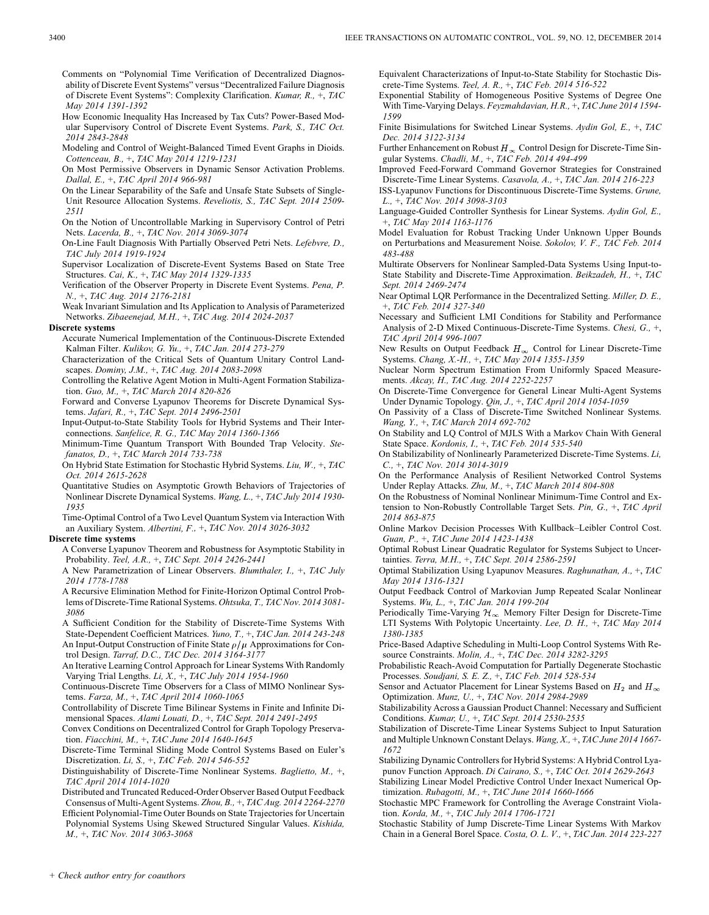- Comments on "Polynomial Time Verification of Decentralized Diagnosability of Discrete Event Systems" versus "Decentralized Failure Diagnosis of Discrete Event Systems": Complexity Clarification. *Kumar, R.,* +, *TAC May 2014 1391-1392*
- How Economic Inequality Has Increased by Tax Cuts? Power-Based Modular Supervisory Control of Discrete Event Systems. *Park, S., TAC Oct. 2014 2843-2848*
- Modeling and Control of Weight-Balanced Timed Event Graphs in Dioids. *Cottenceau, B.,* +, *TAC May 2014 1219-1231*
- On Most Permissive Observers in Dynamic Sensor Activation Problems. *Dallal, E.,* +, *TAC April 2014 966-981*
- On the Linear Separability of the Safe and Unsafe State Subsets of Single-Unit Resource Allocation Systems. *Reveliotis, S., TAC Sept. 2014 2509- 2511*
- On the Notion of Uncontrollable Marking in Supervisory Control of Petri Nets. *Lacerda, B.,* +, *TAC Nov. 2014 3069-3074*
- On-Line Fault Diagnosis With Partially Observed Petri Nets. *Lefebvre, D., TAC July 2014 1919-1924*
- Supervisor Localization of Discrete-Event Systems Based on State Tree Structures. *Cai, K.,* +, *TAC May 2014 1329-1335*
- Verification of the Observer Property in Discrete Event Systems. *Pena, P. N.,* +, *TAC Aug. 2014 2176-2181*
- Weak Invariant Simulation and Its Application to Analysis of Parameterized Networks. *Zibaeenejad, M.H.,* +, *TAC Aug. 2014 2024-2037*

#### **Discrete systems**

- Accurate Numerical Implementation of the Continuous-Discrete Extended Kalman Filter. *Kulikov, G. Yu.,* +, *TAC Jan. 2014 273-279*
- Characterization of the Critical Sets of Quantum Unitary Control Landscapes. *Dominy, J.M.,* +, *TAC Aug. 2014 2083-2098*
- Controlling the Relative Agent Motion in Multi-Agent Formation Stabilization. *Guo, M.,* +, *TAC March 2014 820-826*
- Forward and Converse Lyapunov Theorems for Discrete Dynamical Systems. *Jafari, R.,* +, *TAC Sept. 2014 2496-2501*
- Input-Output-to-State Stability Tools for Hybrid Systems and Their Interconnections. *Sanfelice, R. G., TAC May 2014 1360-1366*
- Minimum-Time Quantum Transport With Bounded Trap Velocity. *Stefanatos, D.,* +, *TAC March 2014 733-738*
- On Hybrid State Estimation for Stochastic Hybrid Systems. *Liu, W.,* +, *TAC Oct. 2014 2615-2628*
- Quantitative Studies on Asymptotic Growth Behaviors of Trajectories of Nonlinear Discrete Dynamical Systems. *Wang, L.,* +, *TAC July 2014 1930- 1935*
- Time-Optimal Control of a Two Level Quantum System via Interaction With an Auxiliary System. *Albertini, F.,* +, *TAC Nov. 2014 3026-3032*

#### **Discrete time systems**

- A Converse Lyapunov Theorem and Robustness for Asymptotic Stability in Probability. *Teel, A.R.,* +, *TAC Sept. 2014 2426-2441*
- A New Parametrization of Linear Observers. *Blumthaler, I.,* +, *TAC July 2014 1778-1788*
- A Recursive Elimination Method for Finite-Horizon Optimal Control Problems of Discrete-Time Rational Systems. *Ohtsuka, T., TAC Nov. 2014 3081- 3086*
- A Sufficient Condition for the Stability of Discrete-Time Systems With State-Dependent Coefficient Matrices. *Yuno, T.,* +, *TAC Jan. 2014 243-248* An Input-Output Construction of Finite State  $\rho/\mu$  Approximations for Control Design. *Tarraf, D.C., TAC Dec. 2014 3164-3177*
- An Iterative Learning Control Approach for Linear Systems With Randomly Varying Trial Lengths. *Li, X.,* +, *TAC July 2014 1954-1960*
- Continuous-Discrete Time Observers for a Class of MIMO Nonlinear Systems. *Farza, M.,* +, *TAC April 2014 1060-1065*
- Controllability of Discrete Time Bilinear Systems in Finite and Infinite Dimensional Spaces. *Alami Louati, D.,* +, *TAC Sept. 2014 2491-2495*
- Convex Conditions on Decentralized Control for Graph Topology Preservation. *Fiacchini, M.,* +, *TAC June 2014 1640-1645*
- Discrete-Time Terminal Sliding Mode Control Systems Based on Euler's Discretization. *Li, S.,* +, *TAC Feb. 2014 546-552*
- Distinguishability of Discrete-Time Nonlinear Systems. *Baglietto, M.,* +, *TAC April 2014 1014-1020*
- Distributed and Truncated Reduced-Order Observer Based Output Feedback Consensus of Multi-Agent Systems. *Zhou, B.,* +, *TAC Aug. 2014 2264-2270* Efficient Polynomial-Time Outer Bounds on State Trajectories for Uncertain Polynomial Systems Using Skewed Structured Singular Values. *Kishida,*
- *M.,* +, *TAC Nov. 2014 3063-3068*

Equivalent Characterizations of Input-to-State Stability for Stochastic Discrete-Time Systems. *Teel, A. R.,* +, *TAC Feb. 2014 516-522*

- Exponential Stability of Homogeneous Positive Systems of Degree One With Time-Varying Delays. *Feyzmahdavian, H.R.,* +, *TAC June 2014 1594- 1599*
- Finite Bisimulations for Switched Linear Systems. *Aydin Gol, E.,* +, *TAC Dec. 2014 3122-3134*
- Further Enhancement on Robust  $H_{\infty}$  Control Design for Discrete-Time Singular Systems. *Chadli, M.,* +, *TAC Feb. 2014 494-499*
- Improved Feed-Forward Command Governor Strategies for Constrained Discrete-Time Linear Systems. *Casavola, A.,* +, *TAC Jan. 2014 216-223*
- ISS-Lyapunov Functions for Discontinuous Discrete-Time Systems. *Grune, L.,* +, *TAC Nov. 2014 3098-3103*
- Language-Guided Controller Synthesis for Linear Systems. *Aydin Gol, E.,* +, *TAC May 2014 1163-1176*
- Model Evaluation for Robust Tracking Under Unknown Upper Bounds on Perturbations and Measurement Noise. *Sokolov, V. F., TAC Feb. 2014 483-488*
- Multirate Observers for Nonlinear Sampled-Data Systems Using Input-to-State Stability and Discrete-Time Approximation. *Beikzadeh, H.,* +, *TAC Sept. 2014 2469-2474*
- Near Optimal LQR Performance in the Decentralized Setting. *Miller, D. E.,* +, *TAC Feb. 2014 327-340*
- Necessary and Sufficient LMI Conditions for Stability and Performance Analysis of 2-D Mixed Continuous-Discrete-Time Systems. *Chesi, G.,* +, *TAC April 2014 996-1007*
- New Results on Output Feedback  $H_{\infty}$  Control for Linear Discrete-Time Systems. *Chang, X.-H.,* +, *TAC May 2014 1355-1359*
- Nuclear Norm Spectrum Estimation From Uniformly Spaced Measurements. *Akcay, H., TAC Aug. 2014 2252-2257*
- On Discrete-Time Convergence for General Linear Multi-Agent Systems Under Dynamic Topology. *Qin, J.,* +, *TAC April 2014 1054-1059*
- On Passivity of a Class of Discrete-Time Switched Nonlinear Systems. *Wang, Y.,* +, *TAC March 2014 692-702*
- On Stability and LQ Control of MJLS With a Markov Chain With General State Space. *Kordonis, I.,* +, *TAC Feb. 2014 535-540*
- On Stabilizability of Nonlinearly Parameterized Discrete-Time Systems. *Li, C.,* +, *TAC Nov. 2014 3014-3019*
- On the Performance Analysis of Resilient Networked Control Systems Under Replay Attacks. *Zhu, M.,* +, *TAC March 2014 804-808*
- On the Robustness of Nominal Nonlinear Minimum-Time Control and Extension to Non-Robustly Controllable Target Sets. *Pin, G.,* +, *TAC April 2014 863-875*
- Online Markov Decision Processes With Kullback–Leibler Control Cost. *Guan, P.,* +, *TAC June 2014 1423-1438*
- Optimal Robust Linear Quadratic Regulator for Systems Subject to Uncertainties. *Terra, M.H.,* +, *TAC Sept. 2014 2586-2591*
- Optimal Stabilization Using Lyapunov Measures. *Raghunathan, A.,* +, *TAC May 2014 1316-1321*
- Output Feedback Control of Markovian Jump Repeated Scalar Nonlinear Systems. *Wu, L.,* +, *TAC Jan. 2014 199-204*
- Periodically Time-Varying  $\mathcal{H}_{\infty}$  Memory Filter Design for Discrete-Time LTI Systems With Polytopic Uncertainty. *Lee, D. H.,* +, *TAC May 2014 1380-1385*
- Price-Based Adaptive Scheduling in Multi-Loop Control Systems With Resource Constraints. *Molin, A.,* +, *TAC Dec. 2014 3282-3295*
- Probabilistic Reach-Avoid Computation for Partially Degenerate Stochastic Processes. *Soudjani, S. E. Z.,* +, *TAC Feb. 2014 528-534*
- Sensor and Actuator Placement for Linear Systems Based on  $H_2$  and  $H_{\infty}$ Optimization. *Munz, U.,* +, *TAC Nov. 2014 2984-2989*
- Stabilizability Across a Gaussian Product Channel: Necessary and Sufficient Conditions. *Kumar, U.,* +, *TAC Sept. 2014 2530-2535*
- Stabilization of Discrete-Time Linear Systems Subject to Input Saturation and Multiple Unknown Constant Delays. *Wang, X.,* +, *TAC June 2014 1667- 1672*
- Stabilizing Dynamic Controllers for Hybrid Systems: A Hybrid Control Lyapunov Function Approach. *Di Cairano, S.,* +, *TAC Oct. 2014 2629-2643*
- Stabilizing Linear Model Predictive Control Under Inexact Numerical Optimization. *Rubagotti, M.,* +, *TAC June 2014 1660-1666*
- Stochastic MPC Framework for Controlling the Average Constraint Violation. *Korda, M.,* +, *TAC July 2014 1706-1721*
- Stochastic Stability of Jump Discrete-Time Linear Systems With Markov Chain in a General Borel Space. *Costa, O. L. V.,* +, *TAC Jan. 2014 223-227*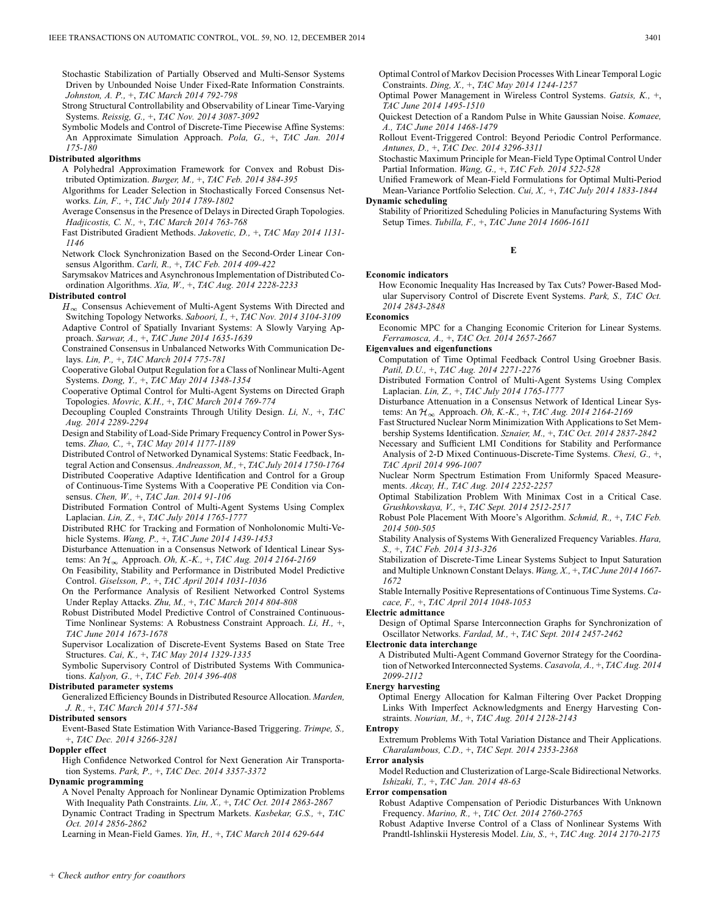Stochastic Stabilization of Partially Observed and Multi-Sensor Systems Driven by Unbounded Noise Under Fixed-Rate Information Constraints. *Johnston, A. P.,* +, *TAC March 2014 792-798*

Strong Structural Controllability and Observability of Linear Time-Varying Systems. *Reissig, G.,* +, *TAC Nov. 2014 3087-3092*

Symbolic Models and Control of Discrete-Time Piecewise Affine Systems: An Approximate Simulation Approach. *Pola, G.,* +, *TAC Jan. 2014 175-180*

## **Distributed algorithms**

A Polyhedral Approximation Framework for Convex and Robust Distributed Optimization. *Burger, M.,* +, *TAC Feb. 2014 384-395*

Algorithms for Leader Selection in Stochastically Forced Consensus Networks. *Lin, F.,* +, *TAC July 2014 1789-1802*

Average Consensus in the Presence of Delays in Directed Graph Topologies. *Hadjicostis, C. N.,* +, *TAC March 2014 763-768*

Fast Distributed Gradient Methods. *Jakovetic, D.,* +, *TAC May 2014 1131- 1146*

Network Clock Synchronization Based on the Second-Order Linear Consensus Algorithm. *Carli, R.,* +, *TAC Feb. 2014 409-422*

Sarymsakov Matrices and Asynchronous Implementation of Distributed Coordination Algorithms. *Xia, W.,* +, *TAC Aug. 2014 2228-2233*

## **Distributed control**

 $H_{\infty}$  Consensus Achievement of Multi-Agent Systems With Directed and Switching Topology Networks. *Saboori, I.,* +, *TAC Nov. 2014 3104-3109* Adaptive Control of Spatially Invariant Systems: A Slowly Varying Approach. *Sarwar, A.,* +, *TAC June 2014 1635-1639*

Constrained Consensus in Unbalanced Networks With Communication Delays. *Lin, P.,* +, *TAC March 2014 775-781*

Cooperative Global Output Regulation for a Class of Nonlinear Multi-Agent Systems. *Dong, Y.,* +, *TAC May 2014 1348-1354*

Cooperative Optimal Control for Multi-Agent Systems on Directed Graph Topologies. *Movric, K.H.,* +, *TAC March 2014 769-774*

Decoupling Coupled Constraints Through Utility Design. *Li, N.,* +, *TAC Aug. 2014 2289-2294*

Design and Stability of Load-Side Primary Frequency Control in Power Systems. *Zhao, C.,* +, *TAC May 2014 1177-1189*

Distributed Control of Networked Dynamical Systems: Static Feedback, Integral Action and Consensus. *Andreasson, M.,* +, *TAC July 2014 1750-1764* Distributed Cooperative Adaptive Identification and Control for a Group

of Continuous-Time Systems With a Cooperative PE Condition via Consensus. *Chen, W.,* +, *TAC Jan. 2014 91-106*

Distributed Formation Control of Multi-Agent Systems Using Complex Laplacian. *Lin, Z.,* +, *TAC July 2014 1765-1777*

Distributed RHC for Tracking and Formation of Nonholonomic Multi-Vehicle Systems. *Wang, P.,* +, *TAC June 2014 1439-1453*

Disturbance Attenuation in a Consensus Network of Identical Linear Systems: An Approach. *Oh, K.-K.,* +, *TAC Aug. 2014 2164-2169*

On Feasibility, Stability and Performance in Distributed Model Predictive Control. *Giselsson, P.,* +, *TAC April 2014 1031-1036*

On the Performance Analysis of Resilient Networked Control Systems Under Replay Attacks. *Zhu, M.,* +, *TAC March 2014 804-808*

Robust Distributed Model Predictive Control of Constrained Continuous-Time Nonlinear Systems: A Robustness Constraint Approach. *Li, H.,* +, *TAC June 2014 1673-1678*

Supervisor Localization of Discrete-Event Systems Based on State Tree Structures. *Cai, K.,* +, *TAC May 2014 1329-1335*

Symbolic Supervisory Control of Distributed Systems With Communications. *Kalyon, G.,* +, *TAC Feb. 2014 396-408*

## **Distributed parameter systems**

Generalized Efficiency Bounds in Distributed Resource Allocation. *Marden, J. R.,* +, *TAC March 2014 571-584*

#### **Distributed sensors**

Event-Based State Estimation With Variance-Based Triggering. *Trimpe, S.,* +, *TAC Dec. 2014 3266-3281*

### **Doppler effect**

High Confidence Networked Control for Next Generation Air Transportation Systems. *Park, P.,* +, *TAC Dec. 2014 3357-3372*

## **Dynamic programming**

A Novel Penalty Approach for Nonlinear Dynamic Optimization Problems With Inequality Path Constraints. *Liu, X.,* +, *TAC Oct. 2014 2863-2867* Dynamic Contract Trading in Spectrum Markets. *Kasbekar, G.S.,* +, *TAC Oct. 2014 2856-2862*

Learning in Mean-Field Games. *Yin, H.,* +, *TAC March 2014 629-644*

Optimal Control of Markov Decision Processes With Linear Temporal Logic Constraints. *Ding, X.,* +, *TAC May 2014 1244-1257*

Optimal Power Management in Wireless Control Systems. *Gatsis, K.,* +, *TAC June 2014 1495-1510*

Quickest Detection of a Random Pulse in White Gaussian Noise. *Komaee, A., TAC June 2014 1468-1479*

Rollout Event-Triggered Control: Beyond Periodic Control Performance. *Antunes, D.,* +, *TAC Dec. 2014 3296-3311*

Stochastic Maximum Principle for Mean-Field Type Optimal Control Under Partial Information. *Wang, G.,* +, *TAC Feb. 2014 522-528*

Unified Framework of Mean-Field Formulations for Optimal Multi-Period Mean-Variance Portfolio Selection. *Cui, X.,* +, *TAC July 2014 1833-1844* **Dynamic scheduling**

Stability of Prioritized Scheduling Policies in Manufacturing Systems With Setup Times. *Tubilla, F.,* +, *TAC June 2014 1606-1611*

## **E**

#### **Economic indicators**

How Economic Inequality Has Increased by Tax Cuts? Power-Based Modular Supervisory Control of Discrete Event Systems. *Park, S., TAC Oct. 2014 2843-2848*

#### **Economics**

Economic MPC for a Changing Economic Criterion for Linear Systems. *Ferramosca, A.,* +, *TAC Oct. 2014 2657-2667*

**Eigenvalues and eigenfunctions**

Computation of Time Optimal Feedback Control Using Groebner Basis. *Patil, D.U.,* +, *TAC Aug. 2014 2271-2276*

Distributed Formation Control of Multi-Agent Systems Using Complex Laplacian. *Lin, Z.,* +, *TAC July 2014 1765-1777*

Disturbance Attenuation in a Consensus Network of Identical Linear Systems: An Approach. *Oh, K.-K.,* +, *TAC Aug. 2014 2164-2169*

Fast Structured Nuclear Norm Minimization With Applications to Set Membership Systems Identification. *Sznaier, M.,* +, *TAC Oct. 2014 2837-2842*

Necessary and Sufficient LMI Conditions for Stability and Performance Analysis of 2-D Mixed Continuous-Discrete-Time Systems. *Chesi, G.,* +, *TAC April 2014 996-1007*

Nuclear Norm Spectrum Estimation From Uniformly Spaced Measurements. *Akcay, H., TAC Aug. 2014 2252-2257*

Optimal Stabilization Problem With Minimax Cost in a Critical Case. *Grushkovskaya, V.,* +, *TAC Sept. 2014 2512-2517*

Robust Pole Placement With Moore's Algorithm. *Schmid, R.,* +, *TAC Feb. 2014 500-505*

Stability Analysis of Systems With Generalized Frequency Variables. *Hara, S.,* +, *TAC Feb. 2014 313-326*

Stabilization of Discrete-Time Linear Systems Subject to Input Saturation and Multiple Unknown Constant Delays. *Wang, X.,* +, *TAC June 2014 1667- 1672*

Stable Internally Positive Representations of Continuous Time Systems. *Cacace, F.,* +, *TAC April 2014 1048-1053*

#### **Electric admittance**

Design of Optimal Sparse Interconnection Graphs for Synchronization of Oscillator Networks. *Fardad, M.,* +, *TAC Sept. 2014 2457-2462*

## **Electronic data interchange**

A Distributed Multi-Agent Command Governor Strategy for the Coordination of Networked Interconnected Systems. *Casavola, A.,* +, *TAC Aug. 2014 2099-2112*

#### **Energy harvesting**

Optimal Energy Allocation for Kalman Filtering Over Packet Dropping Links With Imperfect Acknowledgments and Energy Harvesting Constraints. *Nourian, M.,* +, *TAC Aug. 2014 2128-2143*

## **Entropy**

Extremum Problems With Total Variation Distance and Their Applications. *Charalambous, C.D.,* +, *TAC Sept. 2014 2353-2368*

# **Error analysis**

Model Reduction and Clusterization of Large-Scale Bidirectional Networks. *Ishizaki, T.,* +, *TAC Jan. 2014 48-63*

## **Error compensation**

Robust Adaptive Compensation of Periodic Disturbances With Unknown Frequency. *Marino, R.,* +, *TAC Oct. 2014 2760-2765*

Robust Adaptive Inverse Control of a Class of Nonlinear Systems With Prandtl-Ishlinskii Hysteresis Model. *Liu, S.,* +, *TAC Aug. 2014 2170-2175*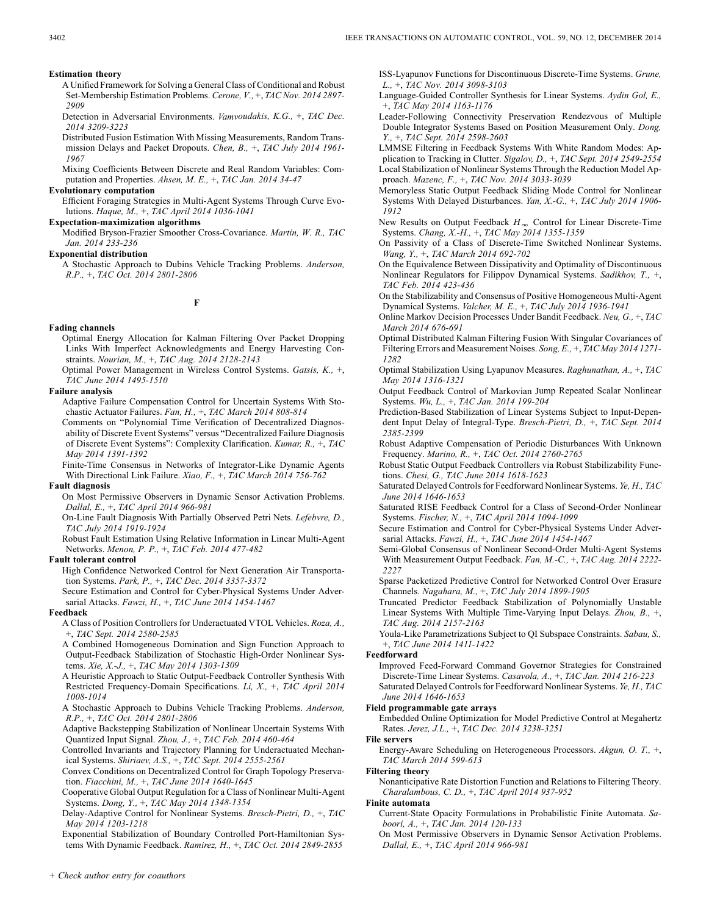- A Unified Framework for Solving a General Class of Conditional and Robust Set-Membership Estimation Problems. *Cerone, V.,* +, *TAC Nov. 2014 2897- 2909*
- Detection in Adversarial Environments. *Vamvoudakis, K.G.,* +, *TAC Dec. 2014 3209-3223*
- Distributed Fusion Estimation With Missing Measurements, Random Transmission Delays and Packet Dropouts. *Chen, B.,* +, *TAC July 2014 1961- 1967*
- Mixing Coefficients Between Discrete and Real Random Variables: Computation and Properties. *Ahsen, M. E.,* +, *TAC Jan. 2014 34-47*

#### **Evolutionary computation**

Efficient Foraging Strategies in Multi-Agent Systems Through Curve Evolutions. *Haque, M.,* +, *TAC April 2014 1036-1041*

## **Expectation-maximization algorithms**

Modified Bryson-Frazier Smoother Cross-Covariance. *Martin, W. R., TAC Jan. 2014 233-236*

#### **Exponential distribution**

A Stochastic Approach to Dubins Vehicle Tracking Problems. *Anderson, R.P.,* +, *TAC Oct. 2014 2801-2806*

**F**

#### **Fading channels**

- Optimal Energy Allocation for Kalman Filtering Over Packet Dropping Links With Imperfect Acknowledgments and Energy Harvesting Constraints. *Nourian, M.,* +, *TAC Aug. 2014 2128-2143*
- Optimal Power Management in Wireless Control Systems. *Gatsis, K.,* +, *TAC June 2014 1495-1510*

#### **Failure analysis**

- Adaptive Failure Compensation Control for Uncertain Systems With Stochastic Actuator Failures. *Fan, H.,* +, *TAC March 2014 808-814*
- Comments on "Polynomial Time Verification of Decentralized Diagnosability of Discrete Event Systems" versus "Decentralized Failure Diagnosis of Discrete Event Systems": Complexity Clarification. *Kumar, R.,* +, *TAC May 2014 1391-1392*
- Finite-Time Consensus in Networks of Integrator-Like Dynamic Agents With Directional Link Failure. *Xiao, F.,* +, *TAC March 2014 756-762*

#### **Fault diagnosis**

- On Most Permissive Observers in Dynamic Sensor Activation Problems. *Dallal, E.,* +, *TAC April 2014 966-981*
- On-Line Fault Diagnosis With Partially Observed Petri Nets. *Lefebvre, D., TAC July 2014 1919-1924*
- Robust Fault Estimation Using Relative Information in Linear Multi-Agent Networks. *Menon, P. P.,* +, *TAC Feb. 2014 477-482*

## **Fault tolerant control**

High Confidence Networked Control for Next Generation Air Transportation Systems. *Park, P.,* +, *TAC Dec. 2014 3357-3372*

Secure Estimation and Control for Cyber-Physical Systems Under Adversarial Attacks. *Fawzi, H.,* +, *TAC June 2014 1454-1467*

#### **Feedback**

- A Class of Position Controllers for Underactuated VTOL Vehicles. *Roza, A.,* +, *TAC Sept. 2014 2580-2585*
- A Combined Homogeneous Domination and Sign Function Approach to Output-Feedback Stabilization of Stochastic High-Order Nonlinear Systems. *Xie, X.-J.,* +, *TAC May 2014 1303-1309*
- A Heuristic Approach to Static Output-Feedback Controller Synthesis With Restricted Frequency-Domain Specifications. *Li, X.,* +, *TAC April 2014 1008-1014*
- A Stochastic Approach to Dubins Vehicle Tracking Problems. *Anderson, R.P.,* +, *TAC Oct. 2014 2801-2806*
- Adaptive Backstepping Stabilization of Nonlinear Uncertain Systems With Quantized Input Signal. *Zhou, J.,* +, *TAC Feb. 2014 460-464*
- Controlled Invariants and Trajectory Planning for Underactuated Mechanical Systems. *Shiriaev, A.S.,* +, *TAC Sept. 2014 2555-2561*
- Convex Conditions on Decentralized Control for Graph Topology Preservation. *Fiacchini, M.,* +, *TAC June 2014 1640-1645*
- Cooperative Global Output Regulation for a Class of Nonlinear Multi-Agent Systems. *Dong, Y.,* +, *TAC May 2014 1348-1354*
- Delay-Adaptive Control for Nonlinear Systems. *Bresch-Pietri, D.,* +, *TAC May 2014 1203-1218*
- Exponential Stabilization of Boundary Controlled Port-Hamiltonian Systems With Dynamic Feedback. *Ramirez, H.,* +, *TAC Oct. 2014 2849-2855*

ISS-Lyapunov Functions for Discontinuous Discrete-Time Systems. *Grune, L.,* +, *TAC Nov. 2014 3098-3103*

- Language-Guided Controller Synthesis for Linear Systems. *Aydin Gol, E.,* +, *TAC May 2014 1163-1176*
- Leader-Following Connectivity Preservation Rendezvous of Multiple Double Integrator Systems Based on Position Measurement Only. *Dong, Y.,* +, *TAC Sept. 2014 2598-2603*
- LMMSE Filtering in Feedback Systems With White Random Modes: Application to Tracking in Clutter. *Sigalov, D.,* +, *TAC Sept. 2014 2549-2554* Local Stabilization of Nonlinear Systems Through the Reduction Model Approach. *Mazenc, F.,* +, *TAC Nov. 2014 3033-3039*
- Memoryless Static Output Feedback Sliding Mode Control for Nonlinear Systems With Delayed Disturbances. *Yan, X.-G.,* +, *TAC July 2014 1906- 1912*
- New Results on Output Feedback  $H_{\infty}$  Control for Linear Discrete-Time Systems. *Chang, X.-H.,* +, *TAC May 2014 1355-1359*
- On Passivity of a Class of Discrete-Time Switched Nonlinear Systems. *Wang, Y.,* +, *TAC March 2014 692-702*
- On the Equivalence Between Dissipativity and Optimality of Discontinuous Nonlinear Regulators for Filippov Dynamical Systems. *Sadikhov, T.,* +, *TAC Feb. 2014 423-436*
- On the Stabilizability and Consensus of Positive Homogeneous Multi-Agent Dynamical Systems. *Valcher, M. E.,* +, *TAC July 2014 1936-1941*
- Online Markov Decision Processes Under Bandit Feedback. *Neu, G.,* +, *TAC March 2014 676-691*
- Optimal Distributed Kalman Filtering Fusion With Singular Covariances of Filtering Errors and Measurement Noises. *Song, E.,* +, *TAC May 2014 1271- 1282*
- Optimal Stabilization Using Lyapunov Measures. *Raghunathan, A.,* +, *TAC May 2014 1316-1321*
- Output Feedback Control of Markovian Jump Repeated Scalar Nonlinear Systems. *Wu, L.,* +, *TAC Jan. 2014 199-204*
- Prediction-Based Stabilization of Linear Systems Subject to Input-Dependent Input Delay of Integral-Type. *Bresch-Pietri, D.,* +, *TAC Sept. 2014 2385-2399*
- Robust Adaptive Compensation of Periodic Disturbances With Unknown Frequency. *Marino, R.,* +, *TAC Oct. 2014 2760-2765*
- Robust Static Output Feedback Controllers via Robust Stabilizability Functions. *Chesi, G., TAC June 2014 1618-1623*
- Saturated Delayed Controls for Feedforward Nonlinear Systems. *Ye, H., TAC June 2014 1646-1653*
- Saturated RISE Feedback Control for a Class of Second-Order Nonlinear Systems. *Fischer, N.,* +, *TAC April 2014 1094-1099*
- Secure Estimation and Control for Cyber-Physical Systems Under Adversarial Attacks. *Fawzi, H.,* +, *TAC June 2014 1454-1467*
- Semi-Global Consensus of Nonlinear Second-Order Multi-Agent Systems With Measurement Output Feedback. *Fan, M.-C.,* +, *TAC Aug. 2014 2222- 2227*
- Sparse Packetized Predictive Control for Networked Control Over Erasure Channels. *Nagahara, M.,* +, *TAC July 2014 1899-1905*
- Truncated Predictor Feedback Stabilization of Polynomially Unstable Linear Systems With Multiple Time-Varying Input Delays. *Zhou, B.,* +, *TAC Aug. 2014 2157-2163*
- Youla-Like Parametrizations Subject to QI Subspace Constraints. *Sabau, S.,* +, *TAC June 2014 1411-1422*

#### **Feedforward**

Improved Feed-Forward Command Governor Strategies for Constrained Discrete-Time Linear Systems. *Casavola, A.,* +, *TAC Jan. 2014 216-223* Saturated Delayed Controls for Feedforward Nonlinear Systems. *Ye, H., TAC June 2014 1646-1653*

## **Field programmable gate arrays**

Embedded Online Optimization for Model Predictive Control at Megahertz Rates. *Jerez, J.L.,* +, *TAC Dec. 2014 3238-3251*

- **File servers**
	- Energy-Aware Scheduling on Heterogeneous Processors. *Akgun, O. T.,* +, *TAC March 2014 599-613*

#### **Filtering theory**

Nonanticipative Rate Distortion Function and Relations to Filtering Theory. *Charalambous, C. D.,* +, *TAC April 2014 937-952*

#### **Finite automata**

- Current-State Opacity Formulations in Probabilistic Finite Automata. *Saboori, A.,* +, *TAC Jan. 2014 120-133*
- On Most Permissive Observers in Dynamic Sensor Activation Problems. *Dallal, E.,* +, *TAC April 2014 966-981*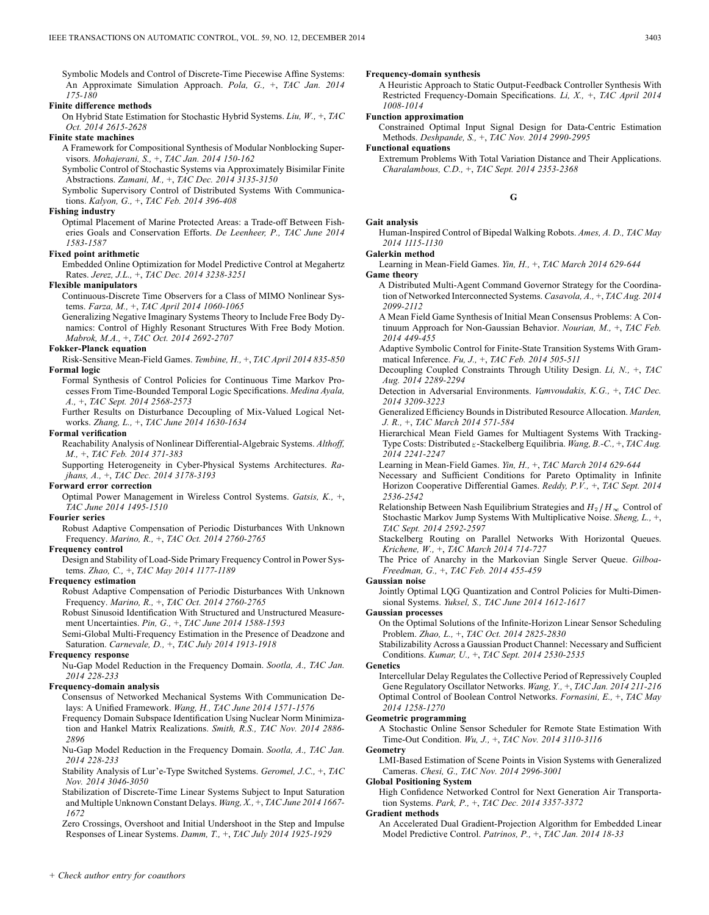Symbolic Models and Control of Discrete-Time Piecewise Affine Systems: An Approximate Simulation Approach. *Pola, G.,* +, *TAC Jan. 2014 175-180*

## **Finite difference methods**

On Hybrid State Estimation for Stochastic Hybrid Systems. *Liu, W.,* +, *TAC Oct. 2014 2615-2628*

## **Finite state machines**

A Framework for Compositional Synthesis of Modular Nonblocking Supervisors. *Mohajerani, S.,* +, *TAC Jan. 2014 150-162*

Symbolic Control of Stochastic Systems via Approximately Bisimilar Finite Abstractions. *Zamani, M.,* +, *TAC Dec. 2014 3135-3150*

Symbolic Supervisory Control of Distributed Systems With Communications. *Kalyon, G.,* +, *TAC Feb. 2014 396-408*

#### **Fishing industry**

Optimal Placement of Marine Protected Areas: a Trade-off Between Fisheries Goals and Conservation Efforts. *De Leenheer, P., TAC June 2014 1583-1587*

## **Fixed point arithmetic**

Embedded Online Optimization for Model Predictive Control at Megahertz Rates. *Jerez, J.L.,* +, *TAC Dec. 2014 3238-3251*

#### **Flexible manipulators**

Continuous-Discrete Time Observers for a Class of MIMO Nonlinear Systems. *Farza, M.,* +, *TAC April 2014 1060-1065*

Generalizing Negative Imaginary Systems Theory to Include Free Body Dynamics: Control of Highly Resonant Structures With Free Body Motion. *Mabrok, M.A.,* +, *TAC Oct. 2014 2692-2707*

## **Fokker-Planck equation**

Risk-Sensitive Mean-Field Games. *Tembine, H.,* +, *TAC April 2014 835-850* **Formal logic**

Formal Synthesis of Control Policies for Continuous Time Markov Processes From Time-Bounded Temporal Logic Specifications. *Medina Ayala, A.,* +, *TAC Sept. 2014 2568-2573*

Further Results on Disturbance Decoupling of Mix-Valued Logical Networks. *Zhang, L.,* +, *TAC June 2014 1630-1634*

## **Formal verification**

Reachability Analysis of Nonlinear Differential-Algebraic Systems. *Althoff, M.,* +, *TAC Feb. 2014 371-383*

Supporting Heterogeneity in Cyber-Physical Systems Architectures. *Rajhans, A.,* +, *TAC Dec. 2014 3178-3193*

#### **Forward error correction**

Optimal Power Management in Wireless Control Systems. *Gatsis, K.,* +, *TAC June 2014 1495-1510*

#### **Fourier series**

Robust Adaptive Compensation of Periodic Disturbances With Unknown Frequency. *Marino, R.,* +, *TAC Oct. 2014 2760-2765*

#### **Frequency control**

Design and Stability of Load-Side Primary Frequency Control in Power Systems. *Zhao, C.,* +, *TAC May 2014 1177-1189*

#### **Frequency estimation**

Robust Adaptive Compensation of Periodic Disturbances With Unknown Frequency. *Marino, R.,* +, *TAC Oct. 2014 2760-2765*

Robust Sinusoid Identification With Structured and Unstructured Measurement Uncertainties. *Pin, G.,* +, *TAC June 2014 1588-1593*

Semi-Global Multi-Frequency Estimation in the Presence of Deadzone and Saturation. *Carnevale, D.,* +, *TAC July 2014 1913-1918*

#### **Frequency response**

Nu-Gap Model Reduction in the Frequency Domain. *Sootla, A., TAC Jan. 2014 228-233*

#### **Frequency-domain analysis**

Consensus of Networked Mechanical Systems With Communication Delays: A Unified Framework. *Wang, H., TAC June 2014 1571-1576*

Frequency Domain Subspace Identification Using Nuclear Norm Minimization and Hankel Matrix Realizations. *Smith, R.S., TAC Nov. 2014 2886- 2896*

Nu-Gap Model Reduction in the Frequency Domain. *Sootla, A., TAC Jan. 2014 228-233*

Stability Analysis of Lur'e-Type Switched Systems. *Geromel, J.C.,* +, *TAC Nov. 2014 3046-3050*

Stabilization of Discrete-Time Linear Systems Subject to Input Saturation and Multiple Unknown Constant Delays. *Wang, X.,* +, *TAC June 2014 1667- 1672*

Zero Crossings, Overshoot and Initial Undershoot in the Step and Impulse Responses of Linear Systems. *Damm, T.,* +, *TAC July 2014 1925-1929*

A Heuristic Approach to Static Output-Feedback Controller Synthesis With Restricted Frequency-Domain Specifications. *Li, X.,* +, *TAC April 2014 1008-1014*

## **Function approximation**

Constrained Optimal Input Signal Design for Data-Centric Estimation Methods. *Deshpande, S.,* +, *TAC Nov. 2014 2990-2995*

**Functional equations**

Extremum Problems With Total Variation Distance and Their Applications. *Charalambous, C.D.,* +, *TAC Sept. 2014 2353-2368*

**G**

Human-Inspired Control of Bipedal Walking Robots. *Ames, A. D., TAC May 2014 1115-1130*

#### **Galerkin method**

Learning in Mean-Field Games. *Yin, H.,* +, *TAC March 2014 629-644*

## **Game theory**

**Gait analysis**

A Distributed Multi-Agent Command Governor Strategy for the Coordination of Networked Interconnected Systems. *Casavola, A.,* +, *TAC Aug. 2014 2099-2112*

A Mean Field Game Synthesis of Initial Mean Consensus Problems: A Continuum Approach for Non-Gaussian Behavior. *Nourian, M.,* +, *TAC Feb. 2014 449-455*

Adaptive Symbolic Control for Finite-State Transition Systems With Grammatical Inference. *Fu, J.,* +, *TAC Feb. 2014 505-511*

Decoupling Coupled Constraints Through Utility Design. *Li, N.,* +, *TAC Aug. 2014 2289-2294*

Detection in Adversarial Environments. *Vamvoudakis, K.G.,* +, *TAC Dec. 2014 3209-3223*

Generalized Efficiency Bounds in Distributed Resource Allocation. *Marden, J. R.,* +, *TAC March 2014 571-584*

Hierarchical Mean Field Games for Multiagent Systems With Tracking-Type Costs: Distributed  $\varepsilon$ -Stackelberg Equilibria. *Wang, B.-C., +, TAC Aug. 2014 2241-2247*

Learning in Mean-Field Games. *Yin, H.,* +, *TAC March 2014 629-644*

Necessary and Sufficient Conditions for Pareto Optimality in Infinite Horizon Cooperative Differential Games. *Reddy, P.V.,* +, *TAC Sept. 2014 2536-2542*

Relationship Between Nash Equilibrium Strategies and  $H_2/H_{\infty}$  Control of Stochastic Markov Jump Systems With Multiplicative Noise. *Sheng, L.,* +, *TAC Sept. 2014 2592-2597*

Stackelberg Routing on Parallel Networks With Horizontal Queues. *Krichene, W.,* +, *TAC March 2014 714-727*

The Price of Anarchy in the Markovian Single Server Queue. *Gilboa-Freedman, G.,* +, *TAC Feb. 2014 455-459*

#### **Gaussian noise**

Jointly Optimal LQG Quantization and Control Policies for Multi-Dimensional Systems. *Yuksel, S., TAC June 2014 1612-1617*

#### **Gaussian processes**

On the Optimal Solutions of the Infinite-Horizon Linear Sensor Scheduling Problem. *Zhao, L.,* +, *TAC Oct. 2014 2825-2830*

Stabilizability Across a Gaussian Product Channel: Necessary and Sufficient Conditions. *Kumar, U.,* +, *TAC Sept. 2014 2530-2535*

#### **Genetics**

Intercellular Delay Regulates the Collective Period of Repressively Coupled Gene Regulatory Oscillator Networks. *Wang, Y.,* +, *TAC Jan. 2014 211-216* Optimal Control of Boolean Control Networks. *Fornasini, E.,* +, *TAC May 2014 1258-1270*

#### **Geometric programming**

A Stochastic Online Sensor Scheduler for Remote State Estimation With Time-Out Condition. *Wu, J.,* +, *TAC Nov. 2014 3110-3116* **Geometry**

LMI-Based Estimation of Scene Points in Vision Systems with Generalized Cameras. *Chesi, G., TAC Nov. 2014 2996-3001*

**Global Positioning System**

High Confidence Networked Control for Next Generation Air Transportation Systems. *Park, P.,* +, *TAC Dec. 2014 3357-3372*

#### **Gradient methods**

An Accelerated Dual Gradient-Projection Algorithm for Embedded Linear Model Predictive Control. *Patrinos, P.,* +, *TAC Jan. 2014 18-33*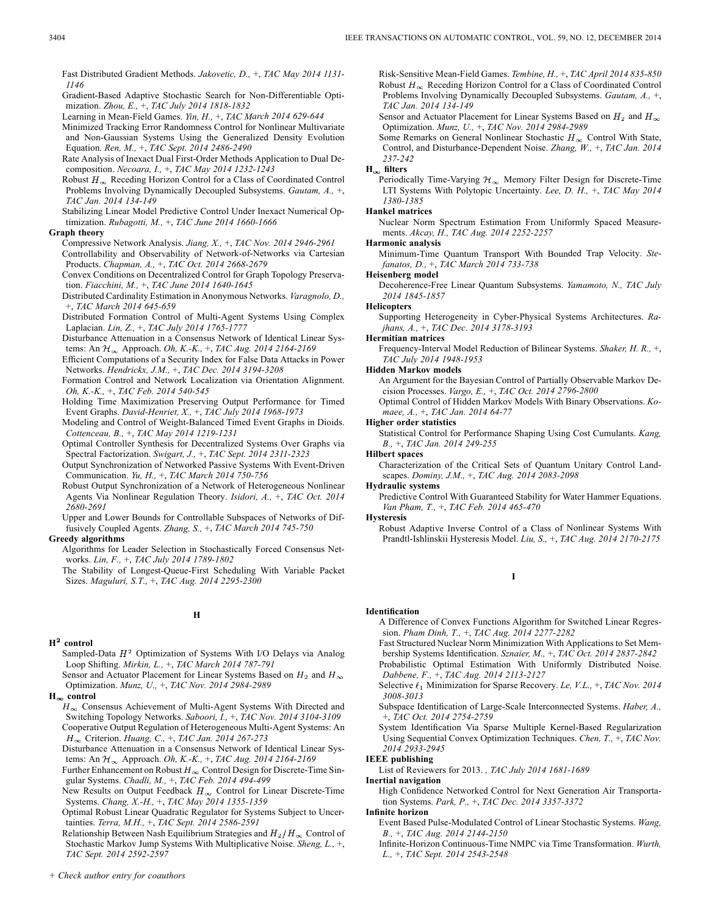Gradient-Based Adaptive Stochastic Search for Non-Differentiable Optimization. *Zhou, E.,* +, *TAC July 2014 1818-1832*

Learning in Mean-Field Games. *Yin, H.,* +, *TAC March 2014 629-644*

- Minimized Tracking Error Randomness Control for Nonlinear Multivariate and Non-Gaussian Systems Using the Generalized Density Evolution Equation. *Ren, M.,* +, *TAC Sept. 2014 2486-2490*
- Rate Analysis of Inexact Dual First-Order Methods Application to Dual Decomposition. *Necoara, I.,* +, *TAC May 2014 1232-1243*
- Robust  $H_{\infty}$  Receding Horizon Control for a Class of Coordinated Control Problems Involving Dynamically Decoupled Subsystems. *Gautam, A.,* +, *TAC Jan. 2014 134-149*

Stabilizing Linear Model Predictive Control Under Inexact Numerical Optimization. *Rubagotti, M.,* +, *TAC June 2014 1660-1666*

## **Graph theory**

Compressive Network Analysis. *Jiang, X.,* +, *TAC Nov. 2014 2946-2961* Controllability and Observability of Network-of-Networks via Cartesian Products. *Chapman, A.,* +, *TAC Oct. 2014 2668-2679*

Convex Conditions on Decentralized Control for Graph Topology Preservation. *Fiacchini, M.,* +, *TAC June 2014 1640-1645*

Distributed Cardinality Estimation in Anonymous Networks. *Varagnolo, D.,* +, *TAC March 2014 645-659*

Distributed Formation Control of Multi-Agent Systems Using Complex Laplacian. *Lin, Z.,* +, *TAC July 2014 1765-1777*

Disturbance Attenuation in a Consensus Network of Identical Linear Systems: An Approach. *Oh, K.-K.,* +, *TAC Aug. 2014 2164-2169*

Efficient Computations of a Security Index for False Data Attacks in Power Networks. *Hendrickx, J.M.,* +, *TAC Dec. 2014 3194-3208*

Formation Control and Network Localization via Orientation Alignment. *Oh, K.-K.,* +, *TAC Feb. 2014 540-545*

Holding Time Maximization Preserving Output Performance for Timed Event Graphs. *David-Henriet, X.,* +, *TAC July 2014 1968-1973*

Modeling and Control of Weight-Balanced Timed Event Graphs in Dioids. *Cottenceau, B.,* +, *TAC May 2014 1219-1231*

Optimal Controller Synthesis for Decentralized Systems Over Graphs via Spectral Factorization. *Swigart, J.,* +, *TAC Sept. 2014 2311-2323*

Output Synchronization of Networked Passive Systems With Event-Driven Communication. *Yu, H.,* +, *TAC March 2014 750-756*

Robust Output Synchronization of a Network of Heterogeneous Nonlinear Agents Via Nonlinear Regulation Theory. *Isidori, A.,* +, *TAC Oct. 2014 2680-2691*

Upper and Lower Bounds for Controllable Subspaces of Networks of Diffusively Coupled Agents. *Zhang, S.,* +, *TAC March 2014 745-750*

## **Greedy algorithms**

Algorithms for Leader Selection in Stochastically Forced Consensus Networks. *Lin, F.,* +, *TAC July 2014 1789-1802*

The Stability of Longest-Queue-First Scheduling With Variable Packet Sizes. *Maguluri, S.T.,* +, *TAC Aug. 2014 2295-2300*

## **H**

## $H^2$  control

Sampled-Data  $H^2$  Optimization of Systems With I/O Delays via Analog Loop Shifting. *Mirkin, L.,* +, *TAC March 2014 787-791*

Sensor and Actuator Placement for Linear Systems Based on  $H_2$  and  $H_{\infty}$ Optimization. *Munz, U.,* +, *TAC Nov. 2014 2984-2989*

## $H_{\infty}$  control

 $H_{\infty}$  Consensus Achievement of Multi-Agent Systems With Directed and Switching Topology Networks. *Saboori, I.,* +, *TAC Nov. 2014 3104-3109* Cooperative Output Regulation of Heterogeneous Multi-Agent Systems: An Criterion. *Huang, C.,* +, *TAC Jan. 2014 267-273*

Disturbance Attenuation in a Consensus Network of Identical Linear Systems: An Approach. *Oh, K.-K.,* +, *TAC Aug. 2014 2164-2169*

Further Enhancement on Robust  $H_\infty$  Control Design for Discrete-Time Singular Systems. *Chadli, M.,* +, *TAC Feb. 2014 494-499*

New Results on Output Feedback  $H_{\infty}$  Control for Linear Discrete-Time Systems. *Chang, X.-H.,* +, *TAC May 2014 1355-1359*

Optimal Robust Linear Quadratic Regulator for Systems Subject to Uncertainties. *Terra, M.H.,* +, *TAC Sept. 2014 2586-2591*

Relationship Between Nash Equilibrium Strategies and  $H_2/H_{\infty}$  Control of Stochastic Markov Jump Systems With Multiplicative Noise. *Sheng, L.,* +, *TAC Sept. 2014 2592-2597*

Risk-Sensitive Mean-Field Games. *Tembine, H.,* +, *TAC April 2014 835-850* Robust  $H_{\infty}$  Receding Horizon Control for a Class of Coordinated Control Problems Involving Dynamically Decoupled Subsystems. *Gautam, A.,* +, *TAC Jan. 2014 134-149*

Sensor and Actuator Placement for Linear Systems Based on  $H_2$  and  $H_{\infty}$ Optimization. *Munz, U.,* +, *TAC Nov. 2014 2984-2989*

Some Remarks on General Nonlinear Stochastic  $H_{\infty}$  Control With State, Control, and Disturbance-Dependent Noise. *Zhang, W.,* +, *TAC Jan. 2014 237-242*

## $H_{\infty}$  filters

Periodically Time-Varying  $\mathcal{H}_{\infty}$  Memory Filter Design for Discrete-Time LTI Systems With Polytopic Uncertainty. *Lee, D. H.,* +, *TAC May 2014 1380-1385*

## **Hankel matrices**

Nuclear Norm Spectrum Estimation From Uniformly Spaced Measurements. *Akcay, H., TAC Aug. 2014 2252-2257*

#### **Harmonic analysis**

Minimum-Time Quantum Transport With Bounded Trap Velocity. *Stefanatos, D.,* +, *TAC March 2014 733-738*

## **Heisenberg model**

Decoherence-Free Linear Quantum Subsystems. *Yamamoto, N., TAC July 2014 1845-1857*

#### **Helicopters**

Supporting Heterogeneity in Cyber-Physical Systems Architectures. *Rajhans, A.,* +, *TAC Dec. 2014 3178-3193*

#### **Hermitian matrices**

Frequency-Interval Model Reduction of Bilinear Systems. *Shaker, H. R.,* +, *TAC July 2014 1948-1953*

#### **Hidden Markov models**

An Argument for the Bayesian Control of Partially Observable Markov Decision Processes. *Vargo, E.,* +, *TAC Oct. 2014 2796-2800*

Optimal Control of Hidden Markov Models With Binary Observations. *Komaee, A.,* +, *TAC Jan. 2014 64-77*

#### **Higher order statistics**

Statistical Control for Performance Shaping Using Cost Cumulants. *Kang, B.,* +, *TAC Jan. 2014 249-255*

# **Hilbert spaces**

Characterization of the Critical Sets of Quantum Unitary Control Landscapes. *Dominy, J.M.,* +, *TAC Aug. 2014 2083-2098*

**Hydraulic systems**

Predictive Control With Guaranteed Stability for Water Hammer Equations. *Van Pham, T.,* +, *TAC Feb. 2014 465-470*

## **Hysteresis**

Robust Adaptive Inverse Control of a Class of Nonlinear Systems With Prandtl-Ishlinskii Hysteresis Model. *Liu, S.,* +, *TAC Aug. 2014 2170-2175*

## **I**

#### **Identification**

A Difference of Convex Functions Algorithm for Switched Linear Regression. *Pham Dinh, T.,* +, *TAC Aug. 2014 2277-2282*

Fast Structured Nuclear Norm Minimization With Applications to Set Membership Systems Identification. *Sznaier, M.,* +, *TAC Oct. 2014 2837-2842*

Probabilistic Optimal Estimation With Uniformly Distributed Noise. *Dabbene, F.,* +, *TAC Aug. 2014 2113-2127*

Selective  $\ell_1$  Minimization for Sparse Recovery. *Le, V.L.,* +, *TAC Nov. 2014 3008-3013*

- Subspace Identification of Large-Scale Interconnected Systems. *Haber, A.,* +, *TAC Oct. 2014 2754-2759*
- System Identification Via Sparse Multiple Kernel-Based Regularization Using Sequential Convex Optimization Techniques. *Chen, T.,* +, *TAC Nov. 2014 2933-2945*

## **IEEE publishing**

List of Reviewers for 2013. *, TAC July 2014 1681-1689*

**Inertial navigation**

High Confidence Networked Control for Next Generation Air Transportation Systems. *Park, P.,* +, *TAC Dec. 2014 3357-3372*

## **Infinite horizon**

- Event Based Pulse-Modulated Control of Linear Stochastic Systems. *Wang, B.,* +, *TAC Aug. 2014 2144-2150*
- Infinite-Horizon Continuous-Time NMPC via Time Transformation. *Wurth, L.,* +, *TAC Sept. 2014 2543-2548*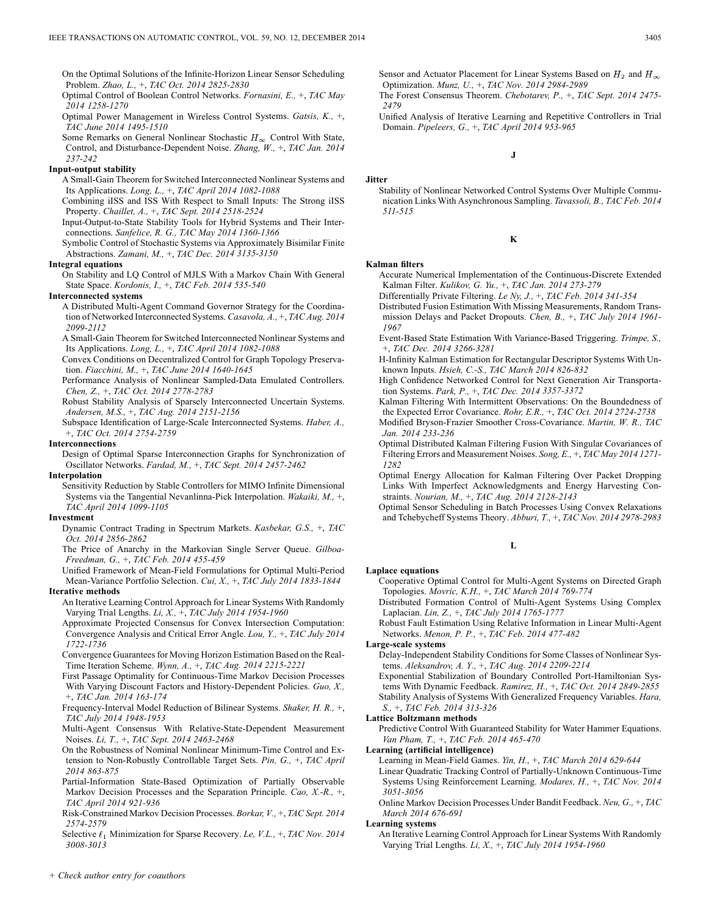On the Optimal Solutions of the Infinite-Horizon Linear Sensor Scheduling Problem. *Zhao, L.,* +, *TAC Oct. 2014 2825-2830*

Optimal Control of Boolean Control Networks. *Fornasini, E.,* +, *TAC May 2014 1258-1270*

Optimal Power Management in Wireless Control Systems. *Gatsis, K.,* +, *TAC June 2014 1495-1510*

Some Remarks on General Nonlinear Stochastic  $H_{\infty}$  Control With State, Control, and Disturbance-Dependent Noise. *Zhang, W.,* +, *TAC Jan. 2014 237-242*

#### **Input-output stability**

A Small-Gain Theorem for Switched Interconnected Nonlinear Systems and Its Applications. *Long, L.,* +, *TAC April 2014 1082-1088*

Combining iISS and ISS With Respect to Small Inputs: The Strong iISS Property. *Chaillet, A.,* +, *TAC Sept. 2014 2518-2524*

Input-Output-to-State Stability Tools for Hybrid Systems and Their Interconnections. *Sanfelice, R. G., TAC May 2014 1360-1366*

Symbolic Control of Stochastic Systems via Approximately Bisimilar Finite Abstractions. *Zamani, M.,* +, *TAC Dec. 2014 3135-3150*

#### **Integral equations**

On Stability and LQ Control of MJLS With a Markov Chain With General State Space. *Kordonis, I.,* +, *TAC Feb. 2014 535-540*

#### **Interconnected systems**

A Distributed Multi-Agent Command Governor Strategy for the Coordination of Networked Interconnected Systems. *Casavola, A.,* +, *TAC Aug. 2014 2099-2112*

A Small-Gain Theorem for Switched Interconnected Nonlinear Systems and Its Applications. *Long, L.,* +, *TAC April 2014 1082-1088*

Convex Conditions on Decentralized Control for Graph Topology Preservation. *Fiacchini, M.,* +, *TAC June 2014 1640-1645*

Performance Analysis of Nonlinear Sampled-Data Emulated Controllers. *Chen, Z.,* +, *TAC Oct. 2014 2778-2783*

Robust Stability Analysis of Sparsely Interconnected Uncertain Systems. *Andersen, M.S.,* +, *TAC Aug. 2014 2151-2156*

Subspace Identification of Large-Scale Interconnected Systems. *Haber, A.,* +, *TAC Oct. 2014 2754-2759*

#### **Interconnections**

Design of Optimal Sparse Interconnection Graphs for Synchronization of Oscillator Networks. *Fardad, M.,* +, *TAC Sept. 2014 2457-2462*

#### **Interpolation**

Sensitivity Reduction by Stable Controllers for MIMO Infinite Dimensional Systems via the Tangential Nevanlinna-Pick Interpolation. *Wakaiki, M.,* +, *TAC April 2014 1099-1105*

#### **Investment**

Dynamic Contract Trading in Spectrum Markets. *Kasbekar, G.S.,* +, *TAC Oct. 2014 2856-2862*

The Price of Anarchy in the Markovian Single Server Queue. *Gilboa-Freedman, G.,* +, *TAC Feb. 2014 455-459*

Unified Framework of Mean-Field Formulations for Optimal Multi-Period Mean-Variance Portfolio Selection. *Cui, X.,* +, *TAC July 2014 1833-1844*

## **Iterative methods**

An Iterative Learning Control Approach for Linear Systems With Randomly Varying Trial Lengths. *Li, X.,* +, *TAC July 2014 1954-1960*

Approximate Projected Consensus for Convex Intersection Computation: Convergence Analysis and Critical Error Angle. *Lou, Y.,* +, *TAC July 2014 1722-1736*

Convergence Guarantees for Moving Horizon Estimation Based on the Real-Time Iteration Scheme. *Wynn, A.,* +, *TAC Aug. 2014 2215-2221*

First Passage Optimality for Continuous-Time Markov Decision Processes With Varying Discount Factors and History-Dependent Policies. *Guo, X.,* +, *TAC Jan. 2014 163-174*

Frequency-Interval Model Reduction of Bilinear Systems. *Shaker, H. R.,* +, *TAC July 2014 1948-1953*

Multi-Agent Consensus With Relative-State-Dependent Measurement Noises. *Li, T.,* +, *TAC Sept. 2014 2463-2468*

On the Robustness of Nominal Nonlinear Minimum-Time Control and Extension to Non-Robustly Controllable Target Sets. *Pin, G.,* +, *TAC April 2014 863-875*

Partial-Information State-Based Optimization of Partially Observable Markov Decision Processes and the Separation Principle. *Cao, X.-R.,* +, *TAC April 2014 921-936*

Risk-Constrained Markov Decision Processes. *Borkar, V.,* +, *TAC Sept. 2014 2574-2579*

Selective  $\ell_1$  Minimization for Sparse Recovery. *Le, V.L.,* +, *TAC Nov. 2014 3008-3013*

*+ Check author entry for coauthors*

#### Sensor and Actuator Placement for Linear Systems Based on  $H_2$  and  $H_{\infty}$ Optimization. *Munz, U.,* +, *TAC Nov. 2014 2984-2989*

The Forest Consensus Theorem. *Chebotarev, P.,* +, *TAC Sept. 2014 2475- 2479*

Unified Analysis of Iterative Learning and Repetitive Controllers in Trial Domain. *Pipeleers, G.,* +, *TAC April 2014 953-965*

**J**

**Jitter** Stability of Nonlinear Networked Control Systems Over Multiple Communication Links With Asynchronous Sampling. *Tavassoli, B., TAC Feb. 2014 511-515*

#### **K**

## **Kalman filters**

Accurate Numerical Implementation of the Continuous-Discrete Extended Kalman Filter. *Kulikov, G. Yu.,* +, *TAC Jan. 2014 273-279*

Differentially Private Filtering. *Le Ny, J.,* +, *TAC Feb. 2014 341-354*

- Distributed Fusion Estimation With Missing Measurements, Random Transmission Delays and Packet Dropouts. *Chen, B.,* +, *TAC July 2014 1961- 1967*
- Event-Based State Estimation With Variance-Based Triggering. *Trimpe, S.,* +, *TAC Dec. 2014 3266-3281*
- H-Infinity Kalman Estimation for Rectangular Descriptor Systems With Unknown Inputs. *Hsieh, C.-S., TAC March 2014 826-832*
- High Confidence Networked Control for Next Generation Air Transportation Systems. *Park, P.,* +, *TAC Dec. 2014 3357-3372*

Kalman Filtering With Intermittent Observations: On the Boundedness of the Expected Error Covariance. *Rohr, E.R.,* +, *TAC Oct. 2014 2724-2738*

- Modified Bryson-Frazier Smoother Cross-Covariance. *Martin, W. R., TAC Jan. 2014 233-236*
- Optimal Distributed Kalman Filtering Fusion With Singular Covariances of Filtering Errors and Measurement Noises. *Song, E.,* +, *TAC May 2014 1271- 1282*

Optimal Energy Allocation for Kalman Filtering Over Packet Dropping Links With Imperfect Acknowledgments and Energy Harvesting Constraints. *Nourian, M.,* +, *TAC Aug. 2014 2128-2143*

Optimal Sensor Scheduling in Batch Processes Using Convex Relaxations and Tchebycheff Systems Theory. *Abburi, T.,* +, *TAC Nov. 2014 2978-2983*

#### **L**

#### **Laplace equations**

Cooperative Optimal Control for Multi-Agent Systems on Directed Graph Topologies. *Movric, K.H.,* +, *TAC March 2014 769-774*

Distributed Formation Control of Multi-Agent Systems Using Complex Laplacian. *Lin, Z.,* +, *TAC July 2014 1765-1777*

Robust Fault Estimation Using Relative Information in Linear Multi-Agent Networks. *Menon, P. P.,* +, *TAC Feb. 2014 477-482*

#### **Large-scale systems**

Delay-Independent Stability Conditions for Some Classes of Nonlinear Systems. *Aleksandrov, A. Y.,* +, *TAC Aug. 2014 2209-2214*

Exponential Stabilization of Boundary Controlled Port-Hamiltonian Systems With Dynamic Feedback. *Ramirez, H.,* +, *TAC Oct. 2014 2849-2855* Stability Analysis of Systems With Generalized Frequency Variables. *Hara, S.,* +, *TAC Feb. 2014 313-326*

## **Lattice Boltzmann methods**

Predictive Control With Guaranteed Stability for Water Hammer Equations. *Van Pham, T.,* +, *TAC Feb. 2014 465-470*

**Learning (artificial intelligence)**

Learning in Mean-Field Games. *Yin, H.,* +, *TAC March 2014 629-644*

Linear Quadratic Tracking Control of Partially-Unknown Continuous-Time Systems Using Reinforcement Learning. *Modares, H.,* +, *TAC Nov. 2014 3051-3056*

Online Markov Decision Processes Under Bandit Feedback. *Neu, G.,* +, *TAC March 2014 676-691*

#### **Learning systems**

An Iterative Learning Control Approach for Linear Systems With Randomly Varying Trial Lengths. *Li, X.,* +, *TAC July 2014 1954-1960*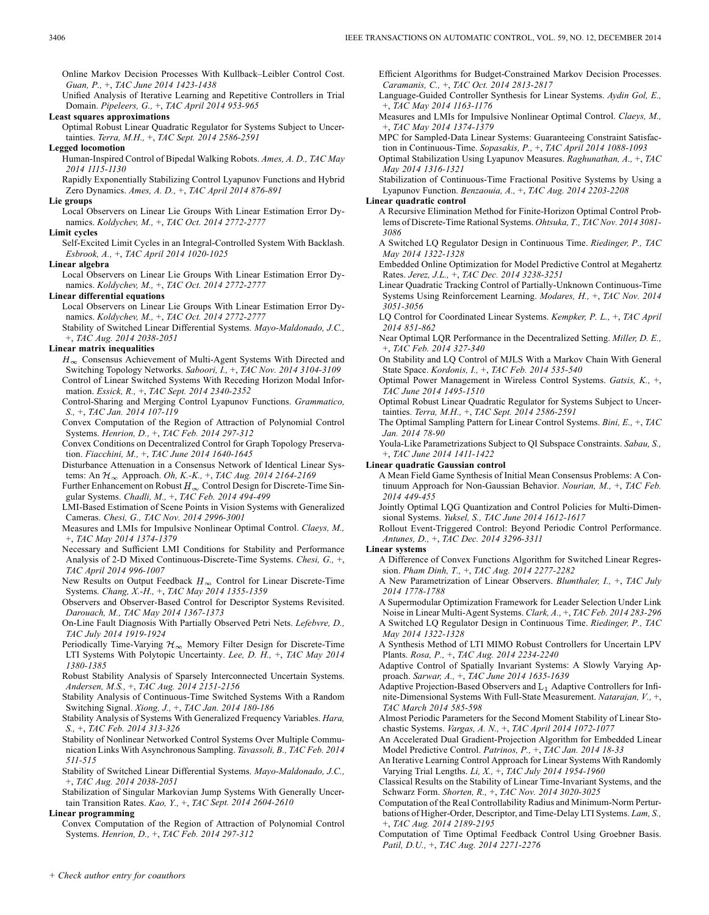Online Markov Decision Processes With Kullback–Leibler Control Cost. *Guan, P.,* +, *TAC June 2014 1423-1438*

Unified Analysis of Iterative Learning and Repetitive Controllers in Trial Domain. *Pipeleers, G.,* +, *TAC April 2014 953-965*

#### **Least squares approximations**

Optimal Robust Linear Quadratic Regulator for Systems Subject to Uncertainties. *Terra, M.H.,* +, *TAC Sept. 2014 2586-2591*

## **Legged locomotion**

Human-Inspired Control of Bipedal Walking Robots. *Ames, A. D., TAC May 2014 1115-1130*

Rapidly Exponentially Stabilizing Control Lyapunov Functions and Hybrid Zero Dynamics. *Ames, A. D.,* +, *TAC April 2014 876-891*

#### **Lie groups**

Local Observers on Linear Lie Groups With Linear Estimation Error Dynamics. *Koldychev, M.,* +, *TAC Oct. 2014 2772-2777*

## **Limit cycles**

Self-Excited Limit Cycles in an Integral-Controlled System With Backlash. *Esbrook, A.,* +, *TAC April 2014 1020-1025*

#### **Linear algebra**

Local Observers on Linear Lie Groups With Linear Estimation Error Dynamics. *Koldychev, M.,* +, *TAC Oct. 2014 2772-2777*

## **Linear differential equations**

Local Observers on Linear Lie Groups With Linear Estimation Error Dynamics. *Koldychev, M.,* +, *TAC Oct. 2014 2772-2777*

Stability of Switched Linear Differential Systems. *Mayo-Maldonado, J.C.,* +, *TAC Aug. 2014 2038-2051*

#### **Linear matrix inequalities**

 $H_{\infty}$  Consensus Achievement of Multi-Agent Systems With Directed and Switching Topology Networks. *Saboori, I.,* +, *TAC Nov. 2014 3104-3109* Control of Linear Switched Systems With Receding Horizon Modal Information. *Essick, R.,* +, *TAC Sept. 2014 2340-2352*

Control-Sharing and Merging Control Lyapunov Functions. *Grammatico, S.,* +, *TAC Jan. 2014 107-119*

Convex Computation of the Region of Attraction of Polynomial Control Systems. *Henrion, D.,* +, *TAC Feb. 2014 297-312*

Convex Conditions on Decentralized Control for Graph Topology Preservation. *Fiacchini, M.,* +, *TAC June 2014 1640-1645*

Disturbance Attenuation in a Consensus Network of Identical Linear Systems: An Approach. *Oh, K.-K.,* +, *TAC Aug. 2014 2164-2169*

Further Enhancement on Robust  $H_{\infty}$  Control Design for Discrete-Time Singular Systems. *Chadli, M.,* +, *TAC Feb. 2014 494-499*

LMI-Based Estimation of Scene Points in Vision Systems with Generalized Cameras. *Chesi, G., TAC Nov. 2014 2996-3001*

Measures and LMIs for Impulsive Nonlinear Optimal Control. *Claeys, M.,* +, *TAC May 2014 1374-1379*

Necessary and Sufficient LMI Conditions for Stability and Performance Analysis of 2-D Mixed Continuous-Discrete-Time Systems. *Chesi, G.,* +, *TAC April 2014 996-1007*

New Results on Output Feedback  $H_{\infty}$  Control for Linear Discrete-Time Systems. *Chang, X.-H.,* +, *TAC May 2014 1355-1359*

Observers and Observer-Based Control for Descriptor Systems Revisited. *Darouach, M., TAC May 2014 1367-1373*

On-Line Fault Diagnosis With Partially Observed Petri Nets. *Lefebvre, D., TAC July 2014 1919-1924*

Periodically Time-Varying  $\mathcal{H}_{\infty}$  Memory Filter Design for Discrete-Time LTI Systems With Polytopic Uncertainty. *Lee, D. H.,* +, *TAC May 2014 1380-1385*

Robust Stability Analysis of Sparsely Interconnected Uncertain Systems. *Andersen, M.S.,* +, *TAC Aug. 2014 2151-2156*

Stability Analysis of Continuous-Time Switched Systems With a Random Switching Signal. *Xiong, J.,* +, *TAC Jan. 2014 180-186*

Stability Analysis of Systems With Generalized Frequency Variables. *Hara, S.,* +, *TAC Feb. 2014 313-326*

Stability of Nonlinear Networked Control Systems Over Multiple Communication Links With Asynchronous Sampling. *Tavassoli, B., TAC Feb. 2014 511-515*

Stability of Switched Linear Differential Systems. *Mayo-Maldonado, J.C.,* +, *TAC Aug. 2014 2038-2051*

Stabilization of Singular Markovian Jump Systems With Generally Uncertain Transition Rates. *Kao, Y.,* +, *TAC Sept. 2014 2604-2610*

## **Linear programming**

Convex Computation of the Region of Attraction of Polynomial Control Systems. *Henrion, D.,* +, *TAC Feb. 2014 297-312*

Efficient Algorithms for Budget-Constrained Markov Decision Processes. *Caramanis, C.,* +, *TAC Oct. 2014 2813-2817*

Language-Guided Controller Synthesis for Linear Systems. *Aydin Gol, E.,* +, *TAC May 2014 1163-1176*

Measures and LMIs for Impulsive Nonlinear Optimal Control. *Claeys, M.,* +, *TAC May 2014 1374-1379*

MPC for Sampled-Data Linear Systems: Guaranteeing Constraint Satisfaction in Continuous-Time. *Sopasakis, P.,* +, *TAC April 2014 1088-1093*

Optimal Stabilization Using Lyapunov Measures. *Raghunathan, A.,* +, *TAC May 2014 1316-1321*

Stabilization of Continuous-Time Fractional Positive Systems by Using a Lyapunov Function. *Benzaouia, A.,* +, *TAC Aug. 2014 2203-2208*

## **Linear quadratic control**

A Recursive Elimination Method for Finite-Horizon Optimal Control Problems of Discrete-Time Rational Systems. *Ohtsuka, T., TAC Nov. 2014 3081- 3086*

A Switched LQ Regulator Design in Continuous Time. *Riedinger, P., TAC May 2014 1322-1328*

Embedded Online Optimization for Model Predictive Control at Megahertz Rates. *Jerez, J.L.,* +, *TAC Dec. 2014 3238-3251*

Linear Quadratic Tracking Control of Partially-Unknown Continuous-Time Systems Using Reinforcement Learning. *Modares, H.,* +, *TAC Nov. 2014 3051-3056*

LQ Control for Coordinated Linear Systems. *Kempker, P. L.,* +, *TAC April 2014 851-862*

Near Optimal LQR Performance in the Decentralized Setting. *Miller, D. E.,* +, *TAC Feb. 2014 327-340*

On Stability and LQ Control of MJLS With a Markov Chain With General State Space. *Kordonis, I.,* +, *TAC Feb. 2014 535-540*

Optimal Power Management in Wireless Control Systems. *Gatsis, K.,* +, *TAC June 2014 1495-1510*

Optimal Robust Linear Quadratic Regulator for Systems Subject to Uncertainties. *Terra, M.H.,* +, *TAC Sept. 2014 2586-2591*

The Optimal Sampling Pattern for Linear Control Systems. *Bini, E.,* +, *TAC Jan. 2014 78-90*

Youla-Like Parametrizations Subject to QI Subspace Constraints. *Sabau, S.,* +, *TAC June 2014 1411-1422*

#### **Linear quadratic Gaussian control**

A Mean Field Game Synthesis of Initial Mean Consensus Problems: A Continuum Approach for Non-Gaussian Behavior. *Nourian, M.,* +, *TAC Feb. 2014 449-455*

Jointly Optimal LQG Quantization and Control Policies for Multi-Dimensional Systems. *Yuksel, S., TAC June 2014 1612-1617*

Rollout Event-Triggered Control: Beyond Periodic Control Performance. *Antunes, D.,* +, *TAC Dec. 2014 3296-3311*

#### **Linear systems**

A Difference of Convex Functions Algorithm for Switched Linear Regression. *Pham Dinh, T.,* +, *TAC Aug. 2014 2277-2282*

A New Parametrization of Linear Observers. *Blumthaler, I.,* +, *TAC July 2014 1778-1788*

A Supermodular Optimization Framework for Leader Selection Under Link Noise in Linear Multi-Agent Systems. *Clark, A.,* +, *TAC Feb. 2014 283-296* A Switched LQ Regulator Design in Continuous Time. *Riedinger, P., TAC May 2014 1322-1328*

A Synthesis Method of LTI MIMO Robust Controllers for Uncertain LPV Plants. *Rosa, P.,* +, *TAC Aug. 2014 2234-2240*

Adaptive Control of Spatially Invariant Systems: A Slowly Varying Approach. *Sarwar, A.,* +, *TAC June 2014 1635-1639*

Adaptive Projection-Based Observers and  $L_1$  Adaptive Controllers for Infinite-Dimensional Systems With Full-State Measurement. *Natarajan, V.,* +, *TAC March 2014 585-598*

Almost Periodic Parameters for the Second Moment Stability of Linear Stochastic Systems. *Vargas, A. N.,* +, *TAC April 2014 1072-1077*

An Accelerated Dual Gradient-Projection Algorithm for Embedded Linear Model Predictive Control. *Patrinos, P.,* +, *TAC Jan. 2014 18-33*

An Iterative Learning Control Approach for Linear Systems With Randomly Varying Trial Lengths. *Li, X.,* +, *TAC July 2014 1954-1960*

Classical Results on the Stability of Linear Time-Invariant Systems, and the Schwarz Form. *Shorten, R.,* +, *TAC Nov. 2014 3020-3025*

Computation of the Real Controllability Radius and Minimum-Norm Perturbations of Higher-Order, Descriptor, and Time-Delay LTI Systems. *Lam, S.,* +, *TAC Aug. 2014 2189-2195*

Computation of Time Optimal Feedback Control Using Groebner Basis. *Patil, D.U.,* +, *TAC Aug. 2014 2271-2276*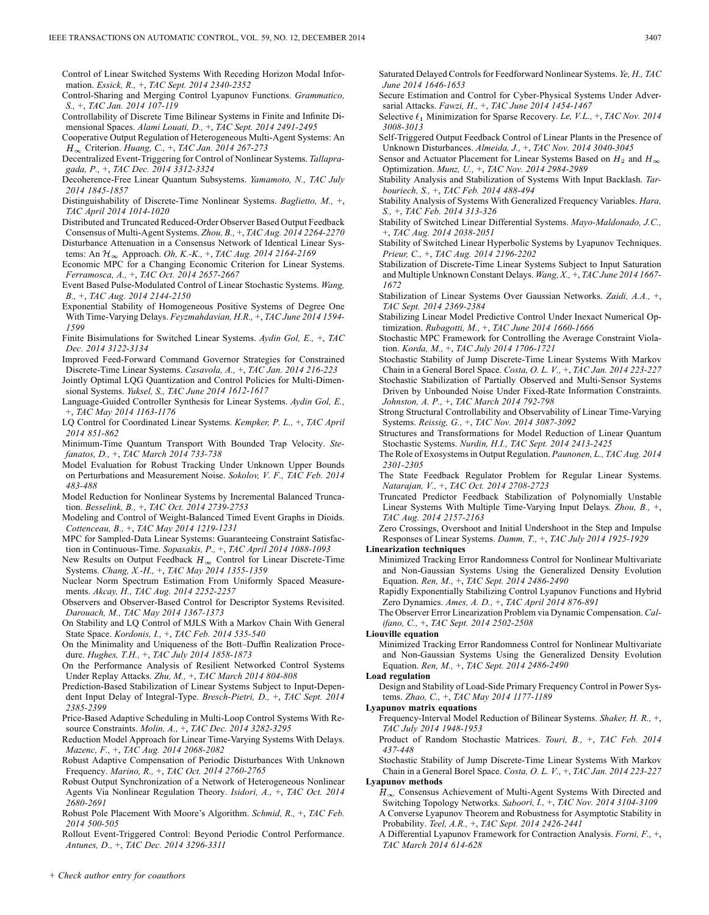Control of Linear Switched Systems With Receding Horizon Modal Information. *Essick, R.,* +, *TAC Sept. 2014 2340-2352*

Control-Sharing and Merging Control Lyapunov Functions. *Grammatico, S.,* +, *TAC Jan. 2014 107-119*

Controllability of Discrete Time Bilinear Systems in Finite and Infinite Dimensional Spaces. *Alami Louati, D.,* +, *TAC Sept. 2014 2491-2495*

Cooperative Output Regulation of Heterogeneous Multi-Agent Systems: An Criterion. *Huang, C.,* +, *TAC Jan. 2014 267-273*

Decentralized Event-Triggering for Control of Nonlinear Systems. *Tallapragada, P.,* +, *TAC Dec. 2014 3312-3324*

Decoherence-Free Linear Quantum Subsystems. *Yamamoto, N., TAC July 2014 1845-1857*

Distinguishability of Discrete-Time Nonlinear Systems. *Baglietto, M.,* +, *TAC April 2014 1014-1020*

Distributed and Truncated Reduced-Order Observer Based Output Feedback Consensus of Multi-Agent Systems. *Zhou, B.,* +, *TAC Aug. 2014 2264-2270* Disturbance Attenuation in a Consensus Network of Identical Linear Systems: An Approach. *Oh, K.-K.,* +, *TAC Aug. 2014 2164-2169*

Economic MPC for a Changing Economic Criterion for Linear Systems. *Ferramosca, A.,* +, *TAC Oct. 2014 2657-2667*

Event Based Pulse-Modulated Control of Linear Stochastic Systems. *Wang, B.,* +, *TAC Aug. 2014 2144-2150*

Exponential Stability of Homogeneous Positive Systems of Degree One With Time-Varying Delays. *Feyzmahdavian, H.R.,* +, *TAC June 2014 1594- 1599*

Finite Bisimulations for Switched Linear Systems. *Aydin Gol, E.,* +, *TAC Dec. 2014 3122-3134*

Improved Feed-Forward Command Governor Strategies for Constrained Discrete-Time Linear Systems. *Casavola, A.,* +, *TAC Jan. 2014 216-223*

Jointly Optimal LQG Quantization and Control Policies for Multi-Dimensional Systems. *Yuksel, S., TAC June 2014 1612-1617*

Language-Guided Controller Synthesis for Linear Systems. *Aydin Gol, E.,* +, *TAC May 2014 1163-1176*

LQ Control for Coordinated Linear Systems. *Kempker, P. L.,* +, *TAC April 2014 851-862*

Minimum-Time Quantum Transport With Bounded Trap Velocity. *Stefanatos, D.,* +, *TAC March 2014 733-738*

Model Evaluation for Robust Tracking Under Unknown Upper Bounds on Perturbations and Measurement Noise. *Sokolov, V. F., TAC Feb. 2014 483-488*

Model Reduction for Nonlinear Systems by Incremental Balanced Truncation. *Besselink, B.,* +, *TAC Oct. 2014 2739-2753*

Modeling and Control of Weight-Balanced Timed Event Graphs in Dioids. *Cottenceau, B.,* +, *TAC May 2014 1219-1231*

MPC for Sampled-Data Linear Systems: Guaranteeing Constraint Satisfaction in Continuous-Time. *Sopasakis, P.,* +, *TAC April 2014 1088-1093*

New Results on Output Feedback  $H_{\infty}$  Control for Linear Discrete-Time Systems. *Chang, X.-H.,* +, *TAC May 2014 1355-1359*

Nuclear Norm Spectrum Estimation From Uniformly Spaced Measurements. *Akcay, H., TAC Aug. 2014 2252-2257*

Observers and Observer-Based Control for Descriptor Systems Revisited. *Darouach, M., TAC May 2014 1367-1373*

On Stability and LQ Control of MJLS With a Markov Chain With General State Space. *Kordonis, I.,* +, *TAC Feb. 2014 535-540*

On the Minimality and Uniqueness of the Bott–Duffin Realization Procedure. *Hughes, T.H.,* +, *TAC July 2014 1858-1873*

On the Performance Analysis of Resilient Networked Control Systems Under Replay Attacks. *Zhu, M.,* +, *TAC March 2014 804-808*

Prediction-Based Stabilization of Linear Systems Subject to Input-Dependent Input Delay of Integral-Type. *Bresch-Pietri, D.,* +, *TAC Sept. 2014 2385-2399*

Price-Based Adaptive Scheduling in Multi-Loop Control Systems With Resource Constraints. *Molin, A.,* +, *TAC Dec. 2014 3282-3295*

Reduction Model Approach for Linear Time-Varying Systems With Delays. *Mazenc, F.,* +, *TAC Aug. 2014 2068-2082*

Robust Adaptive Compensation of Periodic Disturbances With Unknown Frequency. *Marino, R.,* +, *TAC Oct. 2014 2760-2765*

Robust Output Synchronization of a Network of Heterogeneous Nonlinear Agents Via Nonlinear Regulation Theory. *Isidori, A.,* +, *TAC Oct. 2014 2680-2691*

Robust Pole Placement With Moore's Algorithm. *Schmid, R.,* +, *TAC Feb. 2014 500-505*

Rollout Event-Triggered Control: Beyond Periodic Control Performance. *Antunes, D.,* +, *TAC Dec. 2014 3296-3311*

Saturated Delayed Controls for Feedforward Nonlinear Systems. *Ye, H., TAC June 2014 1646-1653*

Secure Estimation and Control for Cyber-Physical Systems Under Adversarial Attacks. *Fawzi, H.,* +, *TAC June 2014 1454-1467*

Selective  $\ell_1$  Minimization for Sparse Recovery. *Le, V.L.,* +, *TAC Nov.* 2014 *3008-3013*

Self-Triggered Output Feedback Control of Linear Plants in the Presence of Unknown Disturbances. *Almeida, J.,* +, *TAC Nov. 2014 3040-3045*

Sensor and Actuator Placement for Linear Systems Based on  $H_2$  and  $H_{\infty}$ Optimization. *Munz, U.,* +, *TAC Nov. 2014 2984-2989*

Stability Analysis and Stabilization of Systems With Input Backlash. *Tarbouriech, S.,* +, *TAC Feb. 2014 488-494*

Stability Analysis of Systems With Generalized Frequency Variables. *Hara, S.,* +, *TAC Feb. 2014 313-326*

Stability of Switched Linear Differential Systems. *Mayo-Maldonado, J.C.,* +, *TAC Aug. 2014 2038-2051*

Stability of Switched Linear Hyperbolic Systems by Lyapunov Techniques. *Prieur, C.,* +, *TAC Aug. 2014 2196-2202*

- Stabilization of Discrete-Time Linear Systems Subject to Input Saturation and Multiple Unknown Constant Delays. *Wang, X.,* +, *TAC June 2014 1667- 1672*
- Stabilization of Linear Systems Over Gaussian Networks. *Zaidi, A.A.,* +, *TAC Sept. 2014 2369-2384*

Stabilizing Linear Model Predictive Control Under Inexact Numerical Optimization. *Rubagotti, M.,* +, *TAC June 2014 1660-1666*

Stochastic MPC Framework for Controlling the Average Constraint Violation. *Korda, M.,* +, *TAC July 2014 1706-1721*

Stochastic Stability of Jump Discrete-Time Linear Systems With Markov Chain in a General Borel Space. *Costa, O. L. V.,* +, *TAC Jan. 2014 223-227*

Stochastic Stabilization of Partially Observed and Multi-Sensor Systems Driven by Unbounded Noise Under Fixed-Rate Information Constraints. *Johnston, A. P.,* +, *TAC March 2014 792-798*

Strong Structural Controllability and Observability of Linear Time-Varying Systems. *Reissig, G.,* +, *TAC Nov. 2014 3087-3092*

Structures and Transformations for Model Reduction of Linear Quantum Stochastic Systems. *Nurdin, H.I., TAC Sept. 2014 2413-2425*

The Role of Exosystems in Output Regulation. *Paunonen, L., TAC Aug. 2014 2301-2305*

The State Feedback Regulator Problem for Regular Linear Systems. *Natarajan, V.,* +, *TAC Oct. 2014 2708-2723*

Truncated Predictor Feedback Stabilization of Polynomially Unstable Linear Systems With Multiple Time-Varying Input Delays. *Zhou, B.,* +, *TAC Aug. 2014 2157-2163*

Zero Crossings, Overshoot and Initial Undershoot in the Step and Impulse Responses of Linear Systems. *Damm, T.,* +, *TAC July 2014 1925-1929*

#### **Linearization techniques**

Minimized Tracking Error Randomness Control for Nonlinear Multivariate and Non-Gaussian Systems Using the Generalized Density Evolution Equation. *Ren, M.,* +, *TAC Sept. 2014 2486-2490*

Rapidly Exponentially Stabilizing Control Lyapunov Functions and Hybrid Zero Dynamics. *Ames, A. D.,* +, *TAC April 2014 876-891*

The Observer Error Linearization Problem via Dynamic Compensation. *Califano, C.,* +, *TAC Sept. 2014 2502-2508*

### **Liouville equation**

Minimized Tracking Error Randomness Control for Nonlinear Multivariate and Non-Gaussian Systems Using the Generalized Density Evolution Equation. *Ren, M.,* +, *TAC Sept. 2014 2486-2490*

#### **Load regulation**

Design and Stability of Load-Side Primary Frequency Control in Power Systems. *Zhao, C.,* +, *TAC May 2014 1177-1189*

## **Lyapunov matrix equations**

Frequency-Interval Model Reduction of Bilinear Systems. *Shaker, H. R.,* +, *TAC July 2014 1948-1953*

Product of Random Stochastic Matrices. *Touri, B.,* +, *TAC Feb. 2014 437-448*

Stochastic Stability of Jump Discrete-Time Linear Systems With Markov Chain in a General Borel Space. *Costa, O. L. V.,* +, *TAC Jan. 2014 223-227*

**Lyapunov methods**

 $H_{\infty}$  Consensus Achievement of Multi-Agent Systems With Directed and Switching Topology Networks. *Saboori, I.,* +, *TAC Nov. 2014 3104-3109* A Converse Lyapunov Theorem and Robustness for Asymptotic Stability in Probability. *Teel, A.R.,* +, *TAC Sept. 2014 2426-2441*

A Differential Lyapunov Framework for Contraction Analysis. *Forni, F.,* +, *TAC March 2014 614-628*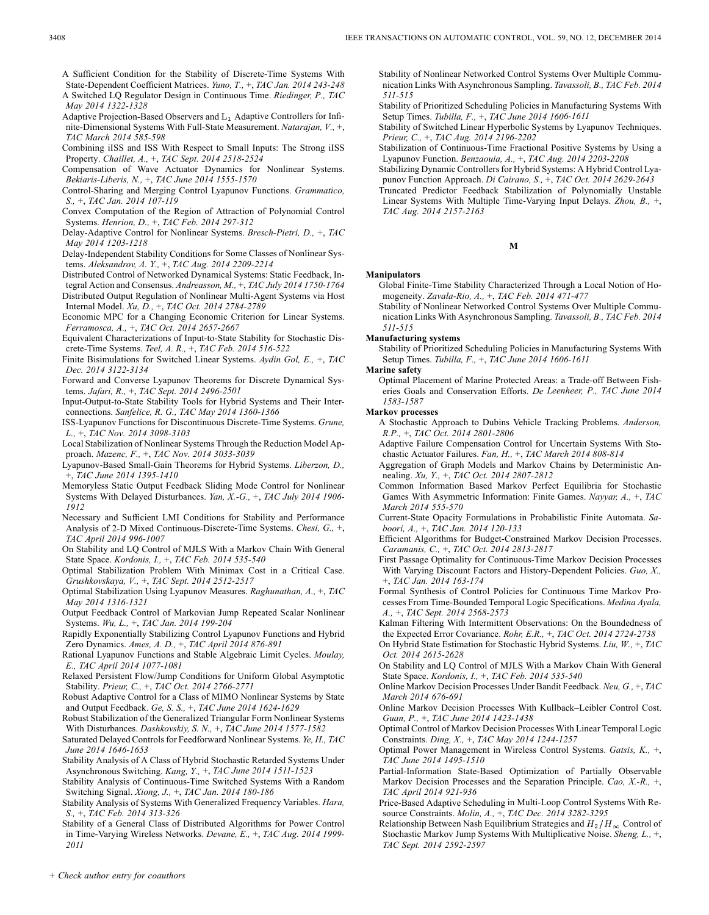- A Sufficient Condition for the Stability of Discrete-Time Systems With State-Dependent Coefficient Matrices. *Yuno, T.,* +, *TAC Jan. 2014 243-248* A Switched LQ Regulator Design in Continuous Time. *Riedinger, P., TAC*
- *May 2014 1322-1328* Adaptive Projection-Based Observers and  $L_1$  Adaptive Controllers for Infi-
- nite-Dimensional Systems With Full-State Measurement. *Natarajan, V.,* +, *TAC March 2014 585-598*
- Combining iISS and ISS With Respect to Small Inputs: The Strong iISS Property. *Chaillet, A.,* +, *TAC Sept. 2014 2518-2524*
- Compensation of Wave Actuator Dynamics for Nonlinear Systems. *Bekiaris-Liberis, N.,* +, *TAC June 2014 1555-1570*
- Control-Sharing and Merging Control Lyapunov Functions. *Grammatico, S.,* +, *TAC Jan. 2014 107-119*
- Convex Computation of the Region of Attraction of Polynomial Control Systems. *Henrion, D.,* +, *TAC Feb. 2014 297-312*
- Delay-Adaptive Control for Nonlinear Systems. *Bresch-Pietri, D.,* +, *TAC May 2014 1203-1218*
- Delay-Independent Stability Conditions for Some Classes of Nonlinear Systems. *Aleksandrov, A. Y.,* +, *TAC Aug. 2014 2209-2214*
- Distributed Control of Networked Dynamical Systems: Static Feedback, Integral Action and Consensus. *Andreasson, M.,* +, *TAC July 2014 1750-1764* Distributed Output Regulation of Nonlinear Multi-Agent Systems via Host Internal Model. *Xu, D.,* +, *TAC Oct. 2014 2784-2789*
- Economic MPC for a Changing Economic Criterion for Linear Systems. *Ferramosca, A.,* +, *TAC Oct. 2014 2657-2667*
- Equivalent Characterizations of Input-to-State Stability for Stochastic Discrete-Time Systems. *Teel, A. R.,* +, *TAC Feb. 2014 516-522*
- Finite Bisimulations for Switched Linear Systems. *Aydin Gol, E.,* +, *TAC Dec. 2014 3122-3134*
- Forward and Converse Lyapunov Theorems for Discrete Dynamical Systems. *Jafari, R.,* +, *TAC Sept. 2014 2496-2501*
- Input-Output-to-State Stability Tools for Hybrid Systems and Their Interconnections. *Sanfelice, R. G., TAC May 2014 1360-1366*
- ISS-Lyapunov Functions for Discontinuous Discrete-Time Systems. *Grune, L.,* +, *TAC Nov. 2014 3098-3103*
- Local Stabilization of Nonlinear Systems Through the Reduction Model Approach. *Mazenc, F.,* +, *TAC Nov. 2014 3033-3039*
- Lyapunov-Based Small-Gain Theorems for Hybrid Systems. *Liberzon, D.,* +, *TAC June 2014 1395-1410*
- Memoryless Static Output Feedback Sliding Mode Control for Nonlinear Systems With Delayed Disturbances. *Yan, X.-G.,* +, *TAC July 2014 1906- 1912*
- Necessary and Sufficient LMI Conditions for Stability and Performance Analysis of 2-D Mixed Continuous-Discrete-Time Systems. *Chesi, G.,* +, *TAC April 2014 996-1007*
- On Stability and LQ Control of MJLS With a Markov Chain With General State Space. *Kordonis, I.,* +, *TAC Feb. 2014 535-540*
- Optimal Stabilization Problem With Minimax Cost in a Critical Case. *Grushkovskaya, V.,* +, *TAC Sept. 2014 2512-2517*
- Optimal Stabilization Using Lyapunov Measures. *Raghunathan, A.,* +, *TAC May 2014 1316-1321*
- Output Feedback Control of Markovian Jump Repeated Scalar Nonlinear Systems. *Wu, L.,* +, *TAC Jan. 2014 199-204*
- Rapidly Exponentially Stabilizing Control Lyapunov Functions and Hybrid Zero Dynamics. *Ames, A. D.,* +, *TAC April 2014 876-891*
- Rational Lyapunov Functions and Stable Algebraic Limit Cycles. *Moulay, E., TAC April 2014 1077-1081*
- Relaxed Persistent Flow/Jump Conditions for Uniform Global Asymptotic Stability. *Prieur, C.,* +, *TAC Oct. 2014 2766-2771*
- Robust Adaptive Control for a Class of MIMO Nonlinear Systems by State and Output Feedback. *Ge, S. S.,* +, *TAC June 2014 1624-1629*
- Robust Stabilization of the Generalized Triangular Form Nonlinear Systems With Disturbances. *Dashkovskiy, S. N.,* +, *TAC June 2014 1577-1582*
- Saturated Delayed Controls for Feedforward Nonlinear Systems. *Ye, H., TAC June 2014 1646-1653*
- Stability Analysis of A Class of Hybrid Stochastic Retarded Systems Under Asynchronous Switching. *Kang, Y.,* +, *TAC June 2014 1511-1523*
- Stability Analysis of Continuous-Time Switched Systems With a Random Switching Signal. *Xiong, J.,* +, *TAC Jan. 2014 180-186*
- Stability Analysis of Systems With Generalized Frequency Variables. *Hara, S.,* +, *TAC Feb. 2014 313-326*
- Stability of a General Class of Distributed Algorithms for Power Control in Time-Varying Wireless Networks. *Devane, E.,* +, *TAC Aug. 2014 1999- 2011*
- Stability of Nonlinear Networked Control Systems Over Multiple Communication Links With Asynchronous Sampling. *Tavassoli, B., TAC Feb. 2014 511-515*
- Stability of Prioritized Scheduling Policies in Manufacturing Systems With Setup Times. *Tubilla, F.,* +, *TAC June 2014 1606-1611*
- Stability of Switched Linear Hyperbolic Systems by Lyapunov Techniques. *Prieur, C.,* +, *TAC Aug. 2014 2196-2202*
- Stabilization of Continuous-Time Fractional Positive Systems by Using a Lyapunov Function. *Benzaouia, A.,* +, *TAC Aug. 2014 2203-2208*
- Stabilizing Dynamic Controllers for Hybrid Systems: A Hybrid Control Lyapunov Function Approach. *Di Cairano, S.,* +, *TAC Oct. 2014 2629-2643* Truncated Predictor Feedback Stabilization of Polynomially Unstable
- Linear Systems With Multiple Time-Varying Input Delays. *Zhou, B.,* +, *TAC Aug. 2014 2157-2163*

## **M**

## **Manipulators**

- Global Finite-Time Stability Characterized Through a Local Notion of Homogeneity. *Zavala-Rio, A.,* +, *TAC Feb. 2014 471-477*
- Stability of Nonlinear Networked Control Systems Over Multiple Communication Links With Asynchronous Sampling. *Tavassoli, B., TAC Feb. 2014 511-515*

### **Manufacturing systems**

Stability of Prioritized Scheduling Policies in Manufacturing Systems With Setup Times. *Tubilla, F.,* +, *TAC June 2014 1606-1611*

**Marine safety**

Optimal Placement of Marine Protected Areas: a Trade-off Between Fisheries Goals and Conservation Efforts. *De Leenheer, P., TAC June 2014 1583-1587*

### **Markov processes**

- A Stochastic Approach to Dubins Vehicle Tracking Problems. *Anderson, R.P.,* +, *TAC Oct. 2014 2801-2806*
- Adaptive Failure Compensation Control for Uncertain Systems With Stochastic Actuator Failures. *Fan, H.,* +, *TAC March 2014 808-814*
- Aggregation of Graph Models and Markov Chains by Deterministic Annealing. *Xu, Y.,* +, *TAC Oct. 2014 2807-2812*
- Common Information Based Markov Perfect Equilibria for Stochastic Games With Asymmetric Information: Finite Games. *Nayyar, A.,* +, *TAC March 2014 555-570*
- Current-State Opacity Formulations in Probabilistic Finite Automata. *Saboori, A.,* +, *TAC Jan. 2014 120-133*
- Efficient Algorithms for Budget-Constrained Markov Decision Processes. *Caramanis, C.,* +, *TAC Oct. 2014 2813-2817*
- First Passage Optimality for Continuous-Time Markov Decision Processes With Varying Discount Factors and History-Dependent Policies. *Guo, X.,* +, *TAC Jan. 2014 163-174*
- Formal Synthesis of Control Policies for Continuous Time Markov Processes From Time-Bounded Temporal Logic Specifications. *Medina Ayala, A.,* +, *TAC Sept. 2014 2568-2573*
- Kalman Filtering With Intermittent Observations: On the Boundedness of the Expected Error Covariance. *Rohr, E.R.,* +, *TAC Oct. 2014 2724-2738* On Hybrid State Estimation for Stochastic Hybrid Systems. *Liu, W.,* +, *TAC*

*Oct. 2014 2615-2628*

- On Stability and LQ Control of MJLS With a Markov Chain With General State Space. *Kordonis, I.,* +, *TAC Feb. 2014 535-540*
- Online Markov Decision Processes Under Bandit Feedback. *Neu, G.,* +, *TAC March 2014 676-691*
- Online Markov Decision Processes With Kullback–Leibler Control Cost. *Guan, P.,* +, *TAC June 2014 1423-1438*
- Optimal Control of Markov Decision Processes With Linear Temporal Logic Constraints. *Ding, X.,* +, *TAC May 2014 1244-1257*
- Optimal Power Management in Wireless Control Systems. *Gatsis, K.,* +, *TAC June 2014 1495-1510*
- Partial-Information State-Based Optimization of Partially Observable Markov Decision Processes and the Separation Principle. *Cao, X.-R.,* +, *TAC April 2014 921-936*
- Price-Based Adaptive Scheduling in Multi-Loop Control Systems With Resource Constraints. *Molin, A.,* +, *TAC Dec. 2014 3282-3295*
- Relationship Between Nash Equilibrium Strategies and  $H_2/H_{\infty}$  Control of Stochastic Markov Jump Systems With Multiplicative Noise. *Sheng, L.,* +, *TAC Sept. 2014 2592-2597*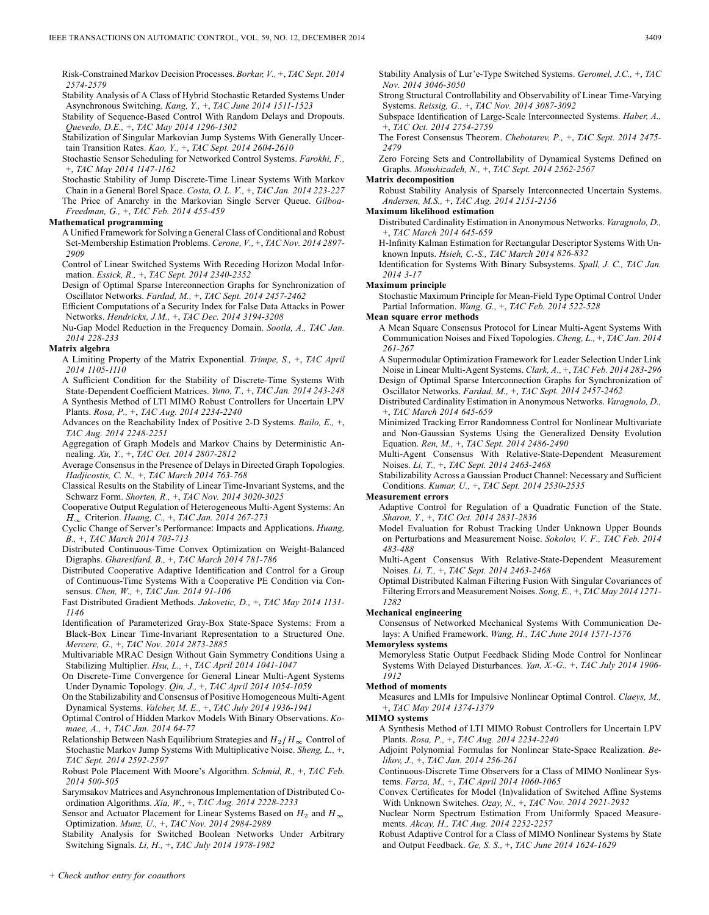Risk-Constrained Markov Decision Processes. *Borkar, V.,* +, *TAC Sept. 2014 2574-2579*

Stability Analysis of A Class of Hybrid Stochastic Retarded Systems Under Asynchronous Switching. *Kang, Y.,* +, *TAC June 2014 1511-1523*

Stability of Sequence-Based Control With Random Delays and Dropouts. *Quevedo, D.E.,* +, *TAC May 2014 1296-1302*

Stabilization of Singular Markovian Jump Systems With Generally Uncertain Transition Rates. *Kao, Y.,* +, *TAC Sept. 2014 2604-2610*

Stochastic Sensor Scheduling for Networked Control Systems. *Farokhi, F.,* +, *TAC May 2014 1147-1162*

Stochastic Stability of Jump Discrete-Time Linear Systems With Markov Chain in a General Borel Space. *Costa, O. L. V.,* +, *TAC Jan. 2014 223-227* The Price of Anarchy in the Markovian Single Server Queue. *Gilboa-Freedman, G.,* +, *TAC Feb. 2014 455-459*

#### **Mathematical programming**

A Unified Framework for Solving a General Class of Conditional and Robust Set-Membership Estimation Problems. *Cerone, V.,* +, *TAC Nov. 2014 2897- 2909*

Control of Linear Switched Systems With Receding Horizon Modal Information. *Essick, R.,* +, *TAC Sept. 2014 2340-2352*

Design of Optimal Sparse Interconnection Graphs for Synchronization of Oscillator Networks. *Fardad, M.,* +, *TAC Sept. 2014 2457-2462*

Efficient Computations of a Security Index for False Data Attacks in Power Networks. *Hendrickx, J.M.,* +, *TAC Dec. 2014 3194-3208*

Nu-Gap Model Reduction in the Frequency Domain. *Sootla, A., TAC Jan. 2014 228-233*

#### **Matrix algebra**

A Limiting Property of the Matrix Exponential. *Trimpe, S.,* +, *TAC April 2014 1105-1110*

A Sufficient Condition for the Stability of Discrete-Time Systems With State-Dependent Coefficient Matrices. *Yuno, T.,* +, *TAC Jan. 2014 243-248* A Synthesis Method of LTI MIMO Robust Controllers for Uncertain LPV Plants. *Rosa, P.,* +, *TAC Aug. 2014 2234-2240*

Advances on the Reachability Index of Positive 2-D Systems. *Bailo, E.,* +, *TAC Aug. 2014 2248-2251*

Aggregation of Graph Models and Markov Chains by Deterministic Annealing. *Xu, Y.,* +, *TAC Oct. 2014 2807-2812*

Average Consensus in the Presence of Delays in Directed Graph Topologies. *Hadjicostis, C. N.,* +, *TAC March 2014 763-768*

Classical Results on the Stability of Linear Time-Invariant Systems, and the Schwarz Form. *Shorten, R.,* +, *TAC Nov. 2014 3020-3025*

Cooperative Output Regulation of Heterogeneous Multi-Agent Systems: An Criterion. *Huang, C.,* +, *TAC Jan. 2014 267-273*

Cyclic Change of Server's Performance: Impacts and Applications. *Huang, B.,* +, *TAC March 2014 703-713*

Distributed Continuous-Time Convex Optimization on Weight-Balanced Digraphs. *Gharesifard, B.,* +, *TAC March 2014 781-786*

Distributed Cooperative Adaptive Identification and Control for a Group of Continuous-Time Systems With a Cooperative PE Condition via Consensus. *Chen, W.,* +, *TAC Jan. 2014 91-106*

Fast Distributed Gradient Methods. *Jakovetic, D.,* +, *TAC May 2014 1131- 1146*

Identification of Parameterized Gray-Box State-Space Systems: From a Black-Box Linear Time-Invariant Representation to a Structured One. *Mercere, G.,* +, *TAC Nov. 2014 2873-2885*

Multivariable MRAC Design Without Gain Symmetry Conditions Using a Stabilizing Multiplier. *Hsu, L.,* +, *TAC April 2014 1041-1047*

On Discrete-Time Convergence for General Linear Multi-Agent Systems Under Dynamic Topology. *Qin, J.,* +, *TAC April 2014 1054-1059*

On the Stabilizability and Consensus of Positive Homogeneous Multi-Agent Dynamical Systems. *Valcher, M. E.,* +, *TAC July 2014 1936-1941*

Optimal Control of Hidden Markov Models With Binary Observations. *Komaee, A.,* +, *TAC Jan. 2014 64-77*

Relationship Between Nash Equilibrium Strategies and  $H_2/H_{\infty}$  Control of Stochastic Markov Jump Systems With Multiplicative Noise. *Sheng, L.,* +, *TAC Sept. 2014 2592-2597*

Robust Pole Placement With Moore's Algorithm. *Schmid, R.,* +, *TAC Feb. 2014 500-505*

Sarymsakov Matrices and Asynchronous Implementation of Distributed Coordination Algorithms. *Xia, W.,* +, *TAC Aug. 2014 2228-2233*

Sensor and Actuator Placement for Linear Systems Based on  $H_2$  and  $H_{\infty}$ Optimization. *Munz, U.,* +, *TAC Nov. 2014 2984-2989*

Stability Analysis for Switched Boolean Networks Under Arbitrary Switching Signals. *Li, H.,* +, *TAC July 2014 1978-1982*

Stability Analysis of Lur'e-Type Switched Systems. *Geromel, J.C.,* +, *TAC Nov. 2014 3046-3050*

Strong Structural Controllability and Observability of Linear Time-Varying Systems. *Reissig, G.,* +, *TAC Nov. 2014 3087-3092*

Subspace Identification of Large-Scale Interconnected Systems. *Haber, A.,* +, *TAC Oct. 2014 2754-2759*

The Forest Consensus Theorem. *Chebotarev, P.,* +, *TAC Sept. 2014 2475- 2479*

Zero Forcing Sets and Controllability of Dynamical Systems Defined on Graphs. *Monshizadeh, N.,* +, *TAC Sept. 2014 2562-2567*

## **Matrix decomposition**

Robust Stability Analysis of Sparsely Interconnected Uncertain Systems. *Andersen, M.S.,* +, *TAC Aug. 2014 2151-2156*

## **Maximum likelihood estimation**

Distributed Cardinality Estimation in Anonymous Networks. *Varagnolo, D.,* +, *TAC March 2014 645-659*

H-Infinity Kalman Estimation for Rectangular Descriptor Systems With Unknown Inputs. *Hsieh, C.-S., TAC March 2014 826-832*

Identification for Systems With Binary Subsystems. *Spall, J. C., TAC Jan. 2014 3-17*

#### **Maximum principle**

Stochastic Maximum Principle for Mean-Field Type Optimal Control Under Partial Information. *Wang, G.,* +, *TAC Feb. 2014 522-528*

## **Mean square error methods**

A Mean Square Consensus Protocol for Linear Multi-Agent Systems With Communication Noises and Fixed Topologies. *Cheng, L.,* +, *TAC Jan. 2014 261-267*

A Supermodular Optimization Framework for Leader Selection Under Link Noise in Linear Multi-Agent Systems. *Clark, A.,* +, *TAC Feb. 2014 283-296* Design of Optimal Sparse Interconnection Graphs for Synchronization of Oscillator Networks. *Fardad, M.,* +, *TAC Sept. 2014 2457-2462*

Distributed Cardinality Estimation in Anonymous Networks. *Varagnolo, D.,* +, *TAC March 2014 645-659*

Minimized Tracking Error Randomness Control for Nonlinear Multivariate and Non-Gaussian Systems Using the Generalized Density Evolution Equation. *Ren, M.,* +, *TAC Sept. 2014 2486-2490*

Multi-Agent Consensus With Relative-State-Dependent Measurement Noises. *Li, T.,* +, *TAC Sept. 2014 2463-2468*

Stabilizability Across a Gaussian Product Channel: Necessary and Sufficient Conditions. *Kumar, U.,* +, *TAC Sept. 2014 2530-2535*

#### **Measurement errors**

Adaptive Control for Regulation of a Quadratic Function of the State. *Sharon, Y.,* +, *TAC Oct. 2014 2831-2836*

Model Evaluation for Robust Tracking Under Unknown Upper Bounds on Perturbations and Measurement Noise. *Sokolov, V. F., TAC Feb. 2014 483-488*

Multi-Agent Consensus With Relative-State-Dependent Measurement Noises. *Li, T.,* +, *TAC Sept. 2014 2463-2468*

Optimal Distributed Kalman Filtering Fusion With Singular Covariances of Filtering Errors and Measurement Noises. *Song, E.,* +, *TAC May 2014 1271- 1282*

## **Mechanical engineering**

Consensus of Networked Mechanical Systems With Communication Delays: A Unified Framework. *Wang, H., TAC June 2014 1571-1576*

#### **Memoryless systems**

Memoryless Static Output Feedback Sliding Mode Control for Nonlinear Systems With Delayed Disturbances. *Yan, X.-G.,* +, *TAC July 2014 1906- 1912*

## **Method of moments**

Measures and LMIs for Impulsive Nonlinear Optimal Control. *Claeys, M.,* +, *TAC May 2014 1374-1379*

**MIMO systems**

A Synthesis Method of LTI MIMO Robust Controllers for Uncertain LPV Plants. *Rosa, P.,* +, *TAC Aug. 2014 2234-2240*

Adjoint Polynomial Formulas for Nonlinear State-Space Realization. *Belikov, J.,* +, *TAC Jan. 2014 256-261*

Continuous-Discrete Time Observers for a Class of MIMO Nonlinear Systems. *Farza, M.,* +, *TAC April 2014 1060-1065*

Convex Certificates for Model (In)validation of Switched Affine Systems With Unknown Switches. *Ozay, N.,* +, *TAC Nov. 2014 2921-2932*

Nuclear Norm Spectrum Estimation From Uniformly Spaced Measurements. *Akcay, H., TAC Aug. 2014 2252-2257*

Robust Adaptive Control for a Class of MIMO Nonlinear Systems by State and Output Feedback. *Ge, S. S.,* +, *TAC June 2014 1624-1629*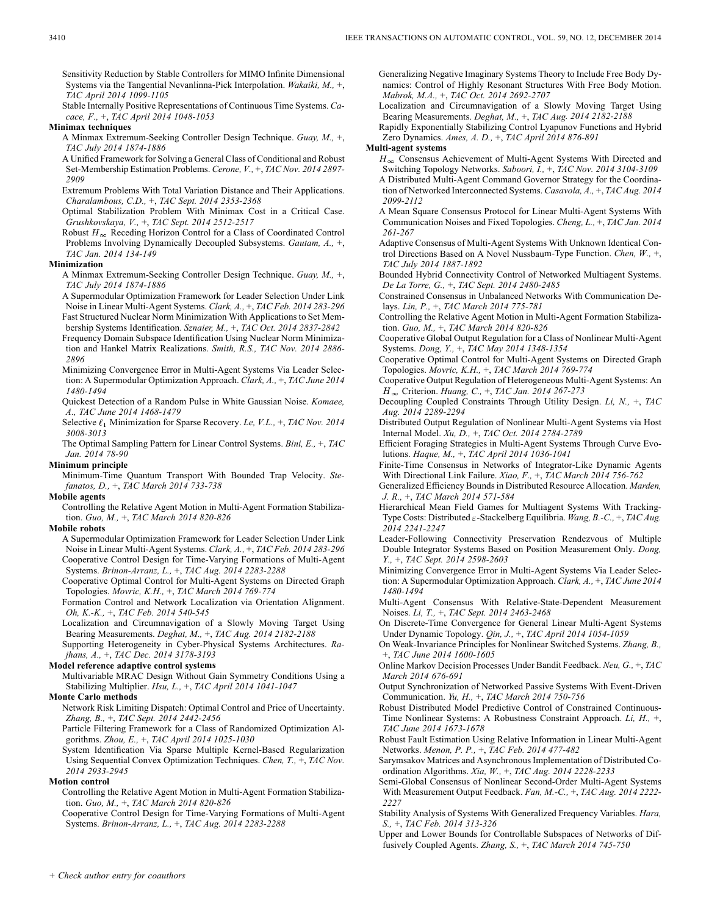Sensitivity Reduction by Stable Controllers for MIMO Infinite Dimensional Systems via the Tangential Nevanlinna-Pick Interpolation. *Wakaiki, M.,* +, *TAC April 2014 1099-1105*

Stable Internally Positive Representations of Continuous Time Systems. *Cacace, F.,* +, *TAC April 2014 1048-1053*

#### **Minimax techniques**

A Minmax Extremum-Seeking Controller Design Technique. *Guay, M.,* +, *TAC July 2014 1874-1886*

A Unified Framework for Solving a General Class of Conditional and Robust Set-Membership Estimation Problems. *Cerone, V.,* +, *TAC Nov. 2014 2897- 2909*

Extremum Problems With Total Variation Distance and Their Applications. *Charalambous, C.D.,* +, *TAC Sept. 2014 2353-2368*

Optimal Stabilization Problem With Minimax Cost in a Critical Case. *Grushkovskaya, V.,* +, *TAC Sept. 2014 2512-2517*

Robust  $H_{\infty}$  Receding Horizon Control for a Class of Coordinated Control Problems Involving Dynamically Decoupled Subsystems. *Gautam, A.,* +, *TAC Jan. 2014 134-149*

#### **Minimization**

A Minmax Extremum-Seeking Controller Design Technique. *Guay, M.,* +, *TAC July 2014 1874-1886*

A Supermodular Optimization Framework for Leader Selection Under Link Noise in Linear Multi-Agent Systems. *Clark, A.,* +, *TAC Feb. 2014 283-296* Fast Structured Nuclear Norm Minimization With Applications to Set Membership Systems Identification. *Sznaier, M.,* +, *TAC Oct. 2014 2837-2842*

Frequency Domain Subspace Identification Using Nuclear Norm Minimization and Hankel Matrix Realizations. *Smith, R.S., TAC Nov. 2014 2886- 2896*

Minimizing Convergence Error in Multi-Agent Systems Via Leader Selection: A Supermodular Optimization Approach. *Clark, A.,* +, *TAC June 2014 1480-1494*

Quickest Detection of a Random Pulse in White Gaussian Noise. *Komaee, A., TAC June 2014 1468-1479*

Selective  $\ell_1$  Minimization for Sparse Recovery. *Le, V.L.,* +, *TAC Nov.* 2014 *3008-3013*

The Optimal Sampling Pattern for Linear Control Systems. *Bini, E.,* +, *TAC Jan. 2014 78-90*

#### **Minimum principle**

Minimum-Time Quantum Transport With Bounded Trap Velocity. *Stefanatos, D.,* +, *TAC March 2014 733-738*

## **Mobile agents**

Controlling the Relative Agent Motion in Multi-Agent Formation Stabilization. *Guo, M.,* +, *TAC March 2014 820-826*

#### **Mobile robots**

A Supermodular Optimization Framework for Leader Selection Under Link Noise in Linear Multi-Agent Systems. *Clark, A.,* +, *TAC Feb. 2014 283-296* Cooperative Control Design for Time-Varying Formations of Multi-Agent Systems. *Brinon-Arranz, L.,* +, *TAC Aug. 2014 2283-2288*

Cooperative Optimal Control for Multi-Agent Systems on Directed Graph Topologies. *Movric, K.H.,* +, *TAC March 2014 769-774*

Formation Control and Network Localization via Orientation Alignment. *Oh, K.-K.,* +, *TAC Feb. 2014 540-545*

Localization and Circumnavigation of a Slowly Moving Target Using Bearing Measurements. *Deghat, M.,* +, *TAC Aug. 2014 2182-2188*

Supporting Heterogeneity in Cyber-Physical Systems Architectures. *Rajhans, A.,* +, *TAC Dec. 2014 3178-3193*

## **Model reference adaptive control systems**

Multivariable MRAC Design Without Gain Symmetry Conditions Using a Stabilizing Multiplier. *Hsu, L.,* +, *TAC April 2014 1041-1047*

## **Monte Carlo methods**

Network Risk Limiting Dispatch: Optimal Control and Price of Uncertainty. *Zhang, B.,* +, *TAC Sept. 2014 2442-2456*

Particle Filtering Framework for a Class of Randomized Optimization Algorithms. *Zhou, E.,* +, *TAC April 2014 1025-1030*

System Identification Via Sparse Multiple Kernel-Based Regularization Using Sequential Convex Optimization Techniques. *Chen, T.,* +, *TAC Nov. 2014 2933-2945*

## **Motion control**

Controlling the Relative Agent Motion in Multi-Agent Formation Stabilization. *Guo, M.,* +, *TAC March 2014 820-826*

Cooperative Control Design for Time-Varying Formations of Multi-Agent Systems. *Brinon-Arranz, L.,* +, *TAC Aug. 2014 2283-2288*

Generalizing Negative Imaginary Systems Theory to Include Free Body Dynamics: Control of Highly Resonant Structures With Free Body Motion. *Mabrok, M.A.,* +, *TAC Oct. 2014 2692-2707*

Localization and Circumnavigation of a Slowly Moving Target Using Bearing Measurements. *Deghat, M.,* +, *TAC Aug. 2014 2182-2188*

Rapidly Exponentially Stabilizing Control Lyapunov Functions and Hybrid Zero Dynamics. *Ames, A. D.,* +, *TAC April 2014 876-891*

## **Multi-agent systems**

 $H_{\infty}$  Consensus Achievement of Multi-Agent Systems With Directed and Switching Topology Networks. *Saboori, I.,* +, *TAC Nov. 2014 3104-3109* A Distributed Multi-Agent Command Governor Strategy for the Coordination of Networked Interconnected Systems. *Casavola, A.,* +, *TAC Aug. 2014 2099-2112*

A Mean Square Consensus Protocol for Linear Multi-Agent Systems With Communication Noises and Fixed Topologies. *Cheng, L.,* +, *TAC Jan. 2014 261-267*

Adaptive Consensus of Multi-Agent Systems With Unknown Identical Control Directions Based on A Novel Nussbaum-Type Function. *Chen, W.,* +, *TAC July 2014 1887-1892*

Bounded Hybrid Connectivity Control of Networked Multiagent Systems. *De La Torre, G.,* +, *TAC Sept. 2014 2480-2485*

Constrained Consensus in Unbalanced Networks With Communication Delays. *Lin, P.,* +, *TAC March 2014 775-781*

Controlling the Relative Agent Motion in Multi-Agent Formation Stabilization. *Guo, M.,* +, *TAC March 2014 820-826*

Cooperative Global Output Regulation for a Class of Nonlinear Multi-Agent Systems. *Dong, Y.,* +, *TAC May 2014 1348-1354*

Cooperative Optimal Control for Multi-Agent Systems on Directed Graph Topologies. *Movric, K.H.,* +, *TAC March 2014 769-774*

Cooperative Output Regulation of Heterogeneous Multi-Agent Systems: An Criterion. *Huang, C.,* +, *TAC Jan. 2014 267-273*

Decoupling Coupled Constraints Through Utility Design. *Li, N.,* +, *TAC Aug. 2014 2289-2294*

Distributed Output Regulation of Nonlinear Multi-Agent Systems via Host Internal Model. *Xu, D.,* +, *TAC Oct. 2014 2784-2789*

Efficient Foraging Strategies in Multi-Agent Systems Through Curve Evolutions. *Haque, M.,* +, *TAC April 2014 1036-1041*

Finite-Time Consensus in Networks of Integrator-Like Dynamic Agents With Directional Link Failure. *Xiao, F.,* +, *TAC March 2014 756-762*

Generalized Efficiency Bounds in Distributed Resource Allocation. *Marden, J. R.,* +, *TAC March 2014 571-584*

Hierarchical Mean Field Games for Multiagent Systems With Tracking-Type Costs: Distributed  $\varepsilon$ -Stackelberg Equilibria. *Wang, B.-C., +, TAC Aug. 2014 2241-2247*

Leader-Following Connectivity Preservation Rendezvous of Multiple Double Integrator Systems Based on Position Measurement Only. *Dong, Y.,* +, *TAC Sept. 2014 2598-2603*

Minimizing Convergence Error in Multi-Agent Systems Via Leader Selection: A Supermodular Optimization Approach. *Clark, A.,* +, *TAC June 2014 1480-1494*

Multi-Agent Consensus With Relative-State-Dependent Measurement Noises. *Li, T.,* +, *TAC Sept. 2014 2463-2468*

On Discrete-Time Convergence for General Linear Multi-Agent Systems Under Dynamic Topology. *Qin, J.,* +, *TAC April 2014 1054-1059*

On Weak-Invariance Principles for Nonlinear Switched Systems. *Zhang, B.,* +, *TAC June 2014 1600-1605*

Online Markov Decision Processes Under Bandit Feedback. *Neu, G.,* +, *TAC March 2014 676-691*

Output Synchronization of Networked Passive Systems With Event-Driven Communication. *Yu, H.,* +, *TAC March 2014 750-756*

Robust Distributed Model Predictive Control of Constrained Continuous-Time Nonlinear Systems: A Robustness Constraint Approach. *Li, H.,* +, *TAC June 2014 1673-1678*

Robust Fault Estimation Using Relative Information in Linear Multi-Agent Networks. *Menon, P. P.,* +, *TAC Feb. 2014 477-482*

Sarymsakov Matrices and Asynchronous Implementation of Distributed Coordination Algorithms. *Xia, W.,* +, *TAC Aug. 2014 2228-2233*

Semi-Global Consensus of Nonlinear Second-Order Multi-Agent Systems With Measurement Output Feedback. *Fan, M.-C.,* +, *TAC Aug. 2014 2222- 2227*

Stability Analysis of Systems With Generalized Frequency Variables. *Hara, S.,* +, *TAC Feb. 2014 313-326*

Upper and Lower Bounds for Controllable Subspaces of Networks of Diffusively Coupled Agents. *Zhang, S.,* +, *TAC March 2014 745-750*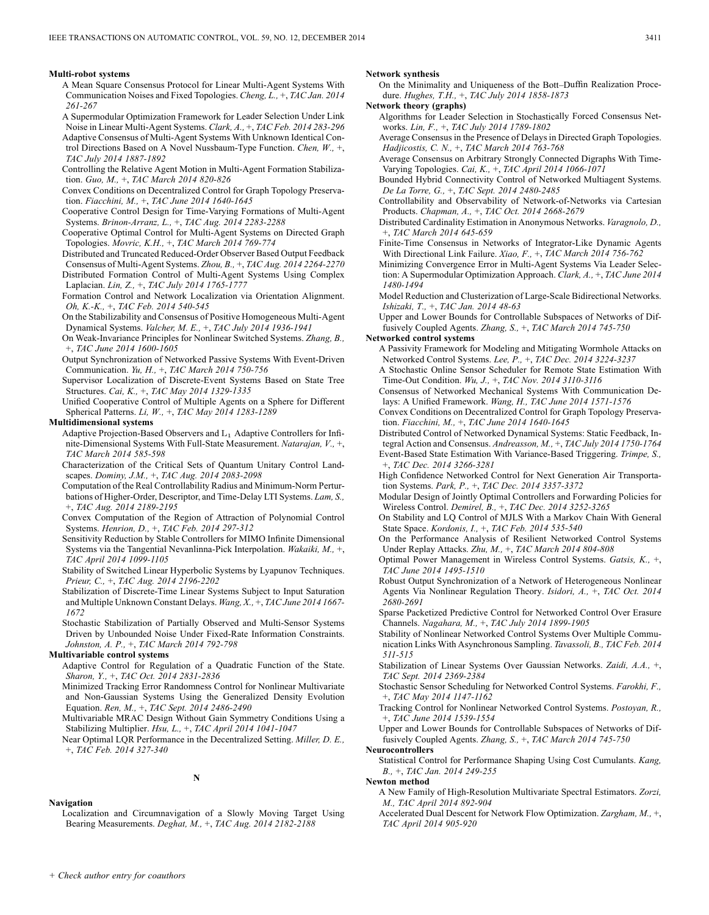#### **Multi-robot systems**

- A Mean Square Consensus Protocol for Linear Multi-Agent Systems With Communication Noises and Fixed Topologies. *Cheng, L.,* +, *TAC Jan. 2014 261-267*
- A Supermodular Optimization Framework for Leader Selection Under Link
- Noise in Linear Multi-Agent Systems. *Clark, A.,* +, *TAC Feb. 2014 283-296* Adaptive Consensus of Multi-Agent Systems With Unknown Identical Control Directions Based on A Novel Nussbaum-Type Function. *Chen, W.,* +, *TAC July 2014 1887-1892*
- Controlling the Relative Agent Motion in Multi-Agent Formation Stabilization. *Guo, M.,* +, *TAC March 2014 820-826*
- Convex Conditions on Decentralized Control for Graph Topology Preservation. *Fiacchini, M.,* +, *TAC June 2014 1640-1645*
- Cooperative Control Design for Time-Varying Formations of Multi-Agent Systems. *Brinon-Arranz, L.,* +, *TAC Aug. 2014 2283-2288*
- Cooperative Optimal Control for Multi-Agent Systems on Directed Graph Topologies. *Movric, K.H.,* +, *TAC March 2014 769-774*
- Distributed and Truncated Reduced-Order Observer Based Output Feedback
- Consensus of Multi-Agent Systems. *Zhou, B.,* +, *TAC Aug. 2014 2264-2270* Distributed Formation Control of Multi-Agent Systems Using Complex Laplacian. *Lin, Z.,* +, *TAC July 2014 1765-1777*
- Formation Control and Network Localization via Orientation Alignment. *Oh, K.-K.,* +, *TAC Feb. 2014 540-545*
- On the Stabilizability and Consensus of Positive Homogeneous Multi-Agent Dynamical Systems. *Valcher, M. E.,* +, *TAC July 2014 1936-1941*
- On Weak-Invariance Principles for Nonlinear Switched Systems. *Zhang, B.,* +, *TAC June 2014 1600-1605*
- Output Synchronization of Networked Passive Systems With Event-Driven Communication. *Yu, H.,* +, *TAC March 2014 750-756*
- Supervisor Localization of Discrete-Event Systems Based on State Tree Structures. *Cai, K.,* +, *TAC May 2014 1329-1335*
- Unified Cooperative Control of Multiple Agents on a Sphere for Different Spherical Patterns. *Li, W.,* +, *TAC May 2014 1283-1289*

#### **Multidimensional systems**

- Adaptive Projection-Based Observers and  $L_1$  Adaptive Controllers for Infinite-Dimensional Systems With Full-State Measurement. *Natarajan, V.,* +, *TAC March 2014 585-598*
- Characterization of the Critical Sets of Quantum Unitary Control Landscapes. *Dominy, J.M.,* +, *TAC Aug. 2014 2083-2098*
- Computation of the Real Controllability Radius and Minimum-Norm Perturbations of Higher-Order, Descriptor, and Time-Delay LTI Systems. *Lam, S.,* +, *TAC Aug. 2014 2189-2195*
- Convex Computation of the Region of Attraction of Polynomial Control Systems. *Henrion, D.,* +, *TAC Feb. 2014 297-312*
- Sensitivity Reduction by Stable Controllers for MIMO Infinite Dimensional Systems via the Tangential Nevanlinna-Pick Interpolation. *Wakaiki, M.,* +, *TAC April 2014 1099-1105*
- Stability of Switched Linear Hyperbolic Systems by Lyapunov Techniques. *Prieur, C.,* +, *TAC Aug. 2014 2196-2202*
- Stabilization of Discrete-Time Linear Systems Subject to Input Saturation and Multiple Unknown Constant Delays. *Wang, X.,* +, *TAC June 2014 1667- 1672*
- Stochastic Stabilization of Partially Observed and Multi-Sensor Systems Driven by Unbounded Noise Under Fixed-Rate Information Constraints. *Johnston, A. P.,* +, *TAC March 2014 792-798*

#### **Multivariable control systems**

- Adaptive Control for Regulation of a Quadratic Function of the State. *Sharon, Y.,* +, *TAC Oct. 2014 2831-2836*
- Minimized Tracking Error Randomness Control for Nonlinear Multivariate and Non-Gaussian Systems Using the Generalized Density Evolution Equation. *Ren, M.,* +, *TAC Sept. 2014 2486-2490*
- Multivariable MRAC Design Without Gain Symmetry Conditions Using a Stabilizing Multiplier. *Hsu, L.,* +, *TAC April 2014 1041-1047*
- Near Optimal LQR Performance in the Decentralized Setting. *Miller, D. E.,* +, *TAC Feb. 2014 327-340*

**N**

#### **Navigation**

Localization and Circumnavigation of a Slowly Moving Target Using Bearing Measurements. *Deghat, M.,* +, *TAC Aug. 2014 2182-2188*

## **Network synthesis**

- On the Minimality and Uniqueness of the Bott–Duffin Realization Procedure. *Hughes, T.H.,* +, *TAC July 2014 1858-1873*
- **Network theory (graphs)**
	- Algorithms for Leader Selection in Stochastically Forced Consensus Networks. *Lin, F.,* +, *TAC July 2014 1789-1802*
	- Average Consensus in the Presence of Delays in Directed Graph Topologies. *Hadjicostis, C. N.,* +, *TAC March 2014 763-768*
	- Average Consensus on Arbitrary Strongly Connected Digraphs With Time-Varying Topologies. *Cai, K.,* +, *TAC April 2014 1066-1071*
	- Bounded Hybrid Connectivity Control of Networked Multiagent Systems. *De La Torre, G.,* +, *TAC Sept. 2014 2480-2485*
	- Controllability and Observability of Network-of-Networks via Cartesian Products. *Chapman, A.,* +, *TAC Oct. 2014 2668-2679*
	- Distributed Cardinality Estimation in Anonymous Networks. *Varagnolo, D.,* +, *TAC March 2014 645-659*
	- Finite-Time Consensus in Networks of Integrator-Like Dynamic Agents With Directional Link Failure. *Xiao, F.,* +, *TAC March 2014 756-762*
	- Minimizing Convergence Error in Multi-Agent Systems Via Leader Selection: A Supermodular Optimization Approach. *Clark, A.,* +, *TAC June 2014 1480-1494*
	- Model Reduction and Clusterization of Large-Scale Bidirectional Networks. *Ishizaki, T.,* +, *TAC Jan. 2014 48-63*
	- Upper and Lower Bounds for Controllable Subspaces of Networks of Diffusively Coupled Agents. *Zhang, S.,* +, *TAC March 2014 745-750*

#### **Networked control systems**

- A Passivity Framework for Modeling and Mitigating Wormhole Attacks on Networked Control Systems. *Lee, P.,* +, *TAC Dec. 2014 3224-3237*
- A Stochastic Online Sensor Scheduler for Remote State Estimation With Time-Out Condition. *Wu, J.,* +, *TAC Nov. 2014 3110-3116*
- Consensus of Networked Mechanical Systems With Communication Delays: A Unified Framework. *Wang, H., TAC June 2014 1571-1576*
- Convex Conditions on Decentralized Control for Graph Topology Preservation. *Fiacchini, M.,* +, *TAC June 2014 1640-1645*
- Distributed Control of Networked Dynamical Systems: Static Feedback, Integral Action and Consensus. *Andreasson, M.,* +, *TAC July 2014 1750-1764* Event-Based State Estimation With Variance-Based Triggering. *Trimpe, S.,* +, *TAC Dec. 2014 3266-3281*
- High Confidence Networked Control for Next Generation Air Transportation Systems. *Park, P.,* +, *TAC Dec. 2014 3357-3372*
- Modular Design of Jointly Optimal Controllers and Forwarding Policies for Wireless Control. *Demirel, B.,* +, *TAC Dec. 2014 3252-3265*
- On Stability and LQ Control of MJLS With a Markov Chain With General State Space. *Kordonis, I.,* +, *TAC Feb. 2014 535-540*
- On the Performance Analysis of Resilient Networked Control Systems Under Replay Attacks. *Zhu, M.,* +, *TAC March 2014 804-808*
- Optimal Power Management in Wireless Control Systems. *Gatsis, K.,* +, *TAC June 2014 1495-1510*
- Robust Output Synchronization of a Network of Heterogeneous Nonlinear Agents Via Nonlinear Regulation Theory. *Isidori, A.,* +, *TAC Oct. 2014 2680-2691*
- Sparse Packetized Predictive Control for Networked Control Over Erasure Channels. *Nagahara, M.,* +, *TAC July 2014 1899-1905*
- Stability of Nonlinear Networked Control Systems Over Multiple Communication Links With Asynchronous Sampling. *Tavassoli, B., TAC Feb. 2014 511-515*
- Stabilization of Linear Systems Over Gaussian Networks. *Zaidi, A.A.,* +, *TAC Sept. 2014 2369-2384*
- Stochastic Sensor Scheduling for Networked Control Systems. *Farokhi, F.,* +, *TAC May 2014 1147-1162*
- Tracking Control for Nonlinear Networked Control Systems. *Postoyan, R.,* +, *TAC June 2014 1539-1554*
- Upper and Lower Bounds for Controllable Subspaces of Networks of Diffusively Coupled Agents. *Zhang, S.,* +, *TAC March 2014 745-750*

## **Neurocontrollers**

Statistical Control for Performance Shaping Using Cost Cumulants. *Kang, B.,* +, *TAC Jan. 2014 249-255*

## **Newton method**

- A New Family of High-Resolution Multivariate Spectral Estimators. *Zorzi, M., TAC April 2014 892-904*
- Accelerated Dual Descent for Network Flow Optimization. *Zargham, M.,* +, *TAC April 2014 905-920*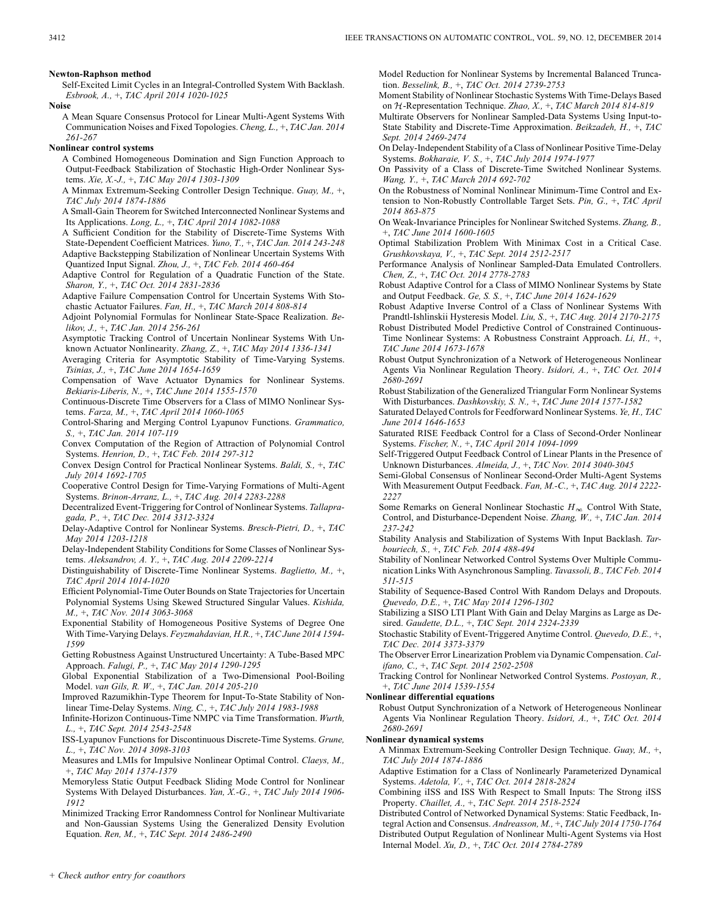Self-Excited Limit Cycles in an Integral-Controlled System With Backlash. *Esbrook, A.,* +, *TAC April 2014 1020-1025*

**Noise**

A Mean Square Consensus Protocol for Linear Multi-Agent Systems With Communication Noises and Fixed Topologies. *Cheng, L.,* +, *TAC Jan. 2014 261-267*

### **Nonlinear control systems**

A Combined Homogeneous Domination and Sign Function Approach to Output-Feedback Stabilization of Stochastic High-Order Nonlinear Systems. *Xie, X.-J.,* +, *TAC May 2014 1303-1309*

A Minmax Extremum-Seeking Controller Design Technique. *Guay, M.,* +, *TAC July 2014 1874-1886*

A Small-Gain Theorem for Switched Interconnected Nonlinear Systems and Its Applications. *Long, L.,* +, *TAC April 2014 1082-1088*

- A Sufficient Condition for the Stability of Discrete-Time Systems With State-Dependent Coefficient Matrices. *Yuno, T.,* +, *TAC Jan. 2014 243-248* Adaptive Backstepping Stabilization of Nonlinear Uncertain Systems With Quantized Input Signal. *Zhou, J.,* +, *TAC Feb. 2014 460-464*
- Adaptive Control for Regulation of a Quadratic Function of the State. *Sharon, Y.,* +, *TAC Oct. 2014 2831-2836*
- Adaptive Failure Compensation Control for Uncertain Systems With Stochastic Actuator Failures. *Fan, H.,* +, *TAC March 2014 808-814*

Adjoint Polynomial Formulas for Nonlinear State-Space Realization. *Belikov, J.,* +, *TAC Jan. 2014 256-261*

Asymptotic Tracking Control of Uncertain Nonlinear Systems With Unknown Actuator Nonlinearity. *Zhang, Z.,* +, *TAC May 2014 1336-1341*

Averaging Criteria for Asymptotic Stability of Time-Varying Systems. *Tsinias, J.,* +, *TAC June 2014 1654-1659*

Compensation of Wave Actuator Dynamics for Nonlinear Systems. *Bekiaris-Liberis, N.,* +, *TAC June 2014 1555-1570*

Continuous-Discrete Time Observers for a Class of MIMO Nonlinear Systems. *Farza, M.,* +, *TAC April 2014 1060-1065*

Control-Sharing and Merging Control Lyapunov Functions. *Grammatico, S.,* +, *TAC Jan. 2014 107-119*

Convex Computation of the Region of Attraction of Polynomial Control Systems. *Henrion, D.,* +, *TAC Feb. 2014 297-312*

Convex Design Control for Practical Nonlinear Systems. *Baldi, S.,* +, *TAC July 2014 1692-1705*

Cooperative Control Design for Time-Varying Formations of Multi-Agent Systems. *Brinon-Arranz, L.,* +, *TAC Aug. 2014 2283-2288*

Decentralized Event-Triggering for Control of Nonlinear Systems. *Tallapragada, P.,* +, *TAC Dec. 2014 3312-3324*

Delay-Adaptive Control for Nonlinear Systems. *Bresch-Pietri, D.,* +, *TAC May 2014 1203-1218*

Delay-Independent Stability Conditions for Some Classes of Nonlinear Systems. *Aleksandrov, A. Y.,* +, *TAC Aug. 2014 2209-2214*

Distinguishability of Discrete-Time Nonlinear Systems. *Baglietto, M.,* +, *TAC April 2014 1014-1020*

Efficient Polynomial-Time Outer Bounds on State Trajectories for Uncertain Polynomial Systems Using Skewed Structured Singular Values. *Kishida, M.,* +, *TAC Nov. 2014 3063-3068*

Exponential Stability of Homogeneous Positive Systems of Degree One With Time-Varying Delays. *Feyzmahdavian, H.R.,* +, *TAC June 2014 1594- 1599*

Getting Robustness Against Unstructured Uncertainty: A Tube-Based MPC Approach. *Falugi, P.,* +, *TAC May 2014 1290-1295*

Global Exponential Stabilization of a Two-Dimensional Pool-Boiling Model. *van Gils, R. W.,* +, *TAC Jan. 2014 205-210*

Improved Razumikhin-Type Theorem for Input-To-State Stability of Nonlinear Time-Delay Systems. *Ning, C.,* +, *TAC July 2014 1983-1988*

Infinite-Horizon Continuous-Time NMPC via Time Transformation. *Wurth, L.,* +, *TAC Sept. 2014 2543-2548*

ISS-Lyapunov Functions for Discontinuous Discrete-Time Systems. *Grune, L.,* +, *TAC Nov. 2014 3098-3103*

Measures and LMIs for Impulsive Nonlinear Optimal Control. *Claeys, M.,* +, *TAC May 2014 1374-1379*

Memoryless Static Output Feedback Sliding Mode Control for Nonlinear Systems With Delayed Disturbances. *Yan, X.-G.,* +, *TAC July 2014 1906- 1912*

Minimized Tracking Error Randomness Control for Nonlinear Multivariate and Non-Gaussian Systems Using the Generalized Density Evolution Equation. *Ren, M.,* +, *TAC Sept. 2014 2486-2490*

Model Reduction for Nonlinear Systems by Incremental Balanced Truncation. *Besselink, B.,* +, *TAC Oct. 2014 2739-2753*

Moment Stability of Nonlinear Stochastic Systems With Time-Delays Based on  $H$ -Representation Technique. *Zhao, X.*, +, *TAC March 2014 814-819* 

Multirate Observers for Nonlinear Sampled-Data Systems Using Input-to-State Stability and Discrete-Time Approximation. *Beikzadeh, H.,* +, *TAC Sept. 2014 2469-2474*

On Delay-Independent Stability of a Class of Nonlinear Positive Time-Delay Systems. *Bokharaie, V. S.,* +, *TAC July 2014 1974-1977*

On Passivity of a Class of Discrete-Time Switched Nonlinear Systems. *Wang, Y.,* +, *TAC March 2014 692-702*

On the Robustness of Nominal Nonlinear Minimum-Time Control and Extension to Non-Robustly Controllable Target Sets. *Pin, G.,* +, *TAC April 2014 863-875*

On Weak-Invariance Principles for Nonlinear Switched Systems. *Zhang, B.,* +, *TAC June 2014 1600-1605*

Optimal Stabilization Problem With Minimax Cost in a Critical Case. *Grushkovskaya, V.,* +, *TAC Sept. 2014 2512-2517*

Performance Analysis of Nonlinear Sampled-Data Emulated Controllers. *Chen, Z.,* +, *TAC Oct. 2014 2778-2783*

Robust Adaptive Control for a Class of MIMO Nonlinear Systems by State and Output Feedback. *Ge, S. S.,* +, *TAC June 2014 1624-1629*

Robust Adaptive Inverse Control of a Class of Nonlinear Systems With Prandtl-Ishlinskii Hysteresis Model. *Liu, S.,* +, *TAC Aug. 2014 2170-2175*

Robust Distributed Model Predictive Control of Constrained Continuous-Time Nonlinear Systems: A Robustness Constraint Approach. *Li, H.,* +, *TAC June 2014 1673-1678*

Robust Output Synchronization of a Network of Heterogeneous Nonlinear Agents Via Nonlinear Regulation Theory. *Isidori, A.,* +, *TAC Oct. 2014 2680-2691*

Robust Stabilization of the Generalized Triangular Form Nonlinear Systems With Disturbances. *Dashkovskiy, S. N.,* +, *TAC June 2014 1577-1582*

Saturated Delayed Controls for Feedforward Nonlinear Systems. *Ye, H., TAC June 2014 1646-1653*

Saturated RISE Feedback Control for a Class of Second-Order Nonlinear Systems. *Fischer, N.,* +, *TAC April 2014 1094-1099*

Self-Triggered Output Feedback Control of Linear Plants in the Presence of Unknown Disturbances. *Almeida, J.,* +, *TAC Nov. 2014 3040-3045*

Semi-Global Consensus of Nonlinear Second-Order Multi-Agent Systems With Measurement Output Feedback. *Fan, M.-C.,* +, *TAC Aug. 2014 2222- 2227*

Some Remarks on General Nonlinear Stochastic  $H_{\infty}$  Control With State, Control, and Disturbance-Dependent Noise. *Zhang, W.,* +, *TAC Jan. 2014 237-242*

Stability Analysis and Stabilization of Systems With Input Backlash. *Tarbouriech, S.,* +, *TAC Feb. 2014 488-494*

Stability of Nonlinear Networked Control Systems Over Multiple Communication Links With Asynchronous Sampling. *Tavassoli, B., TAC Feb. 2014 511-515*

Stability of Sequence-Based Control With Random Delays and Dropouts. *Quevedo, D.E.,* +, *TAC May 2014 1296-1302*

Stabilizing a SISO LTI Plant With Gain and Delay Margins as Large as Desired. *Gaudette, D.L.,* +, *TAC Sept. 2014 2324-2339*

Stochastic Stability of Event-Triggered Anytime Control. *Quevedo, D.E.,* +, *TAC Dec. 2014 3373-3379*

The Observer Error Linearization Problem via Dynamic Compensation. *Califano, C.,* +, *TAC Sept. 2014 2502-2508*

Tracking Control for Nonlinear Networked Control Systems. *Postoyan, R.,* +, *TAC June 2014 1539-1554*

#### **Nonlinear differential equations**

Robust Output Synchronization of a Network of Heterogeneous Nonlinear Agents Via Nonlinear Regulation Theory. *Isidori, A.,* +, *TAC Oct. 2014 2680-2691*

#### **Nonlinear dynamical systems**

A Minmax Extremum-Seeking Controller Design Technique. *Guay, M.,* +, *TAC July 2014 1874-1886*

Adaptive Estimation for a Class of Nonlinearly Parameterized Dynamical Systems. *Adetola, V.,* +, *TAC Oct. 2014 2818-2824*

Combining iISS and ISS With Respect to Small Inputs: The Strong iISS Property. *Chaillet, A.,* +, *TAC Sept. 2014 2518-2524*

Distributed Control of Networked Dynamical Systems: Static Feedback, Integral Action and Consensus. *Andreasson, M.,* +, *TAC July 2014 1750-1764* Distributed Output Regulation of Nonlinear Multi-Agent Systems via Host Internal Model. *Xu, D.,* +, *TAC Oct. 2014 2784-2789*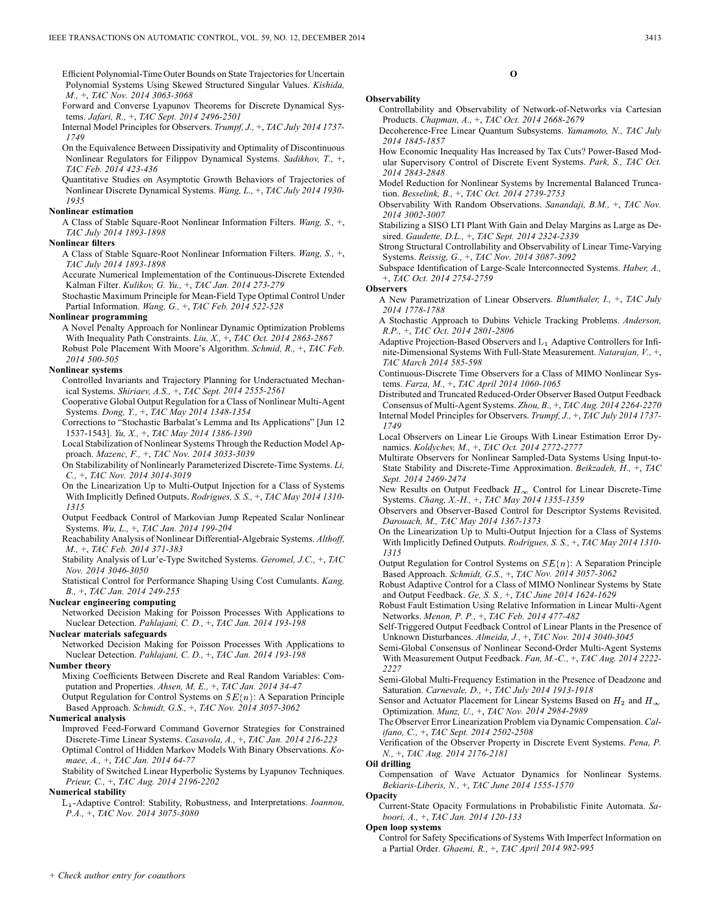Efficient Polynomial-Time Outer Bounds on State Trajectories for Uncertain Polynomial Systems Using Skewed Structured Singular Values. *Kishida, M.,* +, *TAC Nov. 2014 3063-3068*

Forward and Converse Lyapunov Theorems for Discrete Dynamical Systems. *Jafari, R.,* +, *TAC Sept. 2014 2496-2501*

Internal Model Principles for Observers. *Trumpf, J.,* +, *TAC July 2014 1737- 1749*

On the Equivalence Between Dissipativity and Optimality of Discontinuous Nonlinear Regulators for Filippov Dynamical Systems. *Sadikhov, T.,* +, *TAC Feb. 2014 423-436*

Quantitative Studies on Asymptotic Growth Behaviors of Trajectories of Nonlinear Discrete Dynamical Systems. *Wang, L.,* +, *TAC July 2014 1930- 1935*

#### **Nonlinear estimation**

A Class of Stable Square-Root Nonlinear Information Filters. *Wang, S.,* +, *TAC July 2014 1893-1898*

#### **Nonlinear filters**

A Class of Stable Square-Root Nonlinear Information Filters. *Wang, S.,* +, *TAC July 2014 1893-1898*

Accurate Numerical Implementation of the Continuous-Discrete Extended Kalman Filter. *Kulikov, G. Yu.,* +, *TAC Jan. 2014 273-279*

Stochastic Maximum Principle for Mean-Field Type Optimal Control Under Partial Information. *Wang, G.,* +, *TAC Feb. 2014 522-528*

#### **Nonlinear programming**

A Novel Penalty Approach for Nonlinear Dynamic Optimization Problems With Inequality Path Constraints. *Liu, X.,* +, *TAC Oct. 2014 2863-2867*

Robust Pole Placement With Moore's Algorithm. *Schmid, R.,* +, *TAC Feb. 2014 500-505*

## **Nonlinear systems**

Controlled Invariants and Trajectory Planning for Underactuated Mechanical Systems. *Shiriaev, A.S.,* +, *TAC Sept. 2014 2555-2561*

Cooperative Global Output Regulation for a Class of Nonlinear Multi-Agent Systems. *Dong, Y.,* +, *TAC May 2014 1348-1354*

Corrections to "Stochastic Barbalat's Lemma and Its Applications" [Jun 12 1537-1543]. *Yu, X.,* +, *TAC May 2014 1386-1390*

Local Stabilization of Nonlinear Systems Through the Reduction Model Approach. *Mazenc, F.,* +, *TAC Nov. 2014 3033-3039*

On Stabilizability of Nonlinearly Parameterized Discrete-Time Systems. *Li, C.,* +, *TAC Nov. 2014 3014-3019*

On the Linearization Up to Multi-Output Injection for a Class of Systems With Implicitly Defined Outputs. *Rodrigues, S. S.,* +, *TAC May 2014 1310- 1315*

Output Feedback Control of Markovian Jump Repeated Scalar Nonlinear Systems. *Wu, L.,* +, *TAC Jan. 2014 199-204*

Reachability Analysis of Nonlinear Differential-Algebraic Systems. *Althoff, M.,* +, *TAC Feb. 2014 371-383*

Stability Analysis of Lur'e-Type Switched Systems. *Geromel, J.C.,* +, *TAC Nov. 2014 3046-3050*

Statistical Control for Performance Shaping Using Cost Cumulants. *Kang, B.,* +, *TAC Jan. 2014 249-255*

## **Nuclear engineering computing**

Networked Decision Making for Poisson Processes With Applications to Nuclear Detection. *Pahlajani, C. D.,* +, *TAC Jan. 2014 193-198*

## **Nuclear materials safeguards**

Networked Decision Making for Poisson Processes With Applications to Nuclear Detection. *Pahlajani, C. D.,* +, *TAC Jan. 2014 193-198*

## **Number theory**

Mixing Coefficients Between Discrete and Real Random Variables: Computation and Properties. *Ahsen, M. E.,* +, *TAC Jan. 2014 34-47*

Output Regulation for Control Systems on  $SE(n)$ : A Separation Principle Based Approach. *Schmidt, G.S.,* +, *TAC Nov. 2014 3057-3062*

#### **Numerical analysis**

Improved Feed-Forward Command Governor Strategies for Constrained Discrete-Time Linear Systems. *Casavola, A.,* +, *TAC Jan. 2014 216-223* Optimal Control of Hidden Markov Models With Binary Observations. *Komaee, A.,* +, *TAC Jan. 2014 64-77*

Stability of Switched Linear Hyperbolic Systems by Lyapunov Techniques. *Prieur, C.,* +, *TAC Aug. 2014 2196-2202*

#### **Numerical stability**

-Adaptive Control: Stability, Robustness, and Interpretations. *Ioannou, P.A.,* +, *TAC Nov. 2014 3075-3080*

Controllability and Observability of Network-of-Networks via Cartesian Products. *Chapman, A.,* +, *TAC Oct. 2014 2668-2679*

**O**

- Decoherence-Free Linear Quantum Subsystems. *Yamamoto, N., TAC July 2014 1845-1857*
- How Economic Inequality Has Increased by Tax Cuts? Power-Based Modular Supervisory Control of Discrete Event Systems. *Park, S., TAC Oct. 2014 2843-2848*

Model Reduction for Nonlinear Systems by Incremental Balanced Truncation. *Besselink, B.,* +, *TAC Oct. 2014 2739-2753*

Observability With Random Observations. *Sanandaji, B.M.,* +, *TAC Nov. 2014 3002-3007*

Stabilizing a SISO LTI Plant With Gain and Delay Margins as Large as Desired. *Gaudette, D.L.,* +, *TAC Sept. 2014 2324-2339*

Strong Structural Controllability and Observability of Linear Time-Varying Systems. *Reissig, G.,* +, *TAC Nov. 2014 3087-3092*

Subspace Identification of Large-Scale Interconnected Systems. *Haber, A.,* +, *TAC Oct. 2014 2754-2759*

#### **Observers**

**Observability**

A New Parametrization of Linear Observers. *Blumthaler, I.,* +, *TAC July 2014 1778-1788*

A Stochastic Approach to Dubins Vehicle Tracking Problems. *Anderson, R.P.,* +, *TAC Oct. 2014 2801-2806*

Adaptive Projection-Based Observers and  $L_1$  Adaptive Controllers for Infinite-Dimensional Systems With Full-State Measurement. *Natarajan, V.,* +, *TAC March 2014 585-598*

Continuous-Discrete Time Observers for a Class of MIMO Nonlinear Systems. *Farza, M.,* +, *TAC April 2014 1060-1065*

Distributed and Truncated Reduced-Order Observer Based Output Feedback Consensus of Multi-Agent Systems. *Zhou, B.,* +, *TAC Aug. 2014 2264-2270* Internal Model Principles for Observers. *Trumpf, J.,* +, *TAC July 2014 1737- 1749*

Local Observers on Linear Lie Groups With Linear Estimation Error Dynamics. *Koldychev, M.,* +, *TAC Oct. 2014 2772-2777*

Multirate Observers for Nonlinear Sampled-Data Systems Using Input-to-State Stability and Discrete-Time Approximation. *Beikzadeh, H.,* +, *TAC Sept. 2014 2469-2474*

New Results on Output Feedback  $H_{\infty}$  Control for Linear Discrete-Time Systems. *Chang, X.-H.,* +, *TAC May 2014 1355-1359*

Observers and Observer-Based Control for Descriptor Systems Revisited. *Darouach, M., TAC May 2014 1367-1373*

- On the Linearization Up to Multi-Output Injection for a Class of Systems With Implicitly Defined Outputs. *Rodrigues, S. S.,* +, *TAC May 2014 1310- 1315*
- Output Regulation for Control Systems on  $SE(n)$ : A Separation Principle Based Approach. *Schmidt, G.S.,* +, *TAC Nov. 2014 3057-3062*

Robust Adaptive Control for a Class of MIMO Nonlinear Systems by State and Output Feedback. *Ge, S. S.,* +, *TAC June 2014 1624-1629*

Robust Fault Estimation Using Relative Information in Linear Multi-Agent Networks. *Menon, P. P.,* +, *TAC Feb. 2014 477-482*

Self-Triggered Output Feedback Control of Linear Plants in the Presence of Unknown Disturbances. *Almeida, J.,* +, *TAC Nov. 2014 3040-3045*

Semi-Global Consensus of Nonlinear Second-Order Multi-Agent Systems With Measurement Output Feedback. *Fan, M.-C.,* +, *TAC Aug. 2014 2222- 2227*

Semi-Global Multi-Frequency Estimation in the Presence of Deadzone and Saturation. *Carnevale, D.,* +, *TAC July 2014 1913-1918*

Sensor and Actuator Placement for Linear Systems Based on  $H_2$  and  $H_{\infty}$ Optimization. *Munz, U.,* +, *TAC Nov. 2014 2984-2989*

The Observer Error Linearization Problem via Dynamic Compensation. *Califano, C.,* +, *TAC Sept. 2014 2502-2508*

Verification of the Observer Property in Discrete Event Systems. *Pena, P. N.,* +, *TAC Aug. 2014 2176-2181*

#### **Oil drilling**

Compensation of Wave Actuator Dynamics for Nonlinear Systems. *Bekiaris-Liberis, N.,* +, *TAC June 2014 1555-1570* **Opacity**

Current-State Opacity Formulations in Probabilistic Finite Automata. *Saboori, A.,* +, *TAC Jan. 2014 120-133*

#### **Open loop systems**

Control for Safety Specifications of Systems With Imperfect Information on a Partial Order. *Ghaemi, R.,* +, *TAC April 2014 982-995*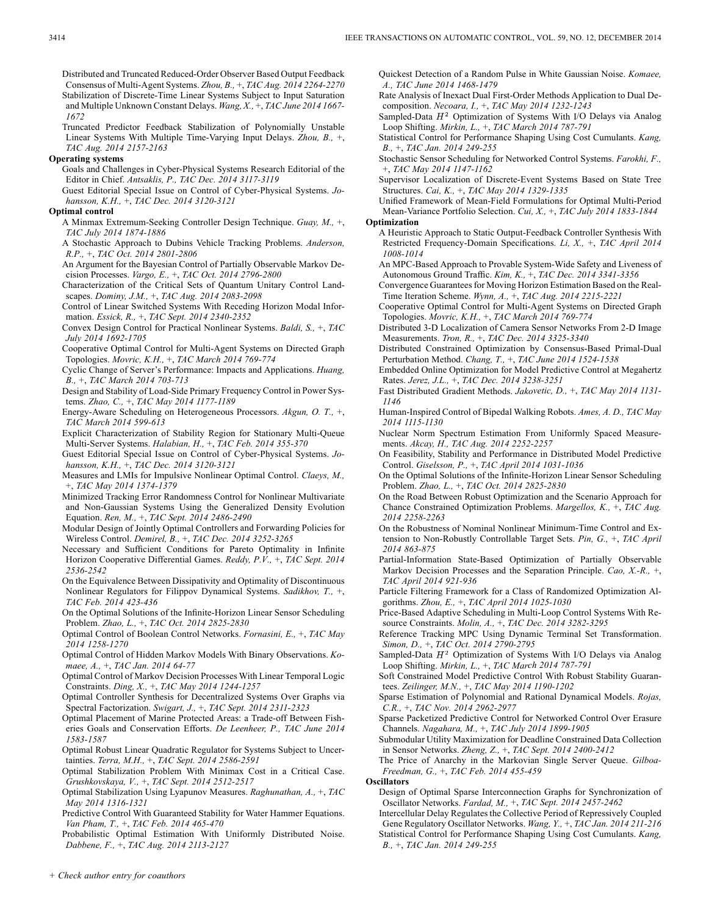Distributed and Truncated Reduced-Order Observer Based Output Feedback Consensus of Multi-Agent Systems. *Zhou, B.,* +, *TAC Aug. 2014 2264-2270* Stabilization of Discrete-Time Linear Systems Subject to Input Saturation and Multiple Unknown Constant Delays. *Wang, X.,* +, *TAC June 2014 1667- 1672*

Truncated Predictor Feedback Stabilization of Polynomially Unstable Linear Systems With Multiple Time-Varying Input Delays. *Zhou, B.,* +, *TAC Aug. 2014 2157-2163*

## **Operating systems**

Goals and Challenges in Cyber-Physical Systems Research Editorial of the Editor in Chief. *Antsaklis, P., TAC Dec. 2014 3117-3119*

Guest Editorial Special Issue on Control of Cyber-Physical Systems. *Johansson, K.H.,* +, *TAC Dec. 2014 3120-3121*

#### **Optimal control**

A Minmax Extremum-Seeking Controller Design Technique. *Guay, M.,* +, *TAC July 2014 1874-1886*

A Stochastic Approach to Dubins Vehicle Tracking Problems. *Anderson, R.P.,* +, *TAC Oct. 2014 2801-2806*

An Argument for the Bayesian Control of Partially Observable Markov Decision Processes. *Vargo, E.,* +, *TAC Oct. 2014 2796-2800*

Characterization of the Critical Sets of Quantum Unitary Control Landscapes. *Dominy, J.M.,* +, *TAC Aug. 2014 2083-2098*

Control of Linear Switched Systems With Receding Horizon Modal Information. *Essick, R.,* +, *TAC Sept. 2014 2340-2352*

Convex Design Control for Practical Nonlinear Systems. *Baldi, S.,* +, *TAC July 2014 1692-1705*

Cooperative Optimal Control for Multi-Agent Systems on Directed Graph Topologies. *Movric, K.H.,* +, *TAC March 2014 769-774*

Cyclic Change of Server's Performance: Impacts and Applications. *Huang, B.,* +, *TAC March 2014 703-713*

Design and Stability of Load-Side Primary Frequency Control in Power Systems. *Zhao, C.,* +, *TAC May 2014 1177-1189*

Energy-Aware Scheduling on Heterogeneous Processors. *Akgun, O. T.,* +, *TAC March 2014 599-613*

Explicit Characterization of Stability Region for Stationary Multi-Queue Multi-Server Systems. *Halabian, H.,* +, *TAC Feb. 2014 355-370*

Guest Editorial Special Issue on Control of Cyber-Physical Systems. *Johansson, K.H.,* +, *TAC Dec. 2014 3120-3121*

Measures and LMIs for Impulsive Nonlinear Optimal Control. *Claeys, M.,* +, *TAC May 2014 1374-1379*

Minimized Tracking Error Randomness Control for Nonlinear Multivariate and Non-Gaussian Systems Using the Generalized Density Evolution Equation. *Ren, M.,* +, *TAC Sept. 2014 2486-2490*

Modular Design of Jointly Optimal Controllers and Forwarding Policies for Wireless Control. *Demirel, B.,* +, *TAC Dec. 2014 3252-3265*

Necessary and Sufficient Conditions for Pareto Optimality in Infinite Horizon Cooperative Differential Games. *Reddy, P.V.,* +, *TAC Sept. 2014 2536-2542*

On the Equivalence Between Dissipativity and Optimality of Discontinuous Nonlinear Regulators for Filippov Dynamical Systems. *Sadikhov, T.,* +, *TAC Feb. 2014 423-436*

On the Optimal Solutions of the Infinite-Horizon Linear Sensor Scheduling Problem. *Zhao, L.,* +, *TAC Oct. 2014 2825-2830*

Optimal Control of Boolean Control Networks. *Fornasini, E.,* +, *TAC May 2014 1258-1270*

Optimal Control of Hidden Markov Models With Binary Observations. *Komaee, A.,* +, *TAC Jan. 2014 64-77*

Optimal Control of Markov Decision Processes With Linear Temporal Logic Constraints. *Ding, X.,* +, *TAC May 2014 1244-1257*

Optimal Controller Synthesis for Decentralized Systems Over Graphs via Spectral Factorization. *Swigart, J.,* +, *TAC Sept. 2014 2311-2323*

Optimal Placement of Marine Protected Areas: a Trade-off Between Fisheries Goals and Conservation Efforts. *De Leenheer, P., TAC June 2014 1583-1587*

Optimal Robust Linear Quadratic Regulator for Systems Subject to Uncertainties. *Terra, M.H.,* +, *TAC Sept. 2014 2586-2591*

Optimal Stabilization Problem With Minimax Cost in a Critical Case. *Grushkovskaya, V.,* +, *TAC Sept. 2014 2512-2517*

Optimal Stabilization Using Lyapunov Measures. *Raghunathan, A.,* +, *TAC May 2014 1316-1321*

Predictive Control With Guaranteed Stability for Water Hammer Equations. *Van Pham, T.,* +, *TAC Feb. 2014 465-470*

Probabilistic Optimal Estimation With Uniformly Distributed Noise. *Dabbene, F.,* +, *TAC Aug. 2014 2113-2127*

Quickest Detection of a Random Pulse in White Gaussian Noise. *Komaee, A., TAC June 2014 1468-1479*

Rate Analysis of Inexact Dual First-Order Methods Application to Dual Decomposition. *Necoara, I.,* +, *TAC May 2014 1232-1243*

Sampled-Data  $H^2$  Optimization of Systems With I/O Delays via Analog Loop Shifting. *Mirkin, L.,* +, *TAC March 2014 787-791*

Statistical Control for Performance Shaping Using Cost Cumulants. *Kang, B.,* +, *TAC Jan. 2014 249-255*

Stochastic Sensor Scheduling for Networked Control Systems. *Farokhi, F.,* +, *TAC May 2014 1147-1162*

Supervisor Localization of Discrete-Event Systems Based on State Tree Structures. *Cai, K.,* +, *TAC May 2014 1329-1335*

Unified Framework of Mean-Field Formulations for Optimal Multi-Period Mean-Variance Portfolio Selection. *Cui, X.,* +, *TAC July 2014 1833-1844* **Optimization**

A Heuristic Approach to Static Output-Feedback Controller Synthesis With Restricted Frequency-Domain Specifications. *Li, X.,* +, *TAC April 2014 1008-1014*

An MPC-Based Approach to Provable System-Wide Safety and Liveness of Autonomous Ground Traffic. *Kim, K.,* +, *TAC Dec. 2014 3341-3356*

Convergence Guarantees for Moving Horizon Estimation Based on the Real-Time Iteration Scheme. *Wynn, A.,* +, *TAC Aug. 2014 2215-2221*

Cooperative Optimal Control for Multi-Agent Systems on Directed Graph Topologies. *Movric, K.H.,* +, *TAC March 2014 769-774*

Distributed 3-D Localization of Camera Sensor Networks From 2-D Image Measurements. *Tron, R.,* +, *TAC Dec. 2014 3325-3340*

Distributed Constrained Optimization by Consensus-Based Primal-Dual Perturbation Method. *Chang, T.,* +, *TAC June 2014 1524-1538*

Embedded Online Optimization for Model Predictive Control at Megahertz Rates. *Jerez, J.L.,* +, *TAC Dec. 2014 3238-3251*

Fast Distributed Gradient Methods. *Jakovetic, D.,* +, *TAC May 2014 1131- 1146*

Human-Inspired Control of Bipedal Walking Robots. *Ames, A. D., TAC May 2014 1115-1130*

Nuclear Norm Spectrum Estimation From Uniformly Spaced Measurements. *Akcay, H., TAC Aug. 2014 2252-2257*

On Feasibility, Stability and Performance in Distributed Model Predictive Control. *Giselsson, P.,* +, *TAC April 2014 1031-1036*

On the Optimal Solutions of the Infinite-Horizon Linear Sensor Scheduling Problem. *Zhao, L.,* +, *TAC Oct. 2014 2825-2830*

On the Road Between Robust Optimization and the Scenario Approach for Chance Constrained Optimization Problems. *Margellos, K.,* +, *TAC Aug. 2014 2258-2263*

On the Robustness of Nominal Nonlinear Minimum-Time Control and Extension to Non-Robustly Controllable Target Sets. *Pin, G.,* +, *TAC April 2014 863-875*

Partial-Information State-Based Optimization of Partially Observable Markov Decision Processes and the Separation Principle. *Cao, X.-R.,* +, *TAC April 2014 921-936*

Particle Filtering Framework for a Class of Randomized Optimization Algorithms. *Zhou, E.,* +, *TAC April 2014 1025-1030*

Price-Based Adaptive Scheduling in Multi-Loop Control Systems With Resource Constraints. *Molin, A.,* +, *TAC Dec. 2014 3282-3295*

Reference Tracking MPC Using Dynamic Terminal Set Transformation. *Simon, D.,* +, *TAC Oct. 2014 2790-2795*

Sampled-Data  $H^2$  Optimization of Systems With I/O Delays via Analog Loop Shifting. *Mirkin, L.,* +, *TAC March 2014 787-791*

Soft Constrained Model Predictive Control With Robust Stability Guarantees. *Zeilinger, M.N.,* +, *TAC May 2014 1190-1202*

Sparse Estimation of Polynomial and Rational Dynamical Models. *Rojas, C.R.,* +, *TAC Nov. 2014 2962-2977*

Sparse Packetized Predictive Control for Networked Control Over Erasure Channels. *Nagahara, M.,* +, *TAC July 2014 1899-1905*

Submodular Utility Maximization for Deadline Constrained Data Collection in Sensor Networks. *Zheng, Z.,* +, *TAC Sept. 2014 2400-2412*

The Price of Anarchy in the Markovian Single Server Queue. *Gilboa-Freedman, G.,* +, *TAC Feb. 2014 455-459*

**Oscillators**

Design of Optimal Sparse Interconnection Graphs for Synchronization of Oscillator Networks. *Fardad, M.,* +, *TAC Sept. 2014 2457-2462*

Intercellular Delay Regulates the Collective Period of Repressively Coupled Gene Regulatory Oscillator Networks. *Wang, Y.,* +, *TAC Jan. 2014 211-216* Statistical Control for Performance Shaping Using Cost Cumulants. *Kang, B.,* +, *TAC Jan. 2014 249-255*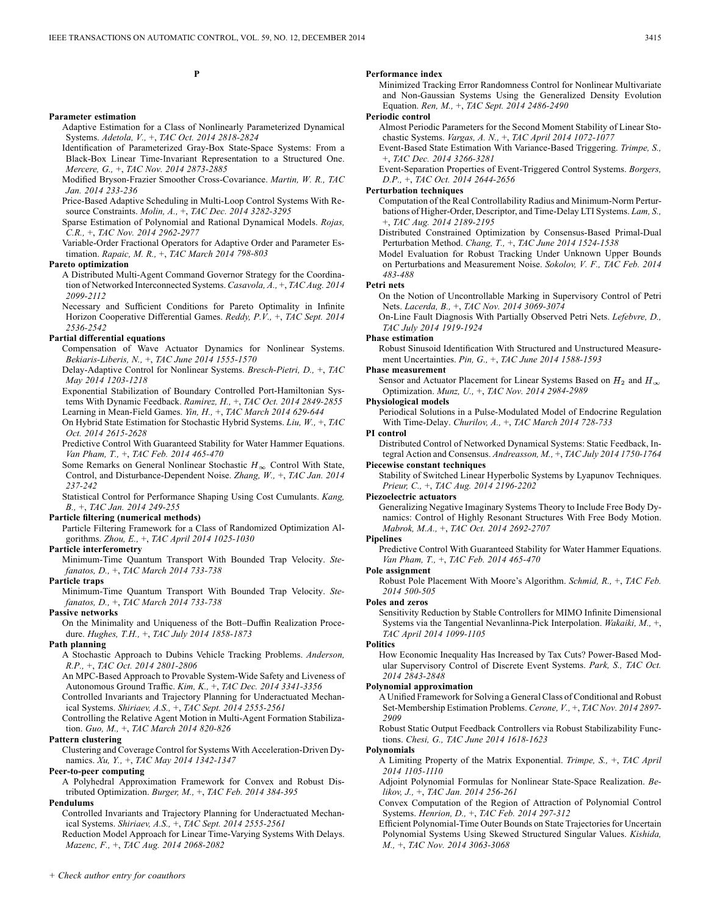**P**

#### **Parameter estimation**

Adaptive Estimation for a Class of Nonlinearly Parameterized Dynamical Systems. *Adetola, V.,* +, *TAC Oct. 2014 2818-2824*

Identification of Parameterized Gray-Box State-Space Systems: From a Black-Box Linear Time-Invariant Representation to a Structured One. *Mercere, G.,* +, *TAC Nov. 2014 2873-2885*

Modified Bryson-Frazier Smoother Cross-Covariance. *Martin, W. R., TAC Jan. 2014 233-236*

Price-Based Adaptive Scheduling in Multi-Loop Control Systems With Resource Constraints. *Molin, A.,* +, *TAC Dec. 2014 3282-3295*

Sparse Estimation of Polynomial and Rational Dynamical Models. *Rojas, C.R.,* +, *TAC Nov. 2014 2962-2977*

Variable-Order Fractional Operators for Adaptive Order and Parameter Estimation. *Rapaic, M. R.,* +, *TAC March 2014 798-803*

#### **Pareto optimization**

A Distributed Multi-Agent Command Governor Strategy for the Coordination of Networked Interconnected Systems. *Casavola, A.,* +, *TAC Aug. 2014 2099-2112*

Necessary and Sufficient Conditions for Pareto Optimality in Infinite Horizon Cooperative Differential Games. *Reddy, P.V.,* +, *TAC Sept. 2014 2536-2542*

#### **Partial differential equations**

Compensation of Wave Actuator Dynamics for Nonlinear Systems. *Bekiaris-Liberis, N.,* +, *TAC June 2014 1555-1570*

Delay-Adaptive Control for Nonlinear Systems. *Bresch-Pietri, D.,* +, *TAC May 2014 1203-1218*

Exponential Stabilization of Boundary Controlled Port-Hamiltonian Systems With Dynamic Feedback. *Ramirez, H.,* +, *TAC Oct. 2014 2849-2855* Learning in Mean-Field Games. *Yin, H.,* +, *TAC March 2014 629-644*

On Hybrid State Estimation for Stochastic Hybrid Systems. *Liu, W.,* +, *TAC Oct. 2014 2615-2628*

Predictive Control With Guaranteed Stability for Water Hammer Equations. *Van Pham, T.,* +, *TAC Feb. 2014 465-470*

Some Remarks on General Nonlinear Stochastic  $H_{\infty}$  Control With State, Control, and Disturbance-Dependent Noise. *Zhang, W.,* +, *TAC Jan. 2014 237-242*

Statistical Control for Performance Shaping Using Cost Cumulants. *Kang, B.,* +, *TAC Jan. 2014 249-255*

#### **Particle filtering (numerical methods)**

Particle Filtering Framework for a Class of Randomized Optimization Algorithms. *Zhou, E.,* +, *TAC April 2014 1025-1030*

## **Particle interferometry**

Minimum-Time Quantum Transport With Bounded Trap Velocity. *Stefanatos, D.,* +, *TAC March 2014 733-738*

#### **Particle traps**

Minimum-Time Quantum Transport With Bounded Trap Velocity. *Stefanatos, D.,* +, *TAC March 2014 733-738*

#### **Passive networks**

On the Minimality and Uniqueness of the Bott–Duffin Realization Procedure. *Hughes, T.H.,* +, *TAC July 2014 1858-1873*

#### **Path planning**

A Stochastic Approach to Dubins Vehicle Tracking Problems. *Anderson, R.P.,* +, *TAC Oct. 2014 2801-2806*

An MPC-Based Approach to Provable System-Wide Safety and Liveness of Autonomous Ground Traffic. *Kim, K.,* +, *TAC Dec. 2014 3341-3356*

Controlled Invariants and Trajectory Planning for Underactuated Mechanical Systems. *Shiriaev, A.S.,* +, *TAC Sept. 2014 2555-2561*

Controlling the Relative Agent Motion in Multi-Agent Formation Stabilization. *Guo, M.,* +, *TAC March 2014 820-826*

#### **Pattern clustering**

Clustering and Coverage Control for Systems With Acceleration-Driven Dynamics. *Xu, Y.,* +, *TAC May 2014 1342-1347*

#### **Peer-to-peer computing**

A Polyhedral Approximation Framework for Convex and Robust Distributed Optimization. *Burger, M.,* +, *TAC Feb. 2014 384-395*

#### **Pendulums**

Controlled Invariants and Trajectory Planning for Underactuated Mechanical Systems. *Shiriaev, A.S.,* +, *TAC Sept. 2014 2555-2561*

Reduction Model Approach for Linear Time-Varying Systems With Delays. *Mazenc, F.,* +, *TAC Aug. 2014 2068-2082*

#### **Performance index**

Minimized Tracking Error Randomness Control for Nonlinear Multivariate and Non-Gaussian Systems Using the Generalized Density Evolution Equation. *Ren, M.,* +, *TAC Sept. 2014 2486-2490*

## **Periodic control**

Almost Periodic Parameters for the Second Moment Stability of Linear Stochastic Systems. *Vargas, A. N.,* +, *TAC April 2014 1072-1077*

Event-Based State Estimation With Variance-Based Triggering. *Trimpe, S.,* +, *TAC Dec. 2014 3266-3281*

Event-Separation Properties of Event-Triggered Control Systems. *Borgers, D.P.,* +, *TAC Oct. 2014 2644-2656*

#### **Perturbation techniques**

Computation of the Real Controllability Radius and Minimum-Norm Perturbations of Higher-Order, Descriptor, and Time-Delay LTI Systems. *Lam, S.,* +, *TAC Aug. 2014 2189-2195*

Distributed Constrained Optimization by Consensus-Based Primal-Dual Perturbation Method. *Chang, T.,* +, *TAC June 2014 1524-1538*

Model Evaluation for Robust Tracking Under Unknown Upper Bounds on Perturbations and Measurement Noise. *Sokolov, V. F., TAC Feb. 2014 483-488*

#### **Petri nets**

On the Notion of Uncontrollable Marking in Supervisory Control of Petri Nets. *Lacerda, B.,* +, *TAC Nov. 2014 3069-3074*

On-Line Fault Diagnosis With Partially Observed Petri Nets. *Lefebvre, D., TAC July 2014 1919-1924*

#### **Phase estimation**

Robust Sinusoid Identification With Structured and Unstructured Measurement Uncertainties. *Pin, G.,* +, *TAC June 2014 1588-1593*

#### **Phase measurement**

Sensor and Actuator Placement for Linear Systems Based on  $H_2$  and  $H_{\infty}$ Optimization. *Munz, U.,* +, *TAC Nov. 2014 2984-2989*

#### **Physiological models**

Periodical Solutions in a Pulse-Modulated Model of Endocrine Regulation With Time-Delay. *Churilov, A.,* +, *TAC March 2014 728-733*

#### **PI control**

Distributed Control of Networked Dynamical Systems: Static Feedback, Integral Action and Consensus. *Andreasson, M.,* +, *TAC July 2014 1750-1764*

## **Piecewise constant techniques**

Stability of Switched Linear Hyperbolic Systems by Lyapunov Techniques. *Prieur, C.,* +, *TAC Aug. 2014 2196-2202*

#### **Piezoelectric actuators**

Generalizing Negative Imaginary Systems Theory to Include Free Body Dynamics: Control of Highly Resonant Structures With Free Body Motion. *Mabrok, M.A.,* +, *TAC Oct. 2014 2692-2707*

#### **Pipelines**

Predictive Control With Guaranteed Stability for Water Hammer Equations. *Van Pham, T.,* +, *TAC Feb. 2014 465-470*

## **Pole assignment**

Robust Pole Placement With Moore's Algorithm. *Schmid, R.,* +, *TAC Feb. 2014 500-505*

#### **Poles and zeros**

Sensitivity Reduction by Stable Controllers for MIMO Infinite Dimensional Systems via the Tangential Nevanlinna-Pick Interpolation. *Wakaiki, M.,* +, *TAC April 2014 1099-1105*

#### **Politics**

How Economic Inequality Has Increased by Tax Cuts? Power-Based Modular Supervisory Control of Discrete Event Systems. *Park, S., TAC Oct. 2014 2843-2848*

## **Polynomial approximation**

A Unified Framework for Solving a General Class of Conditional and Robust Set-Membership Estimation Problems. *Cerone, V.,* +, *TAC Nov. 2014 2897- 2909*

Robust Static Output Feedback Controllers via Robust Stabilizability Functions. *Chesi, G., TAC June 2014 1618-1623*

#### **Polynomials**

- A Limiting Property of the Matrix Exponential. *Trimpe, S.,* +, *TAC April 2014 1105-1110*
- Adjoint Polynomial Formulas for Nonlinear State-Space Realization. *Belikov, J.,* +, *TAC Jan. 2014 256-261*
- Convex Computation of the Region of Attraction of Polynomial Control Systems. *Henrion, D.,* +, *TAC Feb. 2014 297-312*
- Efficient Polynomial-Time Outer Bounds on State Trajectories for Uncertain Polynomial Systems Using Skewed Structured Singular Values. *Kishida, M.,* +, *TAC Nov. 2014 3063-3068*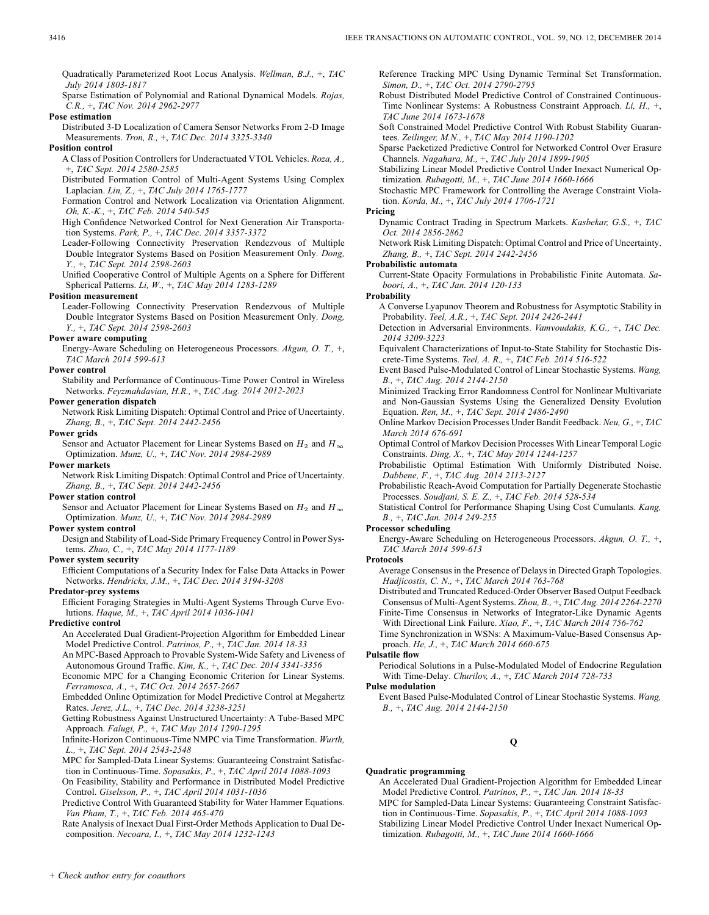Quadratically Parameterized Root Locus Analysis. *Wellman, B.J.,* +, *TAC July 2014 1803-1817*

Sparse Estimation of Polynomial and Rational Dynamical Models. *Rojas, C.R.,* +, *TAC Nov. 2014 2962-2977*

**Pose estimation**

Distributed 3-D Localization of Camera Sensor Networks From 2-D Image Measurements. *Tron, R.,* +, *TAC Dec. 2014 3325-3340*

### **Position control**

A Class of Position Controllers for Underactuated VTOL Vehicles. *Roza, A.,* +, *TAC Sept. 2014 2580-2585*

Distributed Formation Control of Multi-Agent Systems Using Complex Laplacian. *Lin, Z.,* +, *TAC July 2014 1765-1777*

Formation Control and Network Localization via Orientation Alignment. *Oh, K.-K.,* +, *TAC Feb. 2014 540-545*

High Confidence Networked Control for Next Generation Air Transportation Systems. *Park, P.,* +, *TAC Dec. 2014 3357-3372*

Leader-Following Connectivity Preservation Rendezvous of Multiple Double Integrator Systems Based on Position Measurement Only. *Dong, Y.,* +, *TAC Sept. 2014 2598-2603*

Unified Cooperative Control of Multiple Agents on a Sphere for Different Spherical Patterns. *Li, W.,* +, *TAC May 2014 1283-1289*

#### **Position measurement**

Leader-Following Connectivity Preservation Rendezvous of Multiple Double Integrator Systems Based on Position Measurement Only. *Dong, Y.,* +, *TAC Sept. 2014 2598-2603*

### **Power aware computing**

Energy-Aware Scheduling on Heterogeneous Processors. *Akgun, O. T.,* +, *TAC March 2014 599-613*

#### **Power control**

Stability and Performance of Continuous-Time Power Control in Wireless Networks. *Feyzmahdavian, H.R.,* +, *TAC Aug. 2014 2012-2023*

## **Power generation dispatch**

Network Risk Limiting Dispatch: Optimal Control and Price of Uncertainty. *Zhang, B.,* +, *TAC Sept. 2014 2442-2456*

#### **Power grids**

Sensor and Actuator Placement for Linear Systems Based on  $H_2$  and  $H_{\infty}$ Optimization. *Munz, U.,* +, *TAC Nov. 2014 2984-2989*

#### **Power markets**

Network Risk Limiting Dispatch: Optimal Control and Price of Uncertainty. *Zhang, B.,* +, *TAC Sept. 2014 2442-2456*

## **Power station control**

Sensor and Actuator Placement for Linear Systems Based on  $H_2$  and  $H_{\infty}$ Optimization. *Munz, U.,* +, *TAC Nov. 2014 2984-2989*

#### **Power system control**

Design and Stability of Load-Side Primary Frequency Control in Power Systems. *Zhao, C.,* +, *TAC May 2014 1177-1189*

#### **Power system security**

Efficient Computations of a Security Index for False Data Attacks in Power Networks. *Hendrickx, J.M.,* +, *TAC Dec. 2014 3194-3208*

#### **Predator-prey systems**

Efficient Foraging Strategies in Multi-Agent Systems Through Curve Evolutions. *Haque, M.,* +, *TAC April 2014 1036-1041*

#### **Predictive control**

- An Accelerated Dual Gradient-Projection Algorithm for Embedded Linear Model Predictive Control. *Patrinos, P.,* +, *TAC Jan. 2014 18-33*
- An MPC-Based Approach to Provable System-Wide Safety and Liveness of Autonomous Ground Traffic. *Kim, K.,* +, *TAC Dec. 2014 3341-3356*

Economic MPC for a Changing Economic Criterion for Linear Systems. *Ferramosca, A.,* +, *TAC Oct. 2014 2657-2667*

Embedded Online Optimization for Model Predictive Control at Megahertz Rates. *Jerez, J.L.,* +, *TAC Dec. 2014 3238-3251*

Getting Robustness Against Unstructured Uncertainty: A Tube-Based MPC Approach. *Falugi, P.,* +, *TAC May 2014 1290-1295*

Infinite-Horizon Continuous-Time NMPC via Time Transformation. *Wurth, L.,* +, *TAC Sept. 2014 2543-2548*

MPC for Sampled-Data Linear Systems: Guaranteeing Constraint Satisfaction in Continuous-Time. *Sopasakis, P.,* +, *TAC April 2014 1088-1093*

On Feasibility, Stability and Performance in Distributed Model Predictive Control. *Giselsson, P.,* +, *TAC April 2014 1031-1036*

Predictive Control With Guaranteed Stability for Water Hammer Equations. *Van Pham, T.,* +, *TAC Feb. 2014 465-470*

Rate Analysis of Inexact Dual First-Order Methods Application to Dual Decomposition. *Necoara, I.,* +, *TAC May 2014 1232-1243*

Reference Tracking MPC Using Dynamic Terminal Set Transformation. *Simon, D.,* +, *TAC Oct. 2014 2790-2795*

Robust Distributed Model Predictive Control of Constrained Continuous-Time Nonlinear Systems: A Robustness Constraint Approach. *Li, H.,* +, *TAC June 2014 1673-1678*

Soft Constrained Model Predictive Control With Robust Stability Guarantees. *Zeilinger, M.N.,* +, *TAC May 2014 1190-1202*

Sparse Packetized Predictive Control for Networked Control Over Erasure Channels. *Nagahara, M.,* +, *TAC July 2014 1899-1905*

Stabilizing Linear Model Predictive Control Under Inexact Numerical Optimization. *Rubagotti, M.,* +, *TAC June 2014 1660-1666*

Stochastic MPC Framework for Controlling the Average Constraint Violation. *Korda, M.,* +, *TAC July 2014 1706-1721*

#### **Pricing**

Dynamic Contract Trading in Spectrum Markets. *Kasbekar, G.S.,* +, *TAC Oct. 2014 2856-2862*

Network Risk Limiting Dispatch: Optimal Control and Price of Uncertainty. *Zhang, B.,* +, *TAC Sept. 2014 2442-2456*

#### **Probabilistic automata**

Current-State Opacity Formulations in Probabilistic Finite Automata. *Saboori, A.,* +, *TAC Jan. 2014 120-133*

## **Probability**

A Converse Lyapunov Theorem and Robustness for Asymptotic Stability in Probability. *Teel, A.R.,* +, *TAC Sept. 2014 2426-2441*

Detection in Adversarial Environments. *Vamvoudakis, K.G.,* +, *TAC Dec. 2014 3209-3223*

Equivalent Characterizations of Input-to-State Stability for Stochastic Discrete-Time Systems. *Teel, A. R.,* +, *TAC Feb. 2014 516-522*

Event Based Pulse-Modulated Control of Linear Stochastic Systems. *Wang, B.,* +, *TAC Aug. 2014 2144-2150*

Minimized Tracking Error Randomness Control for Nonlinear Multivariate and Non-Gaussian Systems Using the Generalized Density Evolution Equation. *Ren, M.,* +, *TAC Sept. 2014 2486-2490*

Online Markov Decision Processes Under Bandit Feedback. *Neu, G.,* +, *TAC March 2014 676-691*

Optimal Control of Markov Decision Processes With Linear Temporal Logic Constraints. *Ding, X.,* +, *TAC May 2014 1244-1257*

Probabilistic Optimal Estimation With Uniformly Distributed Noise. *Dabbene, F.,* +, *TAC Aug. 2014 2113-2127*

Probabilistic Reach-Avoid Computation for Partially Degenerate Stochastic Processes. *Soudjani, S. E. Z.,* +, *TAC Feb. 2014 528-534*

Statistical Control for Performance Shaping Using Cost Cumulants. *Kang, B.,* +, *TAC Jan. 2014 249-255*

## **Processor scheduling**

Energy-Aware Scheduling on Heterogeneous Processors. *Akgun, O. T.,* +, *TAC March 2014 599-613*

## **Protocols**

Average Consensus in the Presence of Delays in Directed Graph Topologies. *Hadjicostis, C. N.,* +, *TAC March 2014 763-768*

Distributed and Truncated Reduced-Order Observer Based Output Feedback Consensus of Multi-Agent Systems. *Zhou, B.,* +, *TAC Aug. 2014 2264-2270* Finite-Time Consensus in Networks of Integrator-Like Dynamic Agents

With Directional Link Failure. *Xiao, F.,* +, *TAC March 2014 756-762* Time Synchronization in WSNs: A Maximum-Value-Based Consensus Approach. *He, J.,* +, *TAC March 2014 660-675*

## **Pulsatile flow**

Periodical Solutions in a Pulse-Modulated Model of Endocrine Regulation With Time-Delay. *Churilov, A.,* +, *TAC March 2014 728-733*

#### **Pulse modulation**

Event Based Pulse-Modulated Control of Linear Stochastic Systems. *Wang, B.,* +, *TAC Aug. 2014 2144-2150*

## **Q**

#### **Quadratic programming**

An Accelerated Dual Gradient-Projection Algorithm for Embedded Linear Model Predictive Control. *Patrinos, P.,* +, *TAC Jan. 2014 18-33* MPC for Sampled-Data Linear Systems: Guaranteeing Constraint Satisfaction in Continuous-Time. *Sopasakis, P.,* +, *TAC April 2014 1088-1093* Stabilizing Linear Model Predictive Control Under Inexact Numerical Optimization. *Rubagotti, M.,* +, *TAC June 2014 1660-1666*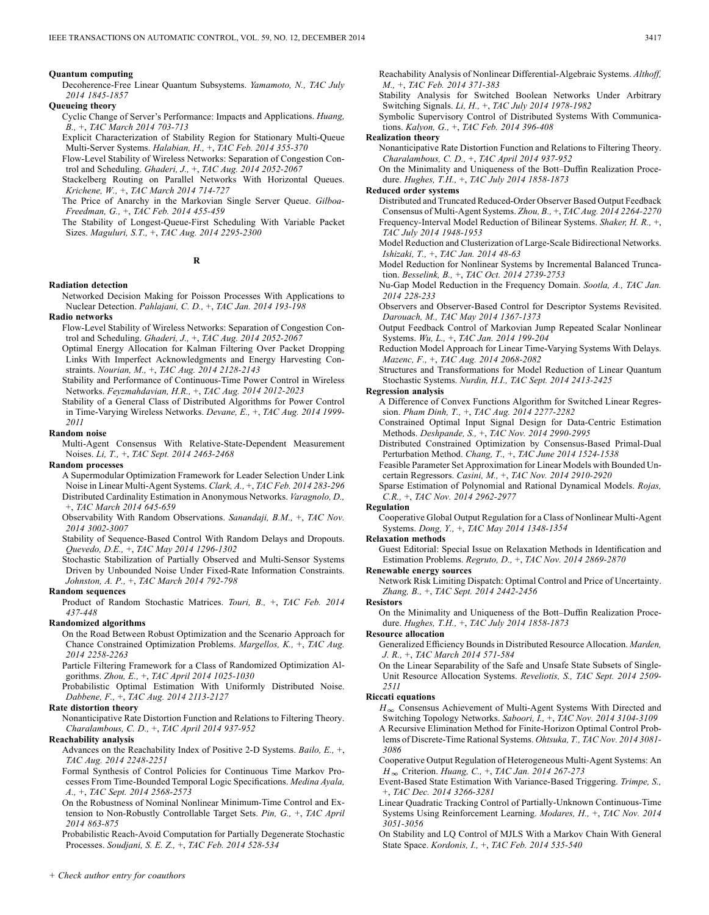#### **Quantum computing**

Decoherence-Free Linear Quantum Subsystems. *Yamamoto, N., TAC July 2014 1845-1857*

#### **Queueing theory**

Cyclic Change of Server's Performance: Impacts and Applications. *Huang, B.,* +, *TAC March 2014 703-713*

Explicit Characterization of Stability Region for Stationary Multi-Queue Multi-Server Systems. *Halabian, H.,* +, *TAC Feb. 2014 355-370*

Flow-Level Stability of Wireless Networks: Separation of Congestion Control and Scheduling. *Ghaderi, J.,* +, *TAC Aug. 2014 2052-2067*

Stackelberg Routing on Parallel Networks With Horizontal Queues. *Krichene, W.,* +, *TAC March 2014 714-727*

The Price of Anarchy in the Markovian Single Server Queue. *Gilboa-Freedman, G.,* +, *TAC Feb. 2014 455-459*

The Stability of Longest-Queue-First Scheduling With Variable Packet Sizes. *Maguluri, S.T.,* +, *TAC Aug. 2014 2295-2300*

#### **R**

#### **Radiation detection**

Networked Decision Making for Poisson Processes With Applications to Nuclear Detection. *Pahlajani, C. D.,* +, *TAC Jan. 2014 193-198*

## **Radio networks**

- Flow-Level Stability of Wireless Networks: Separation of Congestion Control and Scheduling. *Ghaderi, J.,* +, *TAC Aug. 2014 2052-2067*
- Optimal Energy Allocation for Kalman Filtering Over Packet Dropping Links With Imperfect Acknowledgments and Energy Harvesting Constraints. *Nourian, M.,* +, *TAC Aug. 2014 2128-2143*

Stability and Performance of Continuous-Time Power Control in Wireless Networks. *Feyzmahdavian, H.R.,* +, *TAC Aug. 2014 2012-2023*

Stability of a General Class of Distributed Algorithms for Power Control in Time-Varying Wireless Networks. *Devane, E.,* +, *TAC Aug. 2014 1999- 2011*

#### **Random noise**

Multi-Agent Consensus With Relative-State-Dependent Measurement Noises. *Li, T.,* +, *TAC Sept. 2014 2463-2468*

#### **Random processes**

A Supermodular Optimization Framework for Leader Selection Under Link Noise in Linear Multi-Agent Systems. *Clark, A.,* +, *TAC Feb. 2014 283-296* Distributed Cardinality Estimation in Anonymous Networks. *Varagnolo, D.,* +, *TAC March 2014 645-659*

Observability With Random Observations. *Sanandaji, B.M.,* +, *TAC Nov. 2014 3002-3007*

Stability of Sequence-Based Control With Random Delays and Dropouts. *Quevedo, D.E.,* +, *TAC May 2014 1296-1302*

Stochastic Stabilization of Partially Observed and Multi-Sensor Systems Driven by Unbounded Noise Under Fixed-Rate Information Constraints. *Johnston, A. P.,* +, *TAC March 2014 792-798*

#### **Random sequences**

Product of Random Stochastic Matrices. *Touri, B.,* +, *TAC Feb. 2014 437-448*

#### **Randomized algorithms**

On the Road Between Robust Optimization and the Scenario Approach for Chance Constrained Optimization Problems. *Margellos, K.,* +, *TAC Aug. 2014 2258-2263*

Particle Filtering Framework for a Class of Randomized Optimization Algorithms. *Zhou, E.,* +, *TAC April 2014 1025-1030*

Probabilistic Optimal Estimation With Uniformly Distributed Noise. *Dabbene, F.,* +, *TAC Aug. 2014 2113-2127*

## **Rate distortion theory**

Nonanticipative Rate Distortion Function and Relations to Filtering Theory. *Charalambous, C. D.,* +, *TAC April 2014 937-952*

#### **Reachability analysis**

Advances on the Reachability Index of Positive 2-D Systems. *Bailo, E.,* +, *TAC Aug. 2014 2248-2251*

Formal Synthesis of Control Policies for Continuous Time Markov Processes From Time-Bounded Temporal Logic Specifications. *Medina Ayala, A.,* +, *TAC Sept. 2014 2568-2573*

On the Robustness of Nominal Nonlinear Minimum-Time Control and Extension to Non-Robustly Controllable Target Sets. *Pin, G.,* +, *TAC April 2014 863-875*

Probabilistic Reach-Avoid Computation for Partially Degenerate Stochastic Processes. *Soudjani, S. E. Z.,* +, *TAC Feb. 2014 528-534*

Reachability Analysis of Nonlinear Differential-Algebraic Systems. *Althoff, M.,* +, *TAC Feb. 2014 371-383*

Stability Analysis for Switched Boolean Networks Under Arbitrary Switching Signals. *Li, H.,* +, *TAC July 2014 1978-1982*

Symbolic Supervisory Control of Distributed Systems With Communications. *Kalyon, G.,* +, *TAC Feb. 2014 396-408*

## **Realization theory**

Nonanticipative Rate Distortion Function and Relations to Filtering Theory. *Charalambous, C. D.,* +, *TAC April 2014 937-952*

On the Minimality and Uniqueness of the Bott–Duffin Realization Procedure. *Hughes, T.H.,* +, *TAC July 2014 1858-1873*

#### **Reduced order systems**

Distributed and Truncated Reduced-Order Observer Based Output Feedback Consensus of Multi-Agent Systems. *Zhou, B.,* +, *TAC Aug. 2014 2264-2270* Frequency-Interval Model Reduction of Bilinear Systems. *Shaker, H. R.,* +, *TAC July 2014 1948-1953*

Model Reduction and Clusterization of Large-Scale Bidirectional Networks. *Ishizaki, T.,* +, *TAC Jan. 2014 48-63*

Model Reduction for Nonlinear Systems by Incremental Balanced Truncation. *Besselink, B.,* +, *TAC Oct. 2014 2739-2753*

Nu-Gap Model Reduction in the Frequency Domain. *Sootla, A., TAC Jan. 2014 228-233*

Observers and Observer-Based Control for Descriptor Systems Revisited. *Darouach, M., TAC May 2014 1367-1373*

Output Feedback Control of Markovian Jump Repeated Scalar Nonlinear Systems. *Wu, L.,* +, *TAC Jan. 2014 199-204*

Reduction Model Approach for Linear Time-Varying Systems With Delays. *Mazenc, F.,* +, *TAC Aug. 2014 2068-2082*

Structures and Transformations for Model Reduction of Linear Quantum Stochastic Systems. *Nurdin, H.I., TAC Sept. 2014 2413-2425*

#### **Regression analysis**

A Difference of Convex Functions Algorithm for Switched Linear Regression. *Pham Dinh, T.,* +, *TAC Aug. 2014 2277-2282*

Constrained Optimal Input Signal Design for Data-Centric Estimation Methods. *Deshpande, S.,* +, *TAC Nov. 2014 2990-2995*

Distributed Constrained Optimization by Consensus-Based Primal-Dual Perturbation Method. *Chang, T.,* +, *TAC June 2014 1524-1538*

Feasible Parameter Set Approximation for Linear Models with Bounded Uncertain Regressors. *Casini, M.,* +, *TAC Nov. 2014 2910-2920*

Sparse Estimation of Polynomial and Rational Dynamical Models. *Rojas, C.R.,* +, *TAC Nov. 2014 2962-2977*

## **Regulation**

Cooperative Global Output Regulation for a Class of Nonlinear Multi-Agent Systems. *Dong, Y.,* +, *TAC May 2014 1348-1354*

#### **Relaxation methods**

Guest Editorial: Special Issue on Relaxation Methods in Identification and Estimation Problems. *Regruto, D.,* +, *TAC Nov. 2014 2869-2870*

#### **Renewable energy sources**

Network Risk Limiting Dispatch: Optimal Control and Price of Uncertainty. *Zhang, B.,* +, *TAC Sept. 2014 2442-2456*

#### **Resistors**

On the Minimality and Uniqueness of the Bott–Duffin Realization Procedure. *Hughes, T.H.,* +, *TAC July 2014 1858-1873*

**Resource allocation**

Generalized Efficiency Bounds in Distributed Resource Allocation. *Marden, J. R.,* +, *TAC March 2014 571-584*

On the Linear Separability of the Safe and Unsafe State Subsets of Single-Unit Resource Allocation Systems. *Reveliotis, S., TAC Sept. 2014 2509- 2511*

#### **Riccati equations**

 $H_{\infty}$  Consensus Achievement of Multi-Agent Systems With Directed and Switching Topology Networks. *Saboori, I.,* +, *TAC Nov. 2014 3104-3109* A Recursive Elimination Method for Finite-Horizon Optimal Control Problems of Discrete-Time Rational Systems. *Ohtsuka, T., TAC Nov. 2014 3081- 3086*

- Cooperative Output Regulation of Heterogeneous Multi-Agent Systems: An Criterion. *Huang, C.,* +, *TAC Jan. 2014 267-273*
- Event-Based State Estimation With Variance-Based Triggering. *Trimpe, S.,* +, *TAC Dec. 2014 3266-3281*
- Linear Quadratic Tracking Control of Partially-Unknown Continuous-Time Systems Using Reinforcement Learning. *Modares, H.,* +, *TAC Nov. 2014 3051-3056*
- On Stability and LQ Control of MJLS With a Markov Chain With General State Space. *Kordonis, I.,* +, *TAC Feb. 2014 535-540*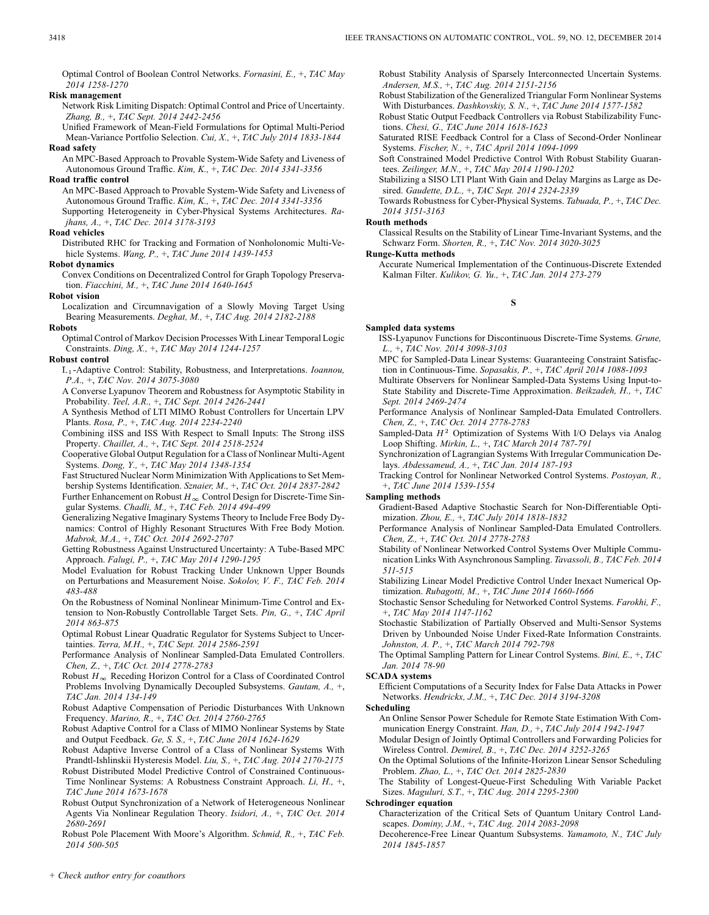Optimal Control of Boolean Control Networks. *Fornasini, E.,* +, *TAC May 2014 1258-1270*

## **Risk management**

Network Risk Limiting Dispatch: Optimal Control and Price of Uncertainty. *Zhang, B.,* +, *TAC Sept. 2014 2442-2456*

Unified Framework of Mean-Field Formulations for Optimal Multi-Period Mean-Variance Portfolio Selection. *Cui, X.,* +, *TAC July 2014 1833-1844* **Road safety**

An MPC-Based Approach to Provable System-Wide Safety and Liveness of Autonomous Ground Traffic. *Kim, K.,* +, *TAC Dec. 2014 3341-3356*

**Road traffic control**

An MPC-Based Approach to Provable System-Wide Safety and Liveness of Autonomous Ground Traffic. *Kim, K.,* +, *TAC Dec. 2014 3341-3356* Supporting Heterogeneity in Cyber-Physical Systems Architectures. *Rajhans, A.,* +, *TAC Dec. 2014 3178-3193*

#### **Road vehicles**

Distributed RHC for Tracking and Formation of Nonholonomic Multi-Vehicle Systems. *Wang, P.,* +, *TAC June 2014 1439-1453*

**Robot dynamics**

Convex Conditions on Decentralized Control for Graph Topology Preservation. *Fiacchini, M.,* +, *TAC June 2014 1640-1645*

**Robot vision**

Localization and Circumnavigation of a Slowly Moving Target Using Bearing Measurements. *Deghat, M.,* +, *TAC Aug. 2014 2182-2188*

## **Robots**

Optimal Control of Markov Decision Processes With Linear Temporal Logic Constraints. *Ding, X.,* +, *TAC May 2014 1244-1257*

#### **Robust control**

-Adaptive Control: Stability, Robustness, and Interpretations. *Ioannou, P.A.,* +, *TAC Nov. 2014 3075-3080*

A Converse Lyapunov Theorem and Robustness for Asymptotic Stability in Probability. *Teel, A.R.,* +, *TAC Sept. 2014 2426-2441*

A Synthesis Method of LTI MIMO Robust Controllers for Uncertain LPV Plants. *Rosa, P.,* +, *TAC Aug. 2014 2234-2240*

Combining iISS and ISS With Respect to Small Inputs: The Strong iISS Property. *Chaillet, A.,* +, *TAC Sept. 2014 2518-2524*

Cooperative Global Output Regulation for a Class of Nonlinear Multi-Agent Systems. *Dong, Y.,* +, *TAC May 2014 1348-1354*

Fast Structured Nuclear Norm Minimization With Applications to Set Membership Systems Identification. *Sznaier, M.,* +, *TAC Oct. 2014 2837-2842*

Further Enhancement on Robust  $H_{\infty}$  Control Design for Discrete-Time Singular Systems. *Chadli, M.,* +, *TAC Feb. 2014 494-499*

Generalizing Negative Imaginary Systems Theory to Include Free Body Dynamics: Control of Highly Resonant Structures With Free Body Motion. *Mabrok, M.A.,* +, *TAC Oct. 2014 2692-2707*

Getting Robustness Against Unstructured Uncertainty: A Tube-Based MPC Approach. *Falugi, P.,* +, *TAC May 2014 1290-1295*

Model Evaluation for Robust Tracking Under Unknown Upper Bounds on Perturbations and Measurement Noise. *Sokolov, V. F., TAC Feb. 2014 483-488*

On the Robustness of Nominal Nonlinear Minimum-Time Control and Extension to Non-Robustly Controllable Target Sets. *Pin, G.,* +, *TAC April 2014 863-875*

Optimal Robust Linear Quadratic Regulator for Systems Subject to Uncertainties. *Terra, M.H.,* +, *TAC Sept. 2014 2586-2591*

Performance Analysis of Nonlinear Sampled-Data Emulated Controllers. *Chen, Z.,* +, *TAC Oct. 2014 2778-2783*

Robust  $H_{\infty}$  Receding Horizon Control for a Class of Coordinated Control Problems Involving Dynamically Decoupled Subsystems. *Gautam, A.,* +, *TAC Jan. 2014 134-149*

Robust Adaptive Compensation of Periodic Disturbances With Unknown Frequency. *Marino, R.,* +, *TAC Oct. 2014 2760-2765*

Robust Adaptive Control for a Class of MIMO Nonlinear Systems by State and Output Feedback. *Ge, S. S.,* +, *TAC June 2014 1624-1629*

Robust Adaptive Inverse Control of a Class of Nonlinear Systems With Prandtl-Ishlinskii Hysteresis Model. *Liu, S.,* +, *TAC Aug. 2014 2170-2175*

Robust Distributed Model Predictive Control of Constrained Continuous-Time Nonlinear Systems: A Robustness Constraint Approach. *Li, H.,* +, *TAC June 2014 1673-1678*

Robust Output Synchronization of a Network of Heterogeneous Nonlinear Agents Via Nonlinear Regulation Theory. *Isidori, A.,* +, *TAC Oct. 2014 2680-2691*

Robust Pole Placement With Moore's Algorithm. *Schmid, R.,* +, *TAC Feb. 2014 500-505*

Robust Stability Analysis of Sparsely Interconnected Uncertain Systems. *Andersen, M.S.,* +, *TAC Aug. 2014 2151-2156*

Robust Stabilization of the Generalized Triangular Form Nonlinear Systems With Disturbances. *Dashkovskiy, S. N.,* +, *TAC June 2014 1577-1582*

Robust Static Output Feedback Controllers via Robust Stabilizability Functions. *Chesi, G., TAC June 2014 1618-1623*

Saturated RISE Feedback Control for a Class of Second-Order Nonlinear Systems. *Fischer, N.,* +, *TAC April 2014 1094-1099*

Soft Constrained Model Predictive Control With Robust Stability Guarantees. *Zeilinger, M.N.,* +, *TAC May 2014 1190-1202*

Stabilizing a SISO LTI Plant With Gain and Delay Margins as Large as Desired. *Gaudette, D.L.,* +, *TAC Sept. 2014 2324-2339*

Towards Robustness for Cyber-Physical Systems. *Tabuada, P.,* +, *TAC Dec. 2014 3151-3163*

#### **Routh methods**

Classical Results on the Stability of Linear Time-Invariant Systems, and the Schwarz Form. *Shorten, R.,* +, *TAC Nov. 2014 3020-3025*

## **Runge-Kutta methods**

Accurate Numerical Implementation of the Continuous-Discrete Extended Kalman Filter. *Kulikov, G. Yu.,* +, *TAC Jan. 2014 273-279*

## **S**

## **Sampled data systems**

ISS-Lyapunov Functions for Discontinuous Discrete-Time Systems. *Grune, L.,* +, *TAC Nov. 2014 3098-3103*

MPC for Sampled-Data Linear Systems: Guaranteeing Constraint Satisfaction in Continuous-Time. *Sopasakis, P.,* +, *TAC April 2014 1088-1093*

Multirate Observers for Nonlinear Sampled-Data Systems Using Input-to-State Stability and Discrete-Time Approximation. *Beikzadeh, H.,* +, *TAC Sept. 2014 2469-2474*

Performance Analysis of Nonlinear Sampled-Data Emulated Controllers. *Chen, Z.,* +, *TAC Oct. 2014 2778-2783*

Sampled-Data  $H^2$  Optimization of Systems With I/O Delays via Analog Loop Shifting. *Mirkin, L.,* +, *TAC March 2014 787-791*

Synchronization of Lagrangian Systems With Irregular Communication Delays. *Abdessameud, A.,* +, *TAC Jan. 2014 187-193*

Tracking Control for Nonlinear Networked Control Systems. *Postoyan, R.,* +, *TAC June 2014 1539-1554*

## **Sampling methods**

Gradient-Based Adaptive Stochastic Search for Non-Differentiable Optimization. *Zhou, E.,* +, *TAC July 2014 1818-1832*

Performance Analysis of Nonlinear Sampled-Data Emulated Controllers. *Chen, Z.,* +, *TAC Oct. 2014 2778-2783*

Stability of Nonlinear Networked Control Systems Over Multiple Communication Links With Asynchronous Sampling. *Tavassoli, B., TAC Feb. 2014 511-515*

Stabilizing Linear Model Predictive Control Under Inexact Numerical Optimization. *Rubagotti, M.,* +, *TAC June 2014 1660-1666*

Stochastic Sensor Scheduling for Networked Control Systems. *Farokhi, F.,* +, *TAC May 2014 1147-1162*

Stochastic Stabilization of Partially Observed and Multi-Sensor Systems Driven by Unbounded Noise Under Fixed-Rate Information Constraints. *Johnston, A. P.,* +, *TAC March 2014 792-798*

The Optimal Sampling Pattern for Linear Control Systems. *Bini, E.,* +, *TAC Jan. 2014 78-90*

#### **SCADA systems**

Efficient Computations of a Security Index for False Data Attacks in Power Networks. *Hendrickx, J.M.,* +, *TAC Dec. 2014 3194-3208*

## **Scheduling**

An Online Sensor Power Schedule for Remote State Estimation With Communication Energy Constraint. *Han, D.,* +, *TAC July 2014 1942-1947*

Modular Design of Jointly Optimal Controllers and Forwarding Policies for Wireless Control. *Demirel, B.,* +, *TAC Dec. 2014 3252-3265*

On the Optimal Solutions of the Infinite-Horizon Linear Sensor Scheduling Problem. *Zhao, L.,* +, *TAC Oct. 2014 2825-2830*

The Stability of Longest-Queue-First Scheduling With Variable Packet Sizes. *Maguluri, S.T.,* +, *TAC Aug. 2014 2295-2300*

#### **Schrodinger equation**

Characterization of the Critical Sets of Quantum Unitary Control Landscapes. *Dominy, J.M.,* +, *TAC Aug. 2014 2083-2098*

Decoherence-Free Linear Quantum Subsystems. *Yamamoto, N., TAC July 2014 1845-1857*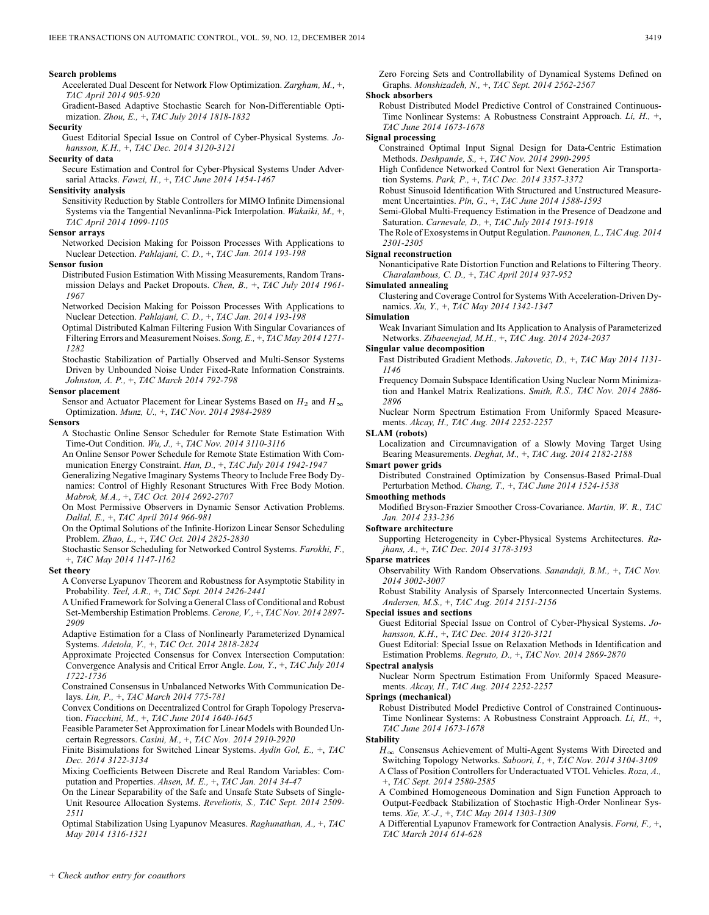#### **Search problems**

Accelerated Dual Descent for Network Flow Optimization. *Zargham, M.,* +, *TAC April 2014 905-920*

Gradient-Based Adaptive Stochastic Search for Non-Differentiable Optimization. *Zhou, E.,* +, *TAC July 2014 1818-1832*

#### **Security**

Guest Editorial Special Issue on Control of Cyber-Physical Systems. *Johansson, K.H.,* +, *TAC Dec. 2014 3120-3121*

#### **Security of data**

Secure Estimation and Control for Cyber-Physical Systems Under Adversarial Attacks. *Fawzi, H.,* +, *TAC June 2014 1454-1467*

#### **Sensitivity analysis**

Sensitivity Reduction by Stable Controllers for MIMO Infinite Dimensional Systems via the Tangential Nevanlinna-Pick Interpolation. *Wakaiki, M.,* +, *TAC April 2014 1099-1105*

#### **Sensor arrays**

Networked Decision Making for Poisson Processes With Applications to Nuclear Detection. *Pahlajani, C. D.,* +, *TAC Jan. 2014 193-198*

#### **Sensor fusion**

Distributed Fusion Estimation With Missing Measurements, Random Transmission Delays and Packet Dropouts. *Chen, B.,* +, *TAC July 2014 1961- 1967*

Networked Decision Making for Poisson Processes With Applications to Nuclear Detection. *Pahlajani, C. D.,* +, *TAC Jan. 2014 193-198*

Optimal Distributed Kalman Filtering Fusion With Singular Covariances of Filtering Errors and Measurement Noises. *Song, E.,* +, *TAC May 2014 1271- 1282*

Stochastic Stabilization of Partially Observed and Multi-Sensor Systems Driven by Unbounded Noise Under Fixed-Rate Information Constraints. *Johnston, A. P.,* +, *TAC March 2014 792-798*

#### **Sensor placement**

Sensor and Actuator Placement for Linear Systems Based on  $H_2$  and  $H_{\infty}$ Optimization. *Munz, U.,* +, *TAC Nov. 2014 2984-2989*

**Sensors**

A Stochastic Online Sensor Scheduler for Remote State Estimation With Time-Out Condition. *Wu, J.,* +, *TAC Nov. 2014 3110-3116*

An Online Sensor Power Schedule for Remote State Estimation With Communication Energy Constraint. *Han, D.,* +, *TAC July 2014 1942-1947*

Generalizing Negative Imaginary Systems Theory to Include Free Body Dynamics: Control of Highly Resonant Structures With Free Body Motion. *Mabrok, M.A.,* +, *TAC Oct. 2014 2692-2707*

On Most Permissive Observers in Dynamic Sensor Activation Problems. *Dallal, E.,* +, *TAC April 2014 966-981*

On the Optimal Solutions of the Infinite-Horizon Linear Sensor Scheduling Problem. *Zhao, L.,* +, *TAC Oct. 2014 2825-2830*

Stochastic Sensor Scheduling for Networked Control Systems. *Farokhi, F.,* +, *TAC May 2014 1147-1162*

#### **Set theory**

A Converse Lyapunov Theorem and Robustness for Asymptotic Stability in Probability. *Teel, A.R.,* +, *TAC Sept. 2014 2426-2441*

A Unified Framework for Solving a General Class of Conditional and Robust Set-Membership Estimation Problems. *Cerone, V.,* +, *TAC Nov. 2014 2897- 2909*

Adaptive Estimation for a Class of Nonlinearly Parameterized Dynamical Systems. *Adetola, V.,* +, *TAC Oct. 2014 2818-2824*

Approximate Projected Consensus for Convex Intersection Computation: Convergence Analysis and Critical Error Angle. *Lou, Y.,* +, *TAC July 2014 1722-1736*

Constrained Consensus in Unbalanced Networks With Communication Delays. *Lin, P.,* +, *TAC March 2014 775-781*

Convex Conditions on Decentralized Control for Graph Topology Preservation. *Fiacchini, M.,* +, *TAC June 2014 1640-1645*

Feasible Parameter Set Approximation for Linear Models with Bounded Uncertain Regressors. *Casini, M.,* +, *TAC Nov. 2014 2910-2920*

Finite Bisimulations for Switched Linear Systems. *Aydin Gol, E.,* +, *TAC Dec. 2014 3122-3134*

Mixing Coefficients Between Discrete and Real Random Variables: Computation and Properties. *Ahsen, M. E.,* +, *TAC Jan. 2014 34-47*

On the Linear Separability of the Safe and Unsafe State Subsets of Single-Unit Resource Allocation Systems. *Reveliotis, S., TAC Sept. 2014 2509- 2511*

Optimal Stabilization Using Lyapunov Measures. *Raghunathan, A.,* +, *TAC May 2014 1316-1321*

Zero Forcing Sets and Controllability of Dynamical Systems Defined on Graphs. *Monshizadeh, N.,* +, *TAC Sept. 2014 2562-2567*

#### **Shock absorbers**

Robust Distributed Model Predictive Control of Constrained Continuous-Time Nonlinear Systems: A Robustness Constraint Approach. *Li, H.,* +, *TAC June 2014 1673-1678*

## **Signal processing**

Constrained Optimal Input Signal Design for Data-Centric Estimation Methods. *Deshpande, S.,* +, *TAC Nov. 2014 2990-2995*

High Confidence Networked Control for Next Generation Air Transportation Systems. *Park, P.,* +, *TAC Dec. 2014 3357-3372*

Robust Sinusoid Identification With Structured and Unstructured Measurement Uncertainties. *Pin, G.,* +, *TAC June 2014 1588-1593*

Semi-Global Multi-Frequency Estimation in the Presence of Deadzone and Saturation. *Carnevale, D.,* +, *TAC July 2014 1913-1918*

The Role of Exosystems in Output Regulation. *Paunonen, L., TAC Aug. 2014 2301-2305*

## **Signal reconstruction**

Nonanticipative Rate Distortion Function and Relations to Filtering Theory. *Charalambous, C. D.,* +, *TAC April 2014 937-952*

#### **Simulated annealing**

Clustering and Coverage Control for Systems With Acceleration-Driven Dynamics. *Xu, Y.,* +, *TAC May 2014 1342-1347*

#### **Simulation**

Weak Invariant Simulation and Its Application to Analysis of Parameterized Networks. *Zibaeenejad, M.H.,* +, *TAC Aug. 2014 2024-2037*

### **Singular value decomposition**

- Fast Distributed Gradient Methods. *Jakovetic, D.,* +, *TAC May 2014 1131- 1146*
- Frequency Domain Subspace Identification Using Nuclear Norm Minimization and Hankel Matrix Realizations. *Smith, R.S., TAC Nov. 2014 2886- 2896*
- Nuclear Norm Spectrum Estimation From Uniformly Spaced Measurements. *Akcay, H., TAC Aug. 2014 2252-2257*

#### **SLAM (robots)**

Localization and Circumnavigation of a Slowly Moving Target Using Bearing Measurements. *Deghat, M.,* +, *TAC Aug. 2014 2182-2188*

**Smart power grids**

Distributed Constrained Optimization by Consensus-Based Primal-Dual Perturbation Method. *Chang, T.,* +, *TAC June 2014 1524-1538*

## **Smoothing methods**

Modified Bryson-Frazier Smoother Cross-Covariance. *Martin, W. R., TAC Jan. 2014 233-236*

#### **Software architecture**

Supporting Heterogeneity in Cyber-Physical Systems Architectures. *Rajhans, A.,* +, *TAC Dec. 2014 3178-3193*

#### **Sparse matrices**

Observability With Random Observations. *Sanandaji, B.M.,* +, *TAC Nov. 2014 3002-3007*

Robust Stability Analysis of Sparsely Interconnected Uncertain Systems. *Andersen, M.S.,* +, *TAC Aug. 2014 2151-2156*

#### **Special issues and sections**

Guest Editorial Special Issue on Control of Cyber-Physical Systems. *Johansson, K.H.,* +, *TAC Dec. 2014 3120-3121*

Guest Editorial: Special Issue on Relaxation Methods in Identification and Estimation Problems. *Regruto, D.,* +, *TAC Nov. 2014 2869-2870*

#### **Spectral analysis**

Nuclear Norm Spectrum Estimation From Uniformly Spaced Measurements. *Akcay, H., TAC Aug. 2014 2252-2257*

#### **Springs (mechanical)**

Robust Distributed Model Predictive Control of Constrained Continuous-Time Nonlinear Systems: A Robustness Constraint Approach. *Li, H.,* +, *TAC June 2014 1673-1678*

**Stability**

 $H_{\infty}$  Consensus Achievement of Multi-Agent Systems With Directed and Switching Topology Networks. *Saboori, I.,* +, *TAC Nov. 2014 3104-3109* A Class of Position Controllers for Underactuated VTOL Vehicles. *Roza, A.,* +, *TAC Sept. 2014 2580-2585*

A Combined Homogeneous Domination and Sign Function Approach to Output-Feedback Stabilization of Stochastic High-Order Nonlinear Systems. *Xie, X.-J.,* +, *TAC May 2014 1303-1309*

A Differential Lyapunov Framework for Contraction Analysis. *Forni, F.,* +, *TAC March 2014 614-628*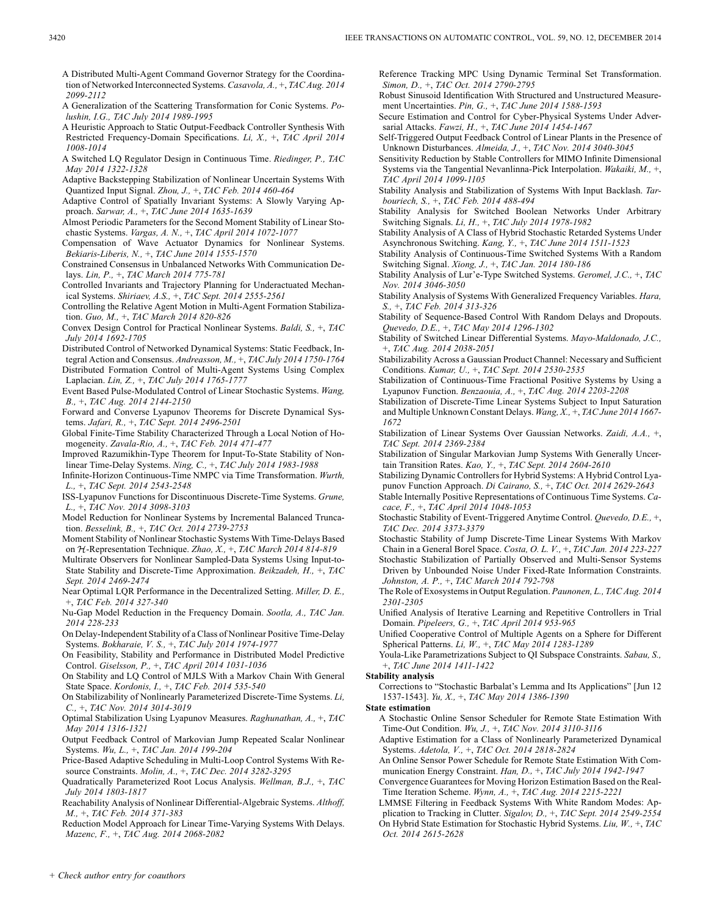A Distributed Multi-Agent Command Governor Strategy for the Coordination of Networked Interconnected Systems. *Casavola, A.,* +, *TAC Aug. 2014 2099-2112*

A Generalization of the Scattering Transformation for Conic Systems. *Polushin, I.G., TAC July 2014 1989-1995*

A Heuristic Approach to Static Output-Feedback Controller Synthesis With Restricted Frequency-Domain Specifications. *Li, X.,* +, *TAC April 2014 1008-1014*

A Switched LQ Regulator Design in Continuous Time. *Riedinger, P., TAC May 2014 1322-1328*

Adaptive Backstepping Stabilization of Nonlinear Uncertain Systems With Quantized Input Signal. *Zhou, J.,* +, *TAC Feb. 2014 460-464*

Adaptive Control of Spatially Invariant Systems: A Slowly Varying Approach. *Sarwar, A.,* +, *TAC June 2014 1635-1639*

Almost Periodic Parameters for the Second Moment Stability of Linear Stochastic Systems. *Vargas, A. N.,* +, *TAC April 2014 1072-1077*

Compensation of Wave Actuator Dynamics for Nonlinear Systems. *Bekiaris-Liberis, N.,* +, *TAC June 2014 1555-1570*

Constrained Consensus in Unbalanced Networks With Communication Delays. *Lin, P.,* +, *TAC March 2014 775-781*

Controlled Invariants and Trajectory Planning for Underactuated Mechanical Systems. *Shiriaev, A.S.,* +, *TAC Sept. 2014 2555-2561*

Controlling the Relative Agent Motion in Multi-Agent Formation Stabilization. *Guo, M.,* +, *TAC March 2014 820-826*

Convex Design Control for Practical Nonlinear Systems. *Baldi, S.,* +, *TAC July 2014 1692-1705*

Distributed Control of Networked Dynamical Systems: Static Feedback, In-

tegral Action and Consensus. *Andreasson, M.,* +, *TAC July 2014 1750-1764* Distributed Formation Control of Multi-Agent Systems Using Complex Laplacian. *Lin, Z.,* +, *TAC July 2014 1765-1777*

Event Based Pulse-Modulated Control of Linear Stochastic Systems. *Wang, B.,* +, *TAC Aug. 2014 2144-2150*

Forward and Converse Lyapunov Theorems for Discrete Dynamical Systems. *Jafari, R.,* +, *TAC Sept. 2014 2496-2501*

Global Finite-Time Stability Characterized Through a Local Notion of Homogeneity. *Zavala-Rio, A.,* +, *TAC Feb. 2014 471-477*

Improved Razumikhin-Type Theorem for Input-To-State Stability of Nonlinear Time-Delay Systems. *Ning, C.,* +, *TAC July 2014 1983-1988*

Infinite-Horizon Continuous-Time NMPC via Time Transformation. *Wurth, L.,* +, *TAC Sept. 2014 2543-2548*

ISS-Lyapunov Functions for Discontinuous Discrete-Time Systems. *Grune, L.,* +, *TAC Nov. 2014 3098-3103*

Model Reduction for Nonlinear Systems by Incremental Balanced Truncation. *Besselink, B.,* +, *TAC Oct. 2014 2739-2753*

Moment Stability of Nonlinear Stochastic Systems With Time-Delays Based on  $H$ -Representation Technique. *Zhao, X.*, +, *TAC March 2014 814-819* 

Multirate Observers for Nonlinear Sampled-Data Systems Using Input-to-State Stability and Discrete-Time Approximation. *Beikzadeh, H.,* +, *TAC Sept. 2014 2469-2474*

Near Optimal LQR Performance in the Decentralized Setting. *Miller, D. E.,* +, *TAC Feb. 2014 327-340*

Nu-Gap Model Reduction in the Frequency Domain. *Sootla, A., TAC Jan. 2014 228-233*

On Delay-Independent Stability of a Class of Nonlinear Positive Time-Delay Systems. *Bokharaie, V. S.,* +, *TAC July 2014 1974-1977*

On Feasibility, Stability and Performance in Distributed Model Predictive Control. *Giselsson, P.,* +, *TAC April 2014 1031-1036*

On Stability and LQ Control of MJLS With a Markov Chain With General State Space. *Kordonis, I.,* +, *TAC Feb. 2014 535-540*

On Stabilizability of Nonlinearly Parameterized Discrete-Time Systems. *Li, C.,* +, *TAC Nov. 2014 3014-3019*

Optimal Stabilization Using Lyapunov Measures. *Raghunathan, A.,* +, *TAC May 2014 1316-1321*

Output Feedback Control of Markovian Jump Repeated Scalar Nonlinear Systems. *Wu, L.,* +, *TAC Jan. 2014 199-204*

Price-Based Adaptive Scheduling in Multi-Loop Control Systems With Resource Constraints. *Molin, A.,* +, *TAC Dec. 2014 3282-3295*

Quadratically Parameterized Root Locus Analysis. *Wellman, B.J.,* +, *TAC July 2014 1803-1817*

Reachability Analysis of Nonlinear Differential-Algebraic Systems. *Althoff, M.,* +, *TAC Feb. 2014 371-383*

Reduction Model Approach for Linear Time-Varying Systems With Delays. *Mazenc, F.,* +, *TAC Aug. 2014 2068-2082*

Reference Tracking MPC Using Dynamic Terminal Set Transformation. *Simon, D.,* +, *TAC Oct. 2014 2790-2795*

Robust Sinusoid Identification With Structured and Unstructured Measurement Uncertainties. *Pin, G.,* +, *TAC June 2014 1588-1593*

Secure Estimation and Control for Cyber-Physical Systems Under Adversarial Attacks. *Fawzi, H.,* +, *TAC June 2014 1454-1467*

Self-Triggered Output Feedback Control of Linear Plants in the Presence of Unknown Disturbances. *Almeida, J.,* +, *TAC Nov. 2014 3040-3045*

Sensitivity Reduction by Stable Controllers for MIMO Infinite Dimensional Systems via the Tangential Nevanlinna-Pick Interpolation. *Wakaiki, M.,* +, *TAC April 2014 1099-1105*

Stability Analysis and Stabilization of Systems With Input Backlash. *Tarbouriech, S.,* +, *TAC Feb. 2014 488-494*

Stability Analysis for Switched Boolean Networks Under Arbitrary Switching Signals. *Li, H.,* +, *TAC July 2014 1978-1982*

Stability Analysis of A Class of Hybrid Stochastic Retarded Systems Under Asynchronous Switching. *Kang, Y.,* +, *TAC June 2014 1511-1523*

Stability Analysis of Continuous-Time Switched Systems With a Random Switching Signal. *Xiong, J.,* +, *TAC Jan. 2014 180-186*

Stability Analysis of Lur'e-Type Switched Systems. *Geromel, J.C.,* +, *TAC Nov. 2014 3046-3050*

Stability Analysis of Systems With Generalized Frequency Variables. *Hara, S.,* +, *TAC Feb. 2014 313-326*

Stability of Sequence-Based Control With Random Delays and Dropouts. *Quevedo, D.E.,* +, *TAC May 2014 1296-1302*

Stability of Switched Linear Differential Systems. *Mayo-Maldonado, J.C.,* +, *TAC Aug. 2014 2038-2051*

Stabilizability Across a Gaussian Product Channel: Necessary and Sufficient Conditions. *Kumar, U.,* +, *TAC Sept. 2014 2530-2535*

Stabilization of Continuous-Time Fractional Positive Systems by Using a Lyapunov Function. *Benzaouia, A.,* +, *TAC Aug. 2014 2203-2208*

Stabilization of Discrete-Time Linear Systems Subject to Input Saturation and Multiple Unknown Constant Delays. *Wang, X.,* +, *TAC June 2014 1667- 1672*

Stabilization of Linear Systems Over Gaussian Networks. *Zaidi, A.A.,* +, *TAC Sept. 2014 2369-2384*

Stabilization of Singular Markovian Jump Systems With Generally Uncertain Transition Rates. *Kao, Y.,* +, *TAC Sept. 2014 2604-2610*

Stabilizing Dynamic Controllers for Hybrid Systems: A Hybrid Control Lyapunov Function Approach. *Di Cairano, S.,* +, *TAC Oct. 2014 2629-2643*

Stable Internally Positive Representations of Continuous Time Systems. *Cacace, F.,* +, *TAC April 2014 1048-1053*

Stochastic Stability of Event-Triggered Anytime Control. *Quevedo, D.E.,* +, *TAC Dec. 2014 3373-3379*

Stochastic Stability of Jump Discrete-Time Linear Systems With Markov Chain in a General Borel Space. *Costa, O. L. V.,* +, *TAC Jan. 2014 223-227*

Stochastic Stabilization of Partially Observed and Multi-Sensor Systems Driven by Unbounded Noise Under Fixed-Rate Information Constraints. *Johnston, A. P.,* +, *TAC March 2014 792-798*

The Role of Exosystems in Output Regulation. *Paunonen, L., TAC Aug. 2014 2301-2305*

Unified Analysis of Iterative Learning and Repetitive Controllers in Trial Domain. *Pipeleers, G.,* +, *TAC April 2014 953-965*

Unified Cooperative Control of Multiple Agents on a Sphere for Different Spherical Patterns. *Li, W.,* +, *TAC May 2014 1283-1289*

Youla-Like Parametrizations Subject to QI Subspace Constraints. *Sabau, S.,* +, *TAC June 2014 1411-1422*

## **Stability analysis**

Corrections to "Stochastic Barbalat's Lemma and Its Applications" [Jun 12 1537-1543]. *Yu, X.,* +, *TAC May 2014 1386-1390*

## **State estimation**

A Stochastic Online Sensor Scheduler for Remote State Estimation With Time-Out Condition. *Wu, J.,* +, *TAC Nov. 2014 3110-3116*

Adaptive Estimation for a Class of Nonlinearly Parameterized Dynamical Systems. *Adetola, V.,* +, *TAC Oct. 2014 2818-2824*

An Online Sensor Power Schedule for Remote State Estimation With Com-

munication Energy Constraint. *Han, D.,* +, *TAC July 2014 1942-1947* Convergence Guarantees for Moving Horizon Estimation Based on the Real-

Time Iteration Scheme. *Wynn, A.,* +, *TAC Aug. 2014 2215-2221* LMMSE Filtering in Feedback Systems With White Random Modes: Ap-

plication to Tracking in Clutter. *Sigalov, D.,* +, *TAC Sept. 2014 2549-2554* On Hybrid State Estimation for Stochastic Hybrid Systems. *Liu, W.,* +, *TAC Oct. 2014 2615-2628*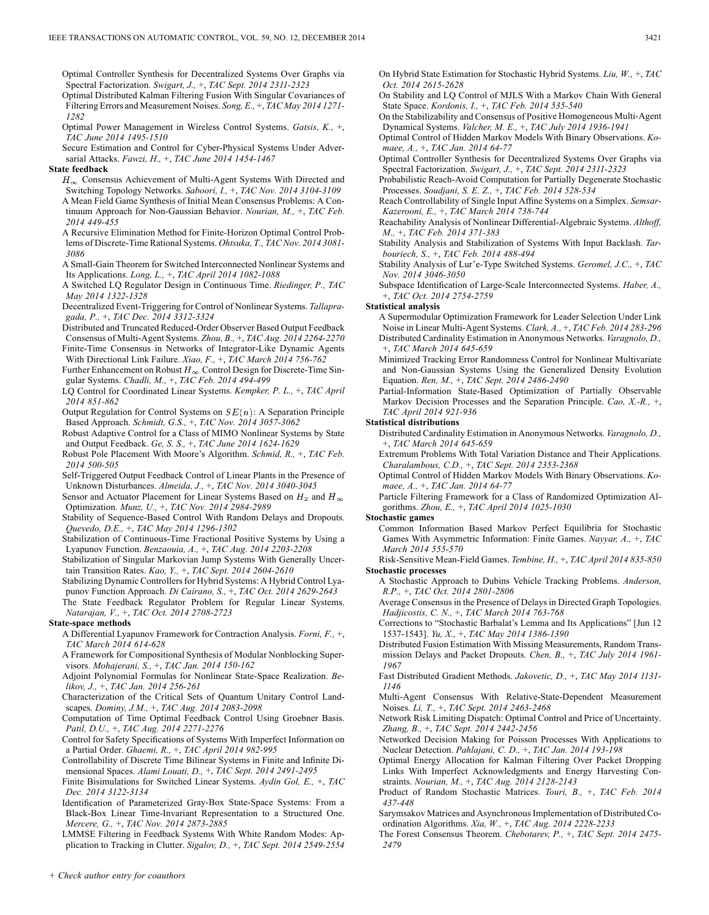Optimal Controller Synthesis for Decentralized Systems Over Graphs via Spectral Factorization. *Swigart, J.,* +, *TAC Sept. 2014 2311-2323*

Optimal Distributed Kalman Filtering Fusion With Singular Covariances of Filtering Errors and Measurement Noises. *Song, E.,* +, *TAC May 2014 1271- 1282*

Optimal Power Management in Wireless Control Systems. *Gatsis, K.,* +, *TAC June 2014 1495-1510*

Secure Estimation and Control for Cyber-Physical Systems Under Adversarial Attacks. *Fawzi, H.,* +, *TAC June 2014 1454-1467*

## **State feedback**

 $H_{\infty}$  Consensus Achievement of Multi-Agent Systems With Directed and Switching Topology Networks. *Saboori, I.,* +, *TAC Nov. 2014 3104-3109* A Mean Field Game Synthesis of Initial Mean Consensus Problems: A Con-

tinuum Approach for Non-Gaussian Behavior. *Nourian, M.,* +, *TAC Feb. 2014 449-455*

A Recursive Elimination Method for Finite-Horizon Optimal Control Problems of Discrete-Time Rational Systems. *Ohtsuka, T., TAC Nov. 2014 3081- 3086*

A Small-Gain Theorem for Switched Interconnected Nonlinear Systems and Its Applications. *Long, L.,* +, *TAC April 2014 1082-1088*

A Switched LQ Regulator Design in Continuous Time. *Riedinger, P., TAC May 2014 1322-1328*

Decentralized Event-Triggering for Control of Nonlinear Systems. *Tallapragada, P.,* +, *TAC Dec. 2014 3312-3324*

Distributed and Truncated Reduced-Order Observer Based Output Feedback Consensus of Multi-Agent Systems. *Zhou, B.,* +, *TAC Aug. 2014 2264-2270*

Finite-Time Consensus in Networks of Integrator-Like Dynamic Agents With Directional Link Failure. *Xiao, F.,* +, *TAC March 2014 756-762*

Further Enhancement on Robust  $H_{\infty}$  Control Design for Discrete-Time Singular Systems. *Chadli, M.,* +, *TAC Feb. 2014 494-499*

LQ Control for Coordinated Linear Systems. *Kempker, P. L.,* +, *TAC April 2014 851-862*

Output Regulation for Control Systems on  $SE(n)$ : A Separation Principle Based Approach. *Schmidt, G.S.,* +, *TAC Nov. 2014 3057-3062*

Robust Adaptive Control for a Class of MIMO Nonlinear Systems by State and Output Feedback. *Ge, S. S.,* +, *TAC June 2014 1624-1629*

Robust Pole Placement With Moore's Algorithm. *Schmid, R.,* +, *TAC Feb. 2014 500-505*

Self-Triggered Output Feedback Control of Linear Plants in the Presence of Unknown Disturbances. *Almeida, J.,* +, *TAC Nov. 2014 3040-3045*

Sensor and Actuator Placement for Linear Systems Based on  $H_2$  and  $H_{\infty}$ Optimization. *Munz, U.,* +, *TAC Nov. 2014 2984-2989*

Stability of Sequence-Based Control With Random Delays and Dropouts. *Quevedo, D.E.,* +, *TAC May 2014 1296-1302*

Stabilization of Continuous-Time Fractional Positive Systems by Using a Lyapunov Function. *Benzaouia, A.,* +, *TAC Aug. 2014 2203-2208*

Stabilization of Singular Markovian Jump Systems With Generally Uncertain Transition Rates. *Kao, Y.,* +, *TAC Sept. 2014 2604-2610*

Stabilizing Dynamic Controllers for Hybrid Systems: A Hybrid Control Lyapunov Function Approach. *Di Cairano, S.,* +, *TAC Oct. 2014 2629-2643* The State Feedback Regulator Problem for Regular Linear Systems.

*Natarajan, V.,* +, *TAC Oct. 2014 2708-2723*

**State-space methods**

A Differential Lyapunov Framework for Contraction Analysis. *Forni, F.,* +, *TAC March 2014 614-628*

A Framework for Compositional Synthesis of Modular Nonblocking Supervisors. *Mohajerani, S.,* +, *TAC Jan. 2014 150-162*

Adjoint Polynomial Formulas for Nonlinear State-Space Realization. *Belikov, J.,* +, *TAC Jan. 2014 256-261*

Characterization of the Critical Sets of Quantum Unitary Control Landscapes. *Dominy, J.M.,* +, *TAC Aug. 2014 2083-2098*

Computation of Time Optimal Feedback Control Using Groebner Basis. *Patil, D.U.,* +, *TAC Aug. 2014 2271-2276*

Control for Safety Specifications of Systems With Imperfect Information on a Partial Order. *Ghaemi, R.,* +, *TAC April 2014 982-995*

Controllability of Discrete Time Bilinear Systems in Finite and Infinite Dimensional Spaces. *Alami Louati, D.,* +, *TAC Sept. 2014 2491-2495*

Finite Bisimulations for Switched Linear Systems. *Aydin Gol, E.,* +, *TAC Dec. 2014 3122-3134*

Identification of Parameterized Gray-Box State-Space Systems: From a Black-Box Linear Time-Invariant Representation to a Structured One. *Mercere, G.,* +, *TAC Nov. 2014 2873-2885*

LMMSE Filtering in Feedback Systems With White Random Modes: Application to Tracking in Clutter. *Sigalov, D.,* +, *TAC Sept. 2014 2549-2554* On Hybrid State Estimation for Stochastic Hybrid Systems. *Liu, W.,* +, *TAC Oct. 2014 2615-2628*

On Stability and LQ Control of MJLS With a Markov Chain With General State Space. *Kordonis, I.,* +, *TAC Feb. 2014 535-540*

On the Stabilizability and Consensus of Positive Homogeneous Multi-Agent Dynamical Systems. *Valcher, M. E.,* +, *TAC July 2014 1936-1941*

Optimal Control of Hidden Markov Models With Binary Observations. *Komaee, A.,* +, *TAC Jan. 2014 64-77*

Optimal Controller Synthesis for Decentralized Systems Over Graphs via Spectral Factorization. *Swigart, J.,* +, *TAC Sept. 2014 2311-2323*

Probabilistic Reach-Avoid Computation for Partially Degenerate Stochastic Processes. *Soudjani, S. E. Z.,* +, *TAC Feb. 2014 528-534*

Reach Controllability of Single Input Affine Systems on a Simplex. *Semsar-Kazerooni, E.,* +, *TAC March 2014 738-744*

Reachability Analysis of Nonlinear Differential-Algebraic Systems. *Althoff, M.,* +, *TAC Feb. 2014 371-383*

Stability Analysis and Stabilization of Systems With Input Backlash. *Tarbouriech, S.,* +, *TAC Feb. 2014 488-494*

Stability Analysis of Lur'e-Type Switched Systems. *Geromel, J.C.,* +, *TAC Nov. 2014 3046-3050*

Subspace Identification of Large-Scale Interconnected Systems. *Haber, A.,* +, *TAC Oct. 2014 2754-2759*

#### **Statistical analysis**

A Supermodular Optimization Framework for Leader Selection Under Link Noise in Linear Multi-Agent Systems. *Clark, A.,* +, *TAC Feb. 2014 283-296* Distributed Cardinality Estimation in Anonymous Networks. *Varagnolo, D.,* +, *TAC March 2014 645-659*

Minimized Tracking Error Randomness Control for Nonlinear Multivariate and Non-Gaussian Systems Using the Generalized Density Evolution Equation. *Ren, M.,* +, *TAC Sept. 2014 2486-2490*

Partial-Information State-Based Optimization of Partially Observable Markov Decision Processes and the Separation Principle. *Cao, X.-R.,* +, *TAC April 2014 921-936*

#### **Statistical distributions**

Distributed Cardinality Estimation in Anonymous Networks. *Varagnolo, D.,* +, *TAC March 2014 645-659*

Extremum Problems With Total Variation Distance and Their Applications. *Charalambous, C.D.,* +, *TAC Sept. 2014 2353-2368*

Optimal Control of Hidden Markov Models With Binary Observations. *Komaee, A.,* +, *TAC Jan. 2014 64-77*

Particle Filtering Framework for a Class of Randomized Optimization Algorithms. *Zhou, E.,* +, *TAC April 2014 1025-1030*

## **Stochastic games**

Common Information Based Markov Perfect Equilibria for Stochastic Games With Asymmetric Information: Finite Games. *Nayyar, A.,* +, *TAC March 2014 555-570*

Risk-Sensitive Mean-Field Games. *Tembine, H.,* +, *TAC April 2014 835-850* **Stochastic processes**

A Stochastic Approach to Dubins Vehicle Tracking Problems. *Anderson, R.P.,* +, *TAC Oct. 2014 2801-2806*

Average Consensus in the Presence of Delays in Directed Graph Topologies. *Hadjicostis, C. N.,* +, *TAC March 2014 763-768*

Corrections to "Stochastic Barbalat's Lemma and Its Applications" [Jun 12 1537-1543]. *Yu, X.,* +, *TAC May 2014 1386-1390*

Distributed Fusion Estimation With Missing Measurements, Random Transmission Delays and Packet Dropouts. *Chen, B.,* +, *TAC July 2014 1961- 1967*

Fast Distributed Gradient Methods. *Jakovetic, D.,* +, *TAC May 2014 1131- 1146*

Multi-Agent Consensus With Relative-State-Dependent Measurement Noises. *Li, T.,* +, *TAC Sept. 2014 2463-2468*

Network Risk Limiting Dispatch: Optimal Control and Price of Uncertainty. *Zhang, B.,* +, *TAC Sept. 2014 2442-2456*

Networked Decision Making for Poisson Processes With Applications to Nuclear Detection. *Pahlajani, C. D.,* +, *TAC Jan. 2014 193-198*

Optimal Energy Allocation for Kalman Filtering Over Packet Dropping Links With Imperfect Acknowledgments and Energy Harvesting Constraints. *Nourian, M.,* +, *TAC Aug. 2014 2128-2143*

Product of Random Stochastic Matrices. *Touri, B.,* +, *TAC Feb. 2014 437-448*

Sarymsakov Matrices and Asynchronous Implementation of Distributed Coordination Algorithms. *Xia, W.,* +, *TAC Aug. 2014 2228-2233*

The Forest Consensus Theorem. *Chebotarev, P.,* +, *TAC Sept. 2014 2475- 2479*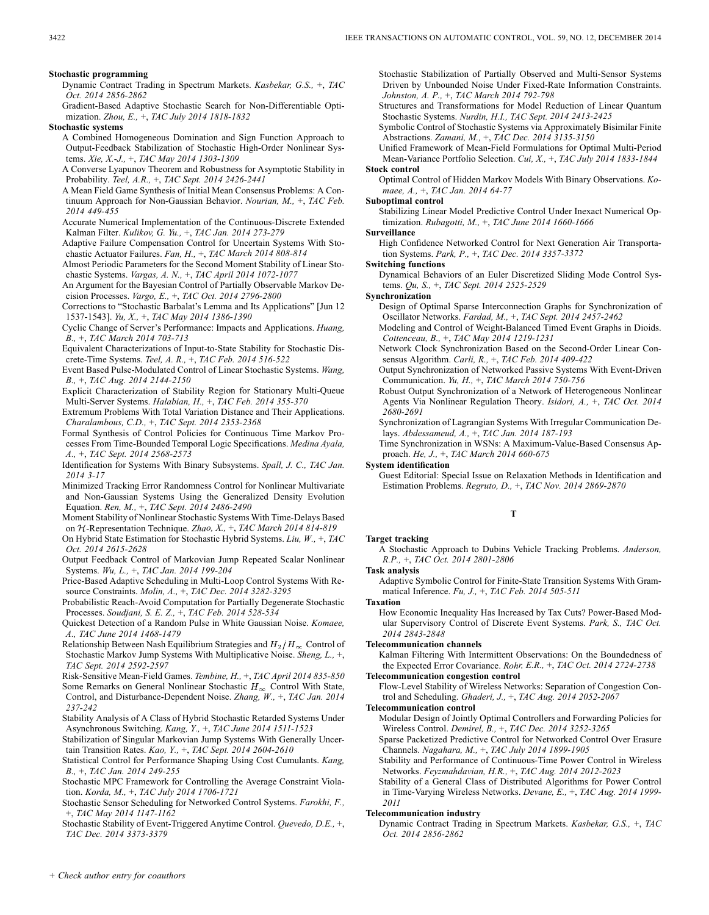#### **Stochastic programming**

Dynamic Contract Trading in Spectrum Markets. *Kasbekar, G.S.,* +, *TAC Oct. 2014 2856-2862*

Gradient-Based Adaptive Stochastic Search for Non-Differentiable Optimization. *Zhou, E.,* +, *TAC July 2014 1818-1832*

#### **Stochastic systems**

A Combined Homogeneous Domination and Sign Function Approach to Output-Feedback Stabilization of Stochastic High-Order Nonlinear Systems. *Xie, X.-J.,* +, *TAC May 2014 1303-1309*

A Converse Lyapunov Theorem and Robustness for Asymptotic Stability in Probability. *Teel, A.R.,* +, *TAC Sept. 2014 2426-2441*

A Mean Field Game Synthesis of Initial Mean Consensus Problems: A Continuum Approach for Non-Gaussian Behavior. *Nourian, M.,* +, *TAC Feb. 2014 449-455*

Accurate Numerical Implementation of the Continuous-Discrete Extended Kalman Filter. *Kulikov, G. Yu.,* +, *TAC Jan. 2014 273-279*

Adaptive Failure Compensation Control for Uncertain Systems With Stochastic Actuator Failures. *Fan, H.,* +, *TAC March 2014 808-814*

Almost Periodic Parameters for the Second Moment Stability of Linear Stochastic Systems. *Vargas, A. N.,* +, *TAC April 2014 1072-1077*

An Argument for the Bayesian Control of Partially Observable Markov Decision Processes. *Vargo, E.,* +, *TAC Oct. 2014 2796-2800*

Corrections to "Stochastic Barbalat's Lemma and Its Applications" [Jun 12 1537-1543]. *Yu, X.,* +, *TAC May 2014 1386-1390*

Cyclic Change of Server's Performance: Impacts and Applications. *Huang, B.,* +, *TAC March 2014 703-713*

Equivalent Characterizations of Input-to-State Stability for Stochastic Discrete-Time Systems. *Teel, A. R.,* +, *TAC Feb. 2014 516-522*

Event Based Pulse-Modulated Control of Linear Stochastic Systems. *Wang, B.,* +, *TAC Aug. 2014 2144-2150*

Explicit Characterization of Stability Region for Stationary Multi-Queue Multi-Server Systems. *Halabian, H.,* +, *TAC Feb. 2014 355-370*

Extremum Problems With Total Variation Distance and Their Applications. *Charalambous, C.D.,* +, *TAC Sept. 2014 2353-2368*

Formal Synthesis of Control Policies for Continuous Time Markov Processes From Time-Bounded Temporal Logic Specifications. *Medina Ayala, A.,* +, *TAC Sept. 2014 2568-2573*

Identification for Systems With Binary Subsystems. *Spall, J. C., TAC Jan. 2014 3-17*

Minimized Tracking Error Randomness Control for Nonlinear Multivariate and Non-Gaussian Systems Using the Generalized Density Evolution Equation. *Ren, M.,* +, *TAC Sept. 2014 2486-2490*

Moment Stability of Nonlinear Stochastic Systems With Time-Delays Based on  $H$ -Representation Technique. *Zhao, X.*, +, *TAC March 2014 814-819* 

On Hybrid State Estimation for Stochastic Hybrid Systems. *Liu, W.,* +, *TAC Oct. 2014 2615-2628*

Output Feedback Control of Markovian Jump Repeated Scalar Nonlinear Systems. *Wu, L.,* +, *TAC Jan. 2014 199-204*

Price-Based Adaptive Scheduling in Multi-Loop Control Systems With Resource Constraints. *Molin, A.,* +, *TAC Dec. 2014 3282-3295*

Probabilistic Reach-Avoid Computation for Partially Degenerate Stochastic Processes. *Soudjani, S. E. Z.,* +, *TAC Feb. 2014 528-534*

Quickest Detection of a Random Pulse in White Gaussian Noise. *Komaee, A., TAC June 2014 1468-1479*

Relationship Between Nash Equilibrium Strategies and  $H_2/H_{\infty}$  Control of Stochastic Markov Jump Systems With Multiplicative Noise. *Sheng, L.,* +, *TAC Sept. 2014 2592-2597*

Risk-Sensitive Mean-Field Games. *Tembine, H.,* +, *TAC April 2014 835-850*

Some Remarks on General Nonlinear Stochastic  $H_{\infty}$  Control With State, Control, and Disturbance-Dependent Noise. *Zhang, W.,* +, *TAC Jan. 2014 237-242*

Stability Analysis of A Class of Hybrid Stochastic Retarded Systems Under Asynchronous Switching. *Kang, Y.,* +, *TAC June 2014 1511-1523*

Stabilization of Singular Markovian Jump Systems With Generally Uncertain Transition Rates. *Kao, Y.,* +, *TAC Sept. 2014 2604-2610*

Statistical Control for Performance Shaping Using Cost Cumulants. *Kang, B.,* +, *TAC Jan. 2014 249-255*

Stochastic MPC Framework for Controlling the Average Constraint Violation. *Korda, M.,* +, *TAC July 2014 1706-1721*

Stochastic Sensor Scheduling for Networked Control Systems. *Farokhi, F.,* +, *TAC May 2014 1147-1162*

Stochastic Stability of Event-Triggered Anytime Control. *Quevedo, D.E.,* +, *TAC Dec. 2014 3373-3379*

Stochastic Stabilization of Partially Observed and Multi-Sensor Systems Driven by Unbounded Noise Under Fixed-Rate Information Constraints. *Johnston, A. P.,* +, *TAC March 2014 792-798*

Structures and Transformations for Model Reduction of Linear Quantum Stochastic Systems. *Nurdin, H.I., TAC Sept. 2014 2413-2425*

Symbolic Control of Stochastic Systems via Approximately Bisimilar Finite Abstractions. *Zamani, M.,* +, *TAC Dec. 2014 3135-3150*

Unified Framework of Mean-Field Formulations for Optimal Multi-Period Mean-Variance Portfolio Selection. *Cui, X.,* +, *TAC July 2014 1833-1844* **Stock control**

Optimal Control of Hidden Markov Models With Binary Observations. *Komaee, A.,* +, *TAC Jan. 2014 64-77*

**Suboptimal control**

Stabilizing Linear Model Predictive Control Under Inexact Numerical Optimization. *Rubagotti, M.,* +, *TAC June 2014 1660-1666*

**Surveillance**

High Confidence Networked Control for Next Generation Air Transportation Systems. *Park, P.,* +, *TAC Dec. 2014 3357-3372*

**Switching functions**

Dynamical Behaviors of an Euler Discretized Sliding Mode Control Systems. *Qu, S.,* +, *TAC Sept. 2014 2525-2529*

**Synchronization**

Design of Optimal Sparse Interconnection Graphs for Synchronization of Oscillator Networks. *Fardad, M.,* +, *TAC Sept. 2014 2457-2462*

Modeling and Control of Weight-Balanced Timed Event Graphs in Dioids. *Cottenceau, B.,* +, *TAC May 2014 1219-1231*

- Network Clock Synchronization Based on the Second-Order Linear Consensus Algorithm. *Carli, R.,* +, *TAC Feb. 2014 409-422*
- Output Synchronization of Networked Passive Systems With Event-Driven Communication. *Yu, H.,* +, *TAC March 2014 750-756*

Robust Output Synchronization of a Network of Heterogeneous Nonlinear Agents Via Nonlinear Regulation Theory. *Isidori, A.,* +, *TAC Oct. 2014 2680-2691*

Synchronization of Lagrangian Systems With Irregular Communication Delays. *Abdessameud, A.,* +, *TAC Jan. 2014 187-193*

Time Synchronization in WSNs: A Maximum-Value-Based Consensus Approach. *He, J.,* +, *TAC March 2014 660-675*

**System identification**

Guest Editorial: Special Issue on Relaxation Methods in Identification and Estimation Problems. *Regruto, D.,* +, *TAC Nov. 2014 2869-2870*

**T**

#### **Target tracking**

A Stochastic Approach to Dubins Vehicle Tracking Problems. *Anderson, R.P.,* +, *TAC Oct. 2014 2801-2806*

## **Task analysis**

Adaptive Symbolic Control for Finite-State Transition Systems With Grammatical Inference. *Fu, J.,* +, *TAC Feb. 2014 505-511*

**Taxation**

How Economic Inequality Has Increased by Tax Cuts? Power-Based Modular Supervisory Control of Discrete Event Systems. *Park, S., TAC Oct. 2014 2843-2848*

#### **Telecommunication channels**

Kalman Filtering With Intermittent Observations: On the Boundedness of the Expected Error Covariance. *Rohr, E.R.,* +, *TAC Oct. 2014 2724-2738*

# **Telecommunication congestion control**

Flow-Level Stability of Wireless Networks: Separation of Congestion Control and Scheduling. *Ghaderi, J.,* +, *TAC Aug. 2014 2052-2067*

**Telecommunication control**

Modular Design of Jointly Optimal Controllers and Forwarding Policies for Wireless Control. *Demirel, B.,* +, *TAC Dec. 2014 3252-3265*

Sparse Packetized Predictive Control for Networked Control Over Erasure Channels. *Nagahara, M.,* +, *TAC July 2014 1899-1905*

Stability and Performance of Continuous-Time Power Control in Wireless Networks. *Feyzmahdavian, H.R.,* +, *TAC Aug. 2014 2012-2023*

Stability of a General Class of Distributed Algorithms for Power Control in Time-Varying Wireless Networks. *Devane, E.,* +, *TAC Aug. 2014 1999- 2011*

## **Telecommunication industry**

Dynamic Contract Trading in Spectrum Markets. *Kasbekar, G.S.,* +, *TAC Oct. 2014 2856-2862*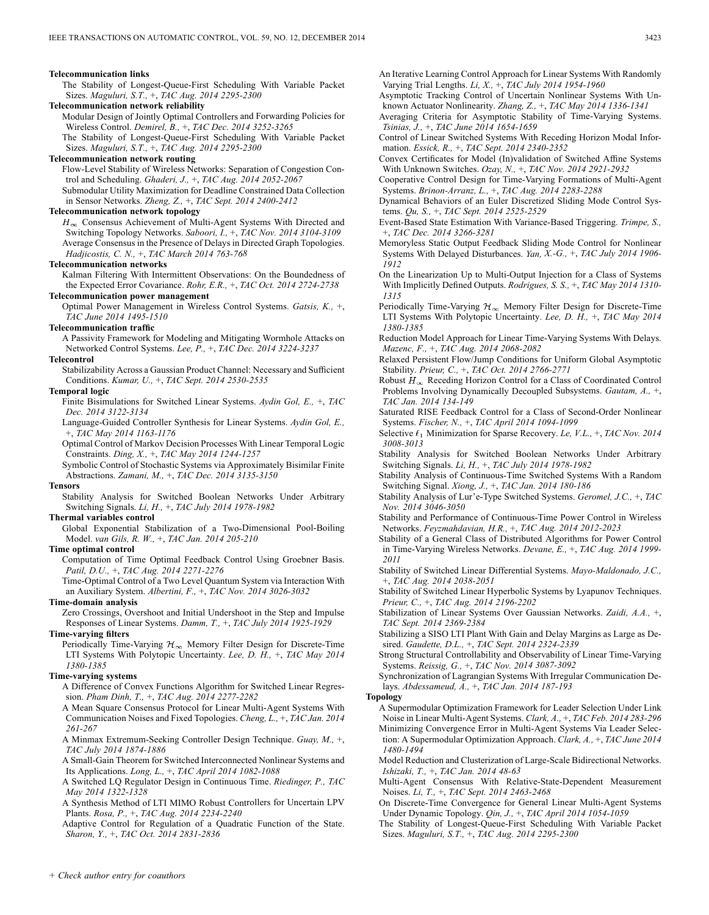#### **Telecommunication links**

The Stability of Longest-Queue-First Scheduling With Variable Packet Sizes. *Maguluri, S.T.,* +, *TAC Aug. 2014 2295-2300*

## **Telecommunication network reliability**

Modular Design of Jointly Optimal Controllers and Forwarding Policies for Wireless Control. *Demirel, B.,* +, *TAC Dec. 2014 3252-3265*

The Stability of Longest-Queue-First Scheduling With Variable Packet Sizes. *Maguluri, S.T.,* +, *TAC Aug. 2014 2295-2300*

#### **Telecommunication network routing**

Flow-Level Stability of Wireless Networks: Separation of Congestion Control and Scheduling. *Ghaderi, J.,* +, *TAC Aug. 2014 2052-2067*

Submodular Utility Maximization for Deadline Constrained Data Collection in Sensor Networks. *Zheng, Z.,* +, *TAC Sept. 2014 2400-2412*

#### **Telecommunication network topology**

 $H_{\infty}$  Consensus Achievement of Multi-Agent Systems With Directed and Switching Topology Networks. *Saboori, I.,* +, *TAC Nov. 2014 3104-3109* Average Consensus in the Presence of Delays in Directed Graph Topologies. *Hadjicostis, C. N.,* +, *TAC March 2014 763-768*

#### **Telecommunication networks**

Kalman Filtering With Intermittent Observations: On the Boundedness of the Expected Error Covariance. *Rohr, E.R.,* +, *TAC Oct. 2014 2724-2738*

**Telecommunication power management** Optimal Power Management in Wireless Control Systems. *Gatsis, K.,* +, *TAC June 2014 1495-1510*

#### **Telecommunication traffic**

A Passivity Framework for Modeling and Mitigating Wormhole Attacks on Networked Control Systems. *Lee, P.,* +, *TAC Dec. 2014 3224-3237*

## **Telecontrol**

Stabilizability Across a Gaussian Product Channel: Necessary and Sufficient Conditions. *Kumar, U.,* +, *TAC Sept. 2014 2530-2535*

#### **Temporal logic**

Finite Bisimulations for Switched Linear Systems. *Aydin Gol, E.,* +, *TAC Dec. 2014 3122-3134*

Language-Guided Controller Synthesis for Linear Systems. *Aydin Gol, E.,* +, *TAC May 2014 1163-1176*

Optimal Control of Markov Decision Processes With Linear Temporal Logic Constraints. *Ding, X.,* +, *TAC May 2014 1244-1257*

Symbolic Control of Stochastic Systems via Approximately Bisimilar Finite Abstractions. *Zamani, M.,* +, *TAC Dec. 2014 3135-3150*

#### **Tensors**

Stability Analysis for Switched Boolean Networks Under Arbitrary Switching Signals. *Li, H.,* +, *TAC July 2014 1978-1982*

#### **Thermal variables control**

Global Exponential Stabilization of a Two-Dimensional Pool-Boiling Model. *van Gils, R. W.,* +, *TAC Jan. 2014 205-210*

### **Time optimal control**

Computation of Time Optimal Feedback Control Using Groebner Basis. *Patil, D.U.,* +, *TAC Aug. 2014 2271-2276*

Time-Optimal Control of a Two Level Quantum System via Interaction With an Auxiliary System. *Albertini, F.,* +, *TAC Nov. 2014 3026-3032*

#### **Time-domain analysis**

Zero Crossings, Overshoot and Initial Undershoot in the Step and Impulse Responses of Linear Systems. *Damm, T.,* +, *TAC July 2014 1925-1929*

## **Time-varying filters**

Periodically Time-Varying  $\mathcal{H}_{\infty}$  Memory Filter Design for Discrete-Time LTI Systems With Polytopic Uncertainty. *Lee, D. H.,* +, *TAC May 2014 1380-1385*

## **Time-varying systems**

A Difference of Convex Functions Algorithm for Switched Linear Regression. *Pham Dinh, T.,* +, *TAC Aug. 2014 2277-2282*

A Mean Square Consensus Protocol for Linear Multi-Agent Systems With Communication Noises and Fixed Topologies. *Cheng, L.,* +, *TAC Jan. 2014 261-267*

A Minmax Extremum-Seeking Controller Design Technique. *Guay, M.,* +, *TAC July 2014 1874-1886*

A Small-Gain Theorem for Switched Interconnected Nonlinear Systems and Its Applications. *Long, L.,* +, *TAC April 2014 1082-1088*

A Switched LQ Regulator Design in Continuous Time. *Riedinger, P., TAC May 2014 1322-1328*

A Synthesis Method of LTI MIMO Robust Controllers for Uncertain LPV Plants. *Rosa, P.,* +, *TAC Aug. 2014 2234-2240*

Adaptive Control for Regulation of a Quadratic Function of the State. *Sharon, Y.,* +, *TAC Oct. 2014 2831-2836*

An Iterative Learning Control Approach for Linear Systems With Randomly Varying Trial Lengths. *Li, X.,* +, *TAC July 2014 1954-1960*

Asymptotic Tracking Control of Uncertain Nonlinear Systems With Unknown Actuator Nonlinearity. *Zhang, Z.,* +, *TAC May 2014 1336-1341*

Averaging Criteria for Asymptotic Stability of Time-Varying Systems. *Tsinias, J.,* +, *TAC June 2014 1654-1659*

Control of Linear Switched Systems With Receding Horizon Modal Information. *Essick, R.,* +, *TAC Sept. 2014 2340-2352*

Convex Certificates for Model (In)validation of Switched Affine Systems With Unknown Switches. *Ozay, N.,* +, *TAC Nov. 2014 2921-2932*

Cooperative Control Design for Time-Varying Formations of Multi-Agent Systems. *Brinon-Arranz, L.,* +, *TAC Aug. 2014 2283-2288*

Dynamical Behaviors of an Euler Discretized Sliding Mode Control Systems. *Qu, S.,* +, *TAC Sept. 2014 2525-2529*

Event-Based State Estimation With Variance-Based Triggering. *Trimpe, S.,* +, *TAC Dec. 2014 3266-3281*

Memoryless Static Output Feedback Sliding Mode Control for Nonlinear Systems With Delayed Disturbances. *Yan, X.-G.,* +, *TAC July 2014 1906- 1912*

On the Linearization Up to Multi-Output Injection for a Class of Systems With Implicitly Defined Outputs. *Rodrigues, S. S.,* +, *TAC May 2014 1310- 1315*

Periodically Time-Varying  $\mathcal{H}_{\infty}$  Memory Filter Design for Discrete-Time LTI Systems With Polytopic Uncertainty. *Lee, D. H.,* +, *TAC May 2014 1380-1385*

Reduction Model Approach for Linear Time-Varying Systems With Delays. *Mazenc, F.,* +, *TAC Aug. 2014 2068-2082*

Relaxed Persistent Flow/Jump Conditions for Uniform Global Asymptotic Stability. *Prieur, C.,* +, *TAC Oct. 2014 2766-2771*

Robust  $H_{\infty}$  Receding Horizon Control for a Class of Coordinated Control Problems Involving Dynamically Decoupled Subsystems. *Gautam, A.,* +, *TAC Jan. 2014 134-149*

Saturated RISE Feedback Control for a Class of Second-Order Nonlinear Systems. *Fischer, N.,* +, *TAC April 2014 1094-1099*

Selective  $\ell_1$  Minimization for Sparse Recovery. *Le, V.L.,* +, *TAC Nov. 2014 3008-3013*

Stability Analysis for Switched Boolean Networks Under Arbitrary Switching Signals. *Li, H.,* +, *TAC July 2014 1978-1982*

Stability Analysis of Continuous-Time Switched Systems With a Random Switching Signal. *Xiong, J.,* +, *TAC Jan. 2014 180-186*

Stability Analysis of Lur'e-Type Switched Systems. *Geromel, J.C.,* +, *TAC Nov. 2014 3046-3050*

Stability and Performance of Continuous-Time Power Control in Wireless Networks. *Feyzmahdavian, H.R.,* +, *TAC Aug. 2014 2012-2023*

Stability of a General Class of Distributed Algorithms for Power Control in Time-Varying Wireless Networks. *Devane, E.,* +, *TAC Aug. 2014 1999- 2011*

Stability of Switched Linear Differential Systems. *Mayo-Maldonado, J.C.,* +, *TAC Aug. 2014 2038-2051*

Stability of Switched Linear Hyperbolic Systems by Lyapunov Techniques. *Prieur, C.,* +, *TAC Aug. 2014 2196-2202*

Stabilization of Linear Systems Over Gaussian Networks. *Zaidi, A.A.,* +, *TAC Sept. 2014 2369-2384*

Stabilizing a SISO LTI Plant With Gain and Delay Margins as Large as Desired. *Gaudette, D.L.,* +, *TAC Sept. 2014 2324-2339*

Strong Structural Controllability and Observability of Linear Time-Varying Systems. *Reissig, G.,* +, *TAC Nov. 2014 3087-3092*

Synchronization of Lagrangian Systems With Irregular Communication Delays. *Abdessameud, A.,* +, *TAC Jan. 2014 187-193*

## **Topology**

A Supermodular Optimization Framework for Leader Selection Under Link Noise in Linear Multi-Agent Systems. *Clark, A.,* +, *TAC Feb. 2014 283-296* Minimizing Convergence Error in Multi-Agent Systems Via Leader Selection: A Supermodular Optimization Approach. *Clark, A.,* +, *TAC June 2014 1480-1494*

Model Reduction and Clusterization of Large-Scale Bidirectional Networks. *Ishizaki, T.,* +, *TAC Jan. 2014 48-63*

Multi-Agent Consensus With Relative-State-Dependent Measurement Noises. *Li, T.,* +, *TAC Sept. 2014 2463-2468*

On Discrete-Time Convergence for General Linear Multi-Agent Systems Under Dynamic Topology. *Qin, J.,* +, *TAC April 2014 1054-1059*

The Stability of Longest-Queue-First Scheduling With Variable Packet Sizes. *Maguluri, S.T.,* +, *TAC Aug. 2014 2295-2300*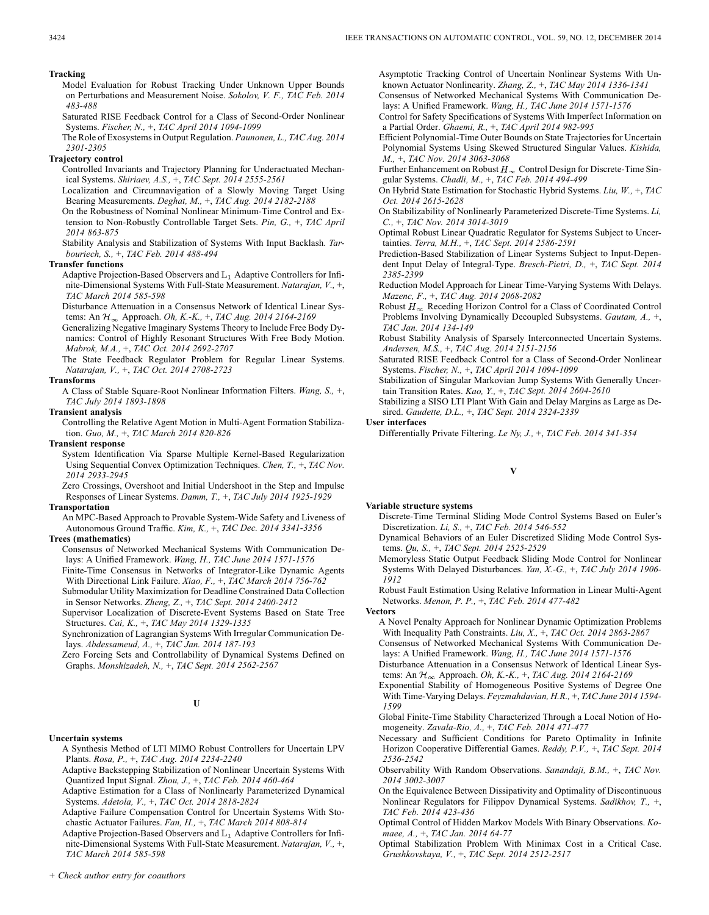#### **Tracking**

- Model Evaluation for Robust Tracking Under Unknown Upper Bounds on Perturbations and Measurement Noise. *Sokolov, V. F., TAC Feb. 2014 483-488*
- Saturated RISE Feedback Control for a Class of Second-Order Nonlinear Systems. *Fischer, N.,* +, *TAC April 2014 1094-1099*
- The Role of Exosystems in Output Regulation. *Paunonen, L., TAC Aug. 2014 2301-2305*

## **Trajectory control**

- Controlled Invariants and Trajectory Planning for Underactuated Mechanical Systems. *Shiriaev, A.S.,* +, *TAC Sept. 2014 2555-2561*
- Localization and Circumnavigation of a Slowly Moving Target Using Bearing Measurements. *Deghat, M.,* +, *TAC Aug. 2014 2182-2188*
- On the Robustness of Nominal Nonlinear Minimum-Time Control and Extension to Non-Robustly Controllable Target Sets. *Pin, G.,* +, *TAC April 2014 863-875*
- Stability Analysis and Stabilization of Systems With Input Backlash. *Tarbouriech, S.,* +, *TAC Feb. 2014 488-494*

#### **Transfer functions**

- Adaptive Projection-Based Observers and  $L_1$  Adaptive Controllers for Infinite-Dimensional Systems With Full-State Measurement. *Natarajan, V.,* +, *TAC March 2014 585-598*
- Disturbance Attenuation in a Consensus Network of Identical Linear Systems: An Approach. *Oh, K.-K.,* +, *TAC Aug. 2014 2164-2169*
- Generalizing Negative Imaginary Systems Theory to Include Free Body Dynamics: Control of Highly Resonant Structures With Free Body Motion. *Mabrok, M.A.,* +, *TAC Oct. 2014 2692-2707*

The State Feedback Regulator Problem for Regular Linear Systems. *Natarajan, V.,* +, *TAC Oct. 2014 2708-2723*

#### **Transforms**

A Class of Stable Square-Root Nonlinear Information Filters. *Wang, S.,* +, *TAC July 2014 1893-1898*

## **Transient analysis**

Controlling the Relative Agent Motion in Multi-Agent Formation Stabilization. *Guo, M.,* +, *TAC March 2014 820-826*

## **Transient response**

System Identification Via Sparse Multiple Kernel-Based Regularization Using Sequential Convex Optimization Techniques. *Chen, T.,* +, *TAC Nov. 2014 2933-2945*

Zero Crossings, Overshoot and Initial Undershoot in the Step and Impulse Responses of Linear Systems. *Damm, T.,* +, *TAC July 2014 1925-1929*

#### **Transportation**

An MPC-Based Approach to Provable System-Wide Safety and Liveness of Autonomous Ground Traffic. *Kim, K.,* +, *TAC Dec. 2014 3341-3356*

#### **Trees (mathematics)**

- Consensus of Networked Mechanical Systems With Communication Delays: A Unified Framework. *Wang, H., TAC June 2014 1571-1576*
- Finite-Time Consensus in Networks of Integrator-Like Dynamic Agents With Directional Link Failure. *Xiao, F.,* +, *TAC March 2014 756-762*
- Submodular Utility Maximization for Deadline Constrained Data Collection in Sensor Networks. *Zheng, Z.,* +, *TAC Sept. 2014 2400-2412*

Supervisor Localization of Discrete-Event Systems Based on State Tree Structures. *Cai, K.,* +, *TAC May 2014 1329-1335*

Synchronization of Lagrangian Systems With Irregular Communication Delays. *Abdessameud, A.,* +, *TAC Jan. 2014 187-193*

Zero Forcing Sets and Controllability of Dynamical Systems Defined on Graphs. *Monshizadeh, N.,* +, *TAC Sept. 2014 2562-2567*

## **U**

## **Uncertain systems**

- A Synthesis Method of LTI MIMO Robust Controllers for Uncertain LPV Plants. *Rosa, P.,* +, *TAC Aug. 2014 2234-2240*
- Adaptive Backstepping Stabilization of Nonlinear Uncertain Systems With Quantized Input Signal. *Zhou, J.,* +, *TAC Feb. 2014 460-464*
- Adaptive Estimation for a Class of Nonlinearly Parameterized Dynamical Systems. *Adetola, V.,* +, *TAC Oct. 2014 2818-2824*
- Adaptive Failure Compensation Control for Uncertain Systems With Stochastic Actuator Failures. *Fan, H.,* +, *TAC March 2014 808-814*
- Adaptive Projection-Based Observers and  $L_1$  Adaptive Controllers for Infinite-Dimensional Systems With Full-State Measurement. *Natarajan, V.,* +, *TAC March 2014 585-598*

Asymptotic Tracking Control of Uncertain Nonlinear Systems With Unknown Actuator Nonlinearity. *Zhang, Z.,* +, *TAC May 2014 1336-1341*

- Consensus of Networked Mechanical Systems With Communication Delays: A Unified Framework. *Wang, H., TAC June 2014 1571-1576*
- Control for Safety Specifications of Systems With Imperfect Information on a Partial Order. *Ghaemi, R.,* +, *TAC April 2014 982-995*
- Efficient Polynomial-Time Outer Bounds on State Trajectories for Uncertain Polynomial Systems Using Skewed Structured Singular Values. *Kishida, M.,* +, *TAC Nov. 2014 3063-3068*
- Further Enhancement on Robust  $H_{\infty}$  Control Design for Discrete-Time Singular Systems. *Chadli, M.,* +, *TAC Feb. 2014 494-499*
- On Hybrid State Estimation for Stochastic Hybrid Systems. *Liu, W.,* +, *TAC Oct. 2014 2615-2628*

On Stabilizability of Nonlinearly Parameterized Discrete-Time Systems. *Li, C.,* +, *TAC Nov. 2014 3014-3019*

Optimal Robust Linear Quadratic Regulator for Systems Subject to Uncertainties. *Terra, M.H.,* +, *TAC Sept. 2014 2586-2591*

- Prediction-Based Stabilization of Linear Systems Subject to Input-Dependent Input Delay of Integral-Type. *Bresch-Pietri, D.,* +, *TAC Sept. 2014 2385-2399*
- Reduction Model Approach for Linear Time-Varying Systems With Delays. *Mazenc, F.,* +, *TAC Aug. 2014 2068-2082*
- Robust  $H_{\infty}$  Receding Horizon Control for a Class of Coordinated Control Problems Involving Dynamically Decoupled Subsystems. *Gautam, A.,* +, *TAC Jan. 2014 134-149*

Robust Stability Analysis of Sparsely Interconnected Uncertain Systems. *Andersen, M.S.,* +, *TAC Aug. 2014 2151-2156*

Saturated RISE Feedback Control for a Class of Second-Order Nonlinear Systems. *Fischer, N.,* +, *TAC April 2014 1094-1099*

Stabilization of Singular Markovian Jump Systems With Generally Uncertain Transition Rates. *Kao, Y.,* +, *TAC Sept. 2014 2604-2610*

Stabilizing a SISO LTI Plant With Gain and Delay Margins as Large as Desired. *Gaudette, D.L.,* +, *TAC Sept. 2014 2324-2339*

## **User interfaces**

Differentially Private Filtering. *Le Ny, J.,* +, *TAC Feb. 2014 341-354*

## **V**

#### **Variable structure systems**

Discrete-Time Terminal Sliding Mode Control Systems Based on Euler's Discretization. *Li, S.,* +, *TAC Feb. 2014 546-552*

Dynamical Behaviors of an Euler Discretized Sliding Mode Control Systems. *Qu, S.,* +, *TAC Sept. 2014 2525-2529*

Memoryless Static Output Feedback Sliding Mode Control for Nonlinear Systems With Delayed Disturbances. *Yan, X.-G.,* +, *TAC July 2014 1906- 1912*

Robust Fault Estimation Using Relative Information in Linear Multi-Agent Networks. *Menon, P. P.,* +, *TAC Feb. 2014 477-482*

**Vectors**

A Novel Penalty Approach for Nonlinear Dynamic Optimization Problems With Inequality Path Constraints. *Liu, X.,* +, *TAC Oct. 2014 2863-2867*

Consensus of Networked Mechanical Systems With Communication De-

lays: A Unified Framework. *Wang, H., TAC June 2014 1571-1576* Disturbance Attenuation in a Consensus Network of Identical Linear Sys-

tems: An Approach. *Oh, K.-K.,* +, *TAC Aug. 2014 2164-2169* Exponential Stability of Homogeneous Positive Systems of Degree One

- With Time-Varying Delays. *Feyzmahdavian, H.R.,* +, *TAC June 2014 1594- 1599*
- Global Finite-Time Stability Characterized Through a Local Notion of Homogeneity. *Zavala-Rio, A.,* +, *TAC Feb. 2014 471-477*
- Necessary and Sufficient Conditions for Pareto Optimality in Infinite Horizon Cooperative Differential Games. *Reddy, P.V.,* +, *TAC Sept. 2014 2536-2542*
- Observability With Random Observations. *Sanandaji, B.M.,* +, *TAC Nov. 2014 3002-3007*
- On the Equivalence Between Dissipativity and Optimality of Discontinuous Nonlinear Regulators for Filippov Dynamical Systems. *Sadikhov, T.,* +, *TAC Feb. 2014 423-436*
- Optimal Control of Hidden Markov Models With Binary Observations. *Komaee, A.,* +, *TAC Jan. 2014 64-77*
- Optimal Stabilization Problem With Minimax Cost in a Critical Case. *Grushkovskaya, V.,* +, *TAC Sept. 2014 2512-2517*